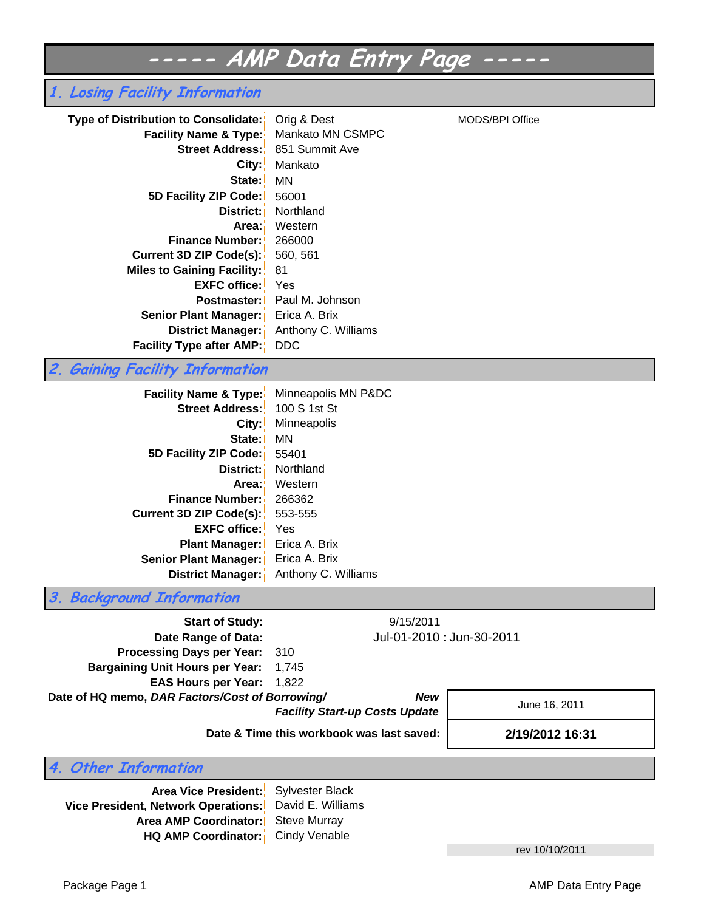# **----- AMP Data Entry Page -----**

# **1. Losing Facility Information**

| Type of Distribution to Consolidate:<br><b>Facility Name &amp; Type:</b> | Orig & Dest<br>Mankato MN CSMPC | MODS/BPI Office |
|--------------------------------------------------------------------------|---------------------------------|-----------------|
| <b>Street Address:</b>                                                   | 851 Summit Ave                  |                 |
| City:                                                                    | Mankato                         |                 |
| State:                                                                   | MN                              |                 |
| 5D Facility ZIP Code:                                                    | 56001                           |                 |
| District: I                                                              | Northland                       |                 |
| Area:                                                                    | Western                         |                 |
| <b>Finance Number:</b>                                                   | 266000                          |                 |
| Current 3D ZIP Code(s):                                                  | 560, 561                        |                 |
| <b>Miles to Gaining Facility:</b>                                        | 81                              |                 |
| <b>EXFC office:</b>                                                      | Yes                             |                 |
| <b>Postmaster:</b>                                                       | Paul M. Johnson                 |                 |
| <b>Senior Plant Manager:</b>                                             | Erica A. Brix                   |                 |
| <b>District Manager:</b>                                                 | Anthony C. Williams             |                 |
| <b>Facility Type after AMP:</b>                                          | DDC.                            |                 |

# **2. Gaining Facility Information**

| <b>Facility Name &amp; Type:</b> | Minneapolis MN P&DC |
|----------------------------------|---------------------|
| <b>Street Address:</b>           | 100 S 1st St        |
| City:                            | Minneapolis         |
| State: I                         | ΜN                  |
| 5D Facility ZIP Code:            | 55401               |
| District:                        | Northland           |
| Area:'                           | Western             |
| <b>Finance Number:</b>           | 266362              |
| Current 3D ZIP Code(s):          | 553-555             |
| <b>EXFC office:</b>              | Yes                 |
| <b>Plant Manager:</b>            | Erica A. Brix       |
| <b>Senior Plant Manager:</b>     | Erica A. Brix       |
| District Manager:                | Anthony C. Williams |

**3. Background Information**

| <b>Start of Study:</b>                          | 9/15/2011                                           |                           |
|-------------------------------------------------|-----------------------------------------------------|---------------------------|
| Date Range of Data:                             |                                                     | Jul-01-2010 : Jun-30-2011 |
| Processing Days per Year: 310                   |                                                     |                           |
| <b>Bargaining Unit Hours per Year: 1,745</b>    |                                                     |                           |
| <b>EAS Hours per Year: 1,822</b>                |                                                     |                           |
| Date of HQ memo, DAR Factors/Cost of Borrowing/ | <b>New</b><br><b>Facility Start-up Costs Update</b> | June 16, 2011             |
|                                                 | $\blacksquare$                                      |                           |

**Date & Time this workbook was last saved:**

**2/19/2012 16:31**

**4. Other Information**

**Area Vice President:** Sylvester Black **Vice President, Network Operations: Area AMP Coordinator:** Steve Murray HQ AMP Coordinator: Cindy Venable David E. Williams

rev 10/10/2011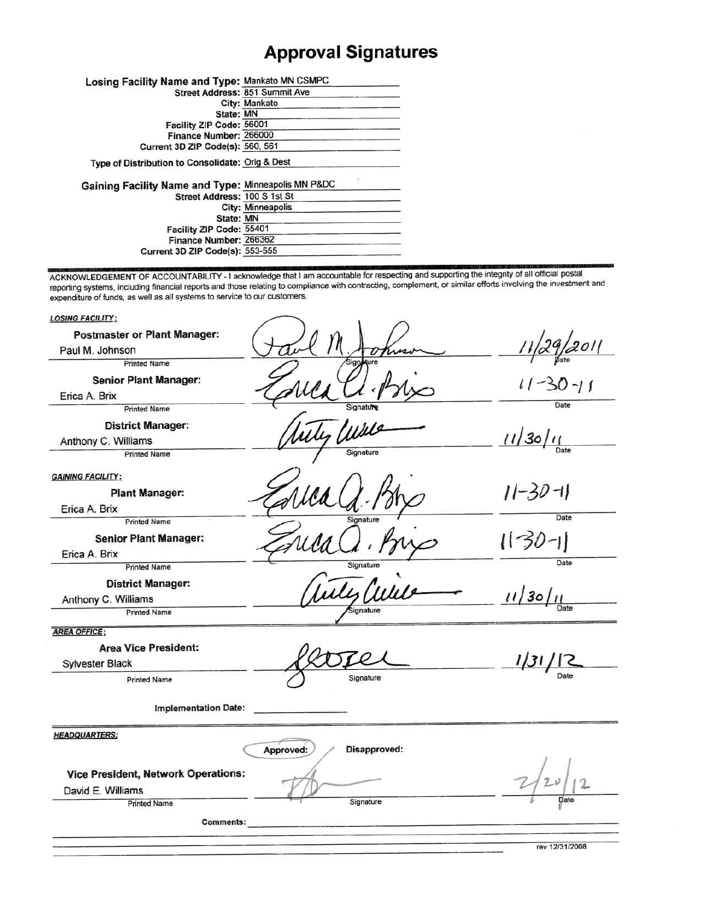# **Approval Signatures**

| Losing Facility Name and Type: Mankato MN CSMPC     |                                |
|-----------------------------------------------------|--------------------------------|
|                                                     | Street Address: 851 Summit Ave |
|                                                     | City: Mankato                  |
| State: MN                                           |                                |
| Facility ZIP Code: 56001                            |                                |
| Finance Number: 266000                              |                                |
| Current 3D ZIP Code(s): 560, 561                    |                                |
| Type of Distribution to Consolidate: Orig & Dest    |                                |
| Gaining Facility Name and Type: Minneapolis MN P&DC |                                |
| Street Address: 100 S 1st St                        |                                |
|                                                     | City: Minneapolis              |
| State: MN                                           |                                |
| Facility ZIP Code: 55401                            |                                |
| Finance Number: 266362                              |                                |
| <b>Current 3D ZIP Code(s): 553-555</b>              |                                |
|                                                     |                                |

ACKNOWLEDGEMENT OF ACCOUNTABILITY - I acknowledge that I am accountable for respecting and supporting the integrity of all official postal reporting systems, including financial reports and those relating to compliance wit

| <b>LOSING FACILITY:</b>                    |                           |                |
|--------------------------------------------|---------------------------|----------------|
| <b>Postmaster or Plant Manager:</b>        |                           |                |
| Paul M. Johnson                            |                           | 201            |
| <b>Printed Name</b>                        |                           |                |
| <b>Senior Plant Manager:</b>               |                           | $11 - 30 - 11$ |
| Erica A. Brix                              |                           |                |
| <b>Printed Name</b>                        | Signature                 | Date           |
| <b>District Manager:</b>                   |                           |                |
| Anthony C. Williams                        |                           | 11/30/11       |
| <b>Printed Name</b>                        | Signature                 | Date           |
| <b>GAINING FACILITY:</b>                   |                           |                |
| <b>Plant Manager:</b>                      |                           | $11 - 30 - 11$ |
| Erica A. Brix                              |                           |                |
| <b>Printed Name</b>                        | Signature                 | Date           |
| <b>Senior Plant Manager:</b>               |                           | 1130-11        |
| Erica A. Brix                              |                           |                |
| <b>Printed Name</b>                        | Signature                 | Date           |
| <b>District Manager:</b>                   |                           |                |
| Anthony C. Williams                        |                           | 11/30/11       |
| <b>Printed Name</b>                        | Signature                 | Date           |
| <b>AREA OFFICE:</b>                        |                           |                |
| <b>Area Vice President:</b>                |                           |                |
| Sylvester Black                            |                           | 1/31           |
| <b>Printed Name</b>                        | Signature                 |                |
| <b>Implementation Date:</b>                |                           |                |
| <b>HEADQUARTERS:</b>                       |                           |                |
|                                            | Disapproved:<br>Approved: |                |
| <b>Vice President, Network Operations:</b> |                           |                |
| David E. Williams                          |                           |                |
| <b>Printed Name</b>                        | Signature                 | Date           |
| <b>Comments:</b>                           |                           |                |
|                                            |                           |                |
|                                            |                           | rev 12/31/2008 |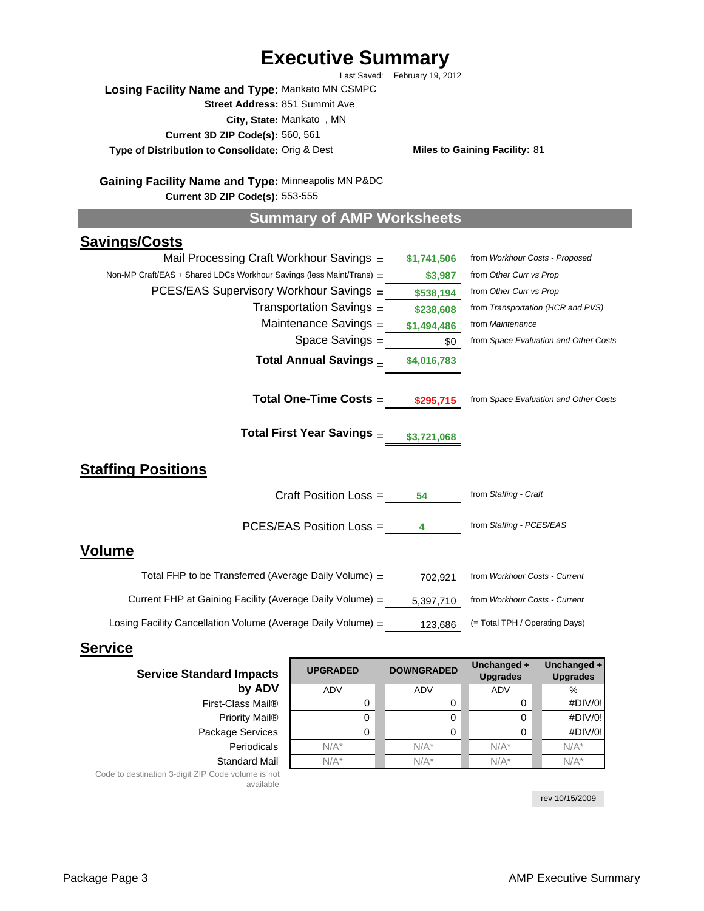# **Executive Summary**

Last Saved: February 19, 2012

**Losing Facility Name and Type:** Mankato MN CSMPC **Street Address:** 851 Summit Ave

**City, State:** Mankato , MN

**Current 3D ZIP Code(s):** 560, 561

**Type of Distribution to Consolidate:**

**Miles to Gaining Facility: 81** 

Gaining Facility Name and Type: Minneapolis MN P&DC **Current 3D ZIP Code(s):** 553-555

# **Summary of AMP Worksheets**

# **Savings/Costs**

| Mail Processing Craft Workhour Savings $=$                           | \$1,741,506 | from Workhour Costs - Proposed        |
|----------------------------------------------------------------------|-------------|---------------------------------------|
| Non-MP Craft/EAS + Shared LDCs Workhour Savings (less Maint/Trans) = | \$3,987     | from Other Curr vs Prop               |
| PCES/EAS Supervisory Workhour Savings =                              | \$538,194   | from Other Curr vs Prop               |
| Transportation Savings $=$                                           | \$238,608   | from Transportation (HCR and PVS)     |
| Maintenance Savings $=$                                              | \$1,494,486 | from Maintenance                      |
| Space Savings $=$                                                    | \$0         | from Space Evaluation and Other Costs |
| Total Annual Savings _                                               | \$4,016,783 |                                       |
|                                                                      |             |                                       |
| Total One-Time Costs =                                               | \$295,715   | from Space Evaluation and Other Costs |
| Total First Year Savings _                                           | \$3,721,068 |                                       |
| Staffing Positions                                                   |             |                                       |
| Craft Position Loss =                                                | 54          | from Staffing - Craft                 |
| PCES/EAS Position Loss =                                             | 4           | from Staffing - PCES/EAS              |
| Volume                                                               |             |                                       |
| Total FHP to be Transferred (Average Daily Volume) $=$               | 702,921     | from Workhour Costs - Current         |
| Current FHP at Gaining Facility (Average Daily Volume) $=$           | 5,397,710   | from Workhour Costs - Current         |
| Losing Facility Cancellation Volume (Average Daily Volume) $=$       | 123,686     | (= Total TPH / Operating Days)        |

### **Service**

| <b>Service Standard Impacts</b>                   | <b>UPGRADED</b> | <b>DOWNGRADED</b> | Unchanged +<br><b>Upgrades</b> | Unchanged +<br><b>Upgrades</b> |  |
|---------------------------------------------------|-----------------|-------------------|--------------------------------|--------------------------------|--|
| by ADV                                            | <b>ADV</b>      | ADV               | ADV                            | %                              |  |
| First-Class Mail®                                 |                 | 0                 | 0                              | #DIV/0!                        |  |
| Priority Mail <sup>®</sup>                        |                 | 0                 | 0                              | #DIV/0!                        |  |
| Package Services                                  |                 | 0                 |                                | #DIV/0!                        |  |
| Periodicals                                       | $N/A^*$         | $N/A^*$           | $N/A^*$                        | $N/A^*$                        |  |
| <b>Standard Mail</b>                              | $N/A^*$         | $N/A^*$           | $N/A^*$                        | $N/A^*$                        |  |
| . 제가 아니다 사람은 아래 나는 아니라 나는 그녀가 아니라 아니라 아니라 아니라 아니다 |                 |                   |                                |                                |  |

Code to destination 3-digit ZIP Code volume is not available

rev 10/15/2009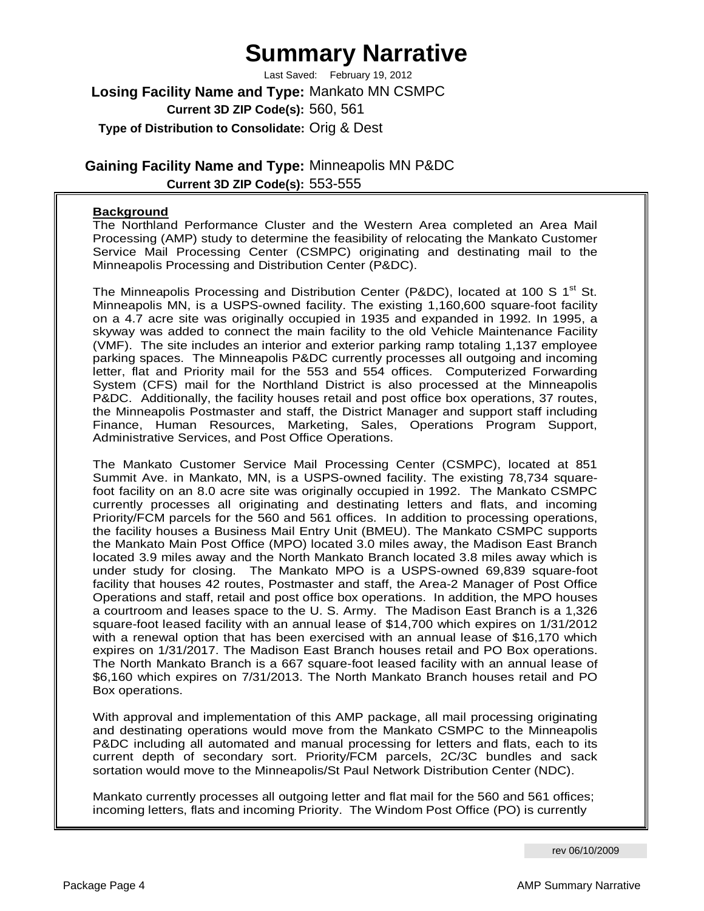# **Summary Narrative**

**Losing Facility Name and Type:** Mankato MN CSMPC **Current 3D ZIP Code(s):** 560, 561 **Type of Distribution to Consolidate:** Orig & Dest Last Saved: February 19, 2012

**Gaining Facility Name and Type:** Minneapolis MN P&DC **Current 3D ZIP Code(s):** 553-555

### **Background**

The Northland Performance Cluster and the Western Area completed an Area Mail Processing (AMP) study to determine the feasibility of relocating the Mankato Customer Service Mail Processing Center (CSMPC) originating and destinating mail to the Minneapolis Processing and Distribution Center (P&DC).

The Minneapolis Processing and Distribution Center (P&DC), located at 100 S  $1<sup>st</sup>$  St. Minneapolis MN, is a USPS-owned facility. The existing 1,160,600 square-foot facility on a 4.7 acre site was originally occupied in 1935 and expanded in 1992. In 1995, a skyway was added to connect the main facility to the old Vehicle Maintenance Facility (VMF). The site includes an interior and exterior parking ramp totaling 1,137 employee parking spaces. The Minneapolis P&DC currently processes all outgoing and incoming letter, flat and Priority mail for the 553 and 554 offices. Computerized Forwarding System (CFS) mail for the Northland District is also processed at the Minneapolis P&DC. Additionally, the facility houses retail and post office box operations, 37 routes, the Minneapolis Postmaster and staff, the District Manager and support staff including Finance, Human Resources, Marketing, Sales, Operations Program Support, Administrative Services, and Post Office Operations.

The Mankato Customer Service Mail Processing Center (CSMPC), located at 851 Summit Ave. in Mankato, MN, is a USPS-owned facility. The existing 78,734 squarefoot facility on an 8.0 acre site was originally occupied in 1992. The Mankato CSMPC currently processes all originating and destinating letters and flats, and incoming Priority/FCM parcels for the 560 and 561 offices. In addition to processing operations, the facility houses a Business Mail Entry Unit (BMEU). The Mankato CSMPC supports the Mankato Main Post Office (MPO) located 3.0 miles away, the Madison East Branch located 3.9 miles away and the North Mankato Branch located 3.8 miles away which is under study for closing. The Mankato MPO is a USPS-owned 69,839 square-foot facility that houses 42 routes, Postmaster and staff, the Area-2 Manager of Post Office Operations and staff, retail and post office box operations. In addition, the MPO houses a courtroom and leases space to the U. S. Army. The Madison East Branch is a 1,326 square-foot leased facility with an annual lease of \$14,700 which expires on 1/31/2012 with a renewal option that has been exercised with an annual lease of \$16,170 which expires on 1/31/2017. The Madison East Branch houses retail and PO Box operations. The North Mankato Branch is a 667 square-foot leased facility with an annual lease of \$6,160 which expires on 7/31/2013. The North Mankato Branch houses retail and PO Box operations.

With approval and implementation of this AMP package, all mail processing originating and destinating operations would move from the Mankato CSMPC to the Minneapolis P&DC including all automated and manual processing for letters and flats, each to its current depth of secondary sort. Priority/FCM parcels, 2C/3C bundles and sack sortation would move to the Minneapolis/St Paul Network Distribution Center (NDC).

Mankato currently processes all outgoing letter and flat mail for the 560 and 561 offices; incoming letters, flats and incoming Priority. The Windom Post Office (PO) is currently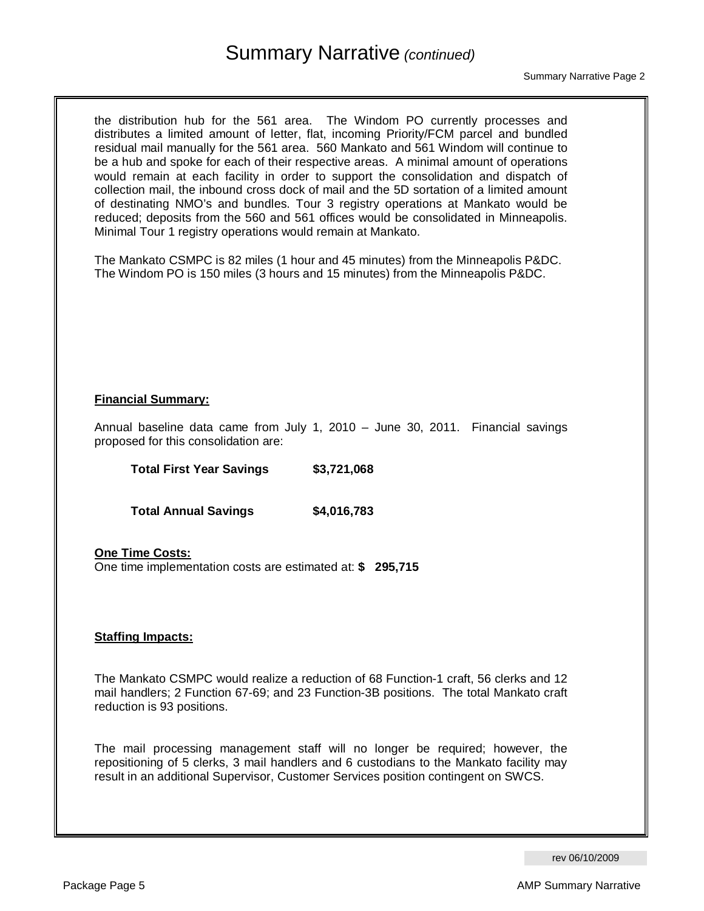# Summary Narrative *(continued)*

the distribution hub for the 561 area. The Windom PO currently processes and distributes a limited amount of letter, flat, incoming Priority/FCM parcel and bundled residual mail manually for the 561 area. 560 Mankato and 561 Windom will continue to be a hub and spoke for each of their respective areas. A minimal amount of operations would remain at each facility in order to support the consolidation and dispatch of collection mail, the inbound cross dock of mail and the 5D sortation of a limited amount of destinating NMO's and bundles. Tour 3 registry operations at Mankato would be reduced; deposits from the 560 and 561 offices would be consolidated in Minneapolis. Minimal Tour 1 registry operations would remain at Mankato.

The Mankato CSMPC is 82 miles (1 hour and 45 minutes) from the Minneapolis P&DC. The Windom PO is 150 miles (3 hours and 15 minutes) from the Minneapolis P&DC.

### **Financial Summary:**

Annual baseline data came from July 1, 2010 – June 30, 2011. Financial savings proposed for this consolidation are:

**Total First Year Savings \$3,721,068** 

 **Total Annual Savings \$4,016,783** 

**One Time Costs:** One time implementation costs are estimated at: **\$ 295,715** 

### **Staffing Impacts:**

The Mankato CSMPC would realize a reduction of 68 Function-1 craft, 56 clerks and 12 mail handlers; 2 Function 67-69; and 23 Function-3B positions. The total Mankato craft reduction is 93 positions.

The mail processing management staff will no longer be required; however, the repositioning of 5 clerks, 3 mail handlers and 6 custodians to the Mankato facility may result in an additional Supervisor, Customer Services position contingent on SWCS.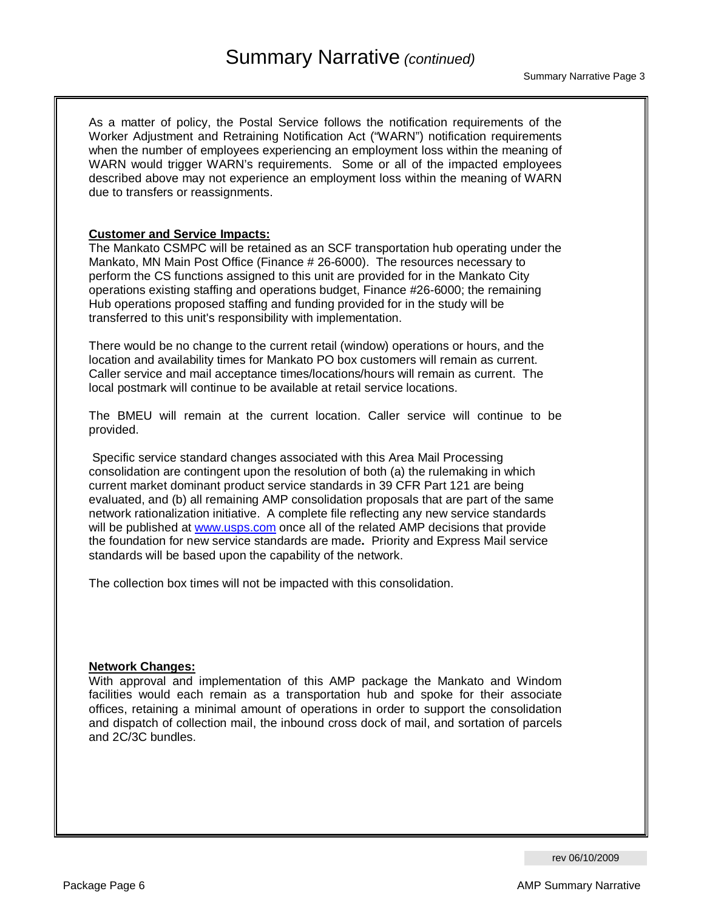As a matter of policy, the Postal Service follows the notification requirements of the Worker Adjustment and Retraining Notification Act ("WARN") notification requirements when the number of employees experiencing an employment loss within the meaning of WARN would trigger WARN's requirements. Some or all of the impacted employees described above may not experience an employment loss within the meaning of WARN due to transfers or reassignments.

#### **Customer and Service Impacts:**

The Mankato CSMPC will be retained as an SCF transportation hub operating under the Mankato, MN Main Post Office (Finance # 26-6000). The resources necessary to perform the CS functions assigned to this unit are provided for in the Mankato City operations existing staffing and operations budget, Finance #26-6000; the remaining Hub operations proposed staffing and funding provided for in the study will be transferred to this unit's responsibility with implementation.

There would be no change to the current retail (window) operations or hours, and the location and availability times for Mankato PO box customers will remain as current. Caller service and mail acceptance times/locations/hours will remain as current. The local postmark will continue to be available at retail service locations.

The BMEU will remain at the current location. Caller service will continue to be provided.

 Specific service standard changes associated with this Area Mail Processing consolidation are contingent upon the resolution of both (a) the rulemaking in which current market dominant product service standards in 39 CFR Part 121 are being evaluated, and (b) all remaining AMP consolidation proposals that are part of the same network rationalization initiative. A complete file reflecting any new service standards will be published at www.usps.com once all of the related AMP decisions that provide the foundation for new service standards are made**.** Priority and Express Mail service standards will be based upon the capability of the network.

The collection box times will not be impacted with this consolidation.

#### **Network Changes:**

With approval and implementation of this AMP package the Mankato and Windom facilities would each remain as a transportation hub and spoke for their associate offices, retaining a minimal amount of operations in order to support the consolidation and dispatch of collection mail, the inbound cross dock of mail, and sortation of parcels and 2C/3C bundles.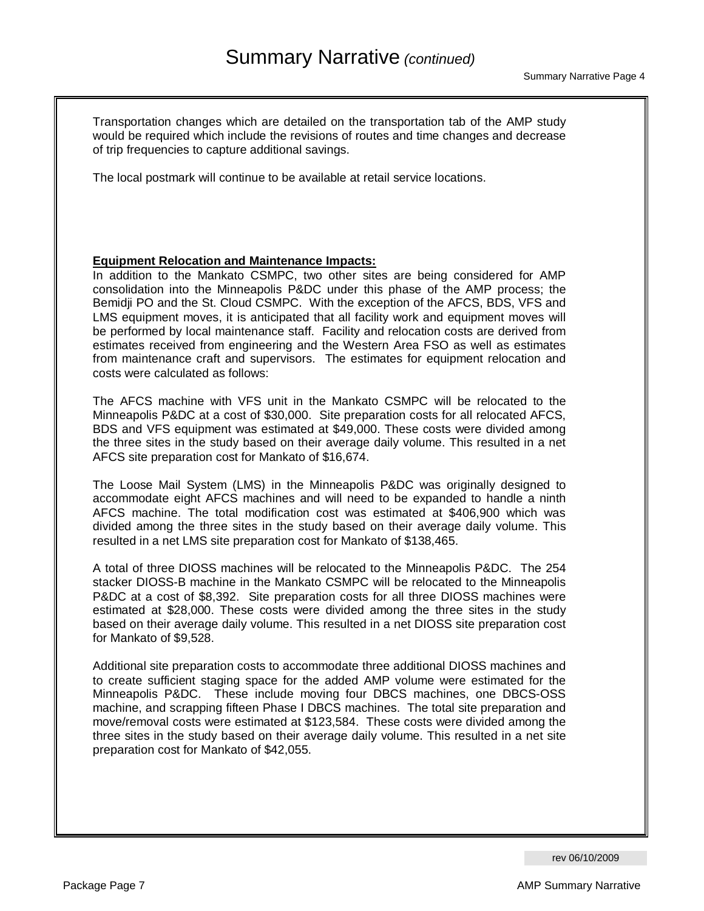Transportation changes which are detailed on the transportation tab of the AMP study would be required which include the revisions of routes and time changes and decrease of trip frequencies to capture additional savings.

The local postmark will continue to be available at retail service locations.

### **Equipment Relocation and Maintenance Impacts:**

In addition to the Mankato CSMPC, two other sites are being considered for AMP consolidation into the Minneapolis P&DC under this phase of the AMP process; the Bemidji PO and the St. Cloud CSMPC. With the exception of the AFCS, BDS, VFS and LMS equipment moves, it is anticipated that all facility work and equipment moves will be performed by local maintenance staff. Facility and relocation costs are derived from estimates received from engineering and the Western Area FSO as well as estimates from maintenance craft and supervisors. The estimates for equipment relocation and costs were calculated as follows:

The AFCS machine with VFS unit in the Mankato CSMPC will be relocated to the Minneapolis P&DC at a cost of \$30,000. Site preparation costs for all relocated AFCS, BDS and VFS equipment was estimated at \$49,000. These costs were divided among the three sites in the study based on their average daily volume. This resulted in a net AFCS site preparation cost for Mankato of \$16,674.

The Loose Mail System (LMS) in the Minneapolis P&DC was originally designed to accommodate eight AFCS machines and will need to be expanded to handle a ninth AFCS machine. The total modification cost was estimated at \$406,900 which was divided among the three sites in the study based on their average daily volume. This resulted in a net LMS site preparation cost for Mankato of \$138,465.

A total of three DIOSS machines will be relocated to the Minneapolis P&DC. The 254 stacker DIOSS-B machine in the Mankato CSMPC will be relocated to the Minneapolis P&DC at a cost of \$8,392. Site preparation costs for all three DIOSS machines were estimated at \$28,000. These costs were divided among the three sites in the study based on their average daily volume. This resulted in a net DIOSS site preparation cost for Mankato of \$9,528.

Additional site preparation costs to accommodate three additional DIOSS machines and to create sufficient staging space for the added AMP volume were estimated for the Minneapolis P&DC. These include moving four DBCS machines, one DBCS-OSS machine, and scrapping fifteen Phase I DBCS machines. The total site preparation and move/removal costs were estimated at \$123,584. These costs were divided among the three sites in the study based on their average daily volume. This resulted in a net site preparation cost for Mankato of \$42,055.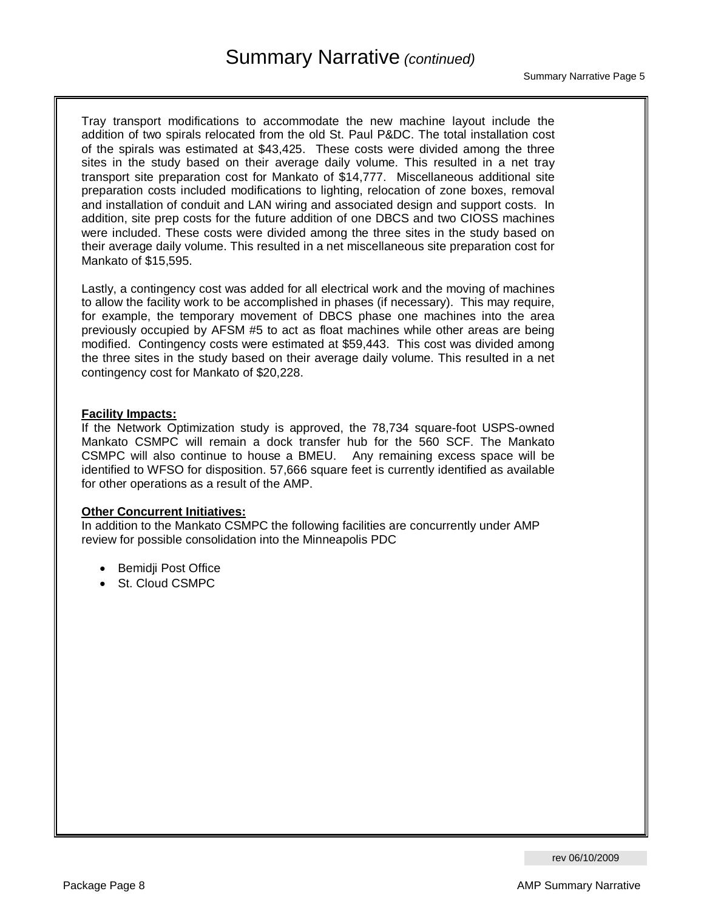Tray transport modifications to accommodate the new machine layout include the addition of two spirals relocated from the old St. Paul P&DC. The total installation cost of the spirals was estimated at \$43,425. These costs were divided among the three sites in the study based on their average daily volume. This resulted in a net tray transport site preparation cost for Mankato of \$14,777. Miscellaneous additional site preparation costs included modifications to lighting, relocation of zone boxes, removal and installation of conduit and LAN wiring and associated design and support costs. In addition, site prep costs for the future addition of one DBCS and two CIOSS machines were included. These costs were divided among the three sites in the study based on their average daily volume. This resulted in a net miscellaneous site preparation cost for Mankato of \$15,595.

Lastly, a contingency cost was added for all electrical work and the moving of machines to allow the facility work to be accomplished in phases (if necessary). This may require, for example, the temporary movement of DBCS phase one machines into the area previously occupied by AFSM #5 to act as float machines while other areas are being modified. Contingency costs were estimated at \$59,443. This cost was divided among the three sites in the study based on their average daily volume. This resulted in a net contingency cost for Mankato of \$20,228.

#### **Facility Impacts:**

If the Network Optimization study is approved, the 78,734 square-foot USPS-owned Mankato CSMPC will remain a dock transfer hub for the 560 SCF. The Mankato CSMPC will also continue to house a BMEU. Any remaining excess space will be identified to WFSO for disposition. 57,666 square feet is currently identified as available for other operations as a result of the AMP.

### **Other Concurrent Initiatives:**

In addition to the Mankato CSMPC the following facilities are concurrently under AMP review for possible consolidation into the Minneapolis PDC

- Bemidji Post Office
- St. Cloud CSMPC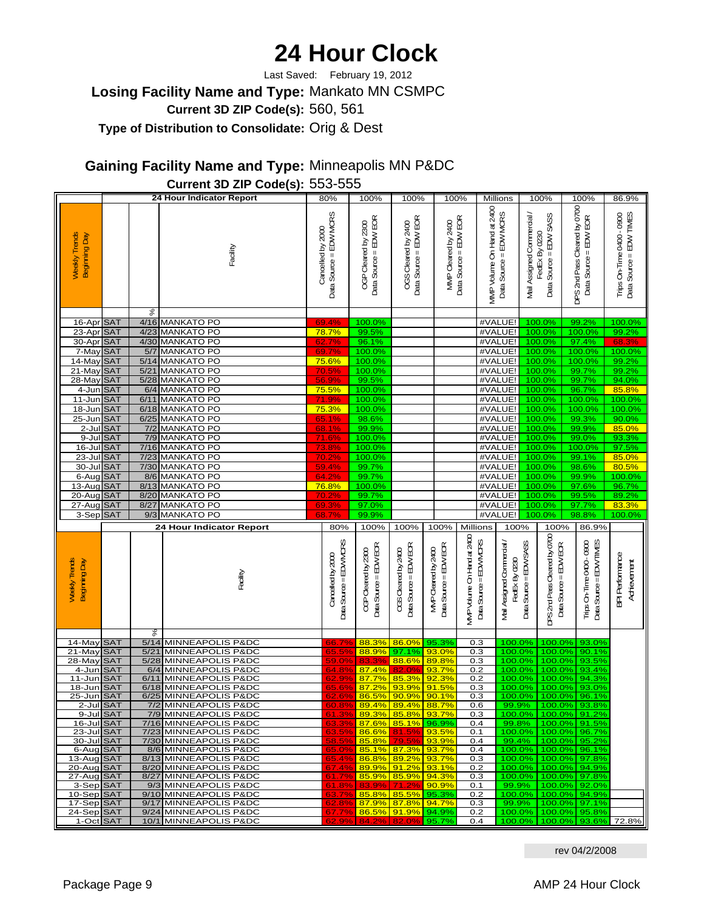# **24 Hour Clock**

**Losing Facility Name and Type:** Mankato MN CSMPC **Current 3D ZIP Code(s):** 560, 561 **Type of Distribution to Consolidate:** Orig & Dest Last Saved: February 19, 2012

**Gaining Facility Name and Type:** Minneapolis MN P&DC

|                                       | Current 3D ZIP Code(s): 553-555 |        |                                                |                                             |                                                                                |                                                      |                                                      |                                                                  |                                                      |                            |                                                               |                                                               |                                                      |
|---------------------------------------|---------------------------------|--------|------------------------------------------------|---------------------------------------------|--------------------------------------------------------------------------------|------------------------------------------------------|------------------------------------------------------|------------------------------------------------------------------|------------------------------------------------------|----------------------------|---------------------------------------------------------------|---------------------------------------------------------------|------------------------------------------------------|
|                                       |                                 |        | 24 Hour Indicator Report                       | 80%                                         | 100%                                                                           | 100%                                                 |                                                      | 100%                                                             | Millions                                             |                            | 100%                                                          | 100%                                                          | 86.9%                                                |
| <b>Weekly Trends</b><br>Beginning Day |                                 |        | Facility                                       | Data Source = EDW MCRS<br>Cancelled by 2000 | Data Source = EDW EOR<br>OGP Cleared by 2300                                   | Data Source = EDW ECR<br>OGS Cleared by 2400         | MMP Cleared by 2400                                  | Data Source = EDW EOR                                            | MMP Volume On Hand at 2400<br>Data Source = EDW MCRS | Mail Assigned Commercial / | Data Source = EDW SASS<br>FedEx By 0230                       | DPS 2nd Pass Cleared by 0700<br>Data Source = EDW EOR         | Data Source = EDW TIMES<br>Trips On-Time 0400 - 0900 |
|                                       |                                 | ४      |                                                |                                             |                                                                                |                                                      |                                                      |                                                                  |                                                      |                            |                                                               |                                                               |                                                      |
| 16-Apr SAT<br>23-Apr SAT              |                                 |        | 4/16 MANKATO PO<br>4/23 MANKATO PO             | 69.4%<br>78.7%                              | 100.0%<br>99.5%                                                                |                                                      |                                                      |                                                                  | #VALUE!<br>#VALUE!                                   |                            | 100.0%<br>100.0%                                              | 99.2%<br>100.0%                                               | 100.0%<br>99.2%                                      |
| 30-Apr SAT                            |                                 |        | 4/30 MANKATO PO                                | 62.7%                                       | 96.1%                                                                          |                                                      |                                                      |                                                                  | #VALUE!                                              |                            | 100.0%                                                        | 97.4%                                                         | 68.3%                                                |
| 7-May SAT                             |                                 |        | 5/7 MANKATO PO                                 | 69.7%                                       | 100.0%                                                                         |                                                      |                                                      |                                                                  | #VALUE!                                              |                            | 100.0%                                                        | 100.0%                                                        | 100.0%                                               |
| 14-May SAT                            |                                 |        | 5/14 MANKATO PO                                | 75.6%                                       | 100.0%                                                                         |                                                      |                                                      |                                                                  | #VALUE!                                              |                            | 100.0%                                                        | 100.0%                                                        | 99.2%                                                |
| 21-May SAT                            |                                 |        | 5/21 MANKATO PO                                | 70.5%                                       | 100.0%                                                                         |                                                      |                                                      |                                                                  | #VALUE!                                              |                            | 100.0%                                                        | 99.7%                                                         | 99.2%                                                |
| 28-May SAT                            |                                 |        | 5/28 MANKATO PO                                | 56.9%                                       | 99.5%                                                                          |                                                      |                                                      |                                                                  | #VALUE!                                              |                            | 100.0%                                                        | 99.7%                                                         | 94.0%                                                |
| 4-Jun SAT                             |                                 |        | 6/4 MANKATO PO                                 | 75.5%                                       | 100.0%                                                                         |                                                      |                                                      |                                                                  | #VALUE!                                              |                            | 100.0%                                                        | 96.7%                                                         | 85.8%                                                |
| 11-Jun                                | <b>SAT</b>                      |        | 6/11 MANKATO PO                                | 71.9%<br>75.3%                              | 100.0%                                                                         |                                                      |                                                      |                                                                  | #VALUE!                                              |                            | 100.0%                                                        | 100.0%                                                        | 100.0%                                               |
| 18-Jun<br>25-Jun SAT                  | <b>SAT</b>                      |        | 6/18 MANKATO PO<br>6/25 MANKATO PO             | 65.1%                                       | 100.0%<br>98.6%                                                                |                                                      |                                                      |                                                                  | #VALUE!<br>#VALUE!                                   |                            | 100.0%<br>100.0%                                              | 100.0%<br>99.3%                                               | 100.0%<br>90.0%                                      |
| 2-Jul SAT                             |                                 |        | 7/2 MANKATO PO                                 | 68.1%                                       | 99.9%                                                                          |                                                      |                                                      |                                                                  | #VALUE!                                              |                            | 100.0%                                                        | 99.9%                                                         | 85.0%                                                |
| 9-Jul SAT                             |                                 |        | 7/9 MANKATO PO                                 | <b>71.6%</b>                                | 100.0%                                                                         |                                                      |                                                      |                                                                  | #VALUE!                                              |                            | 100.0%                                                        | 99.0%                                                         | 93.3%                                                |
| 16-Jul SAT                            |                                 |        | 7/16 MANKATO PO                                | 73.8%                                       | 100.0%                                                                         |                                                      |                                                      |                                                                  | #VALUE!                                              |                            | 100.0%                                                        | 100.0%                                                        | 97.5%                                                |
| 23-Jul SAT                            |                                 |        | 7/23 MANKATO PO                                | 70.2%                                       | 100.0%                                                                         |                                                      |                                                      |                                                                  | #VALUE!                                              |                            | 100.0%                                                        | 99.1%                                                         | 85.0%                                                |
| 30-Jul SAT                            |                                 |        | 7/30 MANKATO PO                                | 59.4%                                       | 99.7%                                                                          |                                                      |                                                      |                                                                  | #VALUE!                                              |                            | 100.0%                                                        | 98.6%                                                         | 80.5%                                                |
| 6-Aug SAT                             |                                 |        | 8/6 MANKATO PO                                 | 64.2%                                       | 99.7%                                                                          |                                                      |                                                      |                                                                  | #VALUE!                                              |                            | 100.0%                                                        | 99.9%                                                         | 100.0%                                               |
| 13-Aug SAT                            |                                 |        | 8/13 MANKATO PO                                | 76.8%                                       | 100.0%                                                                         |                                                      |                                                      |                                                                  | #VALUE!                                              |                            | 100.0%                                                        | 97.6%                                                         | 96.7%                                                |
| 20-Aug SAT                            |                                 |        | 8/20 MANKATO PO                                | 70.2%                                       | 99.7%                                                                          |                                                      |                                                      |                                                                  | #VALUE!                                              |                            | 100.0%                                                        | 99.5%                                                         | 89.2%                                                |
|                                       |                                 |        |                                                |                                             |                                                                                |                                                      |                                                      |                                                                  |                                                      |                            |                                                               |                                                               |                                                      |
| 27-Aug SAT                            |                                 | 8/27   | <b>MANKATO PO</b>                              | 69.3%                                       | 97.0%                                                                          |                                                      |                                                      |                                                                  | #VALUE!                                              |                            | 100.0%                                                        | 97.7%                                                         | 83.3%                                                |
| 3-Sep SAT                             |                                 |        | 9/3 MANKATO PO                                 | 68.                                         | 99.9%                                                                          |                                                      |                                                      |                                                                  | #VALUE!                                              |                            | 100.0%                                                        | 98.8%                                                         | 100.0%                                               |
| Weekly Trends<br>Beginning Day        |                                 |        | 24 Hour Indicator Report<br>Facility           | 80%<br>Cancelled by 2000                    | 100%<br>Data Source = EDV/VDRS<br>Data Source = EDV/EOR<br>OGP Cleared by 2300 | 100%<br>Data Source = EDV/ECR<br>CGS Cleared by 2400 | 100%<br>Data Source = EDV/ECR<br>MVP Cleared by 2400 | Millions<br>MVP Volume On Hand at 2400<br>Data Source = EDV/VDRS | 100%<br>Vail Assigned Commercial<br>FedEx By 0230    | Data Source = EDV/SASS     | 100%<br>DFS 2nd Pass Cleared by O700<br>Data Source = EDV/ECR | 86.9%<br>Data Source = EDV/TIMES<br>Trips On-Time 0400 - 0900 | <b>BPI Performance</b><br>Adrievement                |
|                                       |                                 | ళ      |                                                |                                             |                                                                                |                                                      |                                                      |                                                                  |                                                      |                            |                                                               |                                                               |                                                      |
| 14-May                                | <b>SAT</b>                      |        | 5/14 MINNEAPOLIS P&DC                          | 66.79                                       | 88.3%                                                                          | 86.0%                                                | 95.3%                                                | 0.3                                                              |                                                      | 100.0%                     | 100.0%<br>100.0%                                              | 93.0%                                                         |                                                      |
| 21-May<br>28-May SAT                  | <b>SAT</b>                      | $5/21$ | MINNEAPOLIS P&DC<br>5/28 MINNEAPOLIS P&DC      | $65.5^{\circ}$<br>59.09                     | 88.9%<br>83.3%                                                                 | 97.1%<br>88.6%                                       | 93.0%<br>89.8%                                       | 0.3<br>0.3                                                       |                                                      | 100.0%<br>100.0%           | 100.0%                                                        | 90.1%<br>93.5%                                                |                                                      |
| 4-Jun                                 | <b>SAT</b>                      | 6/4    | MINNEAPOLIS P&DC                               | 64.89                                       | 87.4%                                                                          | 82.0%                                                | 93.7%                                                | 0.2                                                              |                                                      | 100.0%                     | 100.0%                                                        | 93.4%                                                         |                                                      |
| $11 - Jun$                            | <b>SAT</b>                      | 6/11   | <b>MINNEAPOLIS P&amp;DC</b>                    |                                             | 87.7%                                                                          | 85.3%                                                | 92.3%                                                | 0.2                                                              |                                                      | 100.0%                     | 100.0%                                                        | 94.3%                                                         |                                                      |
| 18-Jun SAT                            |                                 |        | 6/18 MINNEAPOLIS P&DC                          | $\frac{62.99}{65.69}$                       | 87.2%                                                                          | 93.9%                                                | 91.5%                                                | 0.3                                                              |                                                      | 100.0%                     | 100.0%                                                        | 93.0%                                                         |                                                      |
| 25-Jun SAT<br>2-Jul SAT               |                                 |        | 6/25 MINNEAPOLIS P&DC<br>7/2 MINNEAPOLIS P&DC  | 60.8%                                       |                                                                                | <u>86.5% 90.9% 90.1%</u><br>89.4% 89.4% 88.7%        |                                                      | 0.3<br>0.6                                                       |                                                      |                            |                                                               | 100.0% 100.0% 96.1%<br>99.9% 100.0% 93.8%                     |                                                      |
| 9-Jul SAT                             |                                 |        | 7/9 MINNEAPOLIS P&DC                           | 61.3%                                       |                                                                                | 89.3% 85.8% 93.7%                                    |                                                      | 0.3                                                              |                                                      |                            |                                                               | 100.0% 100.0% 91.2%                                           |                                                      |
| 16-Jul SAT                            |                                 |        | 7/16 MINNEAPOLIS P&DC                          | 63.39                                       |                                                                                | 87.6% 85.1% 96.9%                                    |                                                      | 0.4                                                              |                                                      |                            |                                                               | 99.8% 100.0% 91.5%                                            |                                                      |
| 23-Jul SAT                            |                                 |        | 7/23 MINNEAPOLIS P&DC                          | 63.5%                                       |                                                                                | 86.6% 81.5% 93.5%                                    |                                                      | 0.1                                                              |                                                      |                            |                                                               | 100.0% 100.0% 96.7%                                           |                                                      |
| 30-Jul SAT                            |                                 |        | 7/30 MINNEAPOLIS P&DC                          | 58.5%                                       |                                                                                | 85.8% 79.5%                                          | 93.9%                                                | 0.4                                                              |                                                      |                            |                                                               | 99.4% 100.0% 95.2%                                            |                                                      |
| 6-Aug SAT<br>13-Aug SAT               |                                 |        | 8/6 MINNEAPOLIS P&DC<br>8/13 MINNEAPOLIS P&DC  | 65.0%<br>65.4%                              |                                                                                | 85.1% 87.3% 93.7%<br>86.8% 89.2% 93.7%               |                                                      | 0.4<br>0.3                                                       |                                                      |                            |                                                               | 100.0% 100.0% 96.1%<br>100.0% 100.0% 97.8%                    |                                                      |
| 20-Aug SAT                            |                                 |        | 8/20 MINNEAPOLIS P&DC                          | 67.4%                                       |                                                                                | 89.9% 91.2% 93.1%                                    |                                                      | 0.2                                                              |                                                      |                            |                                                               | 100.0% 100.0% 94.9%                                           |                                                      |
| 27-Aug SAT                            |                                 |        | 8/27 MINNEAPOLIS P&DC                          | 61.7%                                       |                                                                                | 85.9% 85.9% 94.3%                                    |                                                      | 0.3                                                              |                                                      |                            |                                                               | 100.0% 100.0% 97.8%                                           |                                                      |
| 3-Sep SAT                             |                                 |        | 9/3 MINNEAPOLIS P&DC                           | 61.8%                                       |                                                                                | 83.9% 71.2%                                          | 90.9%                                                | 0.1                                                              |                                                      |                            |                                                               | 99.9% 100.0% 92.0%                                            |                                                      |
| 10-Sep SAT                            |                                 |        | 9/10 MINNEAPOLIS P&DC                          | 63.7%                                       |                                                                                | 85.8% 85.5% 95.3%                                    |                                                      | 0.2                                                              |                                                      |                            |                                                               | 100.0% 100.0% 94.9%                                           |                                                      |
| 17-Sep SAT<br>24-Sep SAT              |                                 |        | 9/17 MINNEAPOLIS P&DC<br>9/24 MINNEAPOLIS P&DC | 62.8%<br>67.7%                              |                                                                                | 87.9% 87.8% 94.7%<br>86.5% 91.9% 94.9%               |                                                      | 0.3<br>0.2                                                       |                                                      |                            |                                                               | 99.9% 100.0% 97.1%<br>100.0% 100.0% 95.8%                     |                                                      |

rev 04/2/2008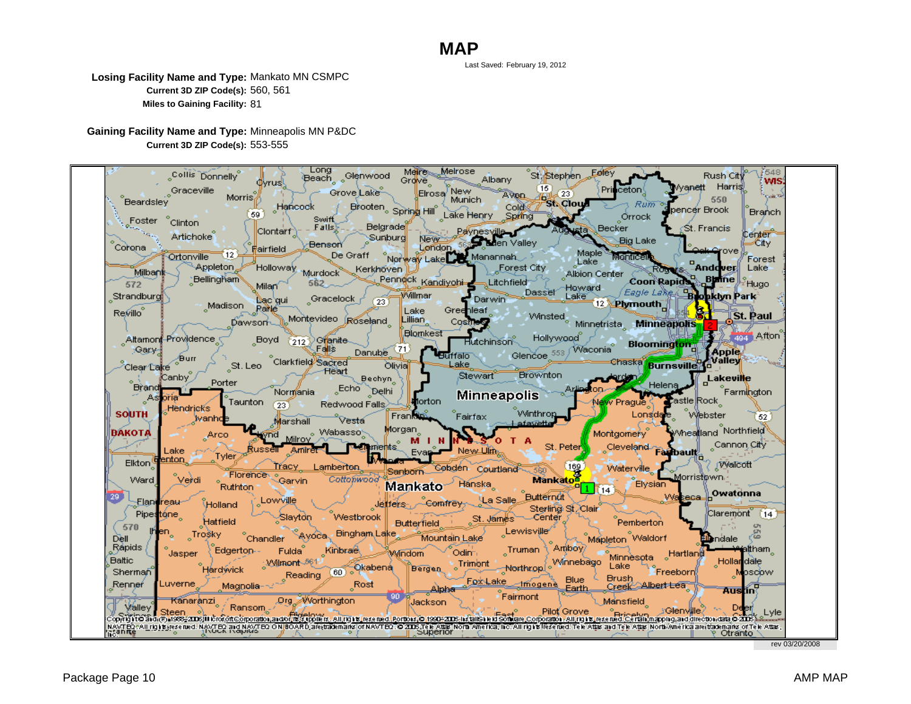Last Saved: February 19, 2012

**Losing Facility Name and Type:** Mankato MN CSMPC **Current 3D ZIP Code(s):** 560, 561 **Miles to Gaining Facility:** 81

**Gaining Facility Name and Type:** Minneapolis MN P&DC **Current 3D ZIP Code(s):** 553-555



rev 03/20/2008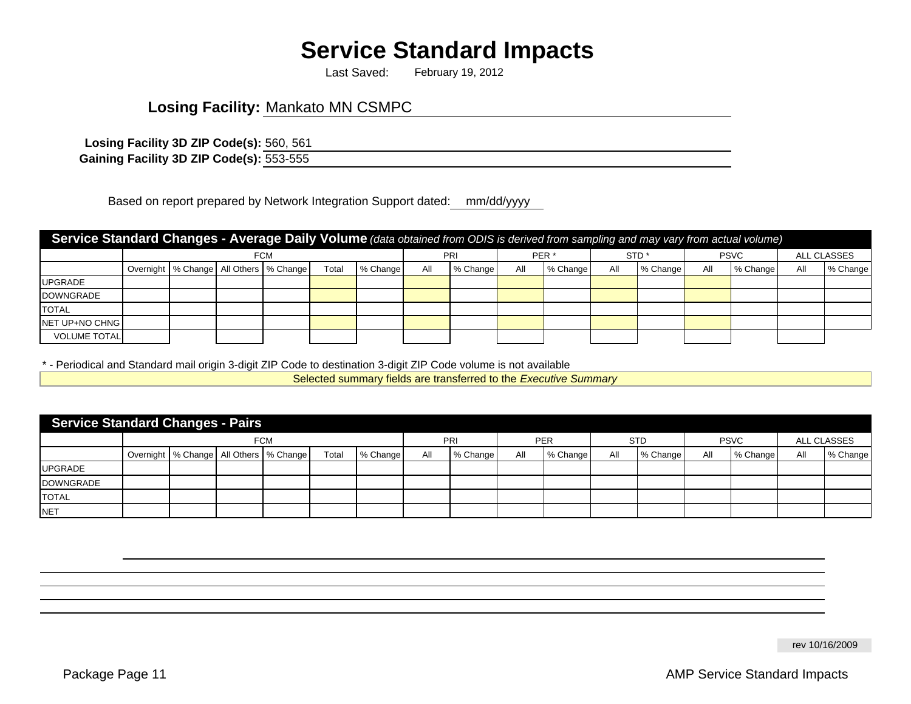# **Service Standard Impacts**

February 19, 2012 Last Saved:

# **Losing Facility:** Mankato MN CSMPC

560, 561 **Losing Facility 3D ZIP Code(s): Gaining Facility 3D ZIP Code(s):** 553-555

Based on report prepared by Network Integration Support dated: mm/dd/yyyy

| Service Standard Changes - Average Daily Volume (data obtained from ODIS is derived from sampling and may vary from actual volume) |  |     |  |                                              |       |          |     |          |     |                  |     |                  |     |             |             |          |
|------------------------------------------------------------------------------------------------------------------------------------|--|-----|--|----------------------------------------------|-------|----------|-----|----------|-----|------------------|-----|------------------|-----|-------------|-------------|----------|
|                                                                                                                                    |  | FCM |  |                                              |       |          |     | PRI      |     | PER <sup>*</sup> |     | STD <sup>*</sup> |     | <b>PSVC</b> | ALL CLASSES |          |
|                                                                                                                                    |  |     |  | Overnight   % Change   All Others   % Change | Total | % Change | All | % Change | All | % Change         | All | % Change         | All | % Change    | All         | % Change |
| <b>UPGRADE</b>                                                                                                                     |  |     |  |                                              |       |          |     |          |     |                  |     |                  |     |             |             |          |
| <b>DOWNGRADE</b>                                                                                                                   |  |     |  |                                              |       |          |     |          |     |                  |     |                  |     |             |             |          |
| <b>TOTAL</b>                                                                                                                       |  |     |  |                                              |       |          |     |          |     |                  |     |                  |     |             |             |          |
| NET UP+NO CHNG                                                                                                                     |  |     |  |                                              |       |          |     |          |     |                  |     |                  |     |             |             |          |
| <b>VOLUME TOTAL</b>                                                                                                                |  |     |  |                                              |       |          |     |          |     |                  |     |                  |     |             |             |          |

\* - Periodical and Standard mail origin 3-digit ZIP Code to destination 3-digit ZIP Code volume is not available

Selected summary fields are transferred to the *Executive Summary*

| <b>Service Standard Changes - Pairs</b> |  |            |  |                                              |       |          |     |          |     |            |     |            |             |          |             |          |
|-----------------------------------------|--|------------|--|----------------------------------------------|-------|----------|-----|----------|-----|------------|-----|------------|-------------|----------|-------------|----------|
|                                         |  | <b>FCM</b> |  |                                              |       |          |     | PRI      |     | <b>PER</b> |     | <b>STD</b> | <b>PSVC</b> |          | ALL CLASSES |          |
|                                         |  |            |  | Overnight   % Change   All Others   % Change | Total | % Change | All | % Change | All | % Change   | All | % Change   | All         | % Change | All         | % Change |
| <b>UPGRADE</b>                          |  |            |  |                                              |       |          |     |          |     |            |     |            |             |          |             |          |
| <b>DOWNGRADE</b>                        |  |            |  |                                              |       |          |     |          |     |            |     |            |             |          |             |          |
| <b>TOTAL</b>                            |  |            |  |                                              |       |          |     |          |     |            |     |            |             |          |             |          |
| <b>NET</b>                              |  |            |  |                                              |       |          |     |          |     |            |     |            |             |          |             |          |

rev 10/16/2009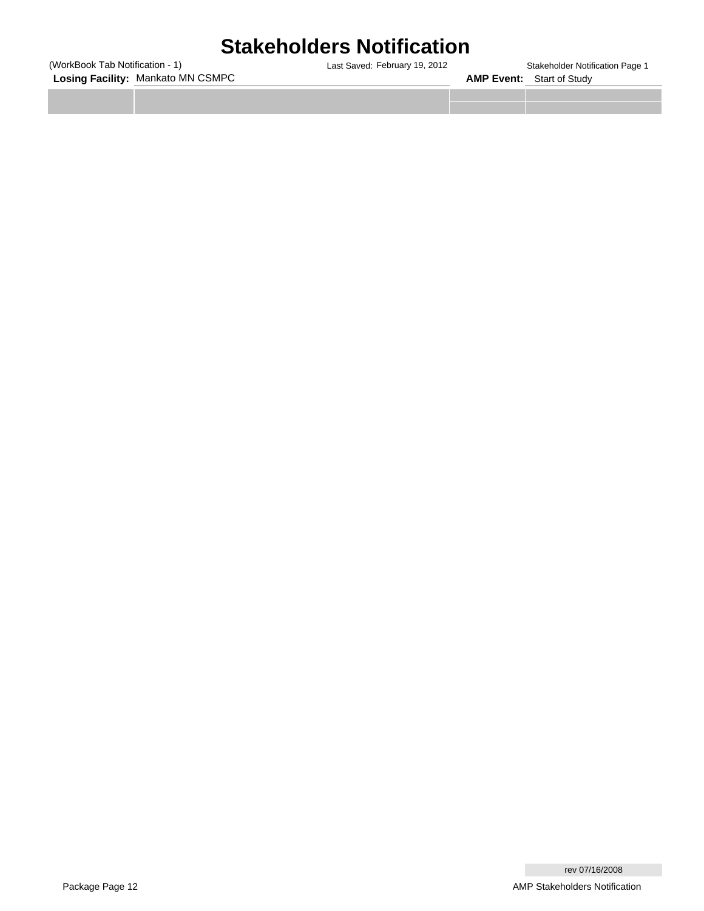# **Stakeholders Notification**

**Losing Facility:** Mankato MN CSMPC (WorkBook Tab Notification - 1)

Last Saved: February 19, 2012 **Stakeholder Notification Page 1 AMP Event:** Start of Study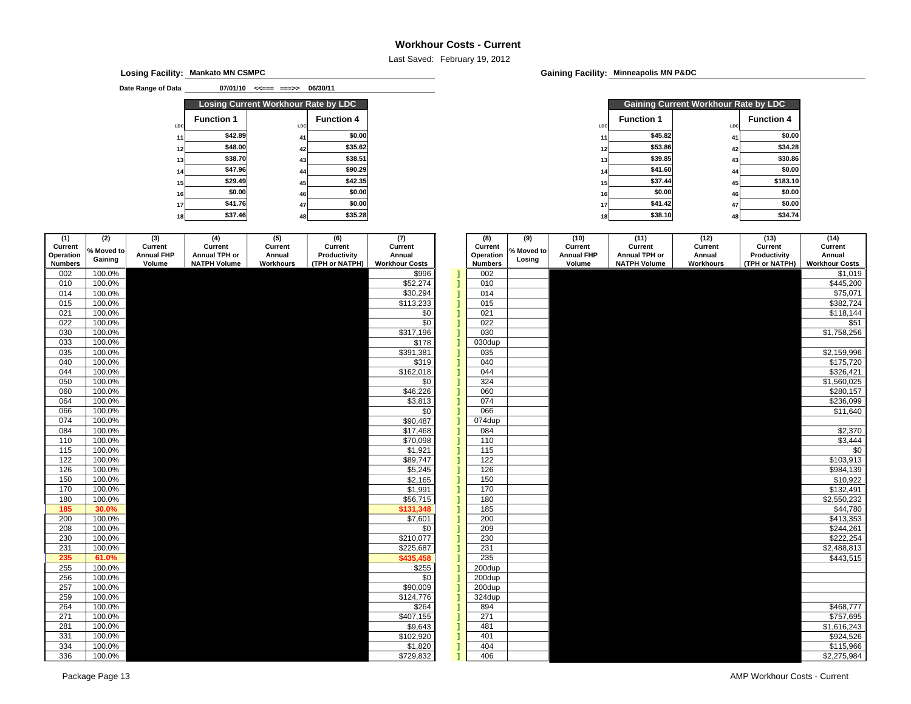#### **Workhour Costs - Current**

Last Saved: February 19, 2012

**Mankato MN CSMPCLosing Facility: Gaining Facility:**

**Date Range of Data**

**07/01/10 <<=== ===>> 06/30/11**

|                 |                   | Losing Current Workhour Rate by LDC |                   |                 | <b>Gaining Current Workhour F</b> |     |  |
|-----------------|-------------------|-------------------------------------|-------------------|-----------------|-----------------------------------|-----|--|
| <b>LDC</b>      | <b>Function 1</b> | LDC                                 | <b>Function 4</b> | LDC             | <b>Function 1</b>                 | LDC |  |
| 11              | \$42.89           | 41                                  | \$0.00            |                 | \$45.82                           | 41  |  |
| 12              | \$48.00           | 42                                  | \$35.62           | 12              | \$53.86                           | 42  |  |
| 13              | \$38.70           | 43                                  | \$38.51           | 131             | \$39.85                           | 43  |  |
| 14              | \$47.96           | 44                                  | \$90.29           | 14              | \$41.60                           | 44  |  |
| 15              | \$29.49           | 45                                  | \$42.35           | 15              | \$37.44                           | 45  |  |
| 16              | \$0.00            | 46                                  | \$0.00            | 16 <sup>1</sup> | \$0.00                            | 46  |  |
| 17              | \$41.76           | 47                                  | \$0.00            | 17              | \$41.42                           | 47  |  |
| 18 <sub>1</sub> | \$37.46           | 48                                  | \$35.28           | 18 <sub>1</sub> | \$38.10                           | 48  |  |

**Gaining Facility: Minneapolis MN P&DC** 

|                   | Losing Current Workhour Rate by LDC |                   |     |                   | <b>Gaining Current Workhour Rate by LDC</b> |                   |
|-------------------|-------------------------------------|-------------------|-----|-------------------|---------------------------------------------|-------------------|
| <b>Function 1</b> | LDC                                 | <b>Function 4</b> | LDC | <b>Function 1</b> | LDC                                         | <b>Function 4</b> |
| \$42.89           | 41                                  | \$0.00            |     | \$45.82           | 41                                          | \$0.00            |
| \$48.00           | 42                                  | \$35.62           |     | \$53.86           | 42                                          | \$34.28           |
| \$38.70           | 43                                  | \$38.51           |     | \$39.85           | 43                                          | \$30.86           |
| \$47.96           | 44                                  | \$90.29           |     | \$41.60           | 44                                          | \$0.00            |
| \$29.49           | 45                                  | \$42.35           |     | \$37.44           | 45                                          | \$183.10          |
| \$0.00            | 46                                  | \$0.00            |     | \$0.00            | 46                                          | \$0.00            |
| \$41.76           | 47                                  | \$0.00            |     | \$41.42           | 47                                          | \$0.00            |
| \$37.46           | 48                                  | \$35.28           |     | \$38.10           | 48                                          | \$34.74           |

| (1)                  | (2)              | (3)                          | (4)                      | (5)               | (6)                     | (7)                   | (8)                  | (9)        | (10)                         | (11)                     | (12)              | (13)                    | (14)                  |
|----------------------|------------------|------------------------------|--------------------------|-------------------|-------------------------|-----------------------|----------------------|------------|------------------------------|--------------------------|-------------------|-------------------------|-----------------------|
| Current<br>Operation | % Moved to       | Current<br><b>Annual FHP</b> | Current<br>Annual TPH or | Current<br>Annual | Current<br>Productivity | Current<br>Annual     | Current<br>Operation | % Moved to | Current<br><b>Annual FHP</b> | Current<br>Annual TPH or | Current<br>Annual | Current<br>Productivity | Current<br>Annual     |
| <b>Numbers</b>       | Gaining          | Volume                       | <b>NATPH Volume</b>      | Workhours         | (TPH or NATPH)          | <b>Workhour Costs</b> | <b>Numbers</b>       | Losing     | Volume                       | <b>NATPH Volume</b>      | <b>Workhours</b>  | (TPH or NATPH)          | <b>Workhour Costs</b> |
| 002                  | 100.0%           |                              |                          |                   |                         | \$996                 | 002                  |            |                              |                          |                   |                         | \$1,019               |
| 010                  | 100.0%           |                              |                          |                   |                         | \$52,274              | 010                  |            |                              |                          |                   |                         | \$445,200             |
| 014                  | 100.0%           |                              |                          |                   |                         | \$30,294              | 014                  |            |                              |                          |                   |                         | \$75,071              |
| 015                  | 100.0%           |                              |                          |                   |                         | \$113,233             | 015                  |            |                              |                          |                   |                         | \$382,724             |
| 021                  | 100.0%           |                              |                          |                   |                         | \$0                   | 021                  |            |                              |                          |                   |                         | \$118,144             |
| 022                  | 100.0%           |                              |                          |                   |                         | \$0                   | 022                  |            |                              |                          |                   |                         | \$51                  |
| 030                  | 100.0%           |                              |                          |                   |                         | \$317,196             | 030                  |            |                              |                          |                   |                         | \$1,758,256           |
| 033                  | 100.0%           |                              |                          |                   |                         | \$178                 | 030dup               |            |                              |                          |                   |                         |                       |
| 035                  | 100.0%           |                              |                          |                   |                         | \$391,381             | 035                  |            |                              |                          |                   |                         | \$2,159,996           |
| 040                  | 100.0%           |                              |                          |                   |                         | \$319                 | 040                  |            |                              |                          |                   |                         | \$175,720             |
| 044                  | 100.0%           |                              |                          |                   |                         | \$162,018             | 044                  |            |                              |                          |                   |                         | \$326,421             |
| 050                  | 100.0%           |                              |                          |                   |                         | \$0                   | 324                  |            |                              |                          |                   |                         | \$1,560,025           |
| 060                  | 100.0%           |                              |                          |                   |                         | \$46,226              | 060                  |            |                              |                          |                   |                         | \$280,157             |
| 064                  | 100.0%           |                              |                          |                   |                         | \$3,813               | 074                  |            |                              |                          |                   |                         | \$236,099             |
| 066                  | 100.0%           |                              |                          |                   |                         | \$0                   | 066                  |            |                              |                          |                   |                         | \$11,640              |
| 074                  | 100.0%           |                              |                          |                   |                         | \$90,487              | 074dup               |            |                              |                          |                   |                         |                       |
| 084                  | 100.0%           |                              |                          |                   |                         | \$17,468              | 084                  |            |                              |                          |                   |                         | \$2,370               |
| 110                  | 100.0%           |                              |                          |                   |                         | \$70,098              | 110                  |            |                              |                          |                   |                         | \$3,444               |
| 115                  | 100.0%           |                              |                          |                   |                         | \$1,921               | 115                  |            |                              |                          |                   |                         | $\overline{30}$       |
| 122<br>126           | 100.0%<br>100.0% |                              |                          |                   |                         | \$89,747              | 122<br>126           |            |                              |                          |                   |                         | \$103,913             |
| 150                  | 100.0%           |                              |                          |                   |                         | \$5,245<br>\$2,165    | 150                  |            |                              |                          |                   |                         | \$984,139<br>\$10,922 |
| 170                  | 100.0%           |                              |                          |                   |                         | \$1,991               | 170                  |            |                              |                          |                   |                         | \$132,491             |
| 180                  | 100.0%           |                              |                          |                   |                         | \$56,715              | 180                  |            |                              |                          |                   |                         | \$2,550,232           |
| 185                  | 30.0%            |                              |                          |                   |                         | \$131,348             | 185                  |            |                              |                          |                   |                         | \$44,780              |
| 200                  | 100.0%           |                              |                          |                   |                         | \$7,601               | 200                  |            |                              |                          |                   |                         | \$413,353             |
| 208                  | 100.0%           |                              |                          |                   |                         | \$0                   | 209                  |            |                              |                          |                   |                         | \$244,261             |
| 230                  | 100.0%           |                              |                          |                   |                         | \$210,077             | 230                  |            |                              |                          |                   |                         | \$222,254             |
| 231                  | 100.0%           |                              |                          |                   |                         | \$225,687             | 231                  |            |                              |                          |                   |                         | \$2,488,813           |
| 235                  | 61.0%            |                              |                          |                   |                         | \$435,458             | 235                  |            |                              |                          |                   |                         | \$443,515             |
| 255                  | 100.0%           |                              |                          |                   |                         | \$255                 | 200dup               |            |                              |                          |                   |                         |                       |
| 256                  | 100.0%           |                              |                          |                   |                         | \$0                   | 200dup               |            |                              |                          |                   |                         |                       |
| 257                  | 100.0%           |                              |                          |                   |                         | \$90,009              | 200dup               |            |                              |                          |                   |                         |                       |
| 259                  | 100.0%           |                              |                          |                   |                         | \$124,776             | 324dup               |            |                              |                          |                   |                         |                       |
| 264                  | 100.0%           |                              |                          |                   |                         | \$264                 | 894                  |            |                              |                          |                   |                         | \$468,777             |
| 271                  | 100.0%           |                              |                          |                   |                         | \$407,155             | 271                  |            |                              |                          |                   |                         | \$757,695             |
| 281                  | 100.0%           |                              |                          |                   |                         | \$9,643               | 481                  |            |                              |                          |                   |                         | \$1,616,243           |
| 331                  | 100.0%           |                              |                          |                   |                         | \$102,920             | 401                  |            |                              |                          |                   |                         | \$924,526             |
| 334                  | 100.0%           |                              |                          |                   |                         | \$1,820               | 404                  |            |                              |                          |                   |                         | \$115,966             |
| 336                  | 100.0%           |                              |                          |                   |                         | \$729,832             | 406                  |            |                              |                          |                   |                         | \$2,275,984           |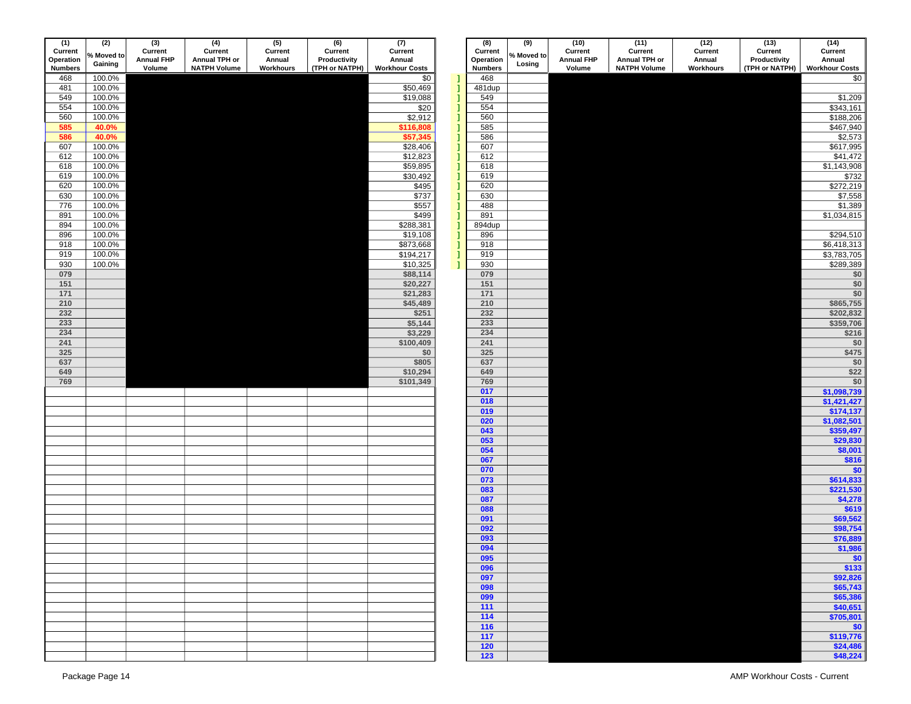| (1)            | (2)        | $\overline{3}$    | (4)                 | (5)       | (6)            | (7)                   |    | (8)            | (9)        | (10)              | (11)                | (12)      | (13)           | (14)                       |
|----------------|------------|-------------------|---------------------|-----------|----------------|-----------------------|----|----------------|------------|-------------------|---------------------|-----------|----------------|----------------------------|
| Current        | % Moved to | Current           | Current             | Current   | Current        | Current               |    | Current        | % Moved to | Current           | Current             | Current   | Current        | Current                    |
| Operation      | Gaining    | <b>Annual FHP</b> | Annual TPH or       | Annual    | Productivity   | Annual                |    | Operation      | Losing     | <b>Annual FHP</b> | Annual TPH or       | Annual    | Productivity   | Annual                     |
| <b>Numbers</b> |            | Volume            | <b>NATPH Volume</b> | Workhours | (TPH or NATPH) | <b>Workhour Costs</b> |    | <b>Numbers</b> |            | Volume            | <b>NATPH Volume</b> | Workhours | (TPH or NATPH) | <b>Workhour Costs</b>      |
| 468            | 100.0%     |                   |                     |           |                | \$0                   | J  | 468            |            |                   |                     |           |                | \$0                        |
| 481            | 100.0%     |                   |                     |           |                | \$50,469              |    | 481dup         |            |                   |                     |           |                |                            |
|                |            |                   |                     |           |                |                       |    |                |            |                   |                     |           |                |                            |
| 549            | 100.0%     |                   |                     |           |                | \$19,088              | 1  | 549            |            |                   |                     |           |                | \$1,209                    |
| 554            | 100.0%     |                   |                     |           |                | \$20                  | 1  | 554            |            |                   |                     |           |                | \$343,161                  |
| 560            | 100.0%     |                   |                     |           |                | \$2,912               | 1  | 560            |            |                   |                     |           |                | \$188,206                  |
| 585            | 40.0%      |                   |                     |           |                | \$116,808             | 1  | 585            |            |                   |                     |           |                | \$467,940                  |
| 586            | 40.0%      |                   |                     |           |                | \$57,345              |    | 586            |            |                   |                     |           |                | \$2,573                    |
|                |            |                   |                     |           |                |                       | 1  |                |            |                   |                     |           |                |                            |
| 607            | 100.0%     |                   |                     |           |                | \$28,406              | 1  | 607            |            |                   |                     |           |                | \$617,995                  |
| 612            | 100.0%     |                   |                     |           |                | \$12,823              | 1  | 612            |            |                   |                     |           |                | \$41,472                   |
| 618            | 100.0%     |                   |                     |           |                | \$59,895              | ı  | 618            |            |                   |                     |           |                | \$1,143,908                |
| 619            | 100.0%     |                   |                     |           |                | \$30,492              | 1  | 619            |            |                   |                     |           |                | \$732                      |
|                |            |                   |                     |           |                |                       |    |                |            |                   |                     |           |                |                            |
| 620            | 100.0%     |                   |                     |           |                | \$495                 | 1  | 620            |            |                   |                     |           |                | \$272,219                  |
| 630            | 100.0%     |                   |                     |           |                | \$737                 | 1  | 630            |            |                   |                     |           |                | \$7,558                    |
| 776            | 100.0%     |                   |                     |           |                | \$557                 | Л  | 488            |            |                   |                     |           |                | \$1,389                    |
| 891            | 100.0%     |                   |                     |           |                | \$499                 | 1  | 891            |            |                   |                     |           |                | \$1,034,815                |
|                |            |                   |                     |           |                |                       |    |                |            |                   |                     |           |                |                            |
| 894            | 100.0%     |                   |                     |           |                | \$288,381             |    | 894dup         |            |                   |                     |           |                |                            |
| 896            | 100.0%     |                   |                     |           |                | \$19,108              | Л  | 896            |            |                   |                     |           |                | \$294,510                  |
| 918            | 100.0%     |                   |                     |           |                | \$873,668             | 1  | 918            |            |                   |                     |           |                | \$6,418,313                |
| 919            | 100.0%     |                   |                     |           |                | \$194,217             | 1  | 919            |            |                   |                     |           |                | \$3,783,705                |
|                |            |                   |                     |           |                |                       |    |                |            |                   |                     |           |                |                            |
| 930            | 100.0%     |                   |                     |           |                | \$10,325              | -1 | 930            |            |                   |                     |           |                | \$289,389                  |
| 079            |            |                   |                     |           |                | \$88,114              |    | 079            |            |                   |                     |           |                | \$0                        |
| 151            |            |                   |                     |           |                | \$20,227              |    | 151            |            |                   |                     |           |                | \$0                        |
| 171            |            |                   |                     |           |                | \$21,283              |    | $171$          |            |                   |                     |           |                | \$0                        |
| 210            |            |                   |                     |           |                | \$45,489              |    | 210            |            |                   |                     |           |                | \$865,755                  |
|                |            |                   |                     |           |                |                       |    |                |            |                   |                     |           |                |                            |
| 232            |            |                   |                     |           |                | \$251                 |    | 232            |            |                   |                     |           |                | \$202,832                  |
| 233            |            |                   |                     |           |                | \$5,144               |    | 233            |            |                   |                     |           |                | \$359,706                  |
| 234            |            |                   |                     |           |                | \$3,229               |    | 234            |            |                   |                     |           |                | \$216                      |
| 241            |            |                   |                     |           |                | \$100,409             |    | 241            |            |                   |                     |           |                | \$0                        |
|                |            |                   |                     |           |                |                       |    |                |            |                   |                     |           |                |                            |
| 325            |            |                   |                     |           |                | \$0                   |    | 325            |            |                   |                     |           |                | \$475                      |
| 637            |            |                   |                     |           |                | \$805                 |    | 637            |            |                   |                     |           |                | \$0                        |
| 649            |            |                   |                     |           |                | \$10,294              |    | 649            |            |                   |                     |           |                | \$22                       |
| 769            |            |                   |                     |           |                | \$101,349             |    | 769            |            |                   |                     |           |                | \$0                        |
|                |            |                   |                     |           |                |                       |    |                |            |                   |                     |           |                |                            |
|                |            |                   |                     |           |                |                       |    | 017            |            |                   |                     |           |                | \$1,098,739                |
|                |            |                   |                     |           |                |                       |    | 018            |            |                   |                     |           |                | \$1,421,427                |
|                |            |                   |                     |           |                |                       |    | 019            |            |                   |                     |           |                | \$174,137                  |
|                |            |                   |                     |           |                |                       |    | 020            |            |                   |                     |           |                | \$1,082,501                |
|                |            |                   |                     |           |                |                       |    |                |            |                   |                     |           |                |                            |
|                |            |                   |                     |           |                |                       |    | 043            |            |                   |                     |           |                | \$359,497                  |
|                |            |                   |                     |           |                |                       |    | 053            |            |                   |                     |           |                | \$29,830                   |
|                |            |                   |                     |           |                |                       |    | 054            |            |                   |                     |           |                | \$8,001                    |
|                |            |                   |                     |           |                |                       |    | 067            |            |                   |                     |           |                | \$816                      |
|                |            |                   |                     |           |                |                       |    | 070            |            |                   |                     |           |                | \$0                        |
|                |            |                   |                     |           |                |                       |    |                |            |                   |                     |           |                |                            |
|                |            |                   |                     |           |                |                       |    | 073            |            |                   |                     |           |                | \$614,833                  |
|                |            |                   |                     |           |                |                       |    | 083            |            |                   |                     |           |                | \$221,530                  |
|                |            |                   |                     |           |                |                       |    | 087            |            |                   |                     |           |                | \$4,278                    |
|                |            |                   |                     |           |                |                       |    | 088            |            |                   |                     |           |                | \$619                      |
|                |            |                   |                     |           |                |                       |    | 091            |            |                   |                     |           |                | \$69,562                   |
|                |            |                   |                     |           |                |                       |    |                |            |                   |                     |           |                |                            |
|                |            |                   |                     |           |                |                       |    | 092            |            |                   |                     |           |                | \$98,754                   |
|                |            |                   |                     |           |                |                       |    | 093            |            |                   |                     |           |                | \$76,889                   |
|                |            |                   |                     |           |                |                       |    | 094            |            |                   |                     |           |                | \$1,986                    |
|                |            |                   |                     |           |                |                       |    | 095            |            |                   |                     |           |                |                            |
|                |            |                   |                     |           |                |                       |    | 096            |            |                   |                     |           |                | $\frac{$0}{$133}$          |
|                |            |                   |                     |           |                |                       |    |                |            |                   |                     |           |                |                            |
|                |            |                   |                     |           |                |                       |    | 097            |            |                   |                     |           |                | \$92,826                   |
|                |            |                   |                     |           |                |                       |    | 098            |            |                   |                     |           |                | \$65,743                   |
|                |            |                   |                     |           |                |                       |    | 099            |            |                   |                     |           |                | \$65,386                   |
|                |            |                   |                     |           |                |                       |    | 111            |            |                   |                     |           |                | \$40,651                   |
|                |            |                   |                     |           |                |                       |    |                |            |                   |                     |           |                |                            |
|                |            |                   |                     |           |                |                       |    | 114            |            |                   |                     |           |                | \$705,801                  |
|                |            |                   |                     |           |                |                       |    | $116$          |            |                   |                     |           |                | $\frac{1}{1}$<br>\$119,776 |
|                |            |                   |                     |           |                |                       |    | 117            |            |                   |                     |           |                |                            |
|                |            |                   |                     |           |                |                       |    | 120            |            |                   |                     |           |                | \$24,486                   |
|                |            |                   |                     |           |                |                       |    |                |            |                   |                     |           |                |                            |
|                |            |                   |                     |           |                |                       |    | $123$          |            |                   |                     |           |                | \$48,224                   |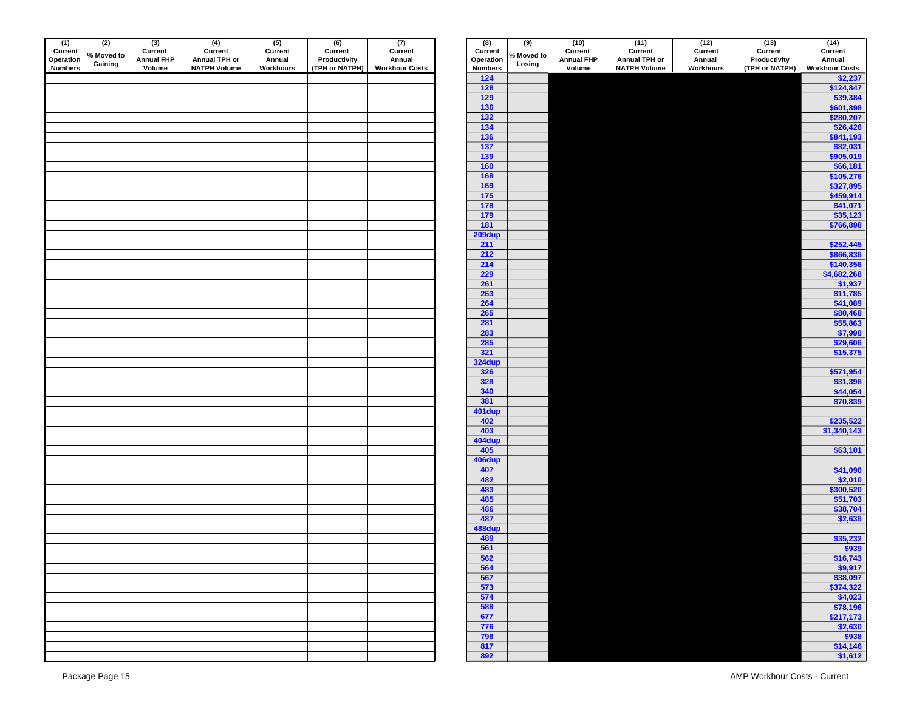| (1)<br>Current | (2)<br>% Moved to | $\overline{3}$<br>Current | (4)<br>Current      | (5)<br>Current | (6)<br>Current | $(7)$<br>Current      | (8)<br>Current | (9)<br>% Moved to | (10)<br>Current   | (11)<br>Current     | (12)<br>Current | (13)<br>Current | $(14)$<br>Curren                                             |
|----------------|-------------------|---------------------------|---------------------|----------------|----------------|-----------------------|----------------|-------------------|-------------------|---------------------|-----------------|-----------------|--------------------------------------------------------------|
| Operation      | Gaining           | <b>Annual FHP</b>         | Annual TPH or       | Annual         | Productivity   | Annual                | Operation      | Losing            | <b>Annual FHP</b> | Annual TPH or       | Annual          | Productivity    | Annual                                                       |
| <b>Numbers</b> |                   | Volume                    | <b>NATPH Volume</b> | Workhours      | (TPH or NATPH) | <b>Workhour Costs</b> | <b>Numbers</b> |                   | Volume            | <b>NATPH Volume</b> | Workhours       | (TPH or NATPH)  | <b>Workhour C</b>                                            |
|                |                   |                           |                     |                |                |                       | $124$          |                   |                   |                     |                 |                 | $\frac{1}{2}$                                                |
|                |                   |                           |                     |                |                |                       | $128$          |                   |                   |                     |                 |                 | \$12                                                         |
|                |                   |                           |                     |                |                |                       | $129$          |                   |                   |                     |                 |                 | \$3                                                          |
|                |                   |                           |                     |                |                |                       | $130$          |                   |                   |                     |                 |                 | \$60                                                         |
|                |                   |                           |                     |                |                |                       | $132$          |                   |                   |                     |                 |                 | \$28                                                         |
|                |                   |                           |                     |                |                |                       | 134            |                   |                   |                     |                 |                 | \$2                                                          |
|                |                   |                           |                     |                |                |                       | <b>136</b>     |                   |                   |                     |                 |                 | \$84                                                         |
|                |                   |                           |                     |                |                |                       | $137$          |                   |                   |                     |                 |                 | \$8                                                          |
|                |                   |                           |                     |                |                |                       | 139            |                   |                   |                     |                 |                 | \$90                                                         |
|                |                   |                           |                     |                |                |                       | 160            |                   |                   |                     |                 |                 | \$6                                                          |
|                |                   |                           |                     |                |                |                       | 168            |                   |                   |                     |                 |                 |                                                              |
|                |                   |                           |                     |                |                |                       |                |                   |                   |                     |                 |                 | \$10                                                         |
|                |                   |                           |                     |                |                |                       | 169            |                   |                   |                     |                 |                 | \$32                                                         |
|                |                   |                           |                     |                |                |                       | 175            |                   |                   |                     |                 |                 | \$45                                                         |
|                |                   |                           |                     |                |                |                       | $178$          |                   |                   |                     |                 |                 | \$4                                                          |
|                |                   |                           |                     |                |                |                       | 179            |                   |                   |                     |                 |                 | $\frac{1}{2}$                                                |
|                |                   |                           |                     |                |                |                       | 181            |                   |                   |                     |                 |                 | \$76                                                         |
|                |                   |                           |                     |                |                |                       | 209dup         |                   |                   |                     |                 |                 |                                                              |
|                |                   |                           |                     |                |                |                       | 211            |                   |                   |                     |                 |                 | \$25                                                         |
|                |                   |                           |                     |                |                |                       | 212            |                   |                   |                     |                 |                 | \$86                                                         |
|                |                   |                           |                     |                |                |                       | 214            |                   |                   |                     |                 |                 |                                                              |
|                |                   |                           |                     |                |                |                       | 229            |                   |                   |                     |                 |                 | $\frac{$14}{$4,68}$                                          |
|                |                   |                           |                     |                |                |                       | 261            |                   |                   |                     |                 |                 |                                                              |
|                |                   |                           |                     |                |                |                       | 263            |                   |                   |                     |                 |                 | \$1                                                          |
|                |                   |                           |                     |                |                |                       | 264            |                   |                   |                     |                 |                 | \$4                                                          |
|                |                   |                           |                     |                |                |                       | 265            |                   |                   |                     |                 |                 |                                                              |
|                |                   |                           |                     |                |                |                       | 281            |                   |                   |                     |                 |                 | $rac{$88}{$55}\n$                                            |
|                |                   |                           |                     |                |                |                       | 283            |                   |                   |                     |                 |                 |                                                              |
|                |                   |                           |                     |                |                |                       | 285            |                   |                   |                     |                 |                 |                                                              |
|                |                   |                           |                     |                |                |                       | 321            |                   |                   |                     |                 |                 | $\frac{$2!}{$1!}$                                            |
|                |                   |                           |                     |                |                |                       | <b>324dup</b>  |                   |                   |                     |                 |                 |                                                              |
|                |                   |                           |                     |                |                |                       | 326            |                   |                   |                     |                 |                 | \$57                                                         |
|                |                   |                           |                     |                |                |                       | 328            |                   |                   |                     |                 |                 | \$3                                                          |
|                |                   |                           |                     |                |                |                       | 340            |                   |                   |                     |                 |                 |                                                              |
|                |                   |                           |                     |                |                |                       | 381            |                   |                   |                     |                 |                 | \$4<br>\$7                                                   |
|                |                   |                           |                     |                |                |                       |                |                   |                   |                     |                 |                 |                                                              |
|                |                   |                           |                     |                |                |                       | 401dup         |                   |                   |                     |                 |                 |                                                              |
|                |                   |                           |                     |                |                |                       | 402            |                   |                   |                     |                 |                 | \$23                                                         |
|                |                   |                           |                     |                |                |                       | 403            |                   |                   |                     |                 |                 | \$1,34                                                       |
|                |                   |                           |                     |                |                |                       | <b>404dup</b>  |                   |                   |                     |                 |                 |                                                              |
|                |                   |                           |                     |                |                |                       | 405            |                   |                   |                     |                 |                 | \$6                                                          |
|                |                   |                           |                     |                |                |                       | 406dup         |                   |                   |                     |                 |                 |                                                              |
|                |                   |                           |                     |                |                |                       | 407            |                   |                   |                     |                 |                 | $\begin{array}{r} 54 \\ \hline 52 \\ \hline 530 \end{array}$ |
|                |                   |                           |                     |                |                |                       | 482            |                   |                   |                     |                 |                 |                                                              |
|                |                   |                           |                     |                |                |                       | 483            |                   |                   |                     |                 |                 |                                                              |
|                |                   |                           |                     |                |                |                       | 485            |                   |                   |                     |                 |                 | \$5                                                          |
|                |                   |                           |                     |                |                |                       | 486            |                   |                   |                     |                 |                 | \$3                                                          |
|                |                   |                           |                     |                |                |                       | 487            |                   |                   |                     |                 |                 | $\ddot{\textbf{s}}$                                          |
|                |                   |                           |                     |                |                |                       | 488dup         |                   |                   |                     |                 |                 |                                                              |
|                |                   |                           |                     |                |                |                       | 489            |                   |                   |                     |                 |                 | \$3                                                          |
|                |                   |                           |                     |                |                |                       | 561            |                   |                   |                     |                 |                 |                                                              |
|                |                   |                           |                     |                |                |                       | 562            |                   |                   |                     |                 |                 |                                                              |
|                |                   |                           |                     |                |                |                       | 564            |                   |                   |                     |                 |                 |                                                              |
|                |                   |                           |                     |                |                |                       | 567            |                   |                   |                     |                 |                 |                                                              |
|                |                   |                           |                     |                |                |                       | 573            |                   |                   |                     |                 |                 | الگا<br>الگا<br>الگا<br>837ء<br>137ء                         |
|                |                   |                           |                     |                |                |                       | 574            |                   |                   |                     |                 |                 |                                                              |
|                |                   |                           |                     |                |                |                       | 588            |                   |                   |                     |                 |                 |                                                              |
|                |                   |                           |                     |                |                |                       | 677            |                   |                   |                     |                 |                 |                                                              |
|                |                   |                           |                     |                |                |                       | 776            |                   |                   |                     |                 |                 | $rac{1}{\sqrt{2}}$                                           |
|                |                   |                           |                     |                |                |                       | 798            |                   |                   |                     |                 |                 |                                                              |
|                |                   |                           |                     |                |                |                       | 817            |                   |                   |                     |                 |                 |                                                              |
|                |                   |                           |                     |                |                |                       | 892            |                   |                   |                     |                 |                 | $\frac{\$1}{\$}$                                             |
|                |                   |                           |                     |                |                |                       |                |                   |                   |                     |                 |                 |                                                              |

| 'n | (2)<br>% Moved to<br>Gaining | $(3)$<br>Current<br><b>Annual FHP</b><br>Volume | (4)<br>Current<br>Annual TPH or<br><b>NATPH Volume</b> | $(5)$<br>Current<br>Annual<br>Workhours | $\overline{(6)}$<br>Current<br>Productivity<br>(TPH or NATPH) | (7)<br>Current<br>Annual<br><b>Workhour Costs</b> | (8)<br>Current<br>Operation<br><b>Numbers</b> | (9)<br>% Moved to<br>Losing | (10)<br>Current<br><b>Annual FHP</b><br>Volume | (11)<br>Current<br>Annual TPH or<br><b>NATPH Volume</b> | (12)<br>Current<br>Annual<br>Workhours | (13)<br>Current<br>Productivity<br>(TPH or NATPH) | (14)<br>Current<br>Annual        |
|----|------------------------------|-------------------------------------------------|--------------------------------------------------------|-----------------------------------------|---------------------------------------------------------------|---------------------------------------------------|-----------------------------------------------|-----------------------------|------------------------------------------------|---------------------------------------------------------|----------------------------------------|---------------------------------------------------|----------------------------------|
| 'S |                              |                                                 |                                                        |                                         |                                                               |                                                   | $124$                                         |                             |                                                |                                                         |                                        |                                                   | <b>Workhour Costs</b><br>\$2,237 |
|    |                              |                                                 |                                                        |                                         |                                                               |                                                   | 128                                           |                             |                                                |                                                         |                                        |                                                   | \$124,847                        |
|    |                              |                                                 |                                                        |                                         |                                                               |                                                   | 129                                           |                             |                                                |                                                         |                                        |                                                   | \$39,384                         |
|    |                              |                                                 |                                                        |                                         |                                                               |                                                   | 130<br>$132$                                  |                             |                                                |                                                         |                                        |                                                   | \$601,898<br>\$280,207           |
|    |                              |                                                 |                                                        |                                         |                                                               |                                                   | 134                                           |                             |                                                |                                                         |                                        |                                                   | \$26,426                         |
|    |                              |                                                 |                                                        |                                         |                                                               |                                                   | 136                                           |                             |                                                |                                                         |                                        |                                                   | \$841,193                        |
|    |                              |                                                 |                                                        |                                         |                                                               |                                                   | 137                                           |                             |                                                |                                                         |                                        |                                                   | \$82,031                         |
|    |                              |                                                 |                                                        |                                         |                                                               |                                                   | 139<br>160                                    |                             |                                                |                                                         |                                        |                                                   | \$905,019<br>\$66,181            |
|    |                              |                                                 |                                                        |                                         |                                                               |                                                   | <b>168</b>                                    |                             |                                                |                                                         |                                        |                                                   | \$105,276                        |
|    |                              |                                                 |                                                        |                                         |                                                               |                                                   | 169                                           |                             |                                                |                                                         |                                        |                                                   | \$327,895                        |
|    |                              |                                                 |                                                        |                                         |                                                               |                                                   | 175                                           |                             |                                                |                                                         |                                        |                                                   | \$459,914                        |
|    |                              |                                                 |                                                        |                                         |                                                               |                                                   | $\frac{1}{178}$<br>179                        |                             |                                                |                                                         |                                        |                                                   | \$41,071<br>\$35,123             |
|    |                              |                                                 |                                                        |                                         |                                                               |                                                   | 181                                           |                             |                                                |                                                         |                                        |                                                   | \$766,898                        |
|    |                              |                                                 |                                                        |                                         |                                                               |                                                   | 209dup                                        |                             |                                                |                                                         |                                        |                                                   |                                  |
|    |                              |                                                 |                                                        |                                         |                                                               |                                                   | 211                                           |                             |                                                |                                                         |                                        |                                                   | \$252,445                        |
|    |                              |                                                 |                                                        |                                         |                                                               |                                                   | 212<br>214                                    |                             |                                                |                                                         |                                        |                                                   | \$866,836<br>\$140,356           |
|    |                              |                                                 |                                                        |                                         |                                                               |                                                   | 229                                           |                             |                                                |                                                         |                                        |                                                   | \$4,682,268                      |
|    |                              |                                                 |                                                        |                                         |                                                               |                                                   | 261                                           |                             |                                                |                                                         |                                        |                                                   | \$1,937                          |
|    |                              |                                                 |                                                        |                                         |                                                               |                                                   | 263                                           |                             |                                                |                                                         |                                        |                                                   | \$11,785                         |
|    |                              |                                                 |                                                        |                                         |                                                               |                                                   | 264<br>265                                    |                             |                                                |                                                         |                                        |                                                   | \$41,089<br>\$80,468             |
|    |                              |                                                 |                                                        |                                         |                                                               |                                                   | 281                                           |                             |                                                |                                                         |                                        |                                                   | \$55,863                         |
|    |                              |                                                 |                                                        |                                         |                                                               |                                                   | 283                                           |                             |                                                |                                                         |                                        |                                                   | \$7,998                          |
|    |                              |                                                 |                                                        |                                         |                                                               |                                                   | 285                                           |                             |                                                |                                                         |                                        |                                                   | \$29,606                         |
|    |                              |                                                 |                                                        |                                         |                                                               |                                                   | 321<br><b>324dup</b>                          |                             |                                                |                                                         |                                        |                                                   | \$15,375                         |
|    |                              |                                                 |                                                        |                                         |                                                               |                                                   | 326                                           |                             |                                                |                                                         |                                        |                                                   | \$571,954                        |
|    |                              |                                                 |                                                        |                                         |                                                               |                                                   | 328                                           |                             |                                                |                                                         |                                        |                                                   | \$31,398                         |
|    |                              |                                                 |                                                        |                                         |                                                               |                                                   | 340                                           |                             |                                                |                                                         |                                        |                                                   | \$44,054                         |
|    |                              |                                                 |                                                        |                                         |                                                               |                                                   | 381<br>401dup                                 |                             |                                                |                                                         |                                        |                                                   | \$70,839                         |
|    |                              |                                                 |                                                        |                                         |                                                               |                                                   | 402                                           |                             |                                                |                                                         |                                        |                                                   | \$235,522                        |
|    |                              |                                                 |                                                        |                                         |                                                               |                                                   | 403                                           |                             |                                                |                                                         |                                        |                                                   | \$1,340,143                      |
|    |                              |                                                 |                                                        |                                         |                                                               |                                                   | 404dup                                        |                             |                                                |                                                         |                                        |                                                   |                                  |
|    |                              |                                                 |                                                        |                                         |                                                               |                                                   | 405<br>406dup                                 |                             |                                                |                                                         |                                        |                                                   | \$63,101                         |
|    |                              |                                                 |                                                        |                                         |                                                               |                                                   | 407                                           |                             |                                                |                                                         |                                        |                                                   | \$41,090                         |
|    |                              |                                                 |                                                        |                                         |                                                               |                                                   | 482                                           |                             |                                                |                                                         |                                        |                                                   | \$2,010                          |
|    |                              |                                                 |                                                        |                                         |                                                               |                                                   | 483                                           |                             |                                                |                                                         |                                        |                                                   | \$300,520                        |
|    |                              |                                                 |                                                        |                                         |                                                               |                                                   | 485<br>486                                    |                             |                                                |                                                         |                                        |                                                   | \$51,703<br>\$38,704             |
|    |                              |                                                 |                                                        |                                         |                                                               |                                                   | 487                                           |                             |                                                |                                                         |                                        |                                                   | \$2,636                          |
|    |                              |                                                 |                                                        |                                         |                                                               |                                                   | 488dup                                        |                             |                                                |                                                         |                                        |                                                   |                                  |
|    |                              |                                                 |                                                        |                                         |                                                               |                                                   | 489<br>561                                    |                             |                                                |                                                         |                                        |                                                   | \$35,232                         |
|    |                              |                                                 |                                                        |                                         |                                                               |                                                   | 562                                           |                             |                                                |                                                         |                                        |                                                   | \$939<br>\$16,743                |
|    |                              |                                                 |                                                        |                                         |                                                               |                                                   | 564                                           |                             |                                                |                                                         |                                        |                                                   | \$9,917                          |
|    |                              |                                                 |                                                        |                                         |                                                               |                                                   | 567                                           |                             |                                                |                                                         |                                        |                                                   | \$38,097                         |
|    |                              |                                                 |                                                        |                                         |                                                               |                                                   | 573                                           |                             |                                                |                                                         |                                        |                                                   | \$374,322                        |
|    |                              |                                                 |                                                        |                                         |                                                               |                                                   | 574<br>588                                    |                             |                                                |                                                         |                                        |                                                   | \$4,023<br>\$78,196              |
|    |                              |                                                 |                                                        |                                         |                                                               |                                                   | 677                                           |                             |                                                |                                                         |                                        |                                                   | \$217,173                        |
|    |                              |                                                 |                                                        |                                         |                                                               |                                                   | 776                                           |                             |                                                |                                                         |                                        |                                                   | \$2,630                          |
|    |                              |                                                 |                                                        |                                         |                                                               |                                                   | 798                                           |                             |                                                |                                                         |                                        |                                                   | \$938                            |
|    |                              |                                                 |                                                        |                                         |                                                               |                                                   | 817<br>892                                    |                             |                                                |                                                         |                                        |                                                   | \$14,146<br>\$1,612              |
|    |                              |                                                 |                                                        |                                         |                                                               |                                                   |                                               |                             |                                                |                                                         |                                        |                                                   |                                  |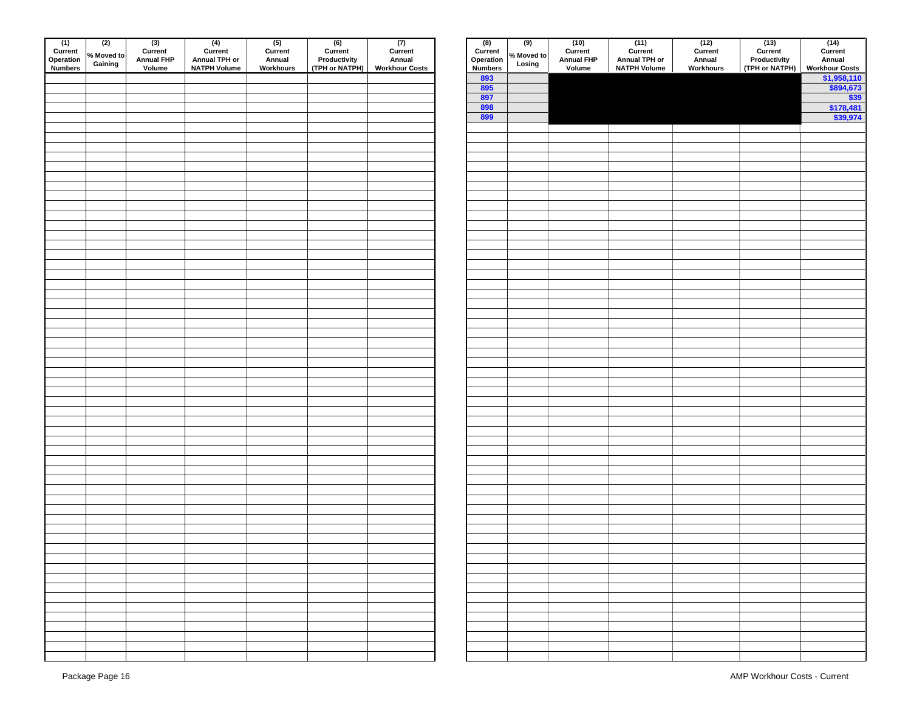| (1)<br>Current<br>Operation<br>Numbers | (2)<br>% Moved to<br>Gaining | $(3)$<br>Current<br><b>Annual FHP</b><br>Volume | $(4)$<br>Current<br>Annual TPH or<br><b>NATPH Volume</b> | $(5)$<br>Current<br>Annual<br>Workhours | (6)<br>Current<br>Productivity<br>(TPH or NATPH) | (7)<br>Current<br>Annual<br><b>Workhour Costs</b> | $(8)$<br>Current<br>Operation<br>Numbers | $\overline{(9)}$<br>% Moved to<br>Losing | $(10)$<br>Current<br><b>Annual FHP</b><br>Volume | $(11)$<br>Current<br>Annual TPH or<br><b>NATPH Volume</b> | $(12)$<br>Current<br>Annual<br>Workhours | $(13)$<br>Current<br>Productivity<br>(TPH or NATPH) | $\begin{array}{c} (14) \\ \text{Current} \\ \text{Annual} \\ \hline \text{$\frac{\text{Workhour C}}{\text{$\frac{\$1,95}{\$89}}$}} \end{array}$ |
|----------------------------------------|------------------------------|-------------------------------------------------|----------------------------------------------------------|-----------------------------------------|--------------------------------------------------|---------------------------------------------------|------------------------------------------|------------------------------------------|--------------------------------------------------|-----------------------------------------------------------|------------------------------------------|-----------------------------------------------------|-------------------------------------------------------------------------------------------------------------------------------------------------|
|                                        |                              |                                                 |                                                          |                                         |                                                  |                                                   | 893                                      |                                          |                                                  |                                                           |                                          |                                                     |                                                                                                                                                 |
|                                        |                              |                                                 |                                                          |                                         |                                                  |                                                   | 895                                      |                                          |                                                  |                                                           |                                          |                                                     |                                                                                                                                                 |
|                                        |                              |                                                 |                                                          |                                         |                                                  |                                                   | 897                                      |                                          |                                                  |                                                           |                                          |                                                     |                                                                                                                                                 |
|                                        |                              |                                                 |                                                          |                                         |                                                  |                                                   | 898<br>899                               |                                          |                                                  |                                                           |                                          |                                                     | \$17<br>$\frac{1}{2}$ \$3                                                                                                                       |
|                                        |                              |                                                 |                                                          |                                         |                                                  |                                                   |                                          |                                          |                                                  |                                                           |                                          |                                                     |                                                                                                                                                 |
|                                        |                              |                                                 |                                                          |                                         |                                                  |                                                   |                                          |                                          |                                                  |                                                           |                                          |                                                     |                                                                                                                                                 |
|                                        |                              |                                                 |                                                          |                                         |                                                  |                                                   |                                          |                                          |                                                  |                                                           |                                          |                                                     |                                                                                                                                                 |
|                                        |                              |                                                 |                                                          |                                         |                                                  |                                                   |                                          |                                          |                                                  |                                                           |                                          |                                                     |                                                                                                                                                 |
|                                        |                              |                                                 |                                                          |                                         |                                                  |                                                   |                                          |                                          |                                                  |                                                           |                                          |                                                     |                                                                                                                                                 |
|                                        |                              |                                                 |                                                          |                                         |                                                  |                                                   |                                          |                                          |                                                  |                                                           |                                          |                                                     |                                                                                                                                                 |
|                                        |                              |                                                 |                                                          |                                         |                                                  |                                                   |                                          |                                          |                                                  |                                                           |                                          |                                                     |                                                                                                                                                 |
|                                        |                              |                                                 |                                                          |                                         |                                                  |                                                   |                                          |                                          |                                                  |                                                           |                                          |                                                     |                                                                                                                                                 |
|                                        |                              |                                                 |                                                          |                                         |                                                  |                                                   |                                          |                                          |                                                  |                                                           |                                          |                                                     |                                                                                                                                                 |
|                                        |                              |                                                 |                                                          |                                         |                                                  |                                                   |                                          |                                          |                                                  |                                                           |                                          |                                                     |                                                                                                                                                 |
|                                        |                              |                                                 |                                                          |                                         |                                                  |                                                   |                                          |                                          |                                                  |                                                           |                                          |                                                     |                                                                                                                                                 |
|                                        |                              |                                                 |                                                          |                                         |                                                  |                                                   |                                          |                                          |                                                  |                                                           |                                          |                                                     |                                                                                                                                                 |
|                                        |                              |                                                 |                                                          |                                         |                                                  |                                                   |                                          |                                          |                                                  |                                                           |                                          |                                                     |                                                                                                                                                 |
|                                        |                              |                                                 |                                                          |                                         |                                                  |                                                   |                                          |                                          |                                                  |                                                           |                                          |                                                     |                                                                                                                                                 |
|                                        |                              |                                                 |                                                          |                                         |                                                  |                                                   |                                          |                                          |                                                  |                                                           |                                          |                                                     |                                                                                                                                                 |
|                                        |                              |                                                 |                                                          |                                         |                                                  |                                                   |                                          |                                          |                                                  |                                                           |                                          |                                                     |                                                                                                                                                 |
|                                        |                              |                                                 |                                                          |                                         |                                                  |                                                   |                                          |                                          |                                                  |                                                           |                                          |                                                     |                                                                                                                                                 |
|                                        |                              |                                                 |                                                          |                                         |                                                  |                                                   |                                          |                                          |                                                  |                                                           |                                          |                                                     |                                                                                                                                                 |
|                                        |                              |                                                 |                                                          |                                         |                                                  |                                                   |                                          |                                          |                                                  |                                                           |                                          |                                                     |                                                                                                                                                 |
|                                        |                              |                                                 |                                                          |                                         |                                                  |                                                   |                                          |                                          |                                                  |                                                           |                                          |                                                     |                                                                                                                                                 |
|                                        |                              |                                                 |                                                          |                                         |                                                  |                                                   |                                          |                                          |                                                  |                                                           |                                          |                                                     |                                                                                                                                                 |
|                                        |                              |                                                 |                                                          |                                         |                                                  |                                                   |                                          |                                          |                                                  |                                                           |                                          |                                                     |                                                                                                                                                 |
|                                        |                              |                                                 |                                                          |                                         |                                                  |                                                   |                                          |                                          |                                                  |                                                           |                                          |                                                     |                                                                                                                                                 |
|                                        |                              |                                                 |                                                          |                                         |                                                  |                                                   |                                          |                                          |                                                  |                                                           |                                          |                                                     |                                                                                                                                                 |
|                                        |                              |                                                 |                                                          |                                         |                                                  |                                                   |                                          |                                          |                                                  |                                                           |                                          |                                                     |                                                                                                                                                 |
|                                        |                              |                                                 |                                                          |                                         |                                                  |                                                   |                                          |                                          |                                                  |                                                           |                                          |                                                     |                                                                                                                                                 |
|                                        |                              |                                                 |                                                          |                                         |                                                  |                                                   |                                          |                                          |                                                  |                                                           |                                          |                                                     |                                                                                                                                                 |
|                                        |                              |                                                 |                                                          |                                         |                                                  |                                                   |                                          |                                          |                                                  |                                                           |                                          |                                                     |                                                                                                                                                 |
|                                        |                              |                                                 |                                                          |                                         |                                                  |                                                   |                                          |                                          |                                                  |                                                           |                                          |                                                     |                                                                                                                                                 |
|                                        |                              |                                                 |                                                          |                                         |                                                  |                                                   |                                          |                                          |                                                  |                                                           |                                          |                                                     |                                                                                                                                                 |
|                                        |                              |                                                 |                                                          |                                         |                                                  |                                                   |                                          |                                          |                                                  |                                                           |                                          |                                                     |                                                                                                                                                 |
|                                        |                              |                                                 |                                                          |                                         |                                                  |                                                   |                                          |                                          |                                                  |                                                           |                                          |                                                     |                                                                                                                                                 |
|                                        |                              |                                                 |                                                          |                                         |                                                  |                                                   |                                          |                                          |                                                  |                                                           |                                          |                                                     |                                                                                                                                                 |
|                                        |                              |                                                 |                                                          |                                         |                                                  |                                                   |                                          |                                          |                                                  |                                                           |                                          |                                                     |                                                                                                                                                 |
|                                        |                              |                                                 |                                                          |                                         |                                                  |                                                   |                                          |                                          |                                                  |                                                           |                                          |                                                     |                                                                                                                                                 |
|                                        |                              |                                                 |                                                          |                                         |                                                  |                                                   |                                          |                                          |                                                  |                                                           |                                          |                                                     |                                                                                                                                                 |
|                                        |                              |                                                 |                                                          |                                         |                                                  |                                                   |                                          |                                          |                                                  |                                                           |                                          |                                                     |                                                                                                                                                 |
|                                        |                              |                                                 |                                                          |                                         |                                                  |                                                   |                                          |                                          |                                                  |                                                           |                                          |                                                     |                                                                                                                                                 |
|                                        |                              |                                                 |                                                          |                                         |                                                  |                                                   |                                          |                                          |                                                  |                                                           |                                          |                                                     |                                                                                                                                                 |
|                                        |                              |                                                 |                                                          |                                         |                                                  |                                                   |                                          |                                          |                                                  |                                                           |                                          |                                                     |                                                                                                                                                 |
|                                        |                              |                                                 |                                                          |                                         |                                                  |                                                   |                                          |                                          |                                                  |                                                           |                                          |                                                     |                                                                                                                                                 |
|                                        |                              |                                                 |                                                          |                                         |                                                  |                                                   |                                          |                                          |                                                  |                                                           |                                          |                                                     |                                                                                                                                                 |
|                                        |                              |                                                 |                                                          |                                         |                                                  |                                                   |                                          |                                          |                                                  |                                                           |                                          |                                                     |                                                                                                                                                 |
|                                        |                              |                                                 |                                                          |                                         |                                                  |                                                   |                                          |                                          |                                                  |                                                           |                                          |                                                     |                                                                                                                                                 |
|                                        |                              |                                                 |                                                          |                                         |                                                  |                                                   |                                          |                                          |                                                  |                                                           |                                          |                                                     |                                                                                                                                                 |

| n<br>'S | (2)<br>% Moved to<br>Gaining | (3)<br>Current<br>Annual FHP<br>Volume | (4)<br>Current<br>Annual TPH or<br>NATPH Volume | (5)<br>Current<br>Annual<br>Workhours | (6)<br>Current<br>Productivity<br>(TPH or NATPH) | (7)<br>Current<br>Annual<br>Workhour Costs | $\frac{(8)}{Current}$<br>Operation<br>Numbers | $\overline{(9)}$<br>% Moved to<br>Losing | (10)<br>Current<br>Annual FHP<br>Volume | (11)<br>Current<br>Annual TPH or<br>NATPH Volume | (12)<br>Current<br>Annual<br>Workhours | (13) $(14)$<br>Current<br>Productivity Annual<br>(TPH or NATPH) Workhour Costs<br>$\frac{$1,958,110}{$1,958,110}$<br>$\frac{$894,673}{$894,673}$<br>$\frac{$39}{$178,481}$<br>\$39,974 |
|---------|------------------------------|----------------------------------------|-------------------------------------------------|---------------------------------------|--------------------------------------------------|--------------------------------------------|-----------------------------------------------|------------------------------------------|-----------------------------------------|--------------------------------------------------|----------------------------------------|----------------------------------------------------------------------------------------------------------------------------------------------------------------------------------------|
|         |                              |                                        |                                                 |                                       |                                                  |                                            | 893<br>895<br>897                             |                                          |                                         |                                                  |                                        |                                                                                                                                                                                        |
|         |                              |                                        |                                                 |                                       |                                                  |                                            |                                               |                                          |                                         |                                                  |                                        |                                                                                                                                                                                        |
|         |                              |                                        |                                                 |                                       |                                                  |                                            | 898                                           |                                          |                                         |                                                  |                                        |                                                                                                                                                                                        |
|         |                              |                                        |                                                 |                                       |                                                  |                                            | 899                                           |                                          |                                         |                                                  |                                        |                                                                                                                                                                                        |
|         |                              |                                        |                                                 |                                       |                                                  |                                            |                                               |                                          |                                         |                                                  |                                        |                                                                                                                                                                                        |
|         |                              |                                        |                                                 |                                       |                                                  |                                            |                                               |                                          |                                         |                                                  |                                        |                                                                                                                                                                                        |
|         |                              |                                        |                                                 |                                       |                                                  |                                            |                                               |                                          |                                         |                                                  |                                        |                                                                                                                                                                                        |
|         |                              |                                        |                                                 |                                       |                                                  |                                            |                                               |                                          |                                         |                                                  |                                        |                                                                                                                                                                                        |
|         |                              |                                        |                                                 |                                       |                                                  |                                            |                                               |                                          |                                         |                                                  |                                        |                                                                                                                                                                                        |
|         |                              |                                        |                                                 |                                       |                                                  |                                            |                                               |                                          |                                         |                                                  |                                        |                                                                                                                                                                                        |
|         |                              |                                        |                                                 |                                       |                                                  |                                            |                                               |                                          |                                         |                                                  |                                        |                                                                                                                                                                                        |
|         |                              |                                        |                                                 |                                       |                                                  |                                            |                                               |                                          |                                         |                                                  |                                        |                                                                                                                                                                                        |
|         |                              |                                        |                                                 |                                       |                                                  |                                            |                                               |                                          |                                         |                                                  |                                        |                                                                                                                                                                                        |
|         |                              |                                        |                                                 |                                       |                                                  |                                            |                                               |                                          |                                         |                                                  |                                        |                                                                                                                                                                                        |
|         |                              |                                        |                                                 |                                       |                                                  |                                            |                                               |                                          |                                         |                                                  |                                        |                                                                                                                                                                                        |
|         |                              |                                        |                                                 |                                       |                                                  |                                            |                                               |                                          |                                         |                                                  |                                        |                                                                                                                                                                                        |
|         |                              |                                        |                                                 |                                       |                                                  |                                            |                                               |                                          |                                         |                                                  |                                        |                                                                                                                                                                                        |
|         |                              |                                        |                                                 |                                       |                                                  |                                            |                                               |                                          |                                         |                                                  |                                        |                                                                                                                                                                                        |
|         |                              |                                        |                                                 |                                       |                                                  |                                            |                                               |                                          |                                         |                                                  |                                        |                                                                                                                                                                                        |
|         |                              |                                        |                                                 |                                       |                                                  |                                            |                                               |                                          |                                         |                                                  |                                        |                                                                                                                                                                                        |
|         |                              |                                        |                                                 |                                       |                                                  |                                            |                                               |                                          |                                         |                                                  |                                        |                                                                                                                                                                                        |
|         |                              |                                        |                                                 |                                       |                                                  |                                            |                                               |                                          |                                         |                                                  |                                        |                                                                                                                                                                                        |
|         |                              |                                        |                                                 |                                       |                                                  |                                            |                                               |                                          |                                         |                                                  |                                        |                                                                                                                                                                                        |
|         |                              |                                        |                                                 |                                       |                                                  |                                            |                                               |                                          |                                         |                                                  |                                        |                                                                                                                                                                                        |
|         |                              |                                        |                                                 |                                       |                                                  |                                            |                                               |                                          |                                         |                                                  |                                        |                                                                                                                                                                                        |
|         |                              |                                        |                                                 |                                       |                                                  |                                            |                                               |                                          |                                         |                                                  |                                        |                                                                                                                                                                                        |
|         |                              |                                        |                                                 |                                       |                                                  |                                            |                                               |                                          |                                         |                                                  |                                        |                                                                                                                                                                                        |
|         |                              |                                        |                                                 |                                       |                                                  |                                            |                                               |                                          |                                         |                                                  |                                        |                                                                                                                                                                                        |
|         |                              |                                        |                                                 |                                       |                                                  |                                            |                                               |                                          |                                         |                                                  |                                        |                                                                                                                                                                                        |
|         |                              |                                        |                                                 |                                       |                                                  |                                            |                                               |                                          |                                         |                                                  |                                        |                                                                                                                                                                                        |
|         |                              |                                        |                                                 |                                       |                                                  |                                            |                                               |                                          |                                         |                                                  |                                        |                                                                                                                                                                                        |
|         |                              |                                        |                                                 |                                       |                                                  |                                            |                                               |                                          |                                         |                                                  |                                        |                                                                                                                                                                                        |
|         |                              |                                        |                                                 |                                       |                                                  |                                            |                                               |                                          |                                         |                                                  |                                        |                                                                                                                                                                                        |
|         |                              |                                        |                                                 |                                       |                                                  |                                            |                                               |                                          |                                         |                                                  |                                        |                                                                                                                                                                                        |
|         |                              |                                        |                                                 |                                       |                                                  |                                            |                                               |                                          |                                         |                                                  |                                        |                                                                                                                                                                                        |
|         |                              |                                        |                                                 |                                       |                                                  |                                            |                                               |                                          |                                         |                                                  |                                        |                                                                                                                                                                                        |
|         |                              |                                        |                                                 |                                       |                                                  |                                            |                                               |                                          |                                         |                                                  |                                        |                                                                                                                                                                                        |
|         |                              |                                        |                                                 |                                       |                                                  |                                            |                                               |                                          |                                         |                                                  |                                        |                                                                                                                                                                                        |
|         |                              |                                        |                                                 |                                       |                                                  |                                            |                                               |                                          |                                         |                                                  |                                        |                                                                                                                                                                                        |
|         |                              |                                        |                                                 |                                       |                                                  |                                            |                                               |                                          |                                         |                                                  |                                        |                                                                                                                                                                                        |
|         |                              |                                        |                                                 |                                       |                                                  |                                            |                                               |                                          |                                         |                                                  |                                        |                                                                                                                                                                                        |
|         |                              |                                        |                                                 |                                       |                                                  |                                            |                                               |                                          |                                         |                                                  |                                        |                                                                                                                                                                                        |
|         |                              |                                        |                                                 |                                       |                                                  |                                            |                                               |                                          |                                         |                                                  |                                        |                                                                                                                                                                                        |
|         |                              |                                        |                                                 |                                       |                                                  |                                            |                                               |                                          |                                         |                                                  |                                        |                                                                                                                                                                                        |
|         |                              |                                        |                                                 |                                       |                                                  |                                            |                                               |                                          |                                         |                                                  |                                        |                                                                                                                                                                                        |
|         |                              |                                        |                                                 |                                       |                                                  |                                            |                                               |                                          |                                         |                                                  |                                        |                                                                                                                                                                                        |
|         |                              |                                        |                                                 |                                       |                                                  |                                            |                                               |                                          |                                         |                                                  |                                        |                                                                                                                                                                                        |
|         |                              |                                        |                                                 |                                       |                                                  |                                            |                                               |                                          |                                         |                                                  |                                        |                                                                                                                                                                                        |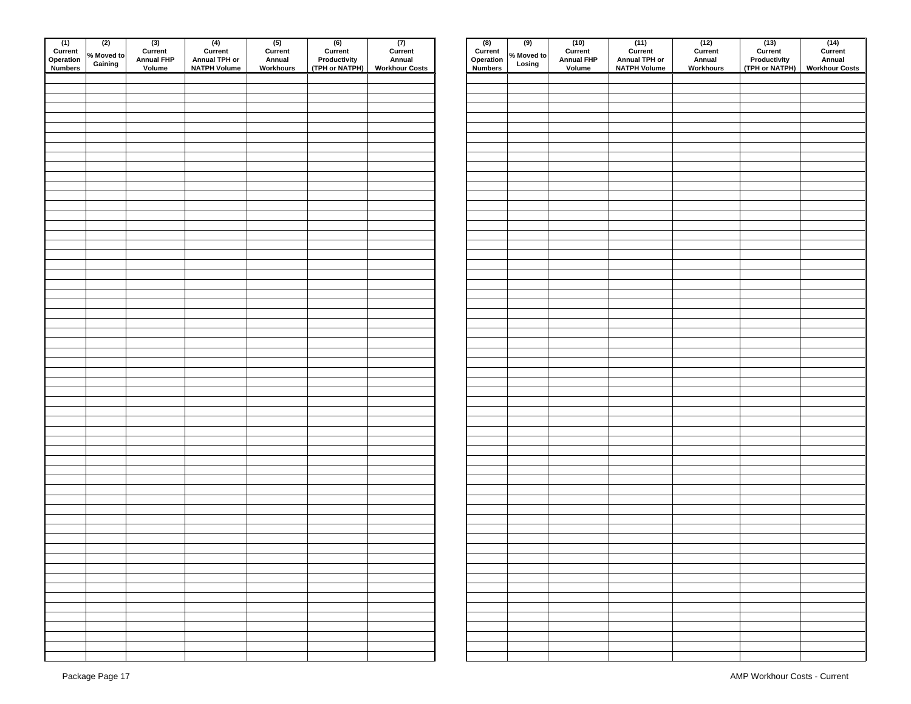| $\fbox{ 1)} \quad \begin{array}{c} \text{(1)} \\ \text{Current} \\ \text{Operation} \\ \text{Numbers} \end{array}$ | (2)<br>% Moved to<br>Gaining | $(3)$<br>Current<br><b>Annual FHP</b><br>Volume | $(4)$<br>Current<br>Annual TPH or<br><b>NATPH Volume</b> | $(5)$<br>Current<br>Annual<br>Workhours | $(6)$<br>Current<br>Productivity<br>(TPH or NATPH) | $(T)$<br>Current<br>Annual<br><b>Workhour Costs</b> | $(8)$<br>Current<br>Operation<br><b>Numbers</b> | $\overline{(9)}$<br>% Moved to<br>Losing | $(10)$<br>Current<br><b>Annual FHP</b><br>Volume | $(11)$<br>Current<br>Annual TPH or<br><b>NATPH Volume</b> | $(12)$<br>Current<br>Annual<br>Workhours | $(13)$<br>Current<br>Productivity<br>(TPH or NATPH) | (14)<br>Curren<br>Annual<br><b>Workhour C</b> |
|--------------------------------------------------------------------------------------------------------------------|------------------------------|-------------------------------------------------|----------------------------------------------------------|-----------------------------------------|----------------------------------------------------|-----------------------------------------------------|-------------------------------------------------|------------------------------------------|--------------------------------------------------|-----------------------------------------------------------|------------------------------------------|-----------------------------------------------------|-----------------------------------------------|
|                                                                                                                    |                              |                                                 |                                                          |                                         |                                                    |                                                     |                                                 |                                          |                                                  |                                                           |                                          |                                                     |                                               |
|                                                                                                                    |                              |                                                 |                                                          |                                         |                                                    |                                                     |                                                 |                                          |                                                  |                                                           |                                          |                                                     |                                               |
|                                                                                                                    |                              |                                                 |                                                          |                                         |                                                    |                                                     |                                                 |                                          |                                                  |                                                           |                                          |                                                     |                                               |
|                                                                                                                    |                              |                                                 |                                                          |                                         |                                                    |                                                     |                                                 |                                          |                                                  |                                                           |                                          |                                                     |                                               |
|                                                                                                                    |                              |                                                 |                                                          |                                         |                                                    |                                                     |                                                 |                                          |                                                  |                                                           |                                          |                                                     |                                               |
|                                                                                                                    |                              |                                                 |                                                          |                                         |                                                    |                                                     |                                                 |                                          |                                                  |                                                           |                                          |                                                     |                                               |
|                                                                                                                    |                              |                                                 |                                                          |                                         |                                                    |                                                     |                                                 |                                          |                                                  |                                                           |                                          |                                                     |                                               |
|                                                                                                                    |                              |                                                 |                                                          |                                         |                                                    |                                                     |                                                 |                                          |                                                  |                                                           |                                          |                                                     |                                               |
|                                                                                                                    |                              |                                                 |                                                          |                                         |                                                    |                                                     |                                                 |                                          |                                                  |                                                           |                                          |                                                     |                                               |
|                                                                                                                    |                              |                                                 |                                                          |                                         |                                                    |                                                     |                                                 |                                          |                                                  |                                                           |                                          |                                                     |                                               |
|                                                                                                                    |                              |                                                 |                                                          |                                         |                                                    |                                                     |                                                 |                                          |                                                  |                                                           |                                          |                                                     |                                               |
|                                                                                                                    |                              |                                                 |                                                          |                                         |                                                    |                                                     |                                                 |                                          |                                                  |                                                           |                                          |                                                     |                                               |
|                                                                                                                    |                              |                                                 |                                                          |                                         |                                                    |                                                     |                                                 |                                          |                                                  |                                                           |                                          |                                                     |                                               |
|                                                                                                                    |                              |                                                 |                                                          |                                         |                                                    |                                                     |                                                 |                                          |                                                  |                                                           |                                          |                                                     |                                               |
|                                                                                                                    |                              |                                                 |                                                          |                                         |                                                    |                                                     |                                                 |                                          |                                                  |                                                           |                                          |                                                     |                                               |
|                                                                                                                    |                              |                                                 |                                                          |                                         |                                                    |                                                     |                                                 |                                          |                                                  |                                                           |                                          |                                                     |                                               |
|                                                                                                                    |                              |                                                 |                                                          |                                         |                                                    |                                                     |                                                 |                                          |                                                  |                                                           |                                          |                                                     |                                               |
|                                                                                                                    |                              |                                                 |                                                          |                                         |                                                    |                                                     |                                                 |                                          |                                                  |                                                           |                                          |                                                     |                                               |
|                                                                                                                    |                              |                                                 |                                                          |                                         |                                                    |                                                     |                                                 |                                          |                                                  |                                                           |                                          |                                                     |                                               |
|                                                                                                                    |                              |                                                 |                                                          |                                         |                                                    |                                                     |                                                 |                                          |                                                  |                                                           |                                          |                                                     |                                               |
|                                                                                                                    |                              |                                                 |                                                          |                                         |                                                    |                                                     |                                                 |                                          |                                                  |                                                           |                                          |                                                     |                                               |
|                                                                                                                    |                              |                                                 |                                                          |                                         |                                                    |                                                     |                                                 |                                          |                                                  |                                                           |                                          |                                                     |                                               |
|                                                                                                                    |                              |                                                 |                                                          |                                         |                                                    |                                                     |                                                 |                                          |                                                  |                                                           |                                          |                                                     |                                               |
|                                                                                                                    |                              |                                                 |                                                          |                                         |                                                    |                                                     |                                                 |                                          |                                                  |                                                           |                                          |                                                     |                                               |
|                                                                                                                    |                              |                                                 |                                                          |                                         |                                                    |                                                     |                                                 |                                          |                                                  |                                                           |                                          |                                                     |                                               |
|                                                                                                                    |                              |                                                 |                                                          |                                         |                                                    |                                                     |                                                 |                                          |                                                  |                                                           |                                          |                                                     |                                               |
|                                                                                                                    |                              |                                                 |                                                          |                                         |                                                    |                                                     |                                                 |                                          |                                                  |                                                           |                                          |                                                     |                                               |
|                                                                                                                    |                              |                                                 |                                                          |                                         |                                                    |                                                     |                                                 |                                          |                                                  |                                                           |                                          |                                                     |                                               |
|                                                                                                                    |                              |                                                 |                                                          |                                         |                                                    |                                                     |                                                 |                                          |                                                  |                                                           |                                          |                                                     |                                               |
|                                                                                                                    |                              |                                                 |                                                          |                                         |                                                    |                                                     |                                                 |                                          |                                                  |                                                           |                                          |                                                     |                                               |
|                                                                                                                    |                              |                                                 |                                                          |                                         |                                                    |                                                     |                                                 |                                          |                                                  |                                                           |                                          |                                                     |                                               |
|                                                                                                                    |                              |                                                 |                                                          |                                         |                                                    |                                                     |                                                 |                                          |                                                  |                                                           |                                          |                                                     |                                               |
|                                                                                                                    |                              |                                                 |                                                          |                                         |                                                    |                                                     |                                                 |                                          |                                                  |                                                           |                                          |                                                     |                                               |
|                                                                                                                    |                              |                                                 |                                                          |                                         |                                                    |                                                     |                                                 |                                          |                                                  |                                                           |                                          |                                                     |                                               |
|                                                                                                                    |                              |                                                 |                                                          |                                         |                                                    |                                                     |                                                 |                                          |                                                  |                                                           |                                          |                                                     |                                               |
|                                                                                                                    |                              |                                                 |                                                          |                                         |                                                    |                                                     |                                                 |                                          |                                                  |                                                           |                                          |                                                     |                                               |
|                                                                                                                    |                              |                                                 |                                                          |                                         |                                                    |                                                     |                                                 |                                          |                                                  |                                                           |                                          |                                                     |                                               |
|                                                                                                                    |                              |                                                 |                                                          |                                         |                                                    |                                                     |                                                 |                                          |                                                  |                                                           |                                          |                                                     |                                               |
|                                                                                                                    |                              |                                                 |                                                          |                                         |                                                    |                                                     |                                                 |                                          |                                                  |                                                           |                                          |                                                     |                                               |
|                                                                                                                    |                              |                                                 |                                                          |                                         |                                                    |                                                     |                                                 |                                          |                                                  |                                                           |                                          |                                                     |                                               |
|                                                                                                                    |                              |                                                 |                                                          |                                         |                                                    |                                                     |                                                 |                                          |                                                  |                                                           |                                          |                                                     |                                               |
|                                                                                                                    |                              |                                                 |                                                          |                                         |                                                    |                                                     |                                                 |                                          |                                                  |                                                           |                                          |                                                     |                                               |
|                                                                                                                    |                              |                                                 |                                                          |                                         |                                                    |                                                     |                                                 |                                          |                                                  |                                                           |                                          |                                                     |                                               |
|                                                                                                                    |                              |                                                 |                                                          |                                         |                                                    |                                                     |                                                 |                                          |                                                  |                                                           |                                          |                                                     |                                               |
|                                                                                                                    |                              |                                                 |                                                          |                                         |                                                    |                                                     |                                                 |                                          |                                                  |                                                           |                                          |                                                     |                                               |
|                                                                                                                    |                              |                                                 |                                                          |                                         |                                                    |                                                     |                                                 |                                          |                                                  |                                                           |                                          |                                                     |                                               |
|                                                                                                                    |                              |                                                 |                                                          |                                         |                                                    |                                                     |                                                 |                                          |                                                  |                                                           |                                          |                                                     |                                               |
|                                                                                                                    |                              |                                                 |                                                          |                                         |                                                    |                                                     |                                                 |                                          |                                                  |                                                           |                                          |                                                     |                                               |
|                                                                                                                    |                              |                                                 |                                                          |                                         |                                                    |                                                     |                                                 |                                          |                                                  |                                                           |                                          |                                                     |                                               |
|                                                                                                                    |                              |                                                 |                                                          |                                         |                                                    |                                                     |                                                 |                                          |                                                  |                                                           |                                          |                                                     |                                               |
|                                                                                                                    |                              |                                                 |                                                          |                                         |                                                    |                                                     |                                                 |                                          |                                                  |                                                           |                                          |                                                     |                                               |
|                                                                                                                    |                              |                                                 |                                                          |                                         |                                                    |                                                     |                                                 |                                          |                                                  |                                                           |                                          |                                                     |                                               |
|                                                                                                                    |                              |                                                 |                                                          |                                         |                                                    |                                                     |                                                 |                                          |                                                  |                                                           |                                          |                                                     |                                               |
|                                                                                                                    |                              |                                                 |                                                          |                                         |                                                    |                                                     |                                                 |                                          |                                                  |                                                           |                                          |                                                     |                                               |

| n<br>'S | (2)<br>% Moved to<br>Gaining | (3)<br>Current<br>Annual FHP<br>Volume | (4)<br>Current<br>Annual TPH or<br>NATPH Volume | (5)<br>Current<br>Annual<br>Workhours | (6)<br>Current<br>Productivity<br>(TPH or NATPH) | (7)<br>Current<br>Annual<br>Workhour Costs |
|---------|------------------------------|----------------------------------------|-------------------------------------------------|---------------------------------------|--------------------------------------------------|--------------------------------------------|
|         |                              |                                        |                                                 |                                       |                                                  |                                            |
|         |                              |                                        |                                                 |                                       |                                                  |                                            |
|         |                              |                                        |                                                 |                                       |                                                  |                                            |
|         |                              |                                        |                                                 |                                       |                                                  |                                            |
|         |                              |                                        |                                                 |                                       |                                                  |                                            |
|         |                              |                                        |                                                 |                                       |                                                  |                                            |
|         |                              |                                        |                                                 |                                       |                                                  |                                            |
|         |                              |                                        |                                                 |                                       |                                                  |                                            |
|         |                              |                                        |                                                 |                                       |                                                  |                                            |
|         |                              |                                        |                                                 |                                       |                                                  |                                            |
|         |                              |                                        |                                                 |                                       |                                                  |                                            |
|         |                              |                                        |                                                 |                                       |                                                  |                                            |
|         |                              |                                        |                                                 |                                       |                                                  |                                            |
|         |                              |                                        |                                                 |                                       |                                                  |                                            |
|         |                              |                                        |                                                 |                                       |                                                  |                                            |
|         |                              |                                        |                                                 |                                       |                                                  |                                            |
|         |                              |                                        |                                                 |                                       |                                                  |                                            |
|         |                              |                                        |                                                 |                                       |                                                  |                                            |
|         |                              |                                        |                                                 |                                       |                                                  |                                            |
|         |                              |                                        |                                                 |                                       |                                                  |                                            |
|         |                              |                                        |                                                 |                                       |                                                  |                                            |
|         |                              |                                        |                                                 |                                       |                                                  |                                            |
|         |                              |                                        |                                                 |                                       |                                                  |                                            |
|         |                              |                                        |                                                 |                                       |                                                  |                                            |
|         |                              |                                        |                                                 |                                       |                                                  |                                            |
|         |                              |                                        |                                                 |                                       |                                                  |                                            |
|         |                              |                                        |                                                 |                                       |                                                  |                                            |
|         |                              |                                        |                                                 |                                       |                                                  |                                            |
|         |                              |                                        |                                                 |                                       |                                                  |                                            |
|         |                              |                                        |                                                 |                                       |                                                  |                                            |
|         |                              |                                        |                                                 |                                       |                                                  |                                            |
|         |                              |                                        |                                                 |                                       |                                                  |                                            |
|         |                              |                                        |                                                 |                                       |                                                  |                                            |
|         |                              |                                        |                                                 |                                       |                                                  |                                            |
|         |                              |                                        |                                                 |                                       |                                                  |                                            |
|         |                              |                                        |                                                 |                                       |                                                  |                                            |
|         |                              |                                        |                                                 |                                       |                                                  |                                            |
|         |                              |                                        |                                                 |                                       |                                                  |                                            |
|         |                              |                                        |                                                 |                                       |                                                  |                                            |
|         |                              |                                        |                                                 |                                       |                                                  |                                            |
|         |                              |                                        |                                                 |                                       |                                                  |                                            |
|         |                              |                                        |                                                 |                                       |                                                  |                                            |
|         |                              |                                        |                                                 |                                       |                                                  |                                            |
|         |                              |                                        |                                                 |                                       |                                                  |                                            |
|         |                              |                                        |                                                 |                                       |                                                  |                                            |
|         |                              |                                        |                                                 |                                       |                                                  |                                            |
|         |                              |                                        |                                                 |                                       |                                                  |                                            |
|         |                              |                                        |                                                 |                                       |                                                  |                                            |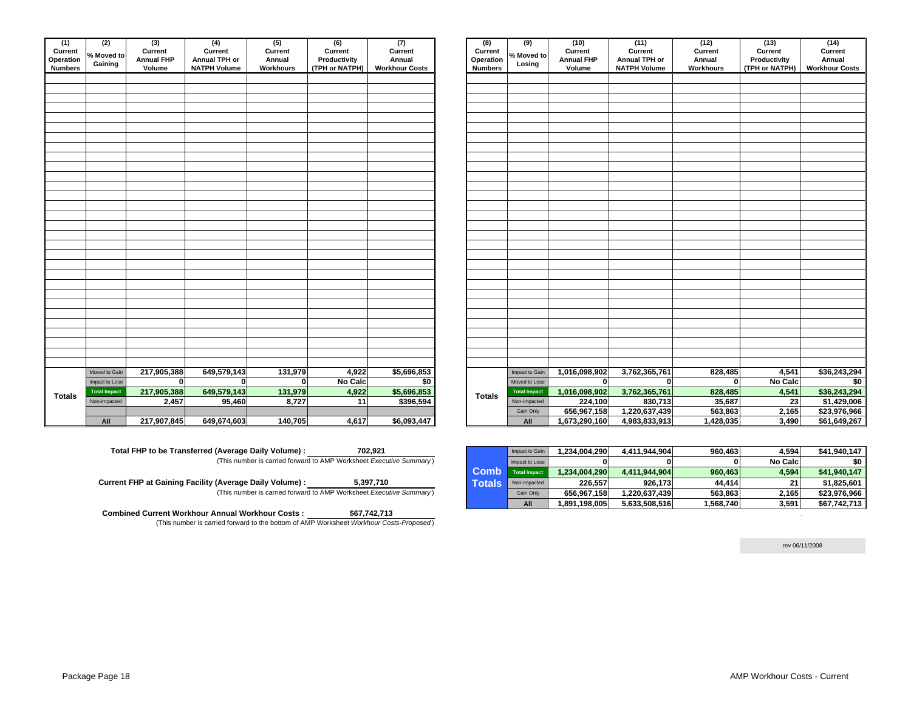| (1)<br>Current<br>Operation<br><b>Numbers</b> | (2)<br>% Moved to<br>Gaining | (3)<br>Current<br><b>Annual FHP</b><br>Volume | $\overline{(4)}$<br>Current<br>Annual TPH or<br><b>NATPH Volume</b> | (5)<br>Current<br>Annual<br>Workhours | $\overline{(6)}$<br>Current<br>Productivity<br>(TPH or NATPH) | $\overline{(7)}$<br>Current<br>Annual<br><b>Workhour Costs</b> | (8)<br><b>Current</b><br>Operation<br><b>Numbers</b> | (9)<br>% Moved to<br>Losing | (10)<br>Current<br><b>Annual FHP</b><br>Volume | (11)<br>Current<br>Annual TPH or<br><b>NATPH Volume</b> | (12)<br>Current<br>Annual<br>Workhours | (13)<br>Current<br>Productivity<br>(TPH or NATPH) | (14)<br>Curren<br>Annual<br>Workhour C |
|-----------------------------------------------|------------------------------|-----------------------------------------------|---------------------------------------------------------------------|---------------------------------------|---------------------------------------------------------------|----------------------------------------------------------------|------------------------------------------------------|-----------------------------|------------------------------------------------|---------------------------------------------------------|----------------------------------------|---------------------------------------------------|----------------------------------------|
|                                               |                              |                                               |                                                                     |                                       |                                                               |                                                                |                                                      |                             |                                                |                                                         |                                        |                                                   |                                        |
|                                               |                              |                                               |                                                                     |                                       |                                                               |                                                                |                                                      |                             |                                                |                                                         |                                        |                                                   |                                        |
|                                               |                              |                                               |                                                                     |                                       |                                                               |                                                                |                                                      |                             |                                                |                                                         |                                        |                                                   |                                        |
|                                               |                              |                                               |                                                                     |                                       |                                                               |                                                                |                                                      |                             |                                                |                                                         |                                        |                                                   |                                        |
|                                               |                              |                                               |                                                                     |                                       |                                                               |                                                                |                                                      |                             |                                                |                                                         |                                        |                                                   |                                        |
|                                               |                              |                                               |                                                                     |                                       |                                                               |                                                                |                                                      |                             |                                                |                                                         |                                        |                                                   |                                        |
|                                               |                              |                                               |                                                                     |                                       |                                                               |                                                                |                                                      |                             |                                                |                                                         |                                        |                                                   |                                        |
|                                               |                              |                                               |                                                                     |                                       |                                                               |                                                                |                                                      |                             |                                                |                                                         |                                        |                                                   |                                        |
|                                               |                              |                                               |                                                                     |                                       |                                                               |                                                                |                                                      |                             |                                                |                                                         |                                        |                                                   |                                        |
|                                               |                              |                                               |                                                                     |                                       |                                                               |                                                                |                                                      |                             |                                                |                                                         |                                        |                                                   |                                        |
|                                               |                              |                                               |                                                                     |                                       |                                                               |                                                                |                                                      |                             |                                                |                                                         |                                        |                                                   |                                        |
|                                               |                              |                                               |                                                                     |                                       |                                                               |                                                                |                                                      |                             |                                                |                                                         |                                        |                                                   |                                        |
|                                               |                              |                                               |                                                                     |                                       |                                                               |                                                                |                                                      |                             |                                                |                                                         |                                        |                                                   |                                        |
|                                               |                              |                                               |                                                                     |                                       |                                                               |                                                                |                                                      |                             |                                                |                                                         |                                        |                                                   |                                        |
|                                               |                              |                                               |                                                                     |                                       |                                                               |                                                                |                                                      |                             |                                                |                                                         |                                        |                                                   |                                        |
|                                               |                              |                                               |                                                                     |                                       |                                                               |                                                                |                                                      |                             |                                                |                                                         |                                        |                                                   |                                        |
|                                               |                              |                                               |                                                                     |                                       |                                                               |                                                                |                                                      |                             |                                                |                                                         |                                        |                                                   |                                        |
|                                               |                              |                                               |                                                                     |                                       |                                                               |                                                                |                                                      |                             |                                                |                                                         |                                        |                                                   |                                        |
|                                               |                              |                                               |                                                                     |                                       |                                                               |                                                                |                                                      |                             |                                                |                                                         |                                        |                                                   |                                        |
|                                               |                              |                                               |                                                                     |                                       |                                                               |                                                                |                                                      |                             |                                                |                                                         |                                        |                                                   |                                        |
|                                               |                              |                                               |                                                                     |                                       |                                                               |                                                                |                                                      |                             |                                                |                                                         |                                        |                                                   |                                        |
|                                               |                              |                                               |                                                                     |                                       |                                                               |                                                                |                                                      |                             |                                                |                                                         |                                        |                                                   |                                        |
|                                               |                              |                                               |                                                                     |                                       |                                                               |                                                                |                                                      |                             |                                                |                                                         |                                        |                                                   |                                        |
|                                               |                              |                                               |                                                                     |                                       |                                                               |                                                                |                                                      |                             |                                                |                                                         |                                        |                                                   |                                        |
|                                               |                              |                                               |                                                                     |                                       |                                                               |                                                                |                                                      |                             |                                                |                                                         |                                        |                                                   |                                        |
|                                               |                              |                                               |                                                                     |                                       |                                                               |                                                                |                                                      |                             |                                                |                                                         |                                        |                                                   |                                        |
|                                               |                              |                                               |                                                                     |                                       |                                                               |                                                                |                                                      |                             |                                                |                                                         |                                        |                                                   |                                        |
|                                               | Moved to Gain                | 217,905,388                                   | 649,579,143                                                         | 131,979                               | 4,922                                                         | \$5,696,853                                                    |                                                      | Impact to Gain              | 1,016,098,902                                  | 3,762,365,761                                           | 828,485                                | 4,541                                             | \$36,24                                |
|                                               | Impact to Lose               | $\mathbf 0$                                   | $\mathbf 0$                                                         | 0                                     | No Calc                                                       | \$0                                                            |                                                      | Moved to Lose               | 0                                              | 0                                                       | $\Omega$                               | No Calc                                           |                                        |
|                                               | <b>Total Impact</b>          | 217,905,388                                   | 649,579,143                                                         | 131,979                               | 4,922                                                         | \$5,696,853                                                    |                                                      | <b>Total Impact</b>         | 1,016,098,902                                  | 3,762,365,761                                           | 828,485                                | 4,541                                             | \$36,24                                |
| <b>Totals</b>                                 | Non-impacted                 | 2,457                                         | 95,460                                                              | 8,727                                 | 11                                                            | \$396,594                                                      | <b>Totals</b>                                        | Non-impacted                | 224,100                                        | 830,713                                                 | 35,687                                 | 23                                                | \$1,42                                 |
|                                               |                              |                                               |                                                                     |                                       |                                                               |                                                                |                                                      | Gain Only                   | 656,967,158                                    | 1,220,637,439                                           | 563,863                                | 2,165                                             | \$23,97                                |
|                                               | All                          | 217,907,845                                   | 649,674,603                                                         | 140,705                               | 4,617                                                         | \$6,093,447                                                    |                                                      | All                         | 1,673,290,160                                  | 4,983,833,913                                           | 1,428,035                              | 3,490                                             | \$61,64                                |

| Total FHP to be Transferred (Average Daily Volume) : | 702.921                                                             |
|------------------------------------------------------|---------------------------------------------------------------------|
|                                                      | (This number is carried forward to AMP Worksheet Executive Summary) |

| Current FHP at Gaining Facility (Average Daily Volume) : |                                                                     | 5,397,710 |  |
|----------------------------------------------------------|---------------------------------------------------------------------|-----------|--|
|                                                          | (This number is carried forward to AMP Worksheet Executive Summary) |           |  |

 **Combined Current Workhour Annual Workhour Costs :**  (This number is carried forward to the bottom of AMP Worksheet *Workhour Costs-Proposed* ) **\$67,742,713** 

| 'n<br>Ś. | (2)<br>Moved to<br>Gaining | (3)<br>Current<br><b>Annual FHP</b><br>Volume | (4)<br>Current<br>Annual TPH or<br><b>NATPH Volume</b> | (5)<br>Current<br>Annual<br>Workhours | (6)<br>Current<br>Productivity<br>(TPH or NATPH) | (7)<br>Current<br>Annual<br><b>Workhour Costs</b> | (8)<br>Current<br>Operation<br><b>Numbers</b> | (9)<br>% Moved to<br>Losing | (10)<br>Current<br><b>Annual FHP</b><br>Volume | (11)<br>Current<br>Annual TPH or<br><b>NATPH Volume</b> | (12)<br>Current<br>Annual<br>Workhours | (13)<br>Current<br>Productivity<br>(TPH or NATPH) | (14)<br>Current<br>Annual<br><b>Workhour Costs</b> |
|----------|----------------------------|-----------------------------------------------|--------------------------------------------------------|---------------------------------------|--------------------------------------------------|---------------------------------------------------|-----------------------------------------------|-----------------------------|------------------------------------------------|---------------------------------------------------------|----------------------------------------|---------------------------------------------------|----------------------------------------------------|
|          |                            |                                               |                                                        |                                       |                                                  |                                                   |                                               |                             |                                                |                                                         |                                        |                                                   |                                                    |
|          |                            |                                               |                                                        |                                       |                                                  |                                                   |                                               |                             |                                                |                                                         |                                        |                                                   |                                                    |
|          |                            |                                               |                                                        |                                       |                                                  |                                                   |                                               |                             |                                                |                                                         |                                        |                                                   |                                                    |
|          |                            |                                               |                                                        |                                       |                                                  |                                                   |                                               |                             |                                                |                                                         |                                        |                                                   |                                                    |
|          |                            |                                               |                                                        |                                       |                                                  |                                                   |                                               |                             |                                                |                                                         |                                        |                                                   |                                                    |
|          |                            |                                               |                                                        |                                       |                                                  |                                                   |                                               |                             |                                                |                                                         |                                        |                                                   |                                                    |
|          |                            |                                               |                                                        |                                       |                                                  |                                                   |                                               |                             |                                                |                                                         |                                        |                                                   |                                                    |
|          |                            |                                               |                                                        |                                       |                                                  |                                                   |                                               |                             |                                                |                                                         |                                        |                                                   |                                                    |
|          |                            |                                               |                                                        |                                       |                                                  |                                                   |                                               |                             |                                                |                                                         |                                        |                                                   |                                                    |
|          |                            |                                               |                                                        |                                       |                                                  |                                                   |                                               |                             |                                                |                                                         |                                        |                                                   |                                                    |
|          |                            |                                               |                                                        |                                       |                                                  |                                                   |                                               |                             |                                                |                                                         |                                        |                                                   |                                                    |
|          |                            |                                               |                                                        |                                       |                                                  |                                                   |                                               |                             |                                                |                                                         |                                        |                                                   |                                                    |
|          |                            |                                               |                                                        |                                       |                                                  |                                                   |                                               |                             |                                                |                                                         |                                        |                                                   |                                                    |
|          |                            |                                               |                                                        |                                       |                                                  |                                                   |                                               |                             |                                                |                                                         |                                        |                                                   |                                                    |
|          |                            |                                               |                                                        |                                       |                                                  |                                                   |                                               |                             |                                                |                                                         |                                        |                                                   |                                                    |
|          |                            |                                               |                                                        |                                       |                                                  |                                                   |                                               |                             |                                                |                                                         |                                        |                                                   |                                                    |
|          |                            |                                               |                                                        |                                       |                                                  |                                                   |                                               |                             |                                                |                                                         |                                        |                                                   |                                                    |
|          |                            |                                               |                                                        |                                       |                                                  |                                                   |                                               |                             |                                                |                                                         |                                        |                                                   |                                                    |
|          |                            |                                               |                                                        |                                       |                                                  |                                                   |                                               |                             |                                                |                                                         |                                        |                                                   |                                                    |
|          |                            |                                               |                                                        |                                       |                                                  |                                                   |                                               |                             |                                                |                                                         |                                        |                                                   |                                                    |
|          |                            |                                               |                                                        |                                       |                                                  |                                                   |                                               |                             |                                                |                                                         |                                        |                                                   |                                                    |
|          |                            |                                               |                                                        |                                       |                                                  |                                                   |                                               |                             |                                                |                                                         |                                        |                                                   |                                                    |
|          |                            |                                               |                                                        |                                       |                                                  |                                                   |                                               |                             |                                                |                                                         |                                        |                                                   |                                                    |
|          |                            |                                               |                                                        |                                       |                                                  |                                                   |                                               |                             |                                                |                                                         |                                        |                                                   |                                                    |
|          |                            |                                               |                                                        |                                       |                                                  |                                                   |                                               |                             |                                                |                                                         |                                        |                                                   |                                                    |
|          | Moved to Gain              | 217,905,388                                   | 649,579,143                                            | 131,979                               | 4,922                                            | \$5,696,853                                       |                                               | Impact to Gain              | 1,016,098,902                                  | 3,762,365,761                                           | 828,485                                | 4,541                                             | \$36,243,294                                       |
|          | Impact to Lose             | $\mathbf{0}$                                  | $\Omega$                                               | $\mathbf{0}$                          | No Calc                                          | \$0                                               |                                               | Moved to Lose               | $\bf{0}$                                       | $\mathbf{0}$                                            | $\mathbf{0}$                           | No Calc                                           | $\frac{1}{2}$                                      |
|          | <b>Total Impact</b>        | 217,905,388                                   | 649,579,143                                            | 131,979                               | 4,922                                            | \$5,696,853                                       |                                               | <b>Total Impact</b>         | 1,016,098,902                                  | 3,762,365,761                                           | 828,485                                | 4,541                                             | \$36,243,294                                       |
|          | Non-impacted               | 2,457                                         | 95,460                                                 | 8,727                                 | 11                                               | \$396,594                                         | <b>Totals</b>                                 | Non-impacted                | 224,100                                        | 830,713                                                 | 35,687                                 | 23                                                | \$1,429,006                                        |
|          |                            |                                               |                                                        |                                       |                                                  |                                                   |                                               | Gain Only                   | 656,967,158                                    | 1,220,637,439                                           | 563,863                                | 2,165                                             | \$23,976,966                                       |
|          | All                        | 217,907,845                                   | 649,674,603                                            | 140,705                               | 4,617                                            | \$6,093,447                                       |                                               | All                         | 1,673,290,160                                  | 4,983,833,913                                           | 1,428,035                              | 3,490                                             | \$61,649,267                                       |

|             | Impact to Gain      | 1,234,004,290 | 4,411,944,904 | 960,463   | 4.594          | \$41,940,147 |
|-------------|---------------------|---------------|---------------|-----------|----------------|--------------|
|             | Impact to Lose      |               |               |           | <b>No Calc</b> | \$0 I        |
| <b>Comb</b> | <b>Total Impact</b> | 1,234,004,290 | 4,411,944,904 | 960,463   | 4,594          | \$41,940,147 |
| Totals      | Non-impacted        | 226.557       | 926.173       | 44.414    | 21             | \$1,825,601  |
|             | Gain Only           | 656,967,158   | 1,220,637,439 | 563,863   | 2,165          | \$23,976,966 |
|             | All                 | 1,891,198,005 | 5,633,508,516 | 1,568,740 | 3,591          | \$67,742,713 |

rev 06/11/2008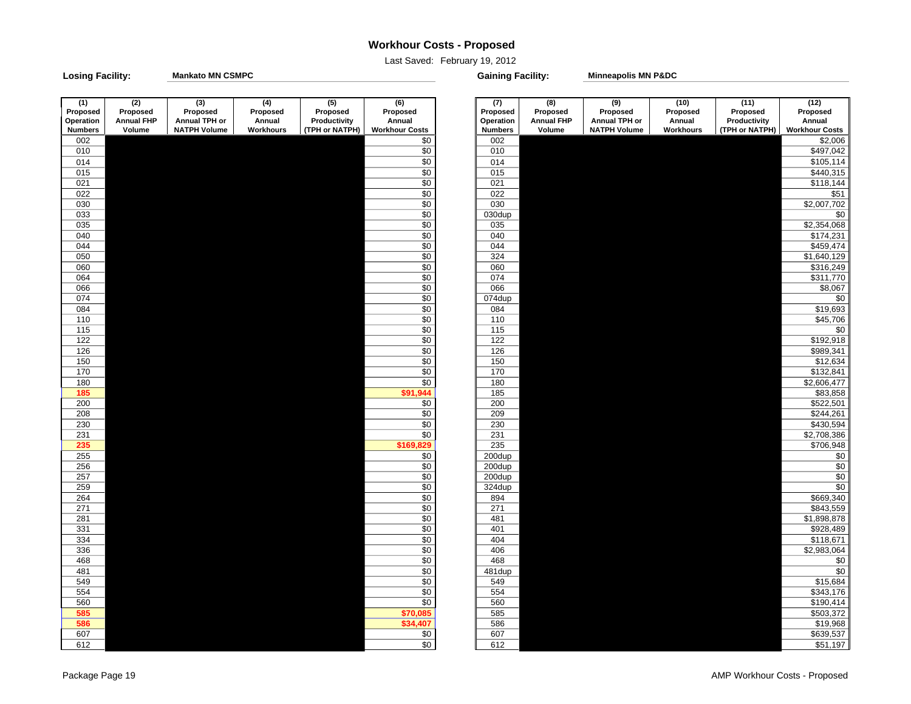### **Workhour Costs - Proposed**

Last Saved: February 19, 2012

**Losing Facility: Gaining Facility: Mankato MN CSMPC**

**Minneapolis MN P&DC**

| (1)              | (2)               | (3)                 | (4)       | (5)            | (6)                   | (7)            | (8)               | (9)                 | (10)      | (11)           | (12)                  |
|------------------|-------------------|---------------------|-----------|----------------|-----------------------|----------------|-------------------|---------------------|-----------|----------------|-----------------------|
| Proposed         | Proposed          | Proposed            | Proposed  | Proposed       | Proposed              | Proposed       | Proposed          | Proposed            | Proposed  | Proposed       | Proposed              |
| Operation        | <b>Annual FHP</b> | Annual TPH or       | Annual    | Productivity   | Annual                | Operation      | <b>Annual FHP</b> | Annual TPH or       | Annual    | Productivity   | Annual                |
| <b>Numbers</b>   | Volume            | <b>NATPH Volume</b> | Workhours | (TPH or NATPH) | <b>Workhour Costs</b> | <b>Numbers</b> | Volume            | <b>NATPH Volume</b> | Workhours | (TPH or NATPH) | <b>Workhour Costs</b> |
| 002              |                   |                     |           |                | \$0                   | 002            |                   |                     |           |                | \$2,006               |
| 010              |                   |                     |           |                | $\overline{60}$       | 010            |                   |                     |           |                | \$497,042             |
| 014              |                   |                     |           |                | $\overline{30}$       | 014            |                   |                     |           |                | \$105,114             |
| 015              |                   |                     |           |                | $\overline{60}$       | 015            |                   |                     |           |                | \$440,315             |
| 021              |                   |                     |           |                | $\overline{50}$       | 021            |                   |                     |           |                | \$118,144             |
| 022              |                   |                     |           |                | $\overline{$}0$       | 022            |                   |                     |           |                | \$51                  |
| 030              |                   |                     |           |                | $\overline{60}$       | 030            |                   |                     |           |                | \$2,007,702           |
| 033              |                   |                     |           |                | $\overline{50}$       | 030dup         |                   |                     |           |                | \$0                   |
| 035              |                   |                     |           |                | $\overline{50}$       | 035            |                   |                     |           |                | \$2,354,068           |
| 040              |                   |                     |           |                | $\overline{60}$       | 040            |                   |                     |           |                | \$174,231             |
| 044              |                   |                     |           |                | $\overline{50}$       | 044            |                   |                     |           |                | \$459,474             |
| $\overline{050}$ |                   |                     |           |                | $\overline{50}$       | 324            |                   |                     |           |                | \$1,640,129           |
| 060              |                   |                     |           |                | \$0                   | 060            |                   |                     |           |                | \$316,249             |
| 064              |                   |                     |           |                | \$0                   | 074            |                   |                     |           |                | \$311,770             |
| 066              |                   |                     |           |                | $\overline{30}$       | 066            |                   |                     |           |                | \$8,067               |
| 074              |                   |                     |           |                | \$0                   | 074dup         |                   |                     |           |                | \$0                   |
| 084              |                   |                     |           |                | $\overline{50}$       | 084            |                   |                     |           |                | \$19,693              |
| 110              |                   |                     |           |                | $\overline{50}$       | 110            |                   |                     |           |                | \$45,706              |
| $115$            |                   |                     |           |                | $\overline{60}$       | 115            |                   |                     |           |                | \$0                   |
| 122              |                   |                     |           |                | $\overline{30}$       | $122$          |                   |                     |           |                | \$192,918             |
| 126              |                   |                     |           |                | $\overline{30}$       | 126            |                   |                     |           |                | \$989,341             |
| 150              |                   |                     |           |                | $\overline{50}$       | 150            |                   |                     |           |                | \$12,634              |
| 170              |                   |                     |           |                | $\overline{60}$       | 170            |                   |                     |           |                | \$132,841             |
| 180              |                   |                     |           |                | $\overline{30}$       | 180            |                   |                     |           |                | \$2,606,477           |
| 185              |                   |                     |           |                | \$91,944              | 185            |                   |                     |           |                | \$83,858              |
| 200              |                   |                     |           |                | $\overline{30}$       | 200            |                   |                     |           |                | \$522,501             |
| 208              |                   |                     |           |                | $\overline{50}$       | 209            |                   |                     |           |                | \$244,261             |
| 230              |                   |                     |           |                | $\overline{50}$       | 230            |                   |                     |           |                | \$430,594             |
| 231              |                   |                     |           |                | $\overline{50}$       | 231            |                   |                     |           |                | \$2,708,386           |
| 235              |                   |                     |           |                | \$169,829             | 235            |                   |                     |           |                | \$706,948             |
| 255              |                   |                     |           |                | $\overline{50}$       | 200dup         |                   |                     |           |                | \$0                   |
| 256              |                   |                     |           |                | \$0                   | 200dup         |                   |                     |           |                | \$0                   |
| 257              |                   |                     |           |                | $\overline{50}$       | 200dup         |                   |                     |           |                | \$0                   |
| 259              |                   |                     |           |                | $\overline{50}$       | 324dup         |                   |                     |           |                | \$0                   |
| 264              |                   |                     |           |                | \$0                   | 894            |                   |                     |           |                | \$669,340             |
| 271              |                   |                     |           |                | $\overline{50}$       | 271            |                   |                     |           |                | \$843,559             |
| 281              |                   |                     |           |                | $\overline{$}$ \$0    | 481            |                   |                     |           |                | \$1,898,878           |
| 331              |                   |                     |           |                | \$0                   | 401            |                   |                     |           |                | \$928,489             |
| 334              |                   |                     |           |                | $\overline{30}$       | 404            |                   |                     |           |                | \$118,671             |
| 336              |                   |                     |           |                | $\overline{50}$       | 406            |                   |                     |           |                | \$2,983,064           |
| 468              |                   |                     |           |                | \$0                   | 468            |                   |                     |           |                | \$0                   |
| 481              |                   |                     |           |                | $\overline{50}$       | 481dup         |                   |                     |           |                | \$0                   |
| 549              |                   |                     |           |                | $\overline{30}$       | 549            |                   |                     |           |                | \$15,684              |
| 554              |                   |                     |           |                | $\overline{50}$       | 554            |                   |                     |           |                | \$343,176             |
| 560              |                   |                     |           |                | $\overline{50}$       | 560            |                   |                     |           |                | \$190,414             |
| 585              |                   |                     |           |                | \$70,085              | 585            |                   |                     |           |                | \$503,372             |
| 586              |                   |                     |           |                | \$34,407              | 586            |                   |                     |           |                | \$19,968              |
| 607              |                   |                     |           |                | $\overline{30}$       | 607            |                   |                     |           |                | \$639,537             |
| 612              |                   |                     |           |                | \$0                   | 612            |                   |                     |           |                | \$51,197              |

| 7)              |                   | (9)                 | (10)      | (11)           | (12)                  |
|-----------------|-------------------|---------------------|-----------|----------------|-----------------------|
| osed            | (8)<br>Proposed   | Proposed            | Proposed  | Proposed       | Proposed              |
| ation           | <b>Annual FHP</b> | Annual TPH or       | Annual    |                | Annual                |
|                 |                   |                     |           | Productivity   |                       |
| ıbers           | Volume            | <b>NATPH Volume</b> | Workhours | (TPH or NATPH) | <b>Workhour Costs</b> |
| 02              |                   |                     |           |                | \$2,006               |
| 10              |                   |                     |           |                | \$497,042             |
| 14              |                   |                     |           |                | \$105,114             |
| 15              |                   |                     |           |                | \$440,315             |
| 21              |                   |                     |           |                | $\overline{$}118,144$ |
| 22              |                   |                     |           |                | \$51                  |
| 30              |                   |                     |           |                | \$2,007,702           |
| dup!            |                   |                     |           |                | \$0                   |
| 35              |                   |                     |           |                | \$2,354,068           |
| 40              |                   |                     |           |                | \$174,231             |
| 44<br>24        |                   |                     |           |                | \$459,474             |
|                 |                   |                     |           |                | \$1,640,129           |
| 60<br>74        |                   |                     |           |                | \$316,249             |
| 66              |                   |                     |           |                | \$311,770             |
| dup             |                   |                     |           |                | \$8,067<br>\$0        |
| 34              |                   |                     |           |                | \$19,693              |
| $\overline{10}$ |                   |                     |           |                | \$45,706              |
| 15              |                   |                     |           |                | \$0                   |
| 22              |                   |                     |           |                | \$192,918             |
| 26              |                   |                     |           |                | \$989,341             |
| 50              |                   |                     |           |                | \$12,634              |
| 70              |                   |                     |           |                | \$132,841             |
| 80              |                   |                     |           |                | \$2,606,477           |
| 85              |                   |                     |           |                | \$83,858              |
| 00              |                   |                     |           |                | \$522,501             |
| 09              |                   |                     |           |                | \$244,261             |
| 30              |                   |                     |           |                | \$430,594             |
| 31              |                   |                     |           |                | \$2,708,386           |
| 35              |                   |                     |           |                | \$706,948             |
| )dup            |                   |                     |           |                | \$0                   |
| dup             |                   |                     |           |                | \$0                   |
| dup             |                   |                     |           |                | \$0                   |
| dup             |                   |                     |           |                | \$0                   |
| 94              |                   |                     |           |                | \$669,340             |
| 71              |                   |                     |           |                | \$843,559             |
| 31              |                   |                     |           |                | \$1,898,878           |
| 01              |                   |                     |           |                | \$928,489             |
| 04              |                   |                     |           |                | \$118,671             |
| 06              |                   |                     |           |                | \$2,983,064           |
| 68              |                   |                     |           |                | \$0                   |
| dup             |                   |                     |           |                | \$0                   |
| 49              |                   |                     |           |                | \$15,684              |
| 54              |                   |                     |           |                | \$343,176             |
| 60              |                   |                     |           |                | \$190,414             |
| 85              |                   |                     |           |                | \$503,372             |
| 86              |                   |                     |           |                | \$19,968              |
| 07              |                   |                     |           |                | \$639,537             |
| 12              |                   |                     |           |                | <b>CE1 107</b>        |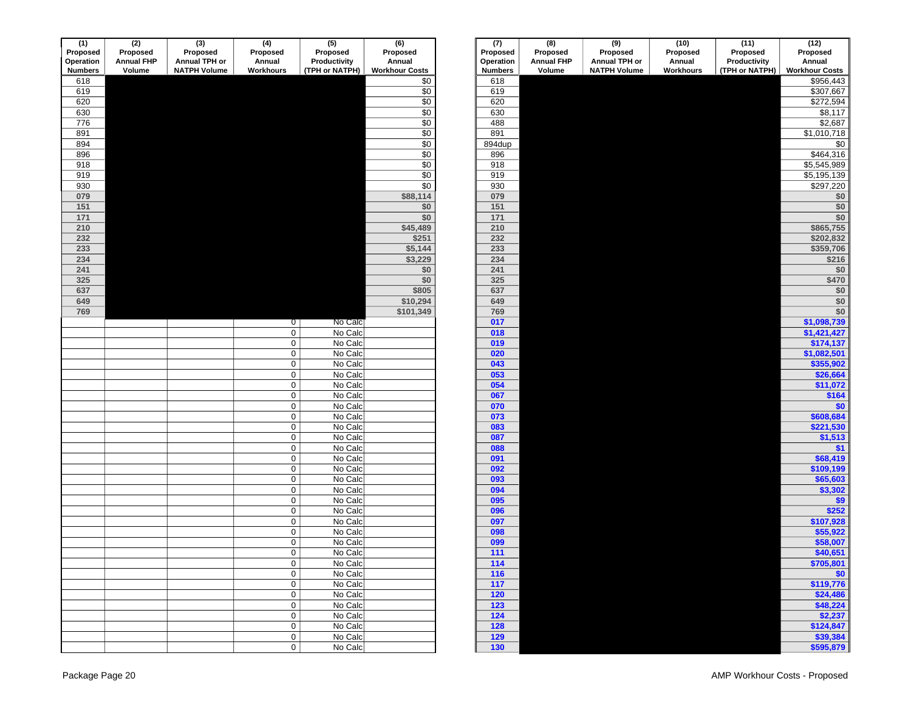| (1)            | $\overline{(2)}$  | (3)                 | (4)                 | (5)            | (6)                   | (7)              | (8)               | $\overline{(9)}$    | (10)                | (11)           | (12)                            |
|----------------|-------------------|---------------------|---------------------|----------------|-----------------------|------------------|-------------------|---------------------|---------------------|----------------|---------------------------------|
| Proposed       | Proposed          | Proposed            | Proposed            | Proposed       | Proposed              | Proposed         | Proposed          | Proposed            | Proposed            | Proposed       | Proposed                        |
| Operation      | <b>Annual FHP</b> | Annual TPH or       | Annual              | Productivity   | Annual                | Operation        | <b>Annual FHP</b> | Annual TPH or       | Annual<br>Workhours | Productivity   | Annual<br><b>Workhour Costs</b> |
| <b>Numbers</b> | Volume            | <b>NATPH Volume</b> | Workhours           | (TPH or NATPH) | <b>Workhour Costs</b> | <b>Numbers</b>   | Volume            | <b>NATPH Volume</b> |                     | (TPH or NATPH) |                                 |
| 618            |                   |                     |                     |                | \$0                   | 618              |                   |                     |                     |                | \$956,44                        |
| 619            |                   |                     |                     |                | $\overline{50}$       | 619              |                   |                     |                     |                | \$307,667                       |
| 620            |                   |                     |                     |                | \$0                   | 620              |                   |                     |                     |                | \$272,594                       |
| 630            |                   |                     |                     |                | $\overline{60}$       | 630              |                   |                     |                     |                | \$8,11                          |
| 776            |                   |                     |                     |                | $\overline{30}$       | 488              |                   |                     |                     |                | \$2,68                          |
| 891            |                   |                     |                     |                | $\sqrt{6}$            | 891              |                   |                     |                     |                | \$1,010,718                     |
| 894            |                   |                     |                     |                | $\overline{30}$       | 894dup           |                   |                     |                     |                | \$                              |
| 896            |                   |                     |                     |                | $\overline{50}$       | 896              |                   |                     |                     |                | \$464,31                        |
| 918            |                   |                     |                     |                | $\sqrt{50}$           | 918              |                   |                     |                     |                | \$5,545,989                     |
| 919            |                   |                     |                     |                | \$0                   | 919              |                   |                     |                     |                | \$5,195,139                     |
| 930            |                   |                     |                     |                | $\overline{50}$       | 930              |                   |                     |                     |                | \$297,220                       |
| 079            |                   |                     |                     |                | \$88,114              | 079              |                   |                     |                     |                | \$                              |
| 151            |                   |                     |                     |                | \$0                   | 151              |                   |                     |                     |                | \$                              |
| 171            |                   |                     |                     |                | \$0                   | 171              |                   |                     |                     |                | \$                              |
| 210            |                   |                     |                     |                | \$45,489              | 210              |                   |                     |                     |                | \$865,75                        |
| 232            |                   |                     |                     |                | \$251                 | 232              |                   |                     |                     |                | \$202,83                        |
| 233            |                   |                     |                     |                | \$5,144               | 233              |                   |                     |                     |                | \$359,70                        |
| 234            |                   |                     |                     |                | \$3,229               | 234              |                   |                     |                     |                | \$21                            |
| 241            |                   |                     |                     |                | \$0                   | 241              |                   |                     |                     |                | \$                              |
| 325            |                   |                     |                     |                | \$0                   | 325              |                   |                     |                     |                | \$47                            |
| 637            |                   |                     |                     |                | \$805                 | 637              |                   |                     |                     |                | \$                              |
| 649            |                   |                     |                     |                | \$10,294              | 649              |                   |                     |                     |                | \$                              |
| 769            |                   |                     |                     |                | \$101,349             | 769              |                   |                     |                     |                | $$^{(1)}$                       |
|                |                   |                     | $\overline{0}$      | No Calc        |                       | 017              |                   |                     |                     |                | \$1,098,73                      |
|                |                   |                     | $\mathbf 0$         | No Calc        |                       | 018              |                   |                     |                     |                | \$1,421,427                     |
|                |                   |                     | $\mathbf 0$         | No Calc        |                       | 019              |                   |                     |                     |                | \$174,13                        |
|                |                   |                     | $\mathbf 0$         | No Calc        |                       | 020              |                   |                     |                     |                | \$1,082,50                      |
|                |                   |                     | $\mathsf{O}\xspace$ | No Calc        |                       | 043              |                   |                     |                     |                | \$355,90                        |
|                |                   |                     | $\mathbf 0$         | No Calc        |                       | 053              |                   |                     |                     |                | \$26,66                         |
|                |                   |                     | $\mathsf{O}\xspace$ | No Calc        |                       | 054              |                   |                     |                     |                | \$11,07                         |
|                |                   |                     | $\mathsf{O}\xspace$ | No Calc        |                       | 067              |                   |                     |                     |                | \$16                            |
|                |                   |                     | $\mathsf{O}\xspace$ | No Calc        |                       | 070              |                   |                     |                     |                | $$^{(1)}$                       |
|                |                   |                     | $\mathbf 0$         | No Calc        |                       | 073              |                   |                     |                     |                | \$608,684                       |
|                |                   |                     | $\mathsf{O}\xspace$ | No Calc        |                       | 083              |                   |                     |                     |                | \$221,53                        |
|                |                   |                     | $\mathsf{O}\xspace$ | No Calc        |                       | 087              |                   |                     |                     |                | \$1,51                          |
|                |                   |                     | $\mathsf{O}\xspace$ | No Calc        |                       | 088              |                   |                     |                     |                | $\mathbf{S}$                    |
|                |                   |                     | $\mathsf{O}\xspace$ | No Calc        |                       | 091              |                   |                     |                     |                | \$68,419                        |
|                |                   |                     | $\mathbf 0$         | No Calc        |                       | 092              |                   |                     |                     |                | \$109,19                        |
|                |                   |                     | $\mathsf{O}\xspace$ | No Calc        |                       | 093              |                   |                     |                     |                | \$65,60                         |
|                |                   |                     | $\mathbf 0$         | No Calc        |                       | 094              |                   |                     |                     |                | \$3,30                          |
|                |                   |                     | $\mathbf 0$         | No Calc        |                       | 095              |                   |                     |                     |                | \$                              |
|                |                   |                     | $\mathbf 0$         | No Calc        |                       | 096              |                   |                     |                     |                | \$25                            |
|                |                   |                     | $\mathsf{O}\xspace$ | No Calc        |                       | 097              |                   |                     |                     |                | \$107,928                       |
|                |                   |                     | $\mathbf 0$         | No Calc        |                       | 098              |                   |                     |                     |                | \$55,92                         |
|                |                   |                     | $\mathbf 0$         | No Calc        |                       | 099              |                   |                     |                     |                | \$58,007                        |
|                |                   |                     | $\overline{0}$      | No Calc        |                       | $\overline{111}$ |                   |                     |                     |                | \$40,65                         |
|                |                   |                     | $\mathbf 0$         | No Calc        |                       | 114              |                   |                     |                     |                | \$705,80                        |
|                |                   |                     | $\mathbf 0$         | No Calc        |                       | $116$            |                   |                     |                     |                | $$^{(1)}$                       |
|                |                   |                     | $\mathbf 0$         | No Calc        |                       | 117              |                   |                     |                     |                | \$119,77                        |
|                |                   |                     | $\mathbf 0$         | No Calc        |                       | 120              |                   |                     |                     |                | \$24,480                        |
|                |                   |                     | $\mathbf 0$         | No Calc        |                       | $\overline{123}$ |                   |                     |                     |                | \$48,224                        |
|                |                   |                     | $\mathbf 0$         | No Calc        |                       | $\overline{124}$ |                   |                     |                     |                | \$2,23                          |
|                |                   |                     | $\mathbf 0$         | No Calc        |                       | 128              |                   |                     |                     |                | \$124,84                        |
|                |                   |                     | $\overline{0}$      | No Calc        |                       | $\overline{129}$ |                   |                     |                     |                | \$39,384                        |
|                |                   |                     | $\overline{0}$      | No Calc        |                       | 130              |                   |                     |                     |                | \$595,87                        |

|                         | (2)               | $\overline{3}$      | (4)                 | (5)            | (6)                   | (7)              | $\overline{(\mathbf{8})}$ | $\overline{(9)}$    | (10)             | (11)           | (12)                  |
|-------------------------|-------------------|---------------------|---------------------|----------------|-----------------------|------------------|---------------------------|---------------------|------------------|----------------|-----------------------|
| osed                    | Proposed          | Proposed            | Proposed            | Proposed       | Proposed              | Proposed         | Proposed                  | Proposed            | Proposed         | Proposed       | Proposed              |
| tion                    | <b>Annual FHP</b> | Annual TPH or       | Annual              | Productivity   | Annual                | Operation        | <b>Annual FHP</b>         | Annual TPH or       | Annual           | Productivity   | Annual                |
| ders                    | Volume            | <b>NATPH Volume</b> | Workhours           | (TPH or NATPH) | <b>Workhour Costs</b> | <b>Numbers</b>   | Volume                    | <b>NATPH Volume</b> | <b>Workhours</b> | (TPH or NATPH) | <b>Workhour Costs</b> |
| 8                       |                   |                     |                     |                | $\overline{60}$       | 618              |                           |                     |                  |                | \$956,443             |
| 9                       |                   |                     |                     |                | $\overline{50}$       | 619              |                           |                     |                  |                | \$307,667             |
| 0                       |                   |                     |                     |                | $\sqrt{6}$            | 620              |                           |                     |                  |                | \$272,594             |
| 0                       |                   |                     |                     |                | $\overline{50}$       | 630              |                           |                     |                  |                | \$8,117               |
| 6                       |                   |                     |                     |                | $\overline{50}$       | 488              |                           |                     |                  |                | \$2,687               |
| 1                       |                   |                     |                     |                | $\sqrt{6}$            | 891              |                           |                     |                  |                | \$1,010,718           |
| $\frac{4}{6}$           |                   |                     |                     |                | \$0                   | 894dup           |                           |                     |                  |                | \$0                   |
|                         |                   |                     |                     |                | \$0                   | 896              |                           |                     |                  |                | \$464,316             |
| 8                       |                   |                     |                     |                | $\overline{60}$       | 918              |                           |                     |                  |                | \$5,545,989           |
| $\overline{9}$          |                   |                     |                     |                | \$0                   | 919              |                           |                     |                  |                | \$5,195,139           |
| $\overline{0}$          |                   |                     |                     |                | $\overline{50}$       | 930              |                           |                     |                  |                | \$297,220             |
| 9                       |                   |                     |                     |                | \$88,114              | 079              |                           |                     |                  |                | \$0                   |
| $\overline{1}$          |                   |                     |                     |                | \$0                   | 151              |                           |                     |                  |                | $$0$                  |
| $\mathbf{1}$            |                   |                     |                     |                | \$0                   | $171$            |                           |                     |                  |                | \$0                   |
| $\overline{\mathbf{0}}$ |                   |                     |                     |                | \$45,489              | 210              |                           |                     |                  |                | \$865,755             |
|                         |                   |                     |                     |                | \$251                 | 232              |                           |                     |                  |                | \$202,832             |
| $\frac{2}{3}$           |                   |                     |                     |                | \$5,144               | 233              |                           |                     |                  |                | \$359,706             |
|                         |                   |                     |                     |                | \$3,229               | 234              |                           |                     |                  |                | \$216                 |
| $\overline{1}$          |                   |                     |                     |                | \$0                   | 241              |                           |                     |                  |                | \$0                   |
|                         |                   |                     |                     |                | \$0                   | 325              |                           |                     |                  |                | \$470                 |
| $\frac{5}{7}$           |                   |                     |                     |                | \$805                 | 637              |                           |                     |                  |                | \$0                   |
| 9                       |                   |                     |                     |                | \$10,294              | 649              |                           |                     |                  |                | \$0                   |
| 9                       |                   |                     |                     |                | \$101,349             | 769              |                           |                     |                  |                | \$0                   |
|                         |                   |                     | $\overline{0}$      | No Calc        |                       | 017              |                           |                     |                  |                | \$1,098,739           |
|                         |                   |                     | $\mathbf 0$         | No Calc        |                       | 018              |                           |                     |                  |                | \$1,421,427           |
|                         |                   |                     | $\mathsf{O}$        | No Calc        |                       | 019              |                           |                     |                  |                | \$174,137             |
|                         |                   |                     | $\mathsf{O}$        | No Calc        |                       | 020              |                           |                     |                  |                | \$1,082,501           |
|                         |                   |                     | $\mathsf{O}$        | No Calc        |                       | 043              |                           |                     |                  |                | \$355,902             |
|                         |                   |                     | $\mathsf{O}\xspace$ | No Calc        |                       | 053              |                           |                     |                  |                | \$26,664              |
|                         |                   |                     | $\mathbf 0$         | No Calc        |                       | 054              |                           |                     |                  |                | \$11,072              |
|                         |                   |                     | $\mathbf 0$         | No Calc        |                       | 067              |                           |                     |                  |                | \$164                 |
|                         |                   |                     | $\mathbf 0$         | No Calc        |                       | 070              |                           |                     |                  |                | \$0                   |
|                         |                   |                     | $\mathbf 0$         | No Calc        |                       | 073              |                           |                     |                  |                | \$608,684             |
|                         |                   |                     | $\mathsf{O}\xspace$ | No Calc        |                       | 083              |                           |                     |                  |                | \$221,530             |
|                         |                   |                     | $\mathsf{O}\xspace$ | No Calc        |                       | 087              |                           |                     |                  |                | \$1,513               |
|                         |                   |                     | $\mathsf{O}\xspace$ | No Calc        |                       | 088              |                           |                     |                  |                | \$1                   |
|                         |                   |                     | $\mathsf{O}\xspace$ | No Calc        |                       | 091              |                           |                     |                  |                | \$68,419              |
|                         |                   |                     | $\mathbf 0$         | No Calc        |                       | 092              |                           |                     |                  |                | \$109,199             |
|                         |                   |                     | $\mathsf{O}\xspace$ | No Calc        |                       | 093              |                           |                     |                  |                | \$65,603              |
|                         |                   |                     | $\mathsf{O}\xspace$ | No Calc        |                       | 094              |                           |                     |                  |                | \$3,302               |
|                         |                   |                     | $\mathbf 0$         | No Calc        |                       | 095              |                           |                     |                  |                | \$9                   |
|                         |                   |                     | $\mathsf{O}\xspace$ | No Calc        |                       | 096              |                           |                     |                  |                | \$252                 |
|                         |                   |                     | $\mathsf 0$         | No Calc        |                       | 097              |                           |                     |                  |                | \$107,928             |
|                         |                   |                     | $\mathsf 0$         | No Calc        |                       | 098              |                           |                     |                  |                | \$55,922              |
|                         |                   |                     | $\mathbf 0$         | No Calc        |                       | 099              |                           |                     |                  |                | \$58,007              |
|                         |                   |                     | $\mathbf{O}$        | No Calc        |                       | $\overline{111}$ |                           |                     |                  |                | \$40,651              |
|                         |                   |                     | $\mathbf 0$         | No Calc        |                       | 114              |                           |                     |                  |                | \$705,801             |
|                         |                   |                     | $\mathbf 0$         | No Calc        |                       | $116$            |                           |                     |                  |                | \$0                   |
|                         |                   |                     | $\mathbf 0$         | No Calc        |                       | $\overline{117}$ |                           |                     |                  |                | \$119,776             |
|                         |                   |                     |                     |                |                       | $\boxed{120}$    |                           |                     |                  |                | \$24,486              |
|                         |                   |                     | $\mathbf 0$         | No Calc        |                       | $123$            |                           |                     |                  |                |                       |
|                         |                   |                     | $\mathbf 0$         | No Calc        |                       |                  |                           |                     |                  |                | \$48,224              |
|                         |                   |                     | $\mathbf 0$         | No Calc        |                       | $124$<br>128     |                           |                     |                  |                | \$2,237               |
|                         |                   |                     | $\mathbf 0$         | No Calc        |                       |                  |                           |                     |                  |                | \$124,847             |
|                         |                   |                     | $\circ$             | No Calc        |                       | 129              |                           |                     |                  |                | \$39,384              |
|                         |                   |                     | $\overline{0}$      | No Calc        |                       | 130              |                           |                     |                  |                | \$595,879             |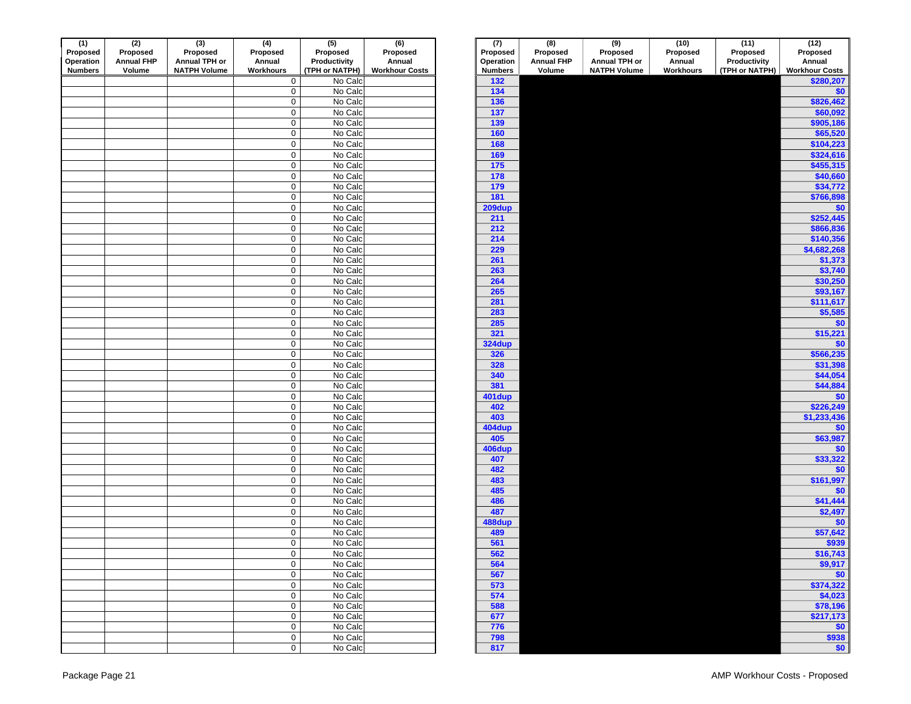| (1)<br>Proposed | (2)<br>Proposed   | (3)<br>Proposed     | (4)<br>Proposed     | $\overline{(5)}$<br>Proposed | (6)<br>Proposed       | (7)<br>Proposed | (8)<br>Proposed   | (9)<br>Proposed     | (10)<br>Proposed | (11)<br>Proposed | (12)<br>Proposed      |
|-----------------|-------------------|---------------------|---------------------|------------------------------|-----------------------|-----------------|-------------------|---------------------|------------------|------------------|-----------------------|
| Operation       | <b>Annual FHP</b> | Annual TPH or       | Annual              | Productivity                 | Annual                | Operation       | <b>Annual FHP</b> | Annual TPH or       | Annual           | Productivity     | Annual                |
| <b>Numbers</b>  | Volume            | <b>NATPH Volume</b> | Workhours           | (TPH or NATPH)               | <b>Workhour Costs</b> | <b>Numbers</b>  | Volume            | <b>NATPH Volume</b> | Workhours        | (TPH or NATPH)   | <b>Workhour Costs</b> |
|                 |                   |                     | 0                   | No Calc                      |                       | 132             |                   |                     |                  |                  | \$280,20              |
|                 |                   |                     | $\mathbf 0$         | No Calc                      |                       | 134             |                   |                     |                  |                  | $$^{(1)}$             |
|                 |                   |                     | $\mathbf 0$         | No Calc                      |                       | 136             |                   |                     |                  |                  | \$826,46              |
|                 |                   |                     | $\mathbf 0$         | No Calc                      |                       | 137             |                   |                     |                  |                  | \$60,09               |
|                 |                   |                     | $\mathsf{O}$        | No Calc                      |                       | 139             |                   |                     |                  |                  | \$905,18              |
|                 |                   |                     | $\mathbf 0$         | No Calc                      |                       | 160             |                   |                     |                  |                  | \$65,520              |
|                 |                   |                     | $\mathbf 0$         | No Calc                      |                       | 168             |                   |                     |                  |                  | \$104,22              |
|                 |                   |                     | $\mathbf 0$         | No Calc                      |                       | 169             |                   |                     |                  |                  | \$324,61              |
|                 |                   |                     | $\mathbf 0$         | No Calc                      |                       | 175             |                   |                     |                  |                  | \$455,31              |
|                 |                   |                     | $\mathbf 0$         | No Calc                      |                       | 178             |                   |                     |                  |                  | \$40,660              |
|                 |                   |                     | $\mathsf{O}$        | No Calc                      |                       | 179             |                   |                     |                  |                  | \$34,77               |
|                 |                   |                     | $\mathbf 0$         | No Calc                      |                       | 181             |                   |                     |                  |                  | \$766,898             |
|                 |                   |                     | $\mathsf{O}$        | No Calc                      |                       | 209dup          |                   |                     |                  |                  | $$^{(1)}$             |
|                 |                   |                     | $\mathbf 0$         | No Calc                      |                       | 211             |                   |                     |                  |                  | \$252,44              |
|                 |                   |                     | $\mathbf 0$         | No Calc                      |                       | 212             |                   |                     |                  |                  | \$866,83              |
|                 |                   |                     | $\mathbf 0$         | No Calc                      |                       | 214             |                   |                     |                  |                  | \$140,35              |
|                 |                   |                     | $\mathbf 0$         | No Calc                      |                       | 229             |                   |                     |                  |                  | \$4,682,26            |
|                 |                   |                     | $\mathbf 0$         | No Calc                      |                       | 261             |                   |                     |                  |                  | \$1,37                |
|                 |                   |                     | $\pmb{0}$           | No Calc                      |                       | 263             |                   |                     |                  |                  | \$3,74                |
|                 |                   |                     | $\pmb{0}$           | No Calc                      |                       | 264             |                   |                     |                  |                  | \$30,25               |
|                 |                   |                     | $\mathbf 0$         | No Calc                      |                       | 265             |                   |                     |                  |                  | \$93,16               |
|                 |                   |                     | $\mathbf 0$         | No Calc                      |                       | 281             |                   |                     |                  |                  | \$111,61              |
|                 |                   |                     | $\mathbf 0$         | No Calc                      |                       | 283             |                   |                     |                  |                  | \$5,58                |
|                 |                   |                     | $\mathsf{O}$        | No Calc                      |                       | 285<br>321      |                   |                     |                  |                  | $$^{(1)}$             |
|                 |                   |                     | $\mathbf 0$<br>0    | No Calc<br>No Calc           |                       | 324dup          |                   |                     |                  |                  | \$15,22<br>\$         |
|                 |                   |                     | $\mathbf 0$         | No Calc                      |                       | 326             |                   |                     |                  |                  | \$566,23              |
|                 |                   |                     | $\mathsf{O}$        | No Calc                      |                       | 328             |                   |                     |                  |                  | \$31,398              |
|                 |                   |                     | $\mathbf 0$         | No Calc                      |                       | 340             |                   |                     |                  |                  | \$44,05               |
|                 |                   |                     | $\mathbf 0$         | No Calc                      |                       | 381             |                   |                     |                  |                  | \$44,88               |
|                 |                   |                     | $\mathbf 0$         | No Calc                      |                       | 401dup          |                   |                     |                  |                  | \$ <sub>1</sub>       |
|                 |                   |                     | $\mathsf{O}$        | No Calc                      |                       | 402             |                   |                     |                  |                  | \$226,249             |
|                 |                   |                     | $\mathbf 0$         | No Calc                      |                       | 403             |                   |                     |                  |                  | \$1,233,43            |
|                 |                   |                     | $\mathsf{O}$        | No Calc                      |                       | 404dup          |                   |                     |                  |                  | $$^{(1)}$$            |
|                 |                   |                     | $\mathbf 0$         | No Calc                      |                       | 405             |                   |                     |                  |                  | \$63,987              |
|                 |                   |                     | 0                   | No Calc                      |                       | 406dup          |                   |                     |                  |                  | \$                    |
|                 |                   |                     | $\mathsf{O}\xspace$ | No Calc                      |                       | 407             |                   |                     |                  |                  | \$33,32               |
|                 |                   |                     | $\mathsf{O}\xspace$ | No Calc                      |                       | 482             |                   |                     |                  |                  | \$ <sub>1</sub>       |
|                 |                   |                     | $\mathbf 0$         | No Calc                      |                       | 483             |                   |                     |                  |                  | \$161,997             |
|                 |                   |                     | $\mathsf 0$         | No Calc                      |                       | 485             |                   |                     |                  |                  | \$ <sub>0</sub>       |
|                 |                   |                     | 0                   | No Calc                      |                       | 486             |                   |                     |                  |                  | \$41,44               |
|                 |                   |                     | $\boldsymbol{0}$    | No Calc                      |                       | 487             |                   |                     |                  |                  | \$2,49                |
|                 |                   |                     | 0                   | No Calc                      |                       | 488dup          |                   |                     |                  |                  | $$^{(1)}$             |
|                 |                   |                     | 0<br>0              | No Calc<br>No Calc           |                       | 489<br>561      |                   |                     |                  |                  | \$57,642              |
|                 |                   |                     | 0                   | No Calc                      |                       | 562             |                   |                     |                  |                  | \$93<br>\$16,74       |
|                 |                   |                     | $\mathsf{O}$        | No Calc                      |                       | 564             |                   |                     |                  |                  | \$9,91                |
|                 |                   |                     | $\mathbf 0$         | No Calc                      |                       | 567             |                   |                     |                  |                  | \$ <sub>6</sub>       |
|                 |                   |                     | $\mathbf 0$         | No Calc                      |                       | 573             |                   |                     |                  |                  | \$374,32              |
|                 |                   |                     | $\mathsf{O}\xspace$ | No Calc                      |                       | 574             |                   |                     |                  |                  | \$4,02                |
|                 |                   |                     | $\mathbf 0$         | No Calc                      |                       | 588             |                   |                     |                  |                  | \$78,19               |
|                 |                   |                     | $\mathbf 0$         | No Calc                      |                       | 677             |                   |                     |                  |                  | \$217,17              |
|                 |                   |                     | $\overline{0}$      | No Calc                      |                       | 776             |                   |                     |                  |                  | $\frac{1}{2}$         |
|                 |                   |                     | $\mathbf 0$         | No Calc                      |                       | 798             |                   |                     |                  |                  | \$938                 |
|                 |                   |                     | $\circ$             | No Calc                      |                       | 817             |                   |                     |                  |                  | \$ <sub>5</sub>       |

|                     | (5)<br>Proposed<br>Productivity | (6)<br>Proposed<br>Annual | (7)<br>Proposed<br>Operation | (8)<br>Proposed<br><b>Annual FHP</b> | (9)<br>Proposed<br>Annual TPH or | (10)<br>Proposed<br>Annual | (11)<br>Proposed<br>Productivity | (12)<br>Proposed<br>Annual |
|---------------------|---------------------------------|---------------------------|------------------------------|--------------------------------------|----------------------------------|----------------------------|----------------------------------|----------------------------|
|                     | (TPH or NATPH)                  | <b>Workhour Costs</b>     | <b>Numbers</b>               | Volume                               | <b>NATPH Volume</b>              | <b>Workhours</b>           | (TPH or NATPH)                   | <b>Workhour Costs</b>      |
| 0                   | No Calc                         |                           | 132                          |                                      |                                  |                            |                                  | \$280,207                  |
| $\overline{0}$      | No Calc                         |                           | 134                          |                                      |                                  |                            |                                  | \$0                        |
| $\overline{0}$      | No Calc                         |                           | 136                          |                                      |                                  |                            |                                  | \$826,462                  |
| 0                   | No Calc                         |                           | 137                          |                                      |                                  |                            |                                  | \$60,092                   |
| $\overline{0}$      | No Calc                         |                           | 139                          |                                      |                                  |                            |                                  | \$905,186                  |
| 0                   | No Calc                         |                           | 160                          |                                      |                                  |                            |                                  | \$65,520                   |
| 0                   | No Calc                         |                           | 168                          |                                      |                                  |                            |                                  | \$104,223                  |
| $\overline{0}$      | No Calc                         |                           | 169                          |                                      |                                  |                            |                                  | \$324,616                  |
| $\overline{0}$      | No Calc                         |                           | 175                          |                                      |                                  |                            |                                  | \$455,315                  |
| 0                   | No Calc                         |                           | 178                          |                                      |                                  |                            |                                  | \$40,660                   |
| 0                   | No Calc                         |                           | 179                          |                                      |                                  |                            |                                  | \$34,772                   |
| 0                   | No Calc                         |                           | 181                          |                                      |                                  |                            |                                  | \$766,898                  |
| 0                   | No Calc                         |                           | $209$ dup                    |                                      |                                  |                            |                                  | \$0                        |
| 0                   | No Calc                         |                           | 211                          |                                      |                                  |                            |                                  | \$252,445                  |
| 0                   | No Calc                         |                           | 212                          |                                      |                                  |                            |                                  | \$866,836                  |
| $\overline{0}$      | No Calc                         |                           | 214                          |                                      |                                  |                            |                                  | \$140,356                  |
| $\overline{0}$      | No Calc                         |                           | 229                          |                                      |                                  |                            |                                  | \$4,682,268                |
| $\overline{0}$      | No Calc                         |                           | 261                          |                                      |                                  |                            |                                  | \$1,373                    |
| $\overline{0}$      | No Calc                         |                           | 263                          |                                      |                                  |                            |                                  | \$3,740                    |
| $\overline{0}$      | No Calc                         |                           | 264                          |                                      |                                  |                            |                                  | \$30,250                   |
| $\overline{0}$      | No Calc                         |                           | 265                          |                                      |                                  |                            |                                  | \$93,167                   |
| 0                   | No Calc                         |                           | 281                          |                                      |                                  |                            |                                  | \$111,617                  |
| 0                   | No Calc                         |                           | 283                          |                                      |                                  |                            |                                  | \$5,585                    |
| 0                   | No Calc                         |                           | 285                          |                                      |                                  |                            |                                  | \$0                        |
| 0                   | No Calc                         |                           | 321                          |                                      |                                  |                            |                                  | \$15,221                   |
| 0                   | No Calc                         |                           | <b>324dup</b>                |                                      |                                  |                            |                                  | \$0                        |
| 0                   | No Calc                         |                           | 326                          |                                      |                                  |                            |                                  | \$566,235                  |
| 0                   | No Calc                         |                           | 328                          |                                      |                                  |                            |                                  | \$31,398                   |
| 0                   | No Calc                         |                           | 340                          |                                      |                                  |                            |                                  | \$44,054                   |
| $\overline{0}$      | No Calc                         |                           | 381                          |                                      |                                  |                            |                                  | \$44,884                   |
| 0                   | No Calc                         |                           | 401dup                       |                                      |                                  |                            |                                  | \$0                        |
| 0                   | No Calc                         |                           | 402                          |                                      |                                  |                            |                                  | \$226,249                  |
| 0                   | No Calc                         |                           | 403                          |                                      |                                  |                            |                                  | \$1,233,436                |
| 0                   | No Calc                         |                           | 404dup                       |                                      |                                  |                            |                                  | \$0                        |
| 0                   | No Calc                         |                           | 405                          |                                      |                                  |                            |                                  | \$63,987                   |
| 0                   | No Calc                         |                           | 406dup                       |                                      |                                  |                            |                                  | \$0                        |
| 0                   | No Calc                         |                           | 407                          |                                      |                                  |                            |                                  | \$33,322                   |
| 0                   | No Calc                         |                           | 482                          |                                      |                                  |                            |                                  | \$0                        |
| 0                   | No Calc                         |                           | 483                          |                                      |                                  |                            |                                  | \$161,997                  |
| 0                   | No Calc                         |                           | 485                          |                                      |                                  |                            |                                  | \$0<br>\$41,444            |
| $\overline{0}$<br>0 | No Calc<br>No Calc              |                           | 486<br>487                   |                                      |                                  |                            |                                  |                            |
| 0                   | No Calc                         |                           | 488dup                       |                                      |                                  |                            |                                  | \$2,497                    |
| 0                   | No Calc                         |                           | 489                          |                                      |                                  |                            |                                  | \$0                        |
| 0                   | No Calc                         |                           | 561                          |                                      |                                  |                            |                                  | \$57,642<br>\$939          |
|                     |                                 |                           | 562                          |                                      |                                  |                            |                                  | \$16,743                   |
| 0                   | No Calc                         |                           | 564                          |                                      |                                  |                            |                                  |                            |
|                     | No Calc<br>No Calc              |                           | 567                          |                                      |                                  |                            |                                  | \$9,917<br>\$0             |
| $\frac{1}{10}$      | No Calc                         |                           | 573                          |                                      |                                  |                            |                                  | \$374,322                  |
|                     | No Calc                         |                           | 574                          |                                      |                                  |                            |                                  | \$4,023                    |
|                     | No Calc                         |                           | 588                          |                                      |                                  |                            |                                  | \$78,196                   |
| $\frac{0}{0}$       | No Calc                         |                           | 677                          |                                      |                                  |                            |                                  | \$217,173                  |
|                     | No Calc                         |                           | 776                          |                                      |                                  |                            |                                  | \$0                        |
|                     | No Calc                         |                           | 798                          |                                      |                                  |                            |                                  | \$938                      |
| $\frac{0}{0}$       | No Calc                         |                           | 817                          |                                      |                                  |                            |                                  | \$0                        |
|                     |                                 |                           |                              |                                      |                                  |                            |                                  |                            |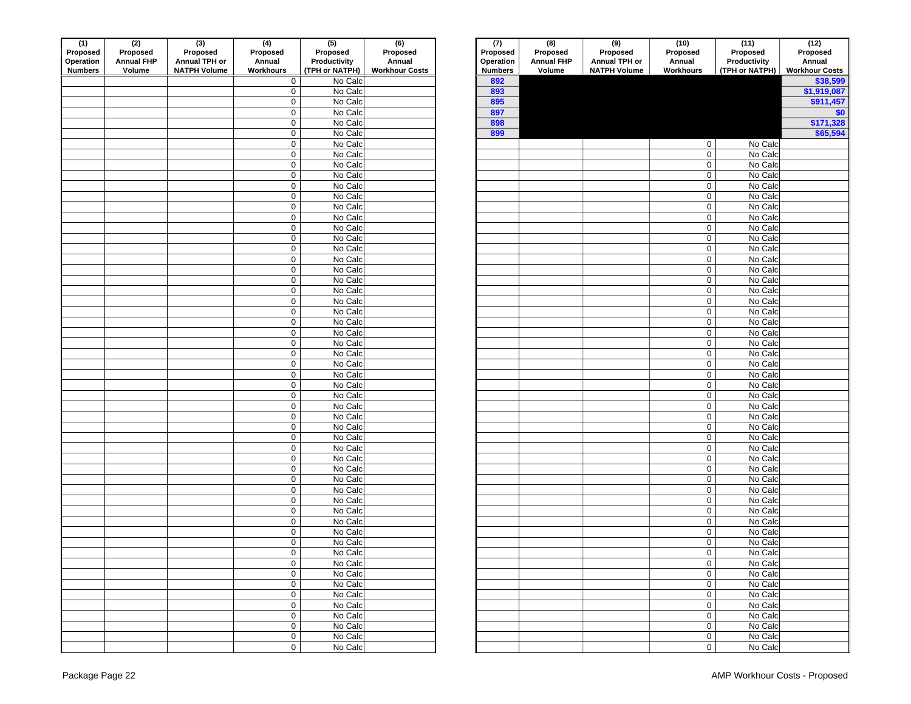| (1)<br>Proposed<br>Operation | (2)<br>Proposed<br><b>Annual FHP</b> | (3)<br>Proposed<br>Annual TPH or | $\overline{(4)}$<br>Proposed<br>Annual | $\overline{(5)}$<br>Proposed<br>Productivity | (6)<br>Proposed<br>Annual | (7)<br>Proposed<br>Operation | $\overline{(\mathbf{8})}$<br>Proposed<br><b>Annual FHP</b> | $\overline{(9)}$<br>Proposed<br>Annual TPH or | (10)<br>Proposed<br>Annual  | (11)<br>Proposed<br>Productivity | (12)<br>Proposed<br>Annual |
|------------------------------|--------------------------------------|----------------------------------|----------------------------------------|----------------------------------------------|---------------------------|------------------------------|------------------------------------------------------------|-----------------------------------------------|-----------------------------|----------------------------------|----------------------------|
| <b>Numbers</b>               | Volume                               | <b>NATPH Volume</b>              | Workhours                              | (TPH or NATPH)                               | <b>Workhour Costs</b>     | <b>Numbers</b>               | Volume                                                     | <b>NATPH Volume</b>                           | Workhours                   | (TPH or NATPH)                   | <b>Workhour Co</b>         |
|                              |                                      |                                  | $\mathbf 0$                            | No Calc                                      |                           | 892                          |                                                            |                                               |                             |                                  | \$38,                      |
|                              |                                      |                                  | $\mathbf 0$                            | No Calc                                      |                           | 893                          |                                                            |                                               |                             |                                  | \$1,919                    |
|                              |                                      |                                  | $\mathsf{O}\xspace$                    | No Calc                                      |                           | 895                          |                                                            |                                               |                             |                                  | \$911,                     |
|                              |                                      |                                  | $\pmb{0}$                              | No Calc                                      |                           | 897                          |                                                            |                                               |                             |                                  |                            |
|                              |                                      |                                  | $\pmb{0}$                              | No Calc                                      |                           | 898                          |                                                            |                                               |                             |                                  | \$171,                     |
|                              |                                      |                                  | $\mathbf 0$                            | No Calc                                      |                           | 899                          |                                                            |                                               |                             |                                  | \$65,                      |
|                              |                                      |                                  | $\mathsf{O}\xspace$                    | No Calc                                      |                           |                              |                                                            |                                               | $\mathbf 0$                 | No Calc                          |                            |
|                              |                                      |                                  | $\mathbf 0$                            | No Calc                                      |                           |                              |                                                            |                                               | $\mathsf 0$                 | No Calc                          |                            |
|                              |                                      |                                  | $\mathbf 0$                            | No Calc                                      |                           |                              |                                                            |                                               | $\mathbf 0$                 | No Calc                          |                            |
|                              |                                      |                                  | $\mathbf 0$<br>$\mathbf 0$             | No Calc<br>No Calc                           |                           |                              |                                                            |                                               | $\mathsf 0$<br>$\mathsf 0$  | No Calc<br>No Calc               |                            |
|                              |                                      |                                  | $\mathbf 0$                            | No Calc                                      |                           |                              |                                                            |                                               | $\mathbf 0$                 | No Calc                          |                            |
|                              |                                      |                                  | $\mathsf{O}\xspace$                    | No Calc                                      |                           |                              |                                                            |                                               | $\mathsf{O}$                | No Calc                          |                            |
|                              |                                      |                                  | $\mathbf 0$                            | No Calc                                      |                           |                              |                                                            |                                               | $\mathbf 0$                 | No Calc                          |                            |
|                              |                                      |                                  | $\mathsf{O}\xspace$                    | No Calc                                      |                           |                              |                                                            |                                               | $\mathbf 0$                 | No Calc                          |                            |
|                              |                                      |                                  | $\mathbf 0$                            | No Calc                                      |                           |                              |                                                            |                                               | $\mathsf{O}$                | No Calc                          |                            |
|                              |                                      |                                  | $\mathsf{O}\xspace$                    | No Calc                                      |                           |                              |                                                            |                                               | $\mathsf{O}\xspace$         | No Calc                          |                            |
|                              |                                      |                                  | $\pmb{0}$                              | No Calc                                      |                           |                              |                                                            |                                               | $\mathsf{O}$                | No Calc                          |                            |
|                              |                                      |                                  | $\pmb{0}$                              | No Calc                                      |                           |                              |                                                            |                                               | $\mathsf{O}\xspace$         | No Calc                          |                            |
|                              |                                      |                                  | $\mathbf 0$                            | No Calc                                      |                           |                              |                                                            |                                               | $\mathsf{O}$                | No Calc                          |                            |
|                              |                                      |                                  | $\mathbf 0$                            | No Calc                                      |                           |                              |                                                            |                                               | $\mathbf 0$                 | No Calc                          |                            |
|                              |                                      |                                  | 0                                      | No Calc                                      |                           |                              |                                                            |                                               | 0                           | No Calc                          |                            |
|                              |                                      |                                  | $\pmb{0}$                              | No Calc                                      |                           |                              |                                                            |                                               | $\mathbf 0$                 | No Calc                          |                            |
|                              |                                      |                                  | $\mathbf 0$                            | No Calc                                      |                           |                              |                                                            |                                               | $\mathbf 0$                 | No Calc                          |                            |
|                              |                                      |                                  | $\pmb{0}$                              | No Calc                                      |                           |                              |                                                            |                                               | $\mathsf{O}$                | No Calc                          |                            |
|                              |                                      |                                  | $\mathsf{O}\xspace$                    | No Calc                                      |                           |                              |                                                            |                                               | 0                           | No Calc                          |                            |
|                              |                                      |                                  | $\pmb{0}$                              | No Calc                                      |                           |                              |                                                            |                                               | $\mathbf 0$                 | No Calc                          |                            |
|                              |                                      |                                  | 0                                      | No Calc                                      |                           |                              |                                                            |                                               | $\mathsf{O}$                | No Calc                          |                            |
|                              |                                      |                                  | $\pmb{0}$                              | No Calc                                      |                           |                              |                                                            |                                               | $\mathbf 0$                 | No Calc                          |                            |
|                              |                                      |                                  | $\mathsf{O}\xspace$                    | No Calc                                      |                           |                              |                                                            |                                               | $\mathbf 0$                 | No Calc                          |                            |
|                              |                                      |                                  | $\mathbf 0$                            | No Calc                                      |                           |                              |                                                            |                                               | $\mathsf 0$                 | No Calc                          |                            |
|                              |                                      |                                  | $\mathsf{O}\xspace$                    | No Calc                                      |                           |                              |                                                            |                                               | $\mathsf{O}\xspace$         | No Calc                          |                            |
|                              |                                      |                                  | $\mathbf 0$                            | No Calc                                      |                           |                              |                                                            |                                               | 0                           | No Calc                          |                            |
|                              |                                      |                                  | $\mathsf{O}\xspace$                    | No Calc                                      |                           |                              |                                                            |                                               | $\mathsf 0$                 | No Calc                          |                            |
|                              |                                      |                                  | $\mathbf 0$                            | No Calc                                      |                           |                              |                                                            |                                               | $\mathsf 0$                 | No Calc                          |                            |
|                              |                                      |                                  | $\mathbf 0$                            | No Calc                                      |                           |                              |                                                            |                                               | $\mathsf 0$                 | No Calc                          |                            |
|                              |                                      |                                  | $\mathsf{O}\xspace$                    | No Calc                                      |                           |                              |                                                            |                                               | $\mathbf 0$                 | No Calc                          |                            |
|                              |                                      |                                  | $\mathsf{O}\xspace$                    | No Calc                                      |                           |                              |                                                            |                                               | $\mathbf 0$                 | No Calc                          |                            |
|                              |                                      |                                  | $\mathbf 0$                            | No Calc                                      |                           |                              |                                                            |                                               | $\mathbf 0$                 | No Calc                          |                            |
|                              |                                      |                                  | $\mathsf{O}\xspace$                    | No Calc                                      |                           |                              |                                                            |                                               | $\mathsf{O}\xspace$         | No Calc                          |                            |
|                              |                                      |                                  | $\mathsf{O}\xspace$                    | No Calc                                      |                           |                              |                                                            |                                               | $\mathsf{O}$                | No Calc                          |                            |
|                              |                                      |                                  | $\mathbf 0$                            | No Calc                                      |                           |                              |                                                            |                                               | $\mathsf{O}\xspace$         | No Calc                          |                            |
|                              |                                      |                                  | $\mathsf{O}\xspace$                    | No Calc                                      |                           |                              |                                                            |                                               | $\mathsf{O}$<br>$\mathbf 0$ | No Calc                          |                            |
|                              |                                      |                                  | $\mathbf 0$<br>0                       | No Calc<br>No Calc                           |                           |                              |                                                            |                                               | $\mathbf 0$                 | No Calc<br>No Calc               |                            |
|                              |                                      |                                  |                                        | No Calc                                      |                           |                              |                                                            |                                               |                             | No Calc                          |                            |
|                              |                                      |                                  | 0<br>$\mathbf 0$                       | No Calc                                      |                           |                              |                                                            |                                               | $\mathbf 0$<br>$\mathbf 0$  | No Calc                          |                            |
|                              |                                      |                                  | $\mathbf 0$                            | No Calc                                      |                           |                              |                                                            |                                               | 0                           | No Calc                          |                            |
|                              |                                      |                                  | $\mathsf{O}\xspace$                    | No Calc                                      |                           |                              |                                                            |                                               | 0                           | No Calc                          |                            |
|                              |                                      |                                  | $\mathbf 0$                            | No Calc                                      |                           |                              |                                                            |                                               | 0                           | No Calc                          |                            |
|                              |                                      |                                  | $\mathbf 0$                            | No Calc                                      |                           |                              |                                                            |                                               | 0                           | No Calc                          |                            |
|                              |                                      |                                  | $\mathbf 0$                            | No Calc                                      |                           |                              |                                                            |                                               | $\mathbf 0$                 | No Calc                          |                            |
|                              |                                      |                                  | $\mathsf{O}\xspace$                    | No Calc                                      |                           |                              |                                                            |                                               | $\mathbf 0$                 | No Calc                          |                            |
|                              |                                      |                                  | $\mathbf 0$                            | No Calc                                      |                           |                              |                                                            |                                               | $\mathbf 0$                 | No Calc                          |                            |
|                              |                                      |                                  | $\overline{0}$                         | No Calc                                      |                           |                              |                                                            |                                               | $\bullet$                   | No Calc                          |                            |

| (1)                          | (2)                           | (3)                       | (4)                                        | (5)                      | (6)                   | (7)                   | (8)                           | $(9)$<br>Proposed   | (10)                               | (11)                     | $(12)$<br>Proposed    |
|------------------------------|-------------------------------|---------------------------|--------------------------------------------|--------------------------|-----------------------|-----------------------|-------------------------------|---------------------|------------------------------------|--------------------------|-----------------------|
| Proposed<br><b>Operation</b> | Proposed<br><b>Annual FHP</b> | Proposed<br>Annual TPH or | Proposed<br>Annual                         | Proposed<br>Productivity | Proposed<br>Annual    | Proposed<br>Operation | Proposed<br><b>Annual FHP</b> | Annual TPH or       | Proposed<br>Annual                 | Proposed<br>Productivity | Annual                |
| Numbers                      | Volume                        | <b>NATPH Volume</b>       | Workhours                                  | (TPH or NATPH)           | <b>Workhour Costs</b> | <b>Numbers</b>        | Volume                        | <b>NATPH Volume</b> | Workhours                          | (TPH or NATPH)           | <b>Workhour Costs</b> |
|                              |                               |                           | $\mathbf 0$                                | No Calc                  |                       | 892                   |                               |                     |                                    |                          | \$38,599              |
|                              |                               |                           | $\mathsf{O}\xspace$                        | No Calc                  |                       | 893                   |                               |                     |                                    |                          | \$1,919,087           |
|                              |                               |                           | $\mathsf{O}\xspace$                        | No Calc                  |                       | 895                   |                               |                     |                                    |                          | \$911,457             |
|                              |                               |                           | $\mathbf 0$                                | No Calc                  |                       | 897                   |                               |                     |                                    |                          | \$0                   |
|                              |                               |                           | $\mathbf 0$                                | No Calc                  |                       | 898                   |                               |                     |                                    |                          | \$171,328             |
|                              |                               |                           | $\mathbf 0$                                | No Calc                  |                       | 899                   |                               |                     |                                    |                          | \$65,594              |
|                              |                               |                           | $\mathbf 0$                                | No Calc                  |                       |                       |                               |                     | $\mathbf 0$                        | No Calc                  |                       |
|                              |                               |                           | $\mathbf 0$                                | No Calc                  |                       |                       |                               |                     | $\mathbf 0$                        | No Calc                  |                       |
|                              |                               |                           | $\mathbf 0$                                | No Calc                  |                       |                       |                               |                     | 0                                  | No Calc                  |                       |
|                              |                               |                           | $\mathbf 0$                                | No Calc                  |                       |                       |                               |                     | $\mathbf 0$                        | No Calc                  |                       |
|                              |                               |                           | $\mathsf{O}\xspace$                        | No Calc                  |                       |                       |                               |                     | $\mathsf{O}$                       | No Calc                  |                       |
|                              |                               |                           | $\mathsf{O}\xspace$                        | No Calc                  |                       |                       |                               |                     | $\mathbf 0$                        | No Calc                  |                       |
|                              |                               |                           | $\mathsf{O}\xspace$                        | No Calc                  |                       |                       |                               |                     | $\mathbf 0$                        | No Calc                  |                       |
|                              |                               |                           | $\mathsf{O}\xspace$                        | No Calc                  |                       |                       |                               |                     | $\mathbf 0$                        | No Calc                  |                       |
|                              |                               |                           | $\mathsf{O}\xspace$                        | No Calc                  |                       |                       |                               |                     | $\mathsf{O}\xspace$                | No Calc                  |                       |
|                              |                               |                           | $\mathsf{O}\xspace$                        | No Calc                  |                       |                       |                               |                     | $\mathbf 0$                        | No Calc                  |                       |
|                              |                               |                           | $\mathsf{O}\xspace$                        | No Calc<br>No Calc       |                       |                       |                               |                     | $\mathbf 0$                        | No Calc<br>No Calc       |                       |
|                              |                               |                           | $\mathbf 0$<br>$\mathsf{O}\xspace$         | No Calc                  |                       |                       |                               |                     | $\mathbf 0$<br>$\mathsf{O}\xspace$ | No Calc                  |                       |
|                              |                               |                           | $\mathsf{O}\xspace$                        | No Calc                  |                       |                       |                               |                     | $\mathbf 0$                        | No Calc                  |                       |
|                              |                               |                           | $\mathbf 0$                                | No Calc                  |                       |                       |                               |                     | $\mathbf 0$                        | No Calc                  |                       |
|                              |                               |                           | $\mathsf{O}\xspace$                        | No Calc                  |                       |                       |                               |                     | $\mathbf 0$                        | No Calc                  |                       |
|                              |                               |                           | $\mathbf 0$                                | No Calc                  |                       |                       |                               |                     | $\mathbf 0$                        | No Calc                  |                       |
|                              |                               |                           | $\mathsf{O}\xspace$                        | No Calc                  |                       |                       |                               |                     | $\mathbf 0$                        | No Calc                  |                       |
|                              |                               |                           | $\mathbf 0$                                | No Calc                  |                       |                       |                               |                     | $\mathbf 0$                        | No Calc                  |                       |
|                              |                               |                           | $\mathsf{O}\xspace$                        | No Calc                  |                       |                       |                               |                     | $\mathbf 0$                        | No Calc                  |                       |
|                              |                               |                           | $\mathsf{O}\xspace$                        | No Calc                  |                       |                       |                               |                     | $\mathbf 0$                        | No Calc                  |                       |
|                              |                               |                           | $\mathsf{O}\xspace$                        | No Calc                  |                       |                       |                               |                     | $\mathbf 0$                        | No Calc                  |                       |
|                              |                               |                           | $\mathbf 0$                                | No Calc                  |                       |                       |                               |                     | $\mathbf 0$                        | No Calc                  |                       |
|                              |                               |                           | $\mathbf 0$                                | No Calc                  |                       |                       |                               |                     | $\mathbf 0$                        | No Calc                  |                       |
|                              |                               |                           | $\mathsf{O}\xspace$                        | No Calc                  |                       |                       |                               |                     | 0                                  | No Calc                  |                       |
|                              |                               |                           | $\mathbf 0$                                | No Calc                  |                       |                       |                               |                     | 0                                  | No Calc                  |                       |
|                              |                               |                           | $\mathbf 0$                                | No Calc                  |                       |                       |                               |                     | $\mathbf 0$                        | No Calc                  |                       |
|                              |                               |                           | $\mathbf 0$                                | No Calc                  |                       |                       |                               |                     | $\mathbf 0$                        | No Calc                  |                       |
|                              |                               |                           | $\mathsf{O}\xspace$                        | No Calc                  |                       |                       |                               |                     | $\mathbf 0$                        | No Calc                  |                       |
|                              |                               |                           | $\mathsf{O}\xspace$                        | No Calc                  |                       |                       |                               |                     | $\mathsf{O}$                       | No Calc                  |                       |
|                              |                               |                           | $\mathsf{O}\xspace$                        | No Calc                  |                       |                       |                               |                     | $\mathbf 0$                        | No Calc                  |                       |
|                              |                               |                           | $\mathbf 0$                                | No Calc                  |                       |                       |                               |                     | $\mathbf 0$                        | No Calc                  |                       |
|                              |                               |                           | $\mathsf{O}\xspace$                        | No Calc                  |                       |                       |                               |                     | $\mathbf 0$                        | No Calc                  |                       |
|                              |                               |                           | $\mathsf{O}\xspace$                        | No Calc                  |                       |                       |                               |                     | $\mathsf{O}\xspace$                | No Calc                  |                       |
|                              |                               |                           | $\mathsf{O}\xspace$                        | No Calc                  |                       |                       |                               |                     | $\mathbf 0$                        | No Calc                  |                       |
|                              |                               |                           | $\mathsf{O}\xspace$                        | No Calc                  |                       |                       |                               |                     | $\mathbf 0$                        | No Calc                  |                       |
|                              |                               |                           | $\mathsf{O}\xspace$<br>$\mathsf{O}\xspace$ | No Calc<br>No Calc       |                       |                       |                               |                     | $\mathbf 0$                        | No Calc                  |                       |
|                              |                               |                           | $\mathsf{O}\xspace$                        | No Calc                  |                       |                       |                               |                     | $\mathbf 0$                        | No Calc                  |                       |
|                              |                               |                           | $\mathsf{O}\xspace$                        | No Calc                  |                       |                       |                               |                     | $\mathbf 0$<br>$\mathbf 0$         | No Calc<br>No Calc       |                       |
|                              |                               |                           | $\mathbf 0$                                | No Calc                  |                       |                       |                               |                     | $\mathbf 0$                        | No Calc                  |                       |
|                              |                               |                           | $\mathbf 0$                                | No Calc                  |                       |                       |                               |                     | $\mathbf 0$                        | No Calc                  |                       |
|                              |                               |                           | $\mathbf 0$                                | No Calc                  |                       |                       |                               |                     | $\mathbf 0$                        | No Calc                  |                       |
|                              |                               |                           | $\mathsf{O}\xspace$                        | No Calc                  |                       |                       |                               |                     | $\mathbf 0$                        | No Calc                  |                       |
|                              |                               |                           | $\overline{0}$                             | No Calc                  |                       |                       |                               |                     | $\mathbf 0$                        | No Calc                  |                       |
|                              |                               |                           | $\overline{0}$                             | No Calc                  |                       |                       |                               |                     | $\mathsf{O}\xspace$                | No Calc                  |                       |
|                              |                               |                           | $\overline{0}$                             | No Calc                  |                       |                       |                               |                     | $\mathbf 0$                        | No Calc                  |                       |
|                              |                               |                           | $\overline{0}$                             | No Calc                  |                       |                       |                               |                     | $\mathbf 0$                        | No Calc                  |                       |
|                              |                               |                           | $\mathbf 0$                                | No Calc                  |                       |                       |                               |                     | $\mathbf 0$                        | No Calc                  |                       |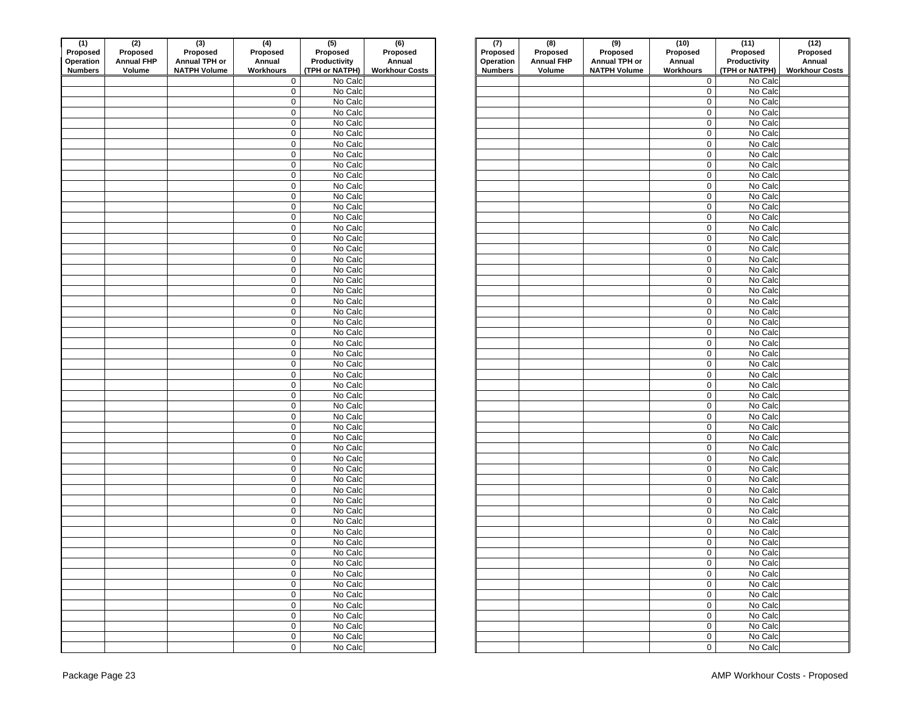| (1)<br>Proposed<br>Operation<br><b>Numbers</b> | (2)<br>Proposed<br><b>Annual FHP</b><br>Volume | $\frac{1}{(3)}$<br>Proposed<br>Annual TPH or<br><b>NATPH Volume</b> | $\overline{(4)}$<br>Proposed<br>Annual<br>Workhours | $\overline{(5)}$<br>Proposed<br>Productivity<br>(TPH or NATPH) | (6)<br>Proposed<br>Annual<br><b>Workhour Costs</b> | (7)<br>Proposed<br>Operation<br><b>Numbers</b> | $\overline{(\mathbf{8})}$<br>Proposed<br><b>Annual FHP</b><br>Volume | $\overline{(9)}$<br>Proposed<br>Annual TPH or<br><b>NATPH Volume</b> | (10)<br>Proposed<br>Annual<br>Workhours | (11)<br>Proposed<br>Productivity<br>(TPH or NATPH) | (12)<br>Proposed<br>Annual<br><b>Workhour Co</b> |
|------------------------------------------------|------------------------------------------------|---------------------------------------------------------------------|-----------------------------------------------------|----------------------------------------------------------------|----------------------------------------------------|------------------------------------------------|----------------------------------------------------------------------|----------------------------------------------------------------------|-----------------------------------------|----------------------------------------------------|--------------------------------------------------|
|                                                |                                                |                                                                     | $\mathbf 0$                                         | No Calc                                                        |                                                    |                                                |                                                                      |                                                                      | $\mathbf 0$                             | No Calc                                            |                                                  |
|                                                |                                                |                                                                     | $\mathbf 0$                                         | No Calc                                                        |                                                    |                                                |                                                                      |                                                                      | $\mathbf 0$                             | No Calc                                            |                                                  |
|                                                |                                                |                                                                     | $\mathsf{O}\xspace$                                 | No Calc                                                        |                                                    |                                                |                                                                      |                                                                      | $\mathbf 0$                             | No Calc                                            |                                                  |
|                                                |                                                |                                                                     | $\pmb{0}$                                           | No Calc                                                        |                                                    |                                                |                                                                      |                                                                      | $\mathsf 0$                             | No Calc                                            |                                                  |
|                                                |                                                |                                                                     | $\mathsf{O}\xspace$                                 | No Calc                                                        |                                                    |                                                |                                                                      |                                                                      | $\mathbf 0$                             | No Calc                                            |                                                  |
|                                                |                                                |                                                                     | $\mathbf 0$                                         | No Calc                                                        |                                                    |                                                |                                                                      |                                                                      | $\mathsf{O}\xspace$                     | No Calc                                            |                                                  |
|                                                |                                                |                                                                     | $\mathsf{O}\xspace$                                 | No Calc                                                        |                                                    |                                                |                                                                      |                                                                      | $\mathsf{O}\xspace$                     | No Calc                                            |                                                  |
|                                                |                                                |                                                                     | $\mathbf 0$                                         | No Calc                                                        |                                                    |                                                |                                                                      |                                                                      | $\mathbf 0$                             | No Calc                                            |                                                  |
|                                                |                                                |                                                                     | $\mathbf 0$                                         | No Calc                                                        |                                                    |                                                |                                                                      |                                                                      | $\mathsf 0$                             | No Calc                                            |                                                  |
|                                                |                                                |                                                                     | $\mathbf 0$                                         | No Calc                                                        |                                                    |                                                |                                                                      |                                                                      | $\mathsf 0$                             | No Calc                                            |                                                  |
|                                                |                                                |                                                                     | $\mathbf 0$                                         | No Calc                                                        |                                                    |                                                |                                                                      |                                                                      | $\mathsf 0$                             | No Calc                                            |                                                  |
|                                                |                                                |                                                                     | $\mathbf 0$                                         | No Calc                                                        |                                                    |                                                |                                                                      |                                                                      | $\mathbf 0$                             | No Calc                                            |                                                  |
|                                                |                                                |                                                                     | $\mathsf{O}\xspace$                                 | No Calc                                                        |                                                    |                                                |                                                                      |                                                                      | $\mathbf 0$                             | No Calc                                            |                                                  |
|                                                |                                                |                                                                     | $\mathbf 0$                                         | No Calc                                                        |                                                    |                                                |                                                                      |                                                                      | $\mathbf 0$                             | No Calc                                            |                                                  |
|                                                |                                                |                                                                     | $\mathsf{O}\xspace$                                 | No Calc                                                        |                                                    |                                                |                                                                      |                                                                      | $\mathbf 0$                             | No Calc                                            |                                                  |
|                                                |                                                |                                                                     | $\pmb{0}$                                           | No Calc                                                        |                                                    |                                                |                                                                      |                                                                      | $\mathsf{O}$                            | No Calc                                            |                                                  |
|                                                |                                                |                                                                     | $\mathsf{O}\xspace$                                 | No Calc                                                        |                                                    |                                                |                                                                      |                                                                      | $\mathsf{O}\xspace$                     | No Calc                                            |                                                  |
|                                                |                                                |                                                                     | $\mathbf 0$                                         | No Calc                                                        |                                                    |                                                |                                                                      |                                                                      | $\mathsf{O}$                            | No Calc                                            |                                                  |
|                                                |                                                |                                                                     | $\mathsf{O}\xspace$                                 | No Calc                                                        |                                                    |                                                |                                                                      |                                                                      | $\mathsf{O}\xspace$                     | No Calc                                            |                                                  |
|                                                |                                                |                                                                     | $\mathbf 0$                                         | No Calc                                                        |                                                    |                                                |                                                                      |                                                                      | $\mathsf{O}\xspace$                     | No Calc                                            |                                                  |
|                                                |                                                |                                                                     | $\mathbf 0$                                         | No Calc                                                        |                                                    |                                                |                                                                      |                                                                      | $\mathbf 0$                             | No Calc                                            |                                                  |
|                                                |                                                |                                                                     | 0                                                   | No Calc                                                        |                                                    |                                                |                                                                      |                                                                      | 0                                       | No Calc                                            |                                                  |
|                                                |                                                |                                                                     | $\pmb{0}$                                           | No Calc                                                        |                                                    |                                                |                                                                      |                                                                      | $\mathsf{O}$                            | No Calc                                            |                                                  |
|                                                |                                                |                                                                     | $\mathbf 0$                                         | No Calc<br>No Calc                                             |                                                    |                                                |                                                                      |                                                                      | $\mathsf{O}$<br>$\mathsf{O}$            | No Calc<br>No Calc                                 |                                                  |
|                                                |                                                |                                                                     | $\pmb{0}$<br>$\mathsf{O}\xspace$                    | No Calc                                                        |                                                    |                                                |                                                                      |                                                                      | 0                                       | No Calc                                            |                                                  |
|                                                |                                                |                                                                     | $\pmb{0}$                                           | No Calc                                                        |                                                    |                                                |                                                                      |                                                                      | $\mathbf 0$                             | No Calc                                            |                                                  |
|                                                |                                                |                                                                     | 0                                                   | No Calc                                                        |                                                    |                                                |                                                                      |                                                                      | $\mathsf{O}$                            | No Calc                                            |                                                  |
|                                                |                                                |                                                                     | $\pmb{0}$                                           | No Calc                                                        |                                                    |                                                |                                                                      |                                                                      | $\mathsf{O}\xspace$                     | No Calc                                            |                                                  |
|                                                |                                                |                                                                     | $\mathsf{O}\xspace$                                 | No Calc                                                        |                                                    |                                                |                                                                      |                                                                      | $\mathbf 0$                             | No Calc                                            |                                                  |
|                                                |                                                |                                                                     | $\mathbf 0$                                         | No Calc                                                        |                                                    |                                                |                                                                      |                                                                      | $\mathsf 0$                             | No Calc                                            |                                                  |
|                                                |                                                |                                                                     | $\mathsf{O}\xspace$                                 | No Calc                                                        |                                                    |                                                |                                                                      |                                                                      | $\mathsf 0$                             | No Calc                                            |                                                  |
|                                                |                                                |                                                                     | $\mathbf 0$                                         | No Calc                                                        |                                                    |                                                |                                                                      |                                                                      | $\mathbf 0$                             | No Calc                                            |                                                  |
|                                                |                                                |                                                                     | $\mathbf 0$                                         | No Calc                                                        |                                                    |                                                |                                                                      |                                                                      | $\mathbf 0$                             | No Calc                                            |                                                  |
|                                                |                                                |                                                                     | $\mathbf 0$                                         | No Calc                                                        |                                                    |                                                |                                                                      |                                                                      | $\mathsf 0$                             | No Calc                                            |                                                  |
|                                                |                                                |                                                                     | $\mathbf 0$                                         | No Calc                                                        |                                                    |                                                |                                                                      |                                                                      | $\mathsf 0$                             | No Calc                                            |                                                  |
|                                                |                                                |                                                                     | $\mathbf 0$                                         | No Calc                                                        |                                                    |                                                |                                                                      |                                                                      | $\mathsf 0$                             | No Calc                                            |                                                  |
|                                                |                                                |                                                                     | $\mathsf{O}\xspace$                                 | No Calc                                                        |                                                    |                                                |                                                                      |                                                                      | $\mathbf 0$                             | No Calc                                            |                                                  |
|                                                |                                                |                                                                     | $\mathbf 0$                                         | No Calc                                                        |                                                    |                                                |                                                                      |                                                                      | $\mathbf 0$                             | No Calc                                            |                                                  |
|                                                |                                                |                                                                     | $\mathsf{O}\xspace$                                 | No Calc                                                        |                                                    |                                                |                                                                      |                                                                      | $\mathbf 0$                             | No Calc                                            |                                                  |
|                                                |                                                |                                                                     | $\mathsf{O}\xspace$                                 | No Calc                                                        |                                                    |                                                |                                                                      |                                                                      | $\mathsf{O}$                            | No Calc                                            |                                                  |
|                                                |                                                |                                                                     | $\mathsf{O}\xspace$                                 | No Calc                                                        |                                                    |                                                |                                                                      |                                                                      | $\mathsf{O}\xspace$                     | No Calc                                            |                                                  |
|                                                |                                                |                                                                     | $\mathsf{O}\xspace$                                 | No Calc                                                        |                                                    |                                                |                                                                      |                                                                      | $\mathsf{O}$                            | No Calc                                            |                                                  |
|                                                |                                                |                                                                     | $\mathsf{O}\xspace$                                 | No Calc                                                        |                                                    |                                                |                                                                      |                                                                      | $\mathbf 0$                             | No Calc                                            |                                                  |
|                                                |                                                |                                                                     | 0                                                   | No Calc                                                        |                                                    |                                                |                                                                      |                                                                      | $\mathbf 0$                             | No Calc                                            |                                                  |
|                                                |                                                |                                                                     | 0                                                   | No Calc                                                        |                                                    |                                                |                                                                      |                                                                      | $\mathbf 0$                             | No Calc                                            |                                                  |
|                                                |                                                |                                                                     | $\mathbf 0$                                         | No Calc                                                        |                                                    |                                                |                                                                      |                                                                      | $\mathbf 0$                             | No Calc                                            |                                                  |
|                                                |                                                |                                                                     | $\mathbf 0$                                         | No Calc                                                        |                                                    |                                                |                                                                      |                                                                      | $\mathbf 0$                             | No Calc                                            |                                                  |
|                                                |                                                |                                                                     | $\mathbf 0$                                         | No Calc<br>No Calc                                             |                                                    |                                                |                                                                      |                                                                      | 0                                       | No Calc<br>No Calc                                 |                                                  |
|                                                |                                                |                                                                     | $\mathbf 0$<br>$\mathbf 0$                          | No Calc                                                        |                                                    |                                                |                                                                      |                                                                      | $\mathbf 0$<br>$\mathbf 0$              | No Calc                                            |                                                  |
|                                                |                                                |                                                                     | $\mathbf 0$                                         | No Calc                                                        |                                                    |                                                |                                                                      |                                                                      | $\mathbf 0$                             | No Calc                                            |                                                  |
|                                                |                                                |                                                                     | $\mathbf 0$                                         | No Calc                                                        |                                                    |                                                |                                                                      |                                                                      | $\mathbf 0$                             | No Calc                                            |                                                  |
|                                                |                                                |                                                                     | $\mathbf 0$                                         | No Calc                                                        |                                                    |                                                |                                                                      |                                                                      | $\mathbf 0$                             | No Calc                                            |                                                  |
|                                                |                                                |                                                                     | $\overline{0}$                                      | No Calc                                                        |                                                    |                                                |                                                                      |                                                                      | $\bullet$                               | No Calc                                            |                                                  |
|                                                |                                                |                                                                     |                                                     |                                                                |                                                    |                                                |                                                                      |                                                                      |                                         |                                                    |                                                  |

| (1)                          | (2)                           | (3)                       | (4)                        | (5)                      | (6)                   | (7)                   | (8)                           | (9)                       | (10)                               | (11)                     | (12)                  |
|------------------------------|-------------------------------|---------------------------|----------------------------|--------------------------|-----------------------|-----------------------|-------------------------------|---------------------------|------------------------------------|--------------------------|-----------------------|
| Proposed<br><b>Operation</b> | Proposed<br><b>Annual FHP</b> | Proposed<br>Annual TPH or | Proposed<br>Annual         | Proposed<br>Productivity | Proposed<br>Annual    | Proposed<br>Operation | Proposed<br><b>Annual FHP</b> | Proposed<br>Annual TPH or | Proposed<br>Annual                 | Proposed<br>Productivity | Proposed<br>Annual    |
| Numbers                      | Volume                        | <b>NATPH Volume</b>       | Workhours                  | (TPH or NATPH)           | <b>Workhour Costs</b> | <b>Numbers</b>        | Volume                        | <b>NATPH Volume</b>       | Workhours                          | (TPH or NATPH)           | <b>Workhour Costs</b> |
|                              |                               |                           | $\mathbf 0$                | No Calc                  |                       |                       |                               |                           | $\mathbf 0$                        | No Calc                  |                       |
|                              |                               |                           | $\mathbf 0$                | No Calc                  |                       |                       |                               |                           | $\mathbf 0$                        | No Calc                  |                       |
|                              |                               |                           | $\mathbf 0$                | No Calc                  |                       |                       |                               |                           | $\mathbf 0$                        | No Calc                  |                       |
|                              |                               |                           | $\mathbf 0$                | No Calc                  |                       |                       |                               |                           | $\mathbf 0$                        | No Calc                  |                       |
|                              |                               |                           | $\mathbf 0$                | No Calc                  |                       |                       |                               |                           | $\mathsf{O}\xspace$                | No Calc                  |                       |
|                              |                               |                           | $\mathbf 0$                | No Calc                  |                       |                       |                               |                           | $\mathbf 0$                        | No Calc                  |                       |
|                              |                               |                           | $\mathbf 0$                | No Calc                  |                       |                       |                               |                           | $\mathsf{O}\xspace$                | No Calc                  |                       |
|                              |                               |                           | $\mathbf 0$                | No Calc                  |                       |                       |                               |                           | $\overline{0}$                     | No Calc                  |                       |
|                              |                               |                           | $\mathbf 0$                | No Calc                  |                       |                       |                               |                           | $\mathsf{O}\xspace$                | No Calc                  |                       |
|                              |                               |                           | $\mathbf 0$                | No Calc                  |                       |                       |                               |                           | $\mathbf 0$                        | No Calc                  |                       |
|                              |                               |                           | $\mathbf 0$                | No Calc                  |                       |                       |                               |                           | $\mathbf 0$                        | No Calc                  |                       |
|                              |                               |                           | $\mathbf 0$                | No Calc                  |                       |                       |                               |                           | $\mathbf 0$                        | No Calc                  |                       |
|                              |                               |                           | $\pmb{0}$                  | No Calc                  |                       |                       |                               |                           | $\mathsf{O}\xspace$                | No Calc                  |                       |
|                              |                               |                           | $\pmb{0}$                  | No Calc                  |                       |                       |                               |                           | $\mathsf{O}\xspace$                | No Calc                  |                       |
|                              |                               |                           | $\mathbf 0$                | No Calc                  |                       |                       |                               |                           | $\mathsf{O}\xspace$                | No Calc                  |                       |
|                              |                               |                           | $\mathbf 0$                | No Calc                  |                       |                       |                               |                           | $\mathsf{O}\xspace$                | No Calc                  |                       |
|                              |                               |                           | $\pmb{0}$                  | No Calc                  |                       |                       |                               |                           | $\mathsf{O}\xspace$                | No Calc                  |                       |
|                              |                               |                           | $\mathsf{O}$               | No Calc                  |                       |                       |                               |                           | $\mathsf{O}\xspace$                | No Calc                  |                       |
|                              |                               |                           | $\mathsf{O}$               | No Calc                  |                       |                       |                               |                           | $\mathbf 0$                        | No Calc                  |                       |
|                              |                               |                           | $\mathbf 0$                | No Calc                  |                       |                       |                               |                           | $\mathsf{O}\xspace$                | No Calc                  |                       |
|                              |                               |                           | $\mathbf 0$                | No Calc                  |                       |                       |                               |                           | $\mathsf{O}\xspace$                | No Calc                  |                       |
|                              |                               |                           | $\mathbf 0$                | No Calc                  |                       |                       |                               |                           | $\mathsf{O}\xspace$                | No Calc                  |                       |
|                              |                               |                           | $\mathbf 0$                | No Calc                  |                       |                       |                               |                           | $\mathsf{O}\xspace$                | No Calc                  |                       |
|                              |                               |                           | $\mathbf 0$                | No Calc                  |                       |                       |                               |                           | $\mathbf 0$                        | No Calc                  |                       |
|                              |                               |                           | $\mathbf 0$                | No Calc                  |                       |                       |                               |                           | $\mathsf{O}\xspace$                | No Calc                  |                       |
|                              |                               |                           | $\mathbf 0$                | No Calc                  |                       |                       |                               |                           | $\mathsf{O}\xspace$                | No Calc                  |                       |
|                              |                               |                           | $\mathbf 0$                | No Calc                  |                       |                       |                               |                           | $\mathbf 0$                        | No Calc                  |                       |
|                              |                               |                           | $\mathbf 0$                | No Calc                  |                       |                       |                               |                           | $\mathsf{O}\xspace$                | No Calc                  |                       |
|                              |                               |                           | 0                          | No Calc                  |                       |                       |                               |                           | $\mathbf 0$                        | No Calc                  |                       |
|                              |                               |                           | $\mathbf 0$                | No Calc                  |                       |                       |                               |                           | $\mathsf{O}\xspace$                | No Calc                  |                       |
|                              |                               |                           | $\mathbf 0$                | No Calc                  |                       |                       |                               |                           | $\mathbf 0$                        | No Calc                  |                       |
|                              |                               |                           | $\mathbf 0$                | No Calc                  |                       |                       |                               |                           | $\mathsf{O}\xspace$                | No Calc                  |                       |
|                              |                               |                           | $\mathbf 0$                | No Calc                  |                       |                       |                               |                           | $\overline{0}$                     | No Calc                  |                       |
|                              |                               |                           | $\mathbf 0$                | No Calc<br>No Calc       |                       |                       |                               |                           | $\mathsf{O}\xspace$<br>$\mathbf 0$ | No Calc<br>No Calc       |                       |
|                              |                               |                           | $\mathbf 0$<br>$\mathbf 0$ | No Calc                  |                       |                       |                               |                           |                                    | No Calc                  |                       |
|                              |                               |                           | $\mathbf 0$                | No Calc                  |                       |                       |                               |                           | $\mathbf 0$                        | No Calc                  |                       |
|                              |                               |                           | $\mathbf 0$                | No Calc                  |                       |                       |                               |                           | $\mathbf 0$<br>$\mathsf{O}\xspace$ | No Calc                  |                       |
|                              |                               |                           | $\pmb{0}$                  | No Calc                  |                       |                       |                               |                           | $\mathbf 0$                        | No Calc                  |                       |
|                              |                               |                           | $\mathbf 0$                | No Calc                  |                       |                       |                               |                           | $\mathsf{O}\xspace$                | No Calc                  |                       |
|                              |                               |                           | $\pmb{0}$                  | No Calc                  |                       |                       |                               |                           | $\mathsf{O}\xspace$                | No Calc                  |                       |
|                              |                               |                           | $\pmb{0}$                  | No Calc                  |                       |                       |                               |                           | $\mathsf{O}\xspace$                | No Calc                  |                       |
|                              |                               |                           | $\mathsf{O}$               | No Calc                  |                       |                       |                               |                           | $\mathbf 0$                        | No Calc                  |                       |
|                              |                               |                           | $\mathbf 0$                | No Calc                  |                       |                       |                               |                           | $\mathbf 0$                        | No Calc                  |                       |
|                              |                               |                           | $\mathbf 0$                | No Calc                  |                       |                       |                               |                           | $\pmb{0}$                          | No Calc                  |                       |
|                              |                               |                           | $\mathbf 0$                | No Calc                  |                       |                       |                               |                           | $\overline{0}$                     | No Calc                  |                       |
|                              |                               |                           | $\mathbf 0$                | No Calc                  |                       |                       |                               |                           | $\overline{0}$                     | No Calc                  |                       |
|                              |                               |                           | $\mathbf 0$                | No Calc                  |                       |                       |                               |                           | $\mathsf{O}\xspace$                | No Calc                  |                       |
|                              |                               |                           | $\mathbf 0$                | No Calc                  |                       |                       |                               |                           | $\mathsf{O}\xspace$                | No Calc                  |                       |
|                              |                               |                           | $\mathsf{O}$               | No Calc                  |                       |                       |                               |                           | $\mathbf 0$                        | No Calc                  |                       |
|                              |                               |                           | $\mathsf{O}\xspace$        | No Calc                  |                       |                       |                               |                           | $\mathsf{O}\xspace$                | No Calc                  |                       |
|                              |                               |                           | $\mathbf 0$                | No Calc                  |                       |                       |                               |                           | $\mathbf 0$                        | No Calc                  |                       |
|                              |                               |                           | $\mathbf 0$                | No Calc                  |                       |                       |                               |                           | $\mathbf 0$                        | No Calc                  |                       |
|                              |                               |                           | $\mathbf 0$                | No Calc                  |                       |                       |                               |                           | $\mathsf{O}\xspace$                | No Calc                  |                       |
|                              |                               |                           | $\mathbf 0$                | No Calc                  |                       |                       |                               |                           | $\mathbf 0$                        | No Calc                  |                       |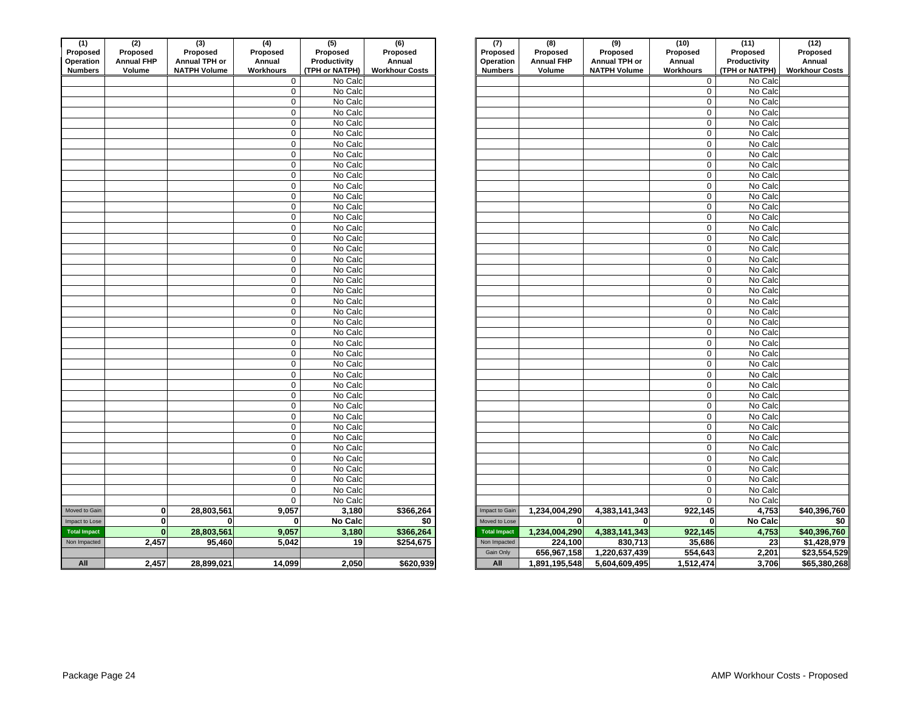| (1)                         | (2)                         | (3)                                  | (4)                        | (5)                            | (6)                             | (7)                         | (8)                         | (9)                                  | (10)                | (11)                           | (12)               |
|-----------------------------|-----------------------------|--------------------------------------|----------------------------|--------------------------------|---------------------------------|-----------------------------|-----------------------------|--------------------------------------|---------------------|--------------------------------|--------------------|
| Proposed                    | Proposed                    | Proposed                             | Proposed                   | Proposed                       | Proposed                        | Proposed                    | Proposed                    | Proposed                             | Proposed            | Proposed                       | Proposed<br>Annual |
| Operation<br><b>Numbers</b> | <b>Annual FHP</b><br>Volume | Annual TPH or<br><b>NATPH Volume</b> | Annual<br><b>Workhours</b> | Productivity<br>(TPH or NATPH) | Annual<br><b>Workhour Costs</b> | Operation<br><b>Numbers</b> | <b>Annual FHP</b><br>Volume | Annual TPH or<br><b>NATPH Volume</b> | Annual<br>Workhours | Productivity<br>(TPH or NATPH) | <b>Workhour Co</b> |
|                             |                             |                                      | $\mathbf 0$                | No Calc                        |                                 |                             |                             |                                      | $\mathbf 0$         | No Calc                        |                    |
|                             |                             |                                      | 0                          | No Calc                        |                                 |                             |                             |                                      | $\mathbf 0$         | No Calc                        |                    |
|                             |                             |                                      | $\pmb{0}$                  | No Calc                        |                                 |                             |                             |                                      | $\mathsf 0$         | No Calc                        |                    |
|                             |                             |                                      | 0                          | No Calc                        |                                 |                             |                             |                                      | $\mathbf 0$         | No Calc                        |                    |
|                             |                             |                                      | $\pmb{0}$                  | No Calc                        |                                 |                             |                             |                                      | 0                   | No Calc                        |                    |
|                             |                             |                                      | $\pmb{0}$                  | No Calc                        |                                 |                             |                             |                                      | 0                   | No Calc                        |                    |
|                             |                             |                                      | $\pmb{0}$                  | No Calc                        |                                 |                             |                             |                                      | 0                   | No Calc                        |                    |
|                             |                             |                                      | 0                          | No Calc                        |                                 |                             |                             |                                      | 0                   | No Calc                        |                    |
|                             |                             |                                      | $\mathsf 0$                | No Calc                        |                                 |                             |                             |                                      | $\mathbf 0$         | No Calc                        |                    |
|                             |                             |                                      | $\pmb{0}$                  | No Calc                        |                                 |                             |                             |                                      | 0                   | No Calc                        |                    |
|                             |                             |                                      | $\pmb{0}$                  | No Calc                        |                                 |                             |                             |                                      | $\mathsf 0$         | No Calc                        |                    |
|                             |                             |                                      | $\pmb{0}$                  | No Calc                        |                                 |                             |                             |                                      | 0                   | No Calc                        |                    |
|                             |                             |                                      | $\mathbf 0$                | No Calc                        |                                 |                             |                             |                                      | $\mathbf 0$         | No Calc                        |                    |
|                             |                             |                                      | $\pmb{0}$                  | No Calc                        |                                 |                             |                             |                                      | 0                   | No Calc                        |                    |
|                             |                             |                                      | $\pmb{0}$                  | No Calc                        |                                 |                             |                             |                                      | $\mathsf 0$         | No Calc                        |                    |
|                             |                             |                                      | $\pmb{0}$                  | No Calc                        |                                 |                             |                             |                                      | 0                   | No Calc                        |                    |
|                             |                             |                                      | $\mathbf 0$                | No Calc                        |                                 |                             |                             |                                      | $\mathbf 0$         | No Calc                        |                    |
|                             |                             |                                      | $\pmb{0}$                  | No Calc                        |                                 |                             |                             |                                      | $\mathsf 0$         | No Calc                        |                    |
|                             |                             |                                      | 0                          | No Calc                        |                                 |                             |                             |                                      | $\mathbf 0$         | No Calc                        |                    |
|                             |                             |                                      | $\pmb{0}$                  | No Calc                        |                                 |                             |                             |                                      | 0                   | No Calc                        |                    |
|                             |                             |                                      | 0                          | No Calc                        |                                 |                             |                             |                                      | 0                   | No Calc                        |                    |
|                             |                             |                                      | $\pmb{0}$                  | No Calc                        |                                 |                             |                             |                                      | $\mathsf 0$         | No Calc                        |                    |
|                             |                             |                                      | 0                          | No Calc                        |                                 |                             |                             |                                      | 0                   | No Calc                        |                    |
|                             |                             |                                      | $\pmb{0}$                  | No Calc                        |                                 |                             |                             |                                      | $\overline{0}$      | No Calc                        |                    |
|                             |                             |                                      | 0                          | No Calc                        |                                 |                             |                             |                                      | 0                   | No Calc                        |                    |
|                             |                             |                                      | $\pmb{0}$                  | No Calc                        |                                 |                             |                             |                                      | 0                   | No Calc                        |                    |
|                             |                             |                                      | $\pmb{0}$                  | No Calc                        |                                 |                             |                             |                                      | 0                   | No Calc                        |                    |
|                             |                             |                                      | $\pmb{0}$                  | No Calc                        |                                 |                             |                             |                                      | 0                   | No Calc                        |                    |
|                             |                             |                                      | $\pmb{0}$                  | No Calc                        |                                 |                             |                             |                                      | 0                   | No Calc                        |                    |
|                             |                             |                                      | $\pmb{0}$                  | No Calc                        |                                 |                             |                             |                                      | $\mathbf 0$         | No Calc                        |                    |
|                             |                             |                                      | $\pmb{0}$                  | No Calc                        |                                 |                             |                             |                                      | $\mathbf 0$         | No Calc                        |                    |
|                             |                             |                                      | $\pmb{0}$                  | No Calc                        |                                 |                             |                             |                                      | $\mathsf 0$         | No Calc                        |                    |
|                             |                             |                                      | $\pmb{0}$                  | No Calc                        |                                 |                             |                             |                                      | 0                   | No Calc                        |                    |
|                             |                             |                                      | $\mathbf 0$                | No Calc                        |                                 |                             |                             |                                      | $\mathbf 0$         | No Calc                        |                    |
|                             |                             |                                      | $\mathsf{O}\xspace$        | No Calc                        |                                 |                             |                             |                                      | $\mathsf 0$         | No Calc                        |                    |
|                             |                             |                                      | $\mathsf 0$                | No Calc                        |                                 |                             |                             |                                      | $\mathbf 0$         | No Calc                        |                    |
|                             |                             |                                      | $\mathbf 0$                | No Calc                        |                                 |                             |                             |                                      | 0<br>$\mathbf 0$    | No Calc                        |                    |
|                             |                             |                                      | $\pmb{0}$                  | No Calc                        |                                 |                             |                             |                                      | $\mathsf 0$         | No Calc<br>No Calc             |                    |
|                             |                             |                                      | $\pmb{0}$<br>0             | No Calc<br>No Calc             |                                 |                             |                             |                                      | 0                   | No Calc                        |                    |
|                             |                             |                                      | $\mathbf 0$                | No Calc                        |                                 |                             |                             |                                      | $\mathbf 0$         | No Calc                        |                    |
| Moved to Gain               | $\mathbf{0}$                | 28,803,561                           | 9,057                      | 3,180                          | \$366,264                       | Impact to Gain              | 1,234,004,290               | 4,383,141,343                        | 922,145             | 4,753                          | \$40,396,          |
| Impact to Lose              | $\mathbf{0}$                | $\mathbf{0}$                         | $\mathbf{0}$               | <b>No Calc</b>                 | $\overline{50}$                 | Moved to Lose               | $\mathbf{0}$                | $\mathbf 0$                          | $\mathbf{0}$        | No Calc                        |                    |
| <b>Total Impact</b>         | $\mathbf{0}$                | 28,803,561                           | 9,057                      | 3,180                          | \$366,264                       | <b>Total Impact</b>         | 1,234,004,290               | 4,383,141,343                        | 922,145             | 4,753                          | \$40,396.          |
| Non Impacted                | 2,457                       | 95,460                               | 5,042                      | 19                             | \$254,675                       | Non Impacted                | 224,100                     | 830,713                              | 35,686              | 23                             | \$1,428,           |
|                             |                             |                                      |                            |                                |                                 | Gain Only                   | 656,967,158                 | 1,220,637,439                        | 554,643             | 2,201                          | \$23,554           |
| All                         | 2,457                       | 28,899,021                           | 14,099                     | 2,050                          | \$620,939                       | All                         | 1,891,195,548               | 5,604,609,495                        | 1,512,474           | 3,706                          | \$65,380           |
|                             |                             |                                      |                            |                                |                                 |                             |                             |                                      |                     |                                |                    |

| (1)<br>Proposed<br>Operation<br><b>Numbers</b> | $\overline{(2)}$<br>Proposed<br><b>Annual FHP</b><br>Volume | $\overline{3}$<br>Proposed<br>Annual TPH or<br><b>NATPH Volume</b> | $\overline{(4)}$<br>Proposed<br>Annual<br>Workhours | $\overline{(5)}$<br>Proposed<br>Productivity<br>(TPH or NATPH) | $\overline{(6)}$<br>Proposed<br>Annual<br><b>Workhour Costs</b> | (7)<br>Proposed<br>Operation<br><b>Numbers</b> |                     | (8)<br>Proposed<br><b>Annual FHP</b><br>Volume | $\overline{(9)}$<br>Proposed<br>Annual TPH or<br><b>NATPH Volume</b> | (10)<br>Proposed<br>Annual<br>Workhours | (11)<br>Proposed<br>Productivity<br>(TPH or NATPH) | (12)<br>Proposed<br>Annual<br><b>Workhour Costs</b> |
|------------------------------------------------|-------------------------------------------------------------|--------------------------------------------------------------------|-----------------------------------------------------|----------------------------------------------------------------|-----------------------------------------------------------------|------------------------------------------------|---------------------|------------------------------------------------|----------------------------------------------------------------------|-----------------------------------------|----------------------------------------------------|-----------------------------------------------------|
|                                                |                                                             |                                                                    | $\mathbf 0$                                         | No Calc                                                        |                                                                 |                                                |                     |                                                |                                                                      | 0                                       | No Calc                                            |                                                     |
|                                                |                                                             |                                                                    | $\mathbf 0$                                         | No Calc                                                        |                                                                 |                                                |                     |                                                |                                                                      | $\mathbf 0$                             | No Calc                                            |                                                     |
|                                                |                                                             |                                                                    | $\mathbf 0$                                         | No Calc                                                        |                                                                 |                                                |                     |                                                |                                                                      | $\mathbf 0$                             | No Calc                                            |                                                     |
|                                                |                                                             |                                                                    | $\mathbf 0$                                         | No Calc                                                        |                                                                 |                                                |                     |                                                |                                                                      | $\mathbf{0}$                            | No Calc                                            |                                                     |
|                                                |                                                             |                                                                    | $\mathsf 0$                                         | No Calc                                                        |                                                                 |                                                |                     |                                                |                                                                      | $\mathbf 0$                             | No Calc                                            |                                                     |
|                                                |                                                             |                                                                    | $\mathsf 0$                                         | No Calc                                                        |                                                                 |                                                |                     |                                                |                                                                      | $\mathbf 0$                             | No Calc                                            |                                                     |
|                                                |                                                             |                                                                    | $\pmb{0}$                                           | No Calc                                                        |                                                                 |                                                |                     |                                                |                                                                      | $\mathbf 0$                             | No Calc                                            |                                                     |
|                                                |                                                             |                                                                    | $\mathbf 0$                                         | No Calc                                                        |                                                                 |                                                |                     |                                                |                                                                      | $\mathbf 0$                             | No Calc                                            |                                                     |
|                                                |                                                             |                                                                    | $\mathsf 0$                                         | No Calc                                                        |                                                                 |                                                |                     |                                                |                                                                      | $\mathbf 0$                             | No Calc                                            |                                                     |
|                                                |                                                             |                                                                    | $\mathsf 0$                                         | No Calc                                                        |                                                                 |                                                |                     |                                                |                                                                      | $\mathbf 0$                             | No Calc                                            |                                                     |
|                                                |                                                             |                                                                    | $\mathbf 0$                                         | No Calc                                                        |                                                                 |                                                |                     |                                                |                                                                      | $\mathbf 0$                             | No Calc                                            |                                                     |
|                                                |                                                             |                                                                    | $\mathbf 0$                                         | No Calc                                                        |                                                                 |                                                |                     |                                                |                                                                      | $\mathbf 0$                             | No Calc                                            |                                                     |
|                                                |                                                             |                                                                    | $\pmb{0}$                                           | No Calc                                                        |                                                                 |                                                |                     |                                                |                                                                      | $\mathbf 0$                             | No Calc                                            |                                                     |
|                                                |                                                             |                                                                    | $\mathbf 0$                                         | No Calc                                                        |                                                                 |                                                |                     |                                                |                                                                      | $\mathbf 0$                             | No Calc                                            |                                                     |
|                                                |                                                             |                                                                    | $\mathbf 0$                                         | No Calc                                                        |                                                                 |                                                |                     |                                                |                                                                      | $\mathbf 0$                             | No Calc                                            |                                                     |
|                                                |                                                             |                                                                    | $\mathbf 0$                                         | No Calc                                                        |                                                                 |                                                |                     |                                                |                                                                      | $\mathbf 0$                             | No Calc                                            |                                                     |
|                                                |                                                             |                                                                    | $\mathbf 0$                                         | No Calc                                                        |                                                                 |                                                |                     |                                                |                                                                      | $\mathbf 0$                             | No Calc                                            |                                                     |
|                                                |                                                             |                                                                    | $\mathbf 0$                                         | No Calc                                                        |                                                                 |                                                |                     |                                                |                                                                      | $\mathbf 0$                             | No Calc                                            |                                                     |
|                                                |                                                             |                                                                    | $\mathbf 0$                                         | No Calc                                                        |                                                                 |                                                |                     |                                                |                                                                      | $\mathbf 0$                             | No Calc                                            |                                                     |
|                                                |                                                             |                                                                    | $\mathbf 0$                                         | No Calc                                                        |                                                                 |                                                |                     |                                                |                                                                      | $\mathbf 0$                             | No Calc                                            |                                                     |
|                                                |                                                             |                                                                    | $\mathsf 0$                                         | No Calc                                                        |                                                                 |                                                |                     |                                                |                                                                      | $\mathbf 0$                             | No Calc                                            |                                                     |
|                                                |                                                             |                                                                    | $\mathbf 0$                                         | No Calc                                                        |                                                                 |                                                |                     |                                                |                                                                      | $\mathbf 0$                             | No Calc                                            |                                                     |
|                                                |                                                             |                                                                    | $\mathbf 0$                                         | No Calc                                                        |                                                                 |                                                |                     |                                                |                                                                      | $\mathbf 0$                             | No Calc                                            |                                                     |
|                                                |                                                             |                                                                    | $\mathbf 0$                                         | No Calc                                                        |                                                                 |                                                |                     |                                                |                                                                      | $\mathbf 0$                             | No Calc                                            |                                                     |
|                                                |                                                             |                                                                    | $\mathbf 0$                                         | No Calc                                                        |                                                                 |                                                |                     |                                                |                                                                      | $\mathbf 0$                             | No Calc                                            |                                                     |
|                                                |                                                             |                                                                    | $\pmb{0}$                                           | No Calc                                                        |                                                                 |                                                |                     |                                                |                                                                      | $\mathbf 0$                             | No Calc                                            |                                                     |
|                                                |                                                             |                                                                    | $\mathbf 0$                                         | No Calc                                                        |                                                                 |                                                |                     |                                                |                                                                      | $\mathbf 0$                             | No Calc                                            |                                                     |
|                                                |                                                             |                                                                    | $\mathbf 0$                                         | No Calc                                                        |                                                                 |                                                |                     |                                                |                                                                      | $\mathbf 0$                             | No Calc                                            |                                                     |
|                                                |                                                             |                                                                    | $\mathsf 0$                                         | No Calc                                                        |                                                                 |                                                |                     |                                                |                                                                      | $\mathbf 0$                             | No Calc                                            |                                                     |
|                                                |                                                             |                                                                    | $\pmb{0}$                                           | No Calc                                                        |                                                                 |                                                |                     |                                                |                                                                      | $\mathbf 0$                             | No Calc                                            |                                                     |
|                                                |                                                             |                                                                    | $\mathbf 0$                                         | No Calc                                                        |                                                                 |                                                |                     |                                                |                                                                      | $\mathbf 0$                             | No Calc                                            |                                                     |
|                                                |                                                             |                                                                    | $\mathsf 0$                                         | No Calc                                                        |                                                                 |                                                |                     |                                                |                                                                      | $\mathbf 0$                             | No Calc                                            |                                                     |
|                                                |                                                             |                                                                    | $\mathbf 0$                                         | No Calc                                                        |                                                                 |                                                |                     |                                                |                                                                      | $\mathbf 0$                             | No Calc                                            |                                                     |
|                                                |                                                             |                                                                    | $\pmb{0}$                                           | No Calc                                                        |                                                                 |                                                |                     |                                                |                                                                      | 0                                       | No Calc                                            |                                                     |
|                                                |                                                             |                                                                    | $\mathbf 0$                                         | No Calc                                                        |                                                                 |                                                |                     |                                                |                                                                      | $\mathbf 0$                             | No Calc                                            |                                                     |
|                                                |                                                             |                                                                    | $\mathbf 0$                                         | No Calc                                                        |                                                                 |                                                |                     |                                                |                                                                      | 0                                       | No Calc                                            |                                                     |
|                                                |                                                             |                                                                    | $\mathbf 0$                                         | No Calc                                                        |                                                                 |                                                |                     |                                                |                                                                      | $\mathbf 0$                             | No Calc                                            |                                                     |
|                                                |                                                             |                                                                    | $\mathbf 0$                                         | No Calc                                                        |                                                                 |                                                |                     |                                                |                                                                      | $\mathbf 0$                             | No Calc                                            |                                                     |
|                                                |                                                             |                                                                    | $\mathbf 0$                                         | No Calc                                                        |                                                                 |                                                |                     |                                                |                                                                      | $\mathbf 0$                             | No Calc                                            |                                                     |
|                                                |                                                             |                                                                    | $\mathbf 0$                                         | No Calc                                                        |                                                                 |                                                |                     |                                                |                                                                      | $\mathbf{0}$                            | No Calc                                            |                                                     |
|                                                |                                                             |                                                                    | $\mathbf 0$                                         | No Calc                                                        |                                                                 |                                                |                     |                                                |                                                                      | $\mathbf 0$                             | No Calc                                            |                                                     |
| Moved to Gain                                  | 0                                                           | 28,803,561                                                         | 9,057                                               | 3,180                                                          | \$366,264                                                       | Impact to Gain                                 |                     | 1,234,004,290                                  | 4,383,141,343                                                        | 922,145                                 | 4,753                                              | \$40,396,760                                        |
| Impact to Lose                                 | 0                                                           | $\mathbf{0}$                                                       | $\mathbf{0}$                                        | <b>No Calc</b>                                                 | \$0                                                             | Moved to Lose                                  |                     | $\mathbf{0}$                                   | $\mathbf 0$                                                          | $\mathbf 0$                             | No Calc                                            | \$0                                                 |
| <b>Total Impact</b>                            | $\mathbf{0}$                                                | 28,803,561                                                         | 9,057                                               | 3,180                                                          | \$366,264                                                       |                                                | <b>Total Impact</b> | 1,234,004,290                                  | 4,383,141,343                                                        | 922,145                                 | 4,753                                              | \$40,396,760                                        |
| Non Impacted                                   | 2,457                                                       | 95,460                                                             | 5,042                                               | 19                                                             | \$254,675                                                       |                                                | Non Impacted        | 224,100                                        | 830,713                                                              | 35,686                                  | 23                                                 | \$1,428,979                                         |
|                                                |                                                             |                                                                    |                                                     |                                                                |                                                                 | Gain Only                                      |                     | 656,967,158                                    | 1,220,637,439                                                        | 554,643                                 | 2,201                                              | \$23,554,529                                        |
| All                                            | 2,457                                                       | 28,899,021                                                         | 14,099                                              | 2,050                                                          | \$620,939                                                       | All                                            |                     | 1,891,195,548                                  | 5,604,609,495                                                        | 1,512,474                               | 3,706                                              | \$65,380,268                                        |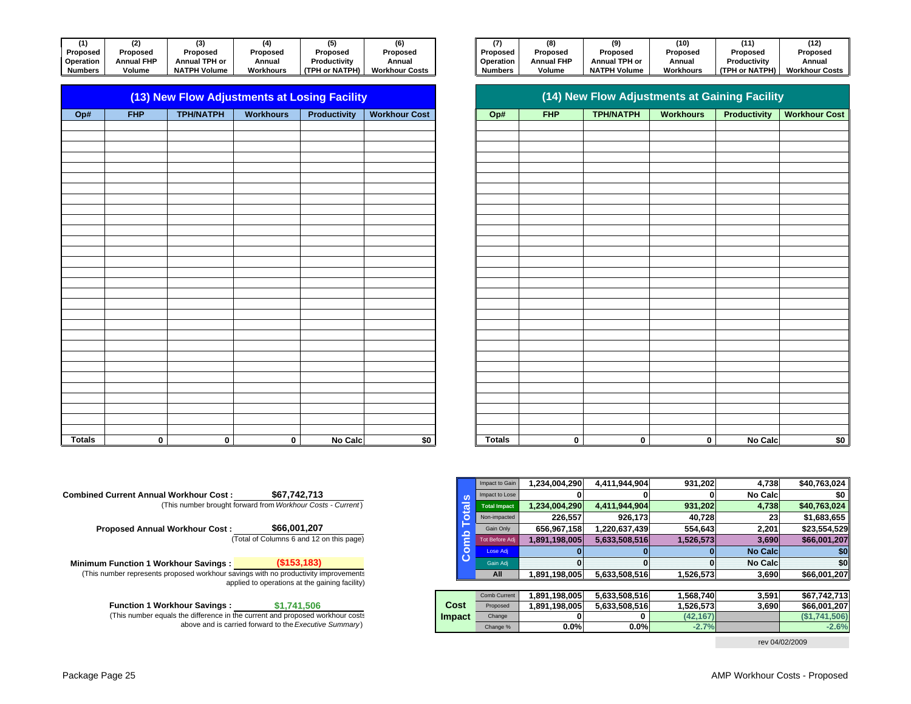| (1)            |            |                      |                  |                |                       | (7)            | 61                |                      | (10)      | 14 A                | (12)               |
|----------------|------------|----------------------|------------------|----------------|-----------------------|----------------|-------------------|----------------------|-----------|---------------------|--------------------|
| Proposed       | Proposed   | Proposea             | Proposed         | Proposed       | Proposed              | Proposed       | Proposed          | <b>Proposed</b>      | Proposeg  | Proposed            | Proposed           |
| Operation      | Annual FHP | <b>Annual TPH or</b> | Annual           | Productivity   | Annual                | Operation      | <b>Annual FHP</b> | <b>Annual TPH or</b> | Annual    | Productivity        | Annual             |
| <b>Numbers</b> | Volume     | <b>NATPH Volume</b>  | <b>Workhours</b> | (TPH or NATPH) | <b>Workhour Costs</b> | <b>Numbers</b> | Volume            | <b>NATPH Volume</b>  | Workhours | <b>TPH or NATPH</b> | <b>Workhour Co</b> |

|               | (13) New Flow Adjustments at Losing Facility |                  |                  |                     |                      |  |  |  |  |  |  |  |  |  |
|---------------|----------------------------------------------|------------------|------------------|---------------------|----------------------|--|--|--|--|--|--|--|--|--|
| Op#           | <b>FHP</b>                                   | <b>TPH/NATPH</b> | <b>Workhours</b> | <b>Productivity</b> | <b>Workhour Cost</b> |  |  |  |  |  |  |  |  |  |
|               |                                              |                  |                  |                     |                      |  |  |  |  |  |  |  |  |  |
|               |                                              |                  |                  |                     |                      |  |  |  |  |  |  |  |  |  |
|               |                                              |                  |                  |                     |                      |  |  |  |  |  |  |  |  |  |
|               |                                              |                  |                  |                     |                      |  |  |  |  |  |  |  |  |  |
|               |                                              |                  |                  |                     |                      |  |  |  |  |  |  |  |  |  |
|               |                                              |                  |                  |                     |                      |  |  |  |  |  |  |  |  |  |
|               |                                              |                  |                  |                     |                      |  |  |  |  |  |  |  |  |  |
|               |                                              |                  |                  |                     |                      |  |  |  |  |  |  |  |  |  |
|               |                                              |                  |                  |                     |                      |  |  |  |  |  |  |  |  |  |
|               |                                              |                  |                  |                     |                      |  |  |  |  |  |  |  |  |  |
|               |                                              |                  |                  |                     |                      |  |  |  |  |  |  |  |  |  |
|               |                                              |                  |                  |                     |                      |  |  |  |  |  |  |  |  |  |
|               |                                              |                  |                  |                     |                      |  |  |  |  |  |  |  |  |  |
|               |                                              |                  |                  |                     |                      |  |  |  |  |  |  |  |  |  |
|               |                                              |                  |                  |                     |                      |  |  |  |  |  |  |  |  |  |
|               |                                              |                  |                  |                     |                      |  |  |  |  |  |  |  |  |  |
|               |                                              |                  |                  |                     |                      |  |  |  |  |  |  |  |  |  |
|               |                                              |                  |                  |                     |                      |  |  |  |  |  |  |  |  |  |
|               |                                              |                  |                  |                     |                      |  |  |  |  |  |  |  |  |  |
|               |                                              |                  |                  |                     |                      |  |  |  |  |  |  |  |  |  |
|               |                                              |                  |                  |                     |                      |  |  |  |  |  |  |  |  |  |
|               |                                              |                  |                  |                     |                      |  |  |  |  |  |  |  |  |  |
|               |                                              |                  |                  |                     |                      |  |  |  |  |  |  |  |  |  |
|               |                                              |                  |                  |                     |                      |  |  |  |  |  |  |  |  |  |
|               |                                              |                  |                  |                     |                      |  |  |  |  |  |  |  |  |  |
|               |                                              |                  |                  |                     |                      |  |  |  |  |  |  |  |  |  |
| <b>Totals</b> | 0                                            | $\pmb{0}$        | 0                | No Calc             | \$0                  |  |  |  |  |  |  |  |  |  |

| (1)              |            |                     | 6 A V     |                |                       |                | 8)       | (9)                 | (10)      |                |                       |
|------------------|------------|---------------------|-----------|----------------|-----------------------|----------------|----------|---------------------|-----------|----------------|-----------------------|
| Proposed         | Proposed   | Proposed            | Proposed  | Proposed       | Proposed              | Proposed       | Proposed | Proposec            | Proposed  | Proposed       | Proposed              |
| <b>)peration</b> | Annual FHP | Annual TPH or       | Annua     | Productivity   | Annual                | Operation      |          | Annual TPH or       | Annual    | Productivity   | Annual                |
| lumbers          | Volume     | <b>NATPH Volume</b> | Workhours | (TPH or NATPH) | <b>Workhour Costs</b> | <b>Numbers</b> | Volume   | <b>NATPH Volume</b> | Workhours | (TPH or NATPH) | <b>Workhour Costs</b> |

|       |             |                  | (13) New Flow Adjustments at Losing Facility |                |                      |               |             | (14) New Flow Adjustments at Gaining Facility |                  |                     |                      |
|-------|-------------|------------------|----------------------------------------------|----------------|----------------------|---------------|-------------|-----------------------------------------------|------------------|---------------------|----------------------|
| Op#   | <b>FHP</b>  | <b>TPH/NATPH</b> | Workhours                                    | Productivity   | <b>Workhour Cost</b> | Op#           | <b>FHP</b>  | <b>TPH/NATPH</b>                              | <b>Workhours</b> | <b>Productivity</b> | <b>Workhour Cost</b> |
|       |             |                  |                                              |                |                      |               |             |                                               |                  |                     |                      |
|       |             |                  |                                              |                |                      |               |             |                                               |                  |                     |                      |
|       |             |                  |                                              |                |                      |               |             |                                               |                  |                     |                      |
|       |             |                  |                                              |                |                      |               |             |                                               |                  |                     |                      |
|       |             |                  |                                              |                |                      |               |             |                                               |                  |                     |                      |
|       |             |                  |                                              |                |                      |               |             |                                               |                  |                     |                      |
|       |             |                  |                                              |                |                      |               |             |                                               |                  |                     |                      |
|       |             |                  |                                              |                |                      |               |             |                                               |                  |                     |                      |
|       |             |                  |                                              |                |                      |               |             |                                               |                  |                     |                      |
|       |             |                  |                                              |                |                      |               |             |                                               |                  |                     |                      |
|       |             |                  |                                              |                |                      |               |             |                                               |                  |                     |                      |
|       |             |                  |                                              |                |                      |               |             |                                               |                  |                     |                      |
|       |             |                  |                                              |                |                      |               |             |                                               |                  |                     |                      |
|       |             |                  |                                              |                |                      |               |             |                                               |                  |                     |                      |
|       |             |                  |                                              |                |                      |               |             |                                               |                  |                     |                      |
|       |             |                  |                                              |                |                      |               |             |                                               |                  |                     |                      |
|       |             |                  |                                              |                |                      |               |             |                                               |                  |                     |                      |
|       |             |                  |                                              |                |                      |               |             |                                               |                  |                     |                      |
|       |             |                  |                                              |                |                      |               |             |                                               |                  |                     |                      |
|       |             |                  |                                              |                |                      |               |             |                                               |                  |                     |                      |
|       |             |                  |                                              |                |                      |               |             |                                               |                  |                     |                      |
|       |             |                  |                                              |                |                      |               |             |                                               |                  |                     |                      |
|       |             |                  |                                              |                |                      |               |             |                                               |                  |                     |                      |
|       |             |                  |                                              |                |                      |               |             |                                               |                  |                     |                      |
|       |             |                  |                                              |                |                      |               |             |                                               |                  |                     |                      |
|       |             |                  |                                              |                |                      |               |             |                                               |                  |                     |                      |
|       |             |                  |                                              |                |                      |               |             |                                               |                  |                     |                      |
| otals | $\mathbf 0$ | $\mathbf 0$      | $\mathbf 0$                                  | <b>No Calc</b> | \$0                  | <b>Totals</b> | $\mathbf 0$ | $\mathbf 0$                                   | $\mathbf 0$      | <b>No Calc</b>      | \$0                  |

|                                               |             | Impact to Gain        | 1.234.004.290 | 4.411.944.904 | 931.202   | 4.738          | \$40.763.024  |
|-----------------------------------------------|-------------|-----------------------|---------------|---------------|-----------|----------------|---------------|
| \$67,742,713                                  | <b>SC</b>   | Impact to Lose        |               |               | 0         | <b>No Calc</b> | \$0           |
| forward from Workhour Costs - Current)        | <b>otal</b> | <b>Total Impact</b>   | 1,234,004,290 | 4,411,944,904 | 931,202   | 4,738          | \$40,763,024  |
|                                               |             | Non-impacted          | 226.557       | 926.173       | 40.728    | 23             | \$1,683,655   |
| \$66,001,207                                  | ء           | Gain Only             | 656,967,158   | 1,220,637,439 | 554.643   | 2,201          | \$23,554,529  |
| (Total of Columns 6 and 12 on this page)      | ٤           | <b>Tot Before Adj</b> | 1.891.198.005 | 5.633.508.516 | 1,526,573 | 3,690          | \$66,001,207  |
|                                               | $\circ$     | Lose Adj              |               |               | 0         | <b>No Calc</b> | \$0           |
| (\$153,183)                                   | ပ           | Gain Adi              |               | O             | 0         | <b>No Calc</b> | \$0           |
| savings with no productivity improvements     |             | All                   | 1,891,198,005 | 5,633,508,516 | 1,526,573 | 3,690          | \$66,001,207  |
| pplied to operations at the gaining facility) |             |                       |               |               |           |                |               |
|                                               |             | Comb Current          | 1.891.198.005 | 5,633,508,516 | 1,568,740 | 3,591          | \$67,742,713  |
| \$1,741,506                                   | Cost        | Proposed              | 1.891.198.005 | 5.633.508.516 | 1,526,573 | 3,690          | \$66,001,207  |
| the current and proposed workhour costs       | Impact      | Change                |               |               | (42, 167) |                | (\$1,741,506) |
| arried forward to the Executive Summary)      |             | Change %              | 0.0%          | 0.0%          | $-2.7%$   |                | $-2.6%$       |

rev 04/02/2009

**Combined Current Annual Workhour Cost :**(This number brought forward from *Workhour Costs - Current* )

> **Proposed Annual Workhour Cost :** (Total of Columns 6 and 12 on this page) **\$66,001,207**

**Minimum Function 1 Workhour Savings : (\$153,183)** (This number represents proposed workhour savings with no productivity improvements applied to operations at the gaining facility)

> **Impact** (This number equals the difference in the current and proposed workhour costs above and is carried forward to the *Executive Summary* ) **Function 1 Workhour Savings : \$1,741,506**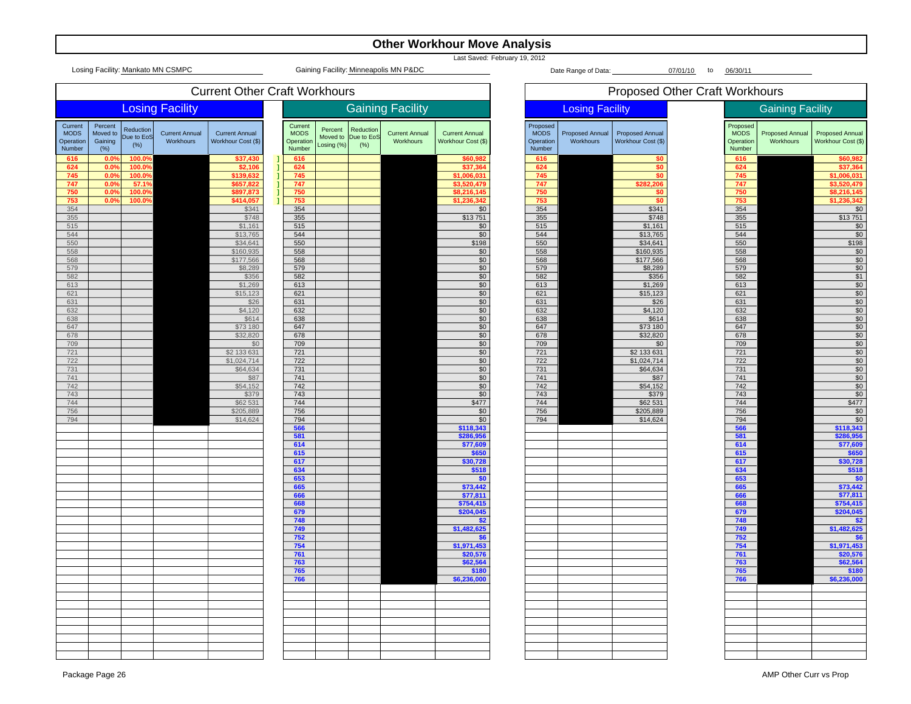|                                               | <b>Other Workhour Move Analysis</b>    |                                   |                                    |                                             |  |                                               |                                   |                                 |                                       |                                             |  |                                                |                                     |                                              |                |                                                |                                     |                                                   |
|-----------------------------------------------|----------------------------------------|-----------------------------------|------------------------------------|---------------------------------------------|--|-----------------------------------------------|-----------------------------------|---------------------------------|---------------------------------------|---------------------------------------------|--|------------------------------------------------|-------------------------------------|----------------------------------------------|----------------|------------------------------------------------|-------------------------------------|---------------------------------------------------|
|                                               |                                        |                                   | Losing Facility: Mankato MN CSMPC  |                                             |  |                                               |                                   |                                 | Gaining Facility: Minneapolis MN P&DC | Last Saved: February 19, 2012               |  |                                                | Date Range of Data:                 |                                              | 07/01/10<br>to | 06/30/11                                       |                                     |                                                   |
|                                               |                                        |                                   |                                    | <b>Current Other Craft Workhours</b>        |  |                                               |                                   |                                 |                                       |                                             |  |                                                |                                     | <b>Proposed Other Craft Workhours</b>        |                |                                                |                                     |                                                   |
|                                               |                                        |                                   | <b>Losing Facility</b>             |                                             |  |                                               |                                   |                                 | <b>Gaining Facility</b>               |                                             |  |                                                | <b>Losing Facility</b>              |                                              |                |                                                | <b>Gaining Facility</b>             |                                                   |
| Current<br><b>MODS</b><br>Operation<br>Number | Percent<br>Moved to<br>Gaining<br>(% ) | Reduction<br>Due to EoS<br>$(\%)$ | <b>Current Annual</b><br>Workhours | <b>Current Annual</b><br>Workhour Cost (\$) |  | Current<br><b>MODS</b><br>Operation<br>Number | Percent<br>Moved to<br>Losing (%) | Reduction<br>Due to EoS<br>(% ) | <b>Current Annual</b><br>Workhours    | <b>Current Annual</b><br>Workhour Cost (\$) |  | Proposed<br><b>MODS</b><br>Operation<br>Number | <b>Proposed Annual</b><br>Workhours | <b>Proposed Annual</b><br>Workhour Cost (\$) |                | Proposed<br><b>MODS</b><br>Operation<br>Number | <b>Proposed Annual</b><br>Workhours | <b>Proposed Annual</b><br>Workhour Cost (\$)      |
| 616<br>624                                    | 0.0<br>$0.0^{\circ}$                   | 100.0%<br>100.0%                  |                                    | \$37,43<br>\$2,106                          |  | 616<br>624                                    |                                   |                                 |                                       | \$60,982<br>\$37,364                        |  | 616<br>624                                     |                                     | \$0<br>\$0                                   |                | 616<br>624                                     |                                     | \$60,982<br>\$37,364                              |
| 745<br>747                                    | $0.0^{\circ}$<br>0.0                   | 100.0%<br>57.1%                   |                                    | \$139,632<br>\$657,822                      |  | 745<br>747                                    |                                   |                                 |                                       | \$1,006,031<br>\$3,520,479                  |  | 745<br>747                                     |                                     | \$0<br>\$282,206                             |                | 745<br>747                                     |                                     | \$1,006,031<br>\$3,520,479                        |
| 750                                           | 0.0                                    | 100.0%                            |                                    | \$897,873                                   |  | 750                                           |                                   |                                 |                                       | \$8,216,145                                 |  | 750                                            |                                     | \$0                                          |                | 750                                            |                                     | \$8,216,145                                       |
| 753<br>354                                    | $0.0^\circ$                            | 100.0%                            |                                    | \$414,057<br>\$341                          |  | 753<br>354                                    |                                   |                                 |                                       | \$1,236,342<br>\$0                          |  | 753<br>354                                     |                                     | \$0<br>\$341                                 |                | 753<br>354                                     |                                     | \$1,236,342<br>\$0                                |
| 355                                           |                                        |                                   |                                    | \$748                                       |  | 355                                           |                                   |                                 |                                       | \$13751                                     |  | 355                                            |                                     | \$748                                        |                | 355                                            |                                     | \$13751                                           |
| 515<br>544                                    |                                        |                                   |                                    | \$1,161<br>\$13,765                         |  | 515<br>544                                    |                                   |                                 |                                       | \$0<br>\$0                                  |  | 515<br>544                                     |                                     | \$1,161<br>\$13,765                          |                | 515<br>544                                     |                                     | \$0<br>\$0                                        |
| 550<br>558                                    |                                        |                                   |                                    | \$34,641<br>\$160,935                       |  | 550<br>558                                    |                                   |                                 |                                       | \$198<br>\$0                                |  | 550<br>558                                     |                                     | \$34,641<br>\$160,935                        |                | 550<br>558                                     |                                     | \$198                                             |
| 568                                           |                                        |                                   |                                    | \$177,566                                   |  | 568                                           |                                   |                                 |                                       | $\sqrt{$0}$                                 |  | 568                                            |                                     | \$177,566                                    |                | 568                                            |                                     | $\frac{$0}{$0}$                                   |
| 579<br>582                                    |                                        |                                   |                                    | \$8,289<br>\$356                            |  | 579<br>582                                    |                                   |                                 |                                       | \$0<br>\$0                                  |  | 579<br>582                                     |                                     | \$8,289<br>\$356                             |                | 579<br>582                                     |                                     | $\frac{$0}{$1}$                                   |
| 613                                           |                                        |                                   |                                    | \$1,269                                     |  | 613                                           |                                   |                                 |                                       | \$0                                         |  | 613                                            |                                     | \$1,269                                      |                | 613                                            |                                     | \$0                                               |
| 621<br>631                                    |                                        |                                   |                                    | \$15,123<br>\$26                            |  | 621<br>631                                    |                                   |                                 |                                       | \$0<br>\$0                                  |  | 621<br>631                                     |                                     | \$15,123<br>\$26                             |                | 621<br>631                                     |                                     | \$0                                               |
| 632                                           |                                        |                                   |                                    | \$4,120                                     |  | 632                                           |                                   |                                 |                                       | \$0                                         |  | 632                                            |                                     | \$4,120                                      |                | 632                                            |                                     | $rac{1}{100}$<br>$rac{10}{100}$<br>$rac{10}{100}$ |
| 638<br>647                                    |                                        |                                   |                                    | \$614<br>\$73 180                           |  | 638<br>647                                    |                                   |                                 |                                       | \$0<br>$\overline{50}$                      |  | 638<br>647                                     |                                     | \$614<br>\$73 180                            |                | 638<br>647                                     |                                     |                                                   |
| 678<br>709                                    |                                        |                                   |                                    | \$32,820<br>\$0                             |  | 678<br>709                                    |                                   |                                 |                                       | \$0<br>\$0                                  |  | 678<br>709                                     |                                     | \$32,820<br>\$0                              |                | 678<br>709                                     |                                     | $\frac{\frac{6}{10}}{\frac{10}{10}}$              |
| 721                                           |                                        |                                   |                                    | \$2 133 631                                 |  | 721                                           |                                   |                                 |                                       | \$0                                         |  | 721                                            |                                     | \$2 133 631                                  |                | 721                                            |                                     |                                                   |
| 722<br>731                                    |                                        |                                   |                                    | \$1,024,714<br>\$64,634                     |  | 722<br>731                                    |                                   |                                 |                                       | \$0<br>\$0                                  |  | 722<br>731                                     |                                     | \$1,024,714<br>\$64,634                      |                | 722<br>731                                     |                                     | $\overline{50}$<br>\$0                            |
| 741                                           |                                        |                                   |                                    | \$87                                        |  | 741                                           |                                   |                                 |                                       | \$0                                         |  | 741                                            |                                     | \$87                                         |                | 741                                            |                                     |                                                   |
| 742<br>743                                    |                                        |                                   |                                    | \$54,152<br>\$379                           |  | 742<br>743                                    |                                   |                                 |                                       | \$0<br>\$0                                  |  | 742<br>743                                     |                                     | \$54,152<br>\$379                            |                | 742<br>743                                     |                                     | $rac{1}{100}$                                     |
| 744                                           |                                        |                                   |                                    | \$62 531                                    |  | 744                                           |                                   |                                 |                                       | \$477                                       |  | 744                                            |                                     | \$62 531                                     |                | 744                                            |                                     | \$477                                             |
| 756<br>794                                    |                                        |                                   |                                    | \$205,889<br>\$14,624                       |  | 756<br>794                                    |                                   |                                 |                                       | \$0<br>\$0                                  |  | 756<br>794                                     |                                     | \$205,889<br>\$14,624                        |                | 756<br>794                                     |                                     | \$0<br>\$0                                        |
|                                               |                                        |                                   |                                    |                                             |  | 566<br>581                                    |                                   |                                 |                                       | \$118,343<br>\$286,956                      |  |                                                |                                     |                                              |                | 566<br>581                                     |                                     | \$118,343<br>\$286,956                            |
|                                               |                                        |                                   |                                    |                                             |  | 614                                           |                                   |                                 |                                       | \$77,609                                    |  |                                                |                                     |                                              |                | 614                                            |                                     | \$77,609                                          |
|                                               |                                        |                                   |                                    |                                             |  | 615<br>617                                    |                                   |                                 |                                       | \$650<br>\$30,728                           |  |                                                |                                     |                                              |                | 615<br>617                                     |                                     | \$650<br>\$30,728                                 |
|                                               |                                        |                                   |                                    |                                             |  | 634                                           |                                   |                                 |                                       | \$518                                       |  |                                                |                                     |                                              |                | 634                                            |                                     | \$518                                             |
|                                               |                                        |                                   |                                    |                                             |  | 653<br>665                                    |                                   |                                 |                                       | \$0<br>\$73,442                             |  |                                                |                                     |                                              |                | 653<br>665                                     |                                     | \$0<br>\$73,442                                   |
|                                               |                                        |                                   |                                    |                                             |  | 666                                           |                                   |                                 |                                       | \$77,811                                    |  |                                                |                                     |                                              |                | 666                                            |                                     | \$77,811                                          |
|                                               |                                        |                                   |                                    |                                             |  | 668<br>679                                    |                                   |                                 |                                       | \$754,415<br>\$204,045                      |  |                                                |                                     |                                              |                | 668<br>679                                     |                                     | \$754,415<br>\$204,045                            |
|                                               |                                        |                                   |                                    |                                             |  | 748<br>749                                    |                                   |                                 |                                       | \$2<br>\$1,482,625                          |  |                                                |                                     |                                              |                | 748<br>749                                     |                                     | \$2<br>\$1,482,625                                |
|                                               |                                        |                                   |                                    |                                             |  | 752                                           |                                   |                                 |                                       | \$6                                         |  |                                                |                                     |                                              |                | 752                                            |                                     | \$6                                               |
|                                               |                                        |                                   |                                    |                                             |  | 754<br>761                                    |                                   |                                 |                                       | \$1,971,453<br>\$20,576                     |  |                                                |                                     |                                              |                | 754<br>761                                     |                                     | \$1,971,453<br>\$20,576                           |
|                                               |                                        |                                   |                                    |                                             |  | 763                                           |                                   |                                 |                                       | \$62,564                                    |  |                                                |                                     |                                              |                | 763                                            |                                     | \$62,564                                          |
|                                               |                                        |                                   |                                    |                                             |  | 765<br>766                                    |                                   |                                 |                                       | \$180<br>\$6,236,000                        |  |                                                |                                     |                                              |                | 765<br>766                                     |                                     | \$180<br>\$6,236,000                              |
|                                               |                                        |                                   |                                    |                                             |  |                                               |                                   |                                 |                                       |                                             |  |                                                |                                     |                                              |                |                                                |                                     |                                                   |
|                                               |                                        |                                   |                                    |                                             |  |                                               |                                   |                                 |                                       |                                             |  |                                                |                                     |                                              |                |                                                |                                     |                                                   |
|                                               |                                        |                                   |                                    |                                             |  |                                               |                                   |                                 |                                       |                                             |  |                                                |                                     |                                              |                |                                                |                                     |                                                   |
|                                               |                                        |                                   |                                    |                                             |  |                                               |                                   |                                 |                                       |                                             |  |                                                |                                     |                                              |                |                                                |                                     |                                                   |
|                                               |                                        |                                   |                                    |                                             |  |                                               |                                   |                                 |                                       |                                             |  |                                                |                                     |                                              |                |                                                |                                     |                                                   |
|                                               |                                        |                                   |                                    |                                             |  |                                               |                                   |                                 |                                       |                                             |  |                                                |                                     |                                              |                |                                                |                                     |                                                   |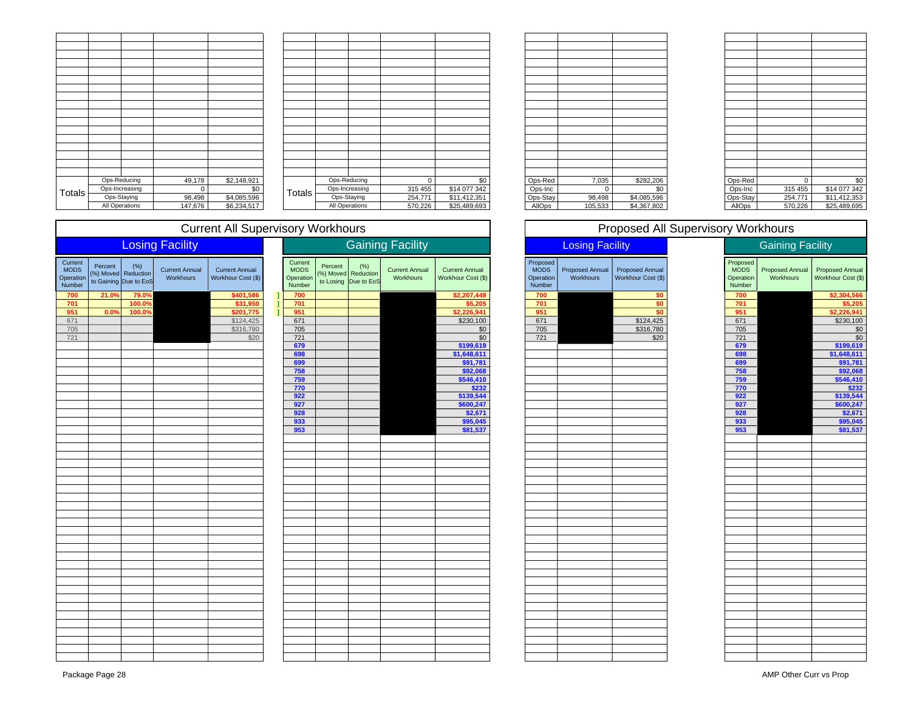|               |                | Ops-Reducing          | 49,178  | \$2,148,921 |
|---------------|----------------|-----------------------|---------|-------------|
| <b>Totals</b> | Ops-Increasing |                       | 0       | \$0         |
|               |                | Ops-Staying           | 98,498  | \$4,085,596 |
|               |                | <b>All Operations</b> | 147,676 | \$6,234,517 |

| 49,178      | \$2,148,921 |        | Ops-Reducing   | $\Omega$ | \$0          | Ops-Red  | 7,035    | \$282,206   | Ops-Red  |         | \$0          |
|-------------|-------------|--------|----------------|----------|--------------|----------|----------|-------------|----------|---------|--------------|
| $\mathbf 0$ | \$0         | Totals | Ops-Increasing | 315 455  | \$14 077 342 | Ops-Inc  | $\Omega$ | \$0         | Ops-Inc  | 315 455 | \$14 077 342 |
| 98,498      | \$4,085,596 |        | Ops-Staying    | 254,771  | \$11,412,351 | Ops-Stay | 98,498   | \$4,085,596 | Ops-Stay | 254,771 | \$11,412,353 |
| 147,676     | \$6,234,517 |        | All Operations | 570,226  | \$25,489,693 | AllOps   | 105,533  | \$4,367,802 | AllOps   | 570,226 | \$25,489,695 |
|             |             |        |                |          |              |          |          |             |          |         |              |

| Ops-Red  | 7,035   | \$282,206   |
|----------|---------|-------------|
| Ops-Inc  | O       | \$0         |
| Ops-Stay | 98,498  | \$4,085,596 |
| AllOps   | 105,533 | \$4,367,802 |

| Ops-Red       | 0       | \$0          |
|---------------|---------|--------------|
| Ops-Inc       | 315 455 | \$14 077 342 |
| Ops-Stay      | 254,771 | \$11,412,353 |
| <b>AllOps</b> | 570,226 | \$25,489,695 |
|               |         |              |

# Current All Supervisory Workhours

|                                               |                      |                                            | <b>Losing Facility</b>             |                                             |    |                                               | <b>Gaining Facility</b> |                                                     |                                    |                                             | <b>Losing Facility</b>                         |                              |                                              | <b>Gaining Facility</b> |                                                |                              |                                     |
|-----------------------------------------------|----------------------|--------------------------------------------|------------------------------------|---------------------------------------------|----|-----------------------------------------------|-------------------------|-----------------------------------------------------|------------------------------------|---------------------------------------------|------------------------------------------------|------------------------------|----------------------------------------------|-------------------------|------------------------------------------------|------------------------------|-------------------------------------|
| Current<br><b>MODS</b><br>Operation<br>Number | Percent<br>(%) Moved | (% )<br>Reduction<br>to Gaining Due to EoS | <b>Current Annual</b><br>Workhours | <b>Current Annual</b><br>Workhour Cost (\$) |    | Current<br><b>MODS</b><br>Operation<br>Number | Percent                 | (% )<br>(%) Moved Reduction<br>to Losing Due to EoS | <b>Current Annual</b><br>Workhours | <b>Current Annual</b><br>Workhour Cost (\$) | Proposed<br><b>MODS</b><br>Operation<br>Number | Proposed Annual<br>Workhours | <b>Proposed Annual</b><br>Workhour Cost (\$) |                         | Proposed<br><b>MODS</b><br>Operation<br>Number | Proposed Annual<br>Workhours | Proposed Annua<br>Workhour Cost (\$ |
| 700                                           | 21.0%                | 79.0%                                      |                                    | \$401,586                                   | Π  | 700                                           |                         |                                                     |                                    | \$2,207,449                                 | 700                                            |                              | \$0                                          |                         | 700                                            |                              | $$2,304,566$<br>\$5,205             |
| 701                                           |                      | 100.0%                                     |                                    | \$31,950                                    | -1 | 701                                           |                         |                                                     |                                    | \$5,205                                     | 701                                            |                              | \$0                                          |                         | 701                                            |                              |                                     |
| 951                                           | 0.0%                 | 100.0%                                     |                                    | \$201,775                                   | -1 | 951                                           |                         |                                                     |                                    | \$2,226,941                                 | 951                                            |                              | \$0                                          |                         | 951                                            |                              | \$2,226,941                         |
| 671                                           |                      |                                            |                                    | \$124,425                                   |    | 671                                           |                         |                                                     |                                    | \$230,100                                   | 671                                            |                              | \$124,425                                    |                         | 671                                            |                              | \$230,100                           |
| 705                                           |                      |                                            |                                    | \$316,780                                   |    | 705                                           |                         |                                                     |                                    | \$0                                         | 705                                            |                              | \$316,780                                    |                         | 705                                            |                              |                                     |
| 721                                           |                      |                                            |                                    | \$20                                        |    | $721$                                         |                         |                                                     |                                    | $\overline{50}$                             | $721$                                          |                              | \$20                                         |                         | $\overline{721}$                               |                              | $\frac{$C}{C}$                      |
|                                               |                      |                                            |                                    |                                             |    | 679                                           |                         |                                                     |                                    | \$199,619                                   |                                                |                              |                                              |                         | 679                                            |                              | \$199,619                           |
|                                               |                      |                                            |                                    |                                             |    | 698                                           |                         |                                                     |                                    | \$1,648,611                                 |                                                |                              |                                              |                         | 698                                            |                              | \$1,648,611                         |
|                                               |                      |                                            |                                    |                                             |    | 699                                           |                         |                                                     |                                    | \$91,781                                    |                                                |                              |                                              |                         | 699                                            |                              | \$91,781                            |
|                                               |                      |                                            |                                    |                                             |    | 758                                           |                         |                                                     |                                    | \$92,068                                    |                                                |                              |                                              |                         | 758                                            |                              | \$92,068                            |
|                                               |                      |                                            |                                    |                                             |    | 759                                           |                         |                                                     |                                    | \$546,410                                   |                                                |                              |                                              |                         | 759                                            |                              | $\frac{$546,410}{232}$              |
|                                               |                      |                                            |                                    |                                             |    | 770                                           |                         |                                                     |                                    | \$232                                       |                                                |                              |                                              |                         | 770                                            |                              |                                     |
|                                               |                      |                                            |                                    |                                             |    | 922                                           |                         |                                                     |                                    | \$139,544                                   |                                                |                              |                                              |                         | 922                                            |                              | $$139,544$<br>\$600,247             |
|                                               |                      |                                            |                                    |                                             |    | 927                                           |                         |                                                     |                                    | \$600,247                                   |                                                |                              |                                              |                         | 927                                            |                              |                                     |
|                                               |                      |                                            |                                    |                                             |    | 928                                           |                         |                                                     |                                    | \$2,671                                     |                                                |                              |                                              |                         | 928                                            |                              |                                     |
|                                               |                      |                                            |                                    |                                             |    | 933                                           |                         |                                                     |                                    | \$95,045                                    |                                                |                              |                                              |                         | 933                                            |                              | $\frac{$2,671}{$95,045}$            |
|                                               |                      |                                            |                                    |                                             |    | 953                                           |                         |                                                     |                                    | \$81,537                                    |                                                |                              |                                              |                         | 953                                            |                              | \$81,537                            |
|                                               |                      |                                            |                                    |                                             |    |                                               |                         |                                                     |                                    |                                             |                                                |                              |                                              |                         |                                                |                              |                                     |
|                                               |                      |                                            |                                    |                                             |    |                                               |                         |                                                     |                                    |                                             |                                                |                              |                                              |                         |                                                |                              |                                     |
|                                               |                      |                                            |                                    |                                             |    |                                               |                         |                                                     |                                    |                                             |                                                |                              |                                              |                         |                                                |                              |                                     |
|                                               |                      |                                            |                                    |                                             |    |                                               |                         |                                                     |                                    |                                             |                                                |                              |                                              |                         |                                                |                              |                                     |
|                                               |                      |                                            |                                    |                                             |    |                                               |                         |                                                     |                                    |                                             |                                                |                              |                                              |                         |                                                |                              |                                     |
|                                               |                      |                                            |                                    |                                             |    |                                               |                         |                                                     |                                    |                                             |                                                |                              |                                              |                         |                                                |                              |                                     |
|                                               |                      |                                            |                                    |                                             |    |                                               |                         |                                                     |                                    |                                             |                                                |                              |                                              |                         |                                                |                              |                                     |
|                                               |                      |                                            |                                    |                                             |    |                                               |                         |                                                     |                                    |                                             |                                                |                              |                                              |                         |                                                |                              |                                     |
|                                               |                      |                                            |                                    |                                             |    |                                               |                         |                                                     |                                    |                                             |                                                |                              |                                              |                         |                                                |                              |                                     |
|                                               |                      |                                            |                                    |                                             |    |                                               |                         |                                                     |                                    |                                             |                                                |                              |                                              |                         |                                                |                              |                                     |
|                                               |                      |                                            |                                    |                                             |    |                                               |                         |                                                     |                                    |                                             |                                                |                              |                                              |                         |                                                |                              |                                     |
|                                               |                      |                                            |                                    |                                             |    |                                               |                         |                                                     |                                    |                                             |                                                |                              |                                              |                         |                                                |                              |                                     |
|                                               |                      |                                            |                                    |                                             |    |                                               |                         |                                                     |                                    |                                             |                                                |                              |                                              |                         |                                                |                              |                                     |
|                                               |                      |                                            |                                    |                                             |    |                                               |                         |                                                     |                                    |                                             |                                                |                              |                                              |                         |                                                |                              |                                     |
|                                               |                      |                                            |                                    |                                             |    |                                               |                         |                                                     |                                    |                                             |                                                |                              |                                              |                         |                                                |                              |                                     |
|                                               |                      |                                            |                                    |                                             |    |                                               |                         |                                                     |                                    |                                             |                                                |                              |                                              |                         |                                                |                              |                                     |
|                                               |                      |                                            |                                    |                                             |    |                                               |                         |                                                     |                                    |                                             |                                                |                              |                                              |                         |                                                |                              |                                     |
|                                               |                      |                                            |                                    |                                             |    |                                               |                         |                                                     |                                    |                                             |                                                |                              |                                              |                         |                                                |                              |                                     |
|                                               |                      |                                            |                                    |                                             |    |                                               |                         |                                                     |                                    |                                             |                                                |                              |                                              |                         |                                                |                              |                                     |
|                                               |                      |                                            |                                    |                                             |    |                                               |                         |                                                     |                                    |                                             |                                                |                              |                                              |                         |                                                |                              |                                     |
|                                               |                      |                                            |                                    |                                             |    |                                               |                         |                                                     |                                    |                                             |                                                |                              |                                              |                         |                                                |                              |                                     |
|                                               |                      |                                            |                                    |                                             |    |                                               |                         |                                                     |                                    |                                             |                                                |                              |                                              |                         |                                                |                              |                                     |
|                                               |                      |                                            |                                    |                                             |    |                                               |                         |                                                     |                                    |                                             |                                                |                              |                                              |                         |                                                |                              |                                     |
|                                               |                      |                                            |                                    |                                             |    |                                               |                         |                                                     |                                    |                                             |                                                |                              |                                              |                         |                                                |                              |                                     |
|                                               |                      |                                            |                                    |                                             |    |                                               |                         |                                                     |                                    |                                             |                                                |                              |                                              |                         |                                                |                              |                                     |
|                                               |                      |                                            |                                    |                                             |    |                                               |                         |                                                     |                                    |                                             |                                                |                              |                                              |                         |                                                |                              |                                     |
|                                               |                      |                                            |                                    |                                             |    |                                               |                         |                                                     |                                    |                                             |                                                |                              |                                              |                         |                                                |                              |                                     |
|                                               |                      |                                            |                                    |                                             |    |                                               |                         |                                                     |                                    |                                             |                                                |                              |                                              |                         |                                                |                              |                                     |

|              | <b>Gaining Facility</b>                       |         |                                                       |                                    |                                             |  | <b>Losing Facility</b>                         |                              |                                       |                                                | <b>Gaining Facility</b>             |                                     |
|--------------|-----------------------------------------------|---------|-------------------------------------------------------|------------------------------------|---------------------------------------------|--|------------------------------------------------|------------------------------|---------------------------------------|------------------------------------------------|-------------------------------------|-------------------------------------|
|              | Current<br><b>MODS</b><br>Operation<br>Number | Percent | $(\%)$<br>(%) Moved Reduction<br>to Losing Due to EoS | <b>Current Annual</b><br>Workhours | <b>Current Annual</b><br>Workhour Cost (\$) |  | Proposed<br><b>MODS</b><br>Operation<br>Number | Proposed Annual<br>Workhours | Proposed Annual<br>Workhour Cost (\$) | Proposed<br><b>MODS</b><br>Operation<br>Number | <b>Proposed Annual</b><br>Workhours | Proposed Annua<br>Workhour Cost (\$ |
| I            | 700                                           |         |                                                       |                                    | \$2,207,449                                 |  | 700                                            |                              | \$0                                   | 700                                            |                                     | \$2,304,566                         |
| ı            | 701                                           |         |                                                       |                                    | \$5,205                                     |  | 701                                            |                              | \$0                                   | 701                                            |                                     | \$5,205                             |
| $\mathbf{I}$ | 951                                           |         |                                                       |                                    | \$2,226,941                                 |  | 951                                            |                              | \$0                                   | 951                                            |                                     | \$2,226,941                         |
|              | 671                                           |         |                                                       |                                    | \$230,100                                   |  | 671                                            |                              | \$124,425                             | 671                                            |                                     | \$230,100                           |
|              | 705                                           |         |                                                       |                                    | \$0                                         |  | 705                                            |                              | \$316,780                             | 705                                            |                                     | \$C                                 |
|              | 721                                           |         |                                                       |                                    | $\overline{50}$                             |  | $721$                                          |                              | \$20                                  | 721                                            |                                     | \$C                                 |
|              | 679                                           |         |                                                       |                                    | \$199,619                                   |  |                                                |                              |                                       | 679                                            |                                     | \$199,619                           |
|              | 698                                           |         |                                                       |                                    | \$1,648,611                                 |  |                                                |                              |                                       | 698                                            |                                     | \$1,648,611                         |
|              | 699<br>758                                    |         |                                                       |                                    | \$91,781<br>\$92,068                        |  |                                                |                              |                                       | 699<br>758                                     |                                     | \$91,781<br>\$92,068                |
|              | 759                                           |         |                                                       |                                    | \$546,410                                   |  |                                                |                              |                                       | 759                                            |                                     | \$546,410                           |
|              | 770                                           |         |                                                       |                                    | \$232                                       |  |                                                |                              |                                       | 770                                            |                                     | \$232                               |
|              | 922                                           |         |                                                       |                                    | \$139,544                                   |  |                                                |                              |                                       | 922                                            |                                     | \$139,544                           |
|              | 927                                           |         |                                                       |                                    | \$600,247                                   |  |                                                |                              |                                       | 927                                            |                                     | \$600,247                           |
|              | 928                                           |         |                                                       |                                    | \$2,671                                     |  |                                                |                              |                                       | 928                                            |                                     | \$2,671                             |
|              | 933                                           |         |                                                       |                                    | \$95,045                                    |  |                                                |                              |                                       | 933                                            |                                     | \$95,045                            |
|              | 953                                           |         |                                                       |                                    | \$81,537                                    |  |                                                |                              |                                       | 953                                            |                                     | \$81,537                            |
|              |                                               |         |                                                       |                                    |                                             |  |                                                |                              |                                       |                                                |                                     |                                     |
|              |                                               |         |                                                       |                                    |                                             |  |                                                |                              |                                       |                                                |                                     |                                     |
|              |                                               |         |                                                       |                                    |                                             |  |                                                |                              |                                       |                                                |                                     |                                     |
|              |                                               |         |                                                       |                                    |                                             |  |                                                |                              |                                       |                                                |                                     |                                     |
|              |                                               |         |                                                       |                                    |                                             |  |                                                |                              |                                       |                                                |                                     |                                     |
|              |                                               |         |                                                       |                                    |                                             |  |                                                |                              |                                       |                                                |                                     |                                     |
|              |                                               |         |                                                       |                                    |                                             |  |                                                |                              |                                       |                                                |                                     |                                     |
|              |                                               |         |                                                       |                                    |                                             |  |                                                |                              |                                       |                                                |                                     |                                     |
|              |                                               |         |                                                       |                                    |                                             |  |                                                |                              |                                       |                                                |                                     |                                     |
|              |                                               |         |                                                       |                                    |                                             |  |                                                |                              |                                       |                                                |                                     |                                     |
|              |                                               |         |                                                       |                                    |                                             |  |                                                |                              |                                       |                                                |                                     |                                     |
|              |                                               |         |                                                       |                                    |                                             |  |                                                |                              |                                       |                                                |                                     |                                     |
|              |                                               |         |                                                       |                                    |                                             |  |                                                |                              |                                       |                                                |                                     |                                     |
|              |                                               |         |                                                       |                                    |                                             |  |                                                |                              |                                       |                                                |                                     |                                     |
|              |                                               |         |                                                       |                                    |                                             |  |                                                |                              |                                       |                                                |                                     |                                     |
|              |                                               |         |                                                       |                                    |                                             |  |                                                |                              |                                       |                                                |                                     |                                     |
|              |                                               |         |                                                       |                                    |                                             |  |                                                |                              |                                       |                                                |                                     |                                     |
|              |                                               |         |                                                       |                                    |                                             |  |                                                |                              |                                       |                                                |                                     |                                     |
|              |                                               |         |                                                       |                                    |                                             |  |                                                |                              |                                       |                                                |                                     |                                     |
|              |                                               |         |                                                       |                                    |                                             |  |                                                |                              |                                       |                                                |                                     |                                     |
|              |                                               |         |                                                       |                                    |                                             |  |                                                |                              |                                       |                                                |                                     |                                     |
|              |                                               |         |                                                       |                                    |                                             |  |                                                |                              |                                       |                                                |                                     |                                     |
|              |                                               |         |                                                       |                                    |                                             |  |                                                |                              |                                       |                                                |                                     |                                     |
|              |                                               |         |                                                       |                                    |                                             |  |                                                |                              |                                       |                                                |                                     |                                     |
|              |                                               |         |                                                       |                                    |                                             |  |                                                |                              |                                       |                                                |                                     |                                     |
|              |                                               |         |                                                       |                                    |                                             |  |                                                |                              |                                       |                                                |                                     |                                     |

| Losing Facility                     |                                              |                                  |
|-------------------------------------|----------------------------------------------|----------------------------------|
| Proposed Annual<br><b>Workhours</b> | <b>Proposed Annual</b><br>Workhour Cost (\$) | Prop<br><b>MC</b><br>Oper<br>Nun |
|                                     |                                              | 70                               |
|                                     | \$0                                          | 70                               |
|                                     | \$0                                          | 95                               |
|                                     | $Q$ 124 $A$ 25                               | $\sim$                           |

Proposed All Supervisory Workhours

| Proposed<br><b>MODS</b> |                        |                        |
|-------------------------|------------------------|------------------------|
|                         | <b>Proposed Annual</b> | <b>Proposed Annual</b> |
| Operation<br>Number     | Workhours              | Workhour Cost (\$)     |
| 700                     |                        | \$2,304,566            |
| 701                     |                        | \$5,205                |
| 951                     |                        | \$2,226,941            |
| 671                     |                        | \$230,100              |
| 705                     |                        | \$0                    |
| 721                     |                        | \$0                    |
| 679                     |                        | \$199,619              |
| 698                     |                        | \$1,648,611            |
| 699                     |                        | \$91,781               |
| 758                     |                        | \$92,068               |
| 759                     |                        | \$546,410              |
| 770                     |                        | \$232                  |
| 922                     |                        | \$139,544              |
| 927                     |                        | \$600,247              |
| 928                     |                        | \$2,671                |
| 933                     |                        | \$95,045               |
| 953                     |                        | \$81,537               |
|                         |                        |                        |
|                         |                        |                        |
|                         |                        |                        |
|                         |                        |                        |
|                         |                        |                        |
|                         |                        |                        |
|                         |                        |                        |
|                         |                        |                        |
|                         |                        |                        |
|                         |                        |                        |
|                         |                        |                        |
|                         |                        |                        |
|                         |                        |                        |
|                         |                        |                        |
|                         |                        |                        |
|                         |                        |                        |
|                         |                        |                        |
|                         |                        |                        |
|                         |                        |                        |
|                         |                        |                        |
|                         |                        |                        |
|                         |                        |                        |
|                         |                        |                        |
|                         |                        |                        |
|                         |                        |                        |
|                         |                        |                        |
|                         |                        |                        |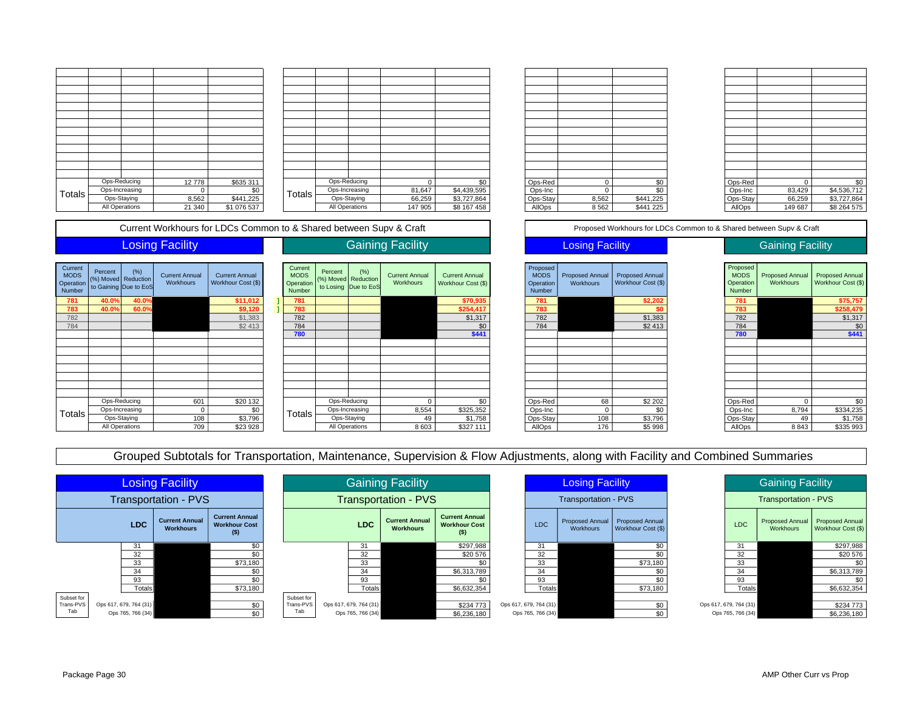|               | Ops-Reducing   | 12778  | \$635 311   |
|---------------|----------------|--------|-------------|
| <b>Totals</b> | Ops-Increasing | 0      | \$0         |
|               | Ops-Staying    | 8,562  | \$441,225   |
|               | All Operations | 21 340 | \$1 076 537 |

| 12778  | \$635 311   |        |             | Ops-Reducing   |         | \$0         | Ops-Red  | C     | \$0       | Ops-Red  |         | \$0         |
|--------|-------------|--------|-------------|----------------|---------|-------------|----------|-------|-----------|----------|---------|-------------|
| 0      | \$0         | Totals |             | Ops-Increasing | 81,647  | \$4,439,595 | Ops-Inc  |       | \$0       | Ops-Inc  | 83,429  | \$4,536,712 |
| 8,562  | \$441,225   |        | Ops-Staying |                | 66,259  | \$3,727,864 | Ops-Stay | 8,562 | \$441,225 | Ops-Stay | 66,259  | \$3,727,864 |
| 21 340 | \$1 076 537 |        |             | All Operations | 147 905 | \$8 167 458 | AllOps   | 8562  | \$441 225 | AllOps   | 149 687 | \$8 264 575 |

| Ops-Red  | 0     | \$0       |
|----------|-------|-----------|
| Ops-Inc  | 0     | \$0       |
| Ops-Stay | 8,562 | \$441,225 |
| AllOps   | 8562  | \$441 225 |

| Ops-Red  | 0       | \$0         |
|----------|---------|-------------|
| Ops-Inc  | 83,429  | \$4,536,712 |
| Ops-Stay | 66,259  | \$3,727,864 |
| AllOps   | 149 687 | \$8 264 575 |

Current Workhours for LDCs Common to & Shared between Supv & Craft Proposed Workhours for LDCs Common to & Shared between Supv & Craft

### **Losing Facility**

| Current<br><b>MODS</b><br>Operation<br><b>Number</b> | Percent<br>(%) Moved<br>to Gaining | (% )<br>Reduction<br>Due to EoS | <b>Current Annual</b><br><b>Workhours</b> | <b>Current Annual</b><br>Workhour Cost (\$) |
|------------------------------------------------------|------------------------------------|---------------------------------|-------------------------------------------|---------------------------------------------|
| 781                                                  | 40.0%                              | 40.0%                           |                                           | \$11,012                                    |
| 783                                                  | 40.0%                              | 60.0%                           |                                           | \$9,120                                     |
| 782                                                  |                                    |                                 |                                           | \$1,383                                     |
| 784                                                  |                                    |                                 |                                           | \$2413                                      |
|                                                      |                                    |                                 |                                           |                                             |
|                                                      |                                    |                                 |                                           |                                             |
|                                                      |                                    |                                 |                                           |                                             |
|                                                      |                                    |                                 |                                           |                                             |
|                                                      |                                    |                                 |                                           |                                             |
|                                                      |                                    |                                 |                                           |                                             |
|                                                      |                                    |                                 |                                           |                                             |
|                                                      |                                    |                                 |                                           |                                             |
|                                                      |                                    | Ops-Reducing                    | 601                                       | \$20 132                                    |
|                                                      |                                    | Ops-Increasing                  | O                                         | \$0                                         |
| Totals                                               |                                    | Ops-Staying                     | 108                                       | \$3,796                                     |
|                                                      |                                    | All Operations                  | 709                                       | \$23 928                                    |

| ent<br><b>DS</b><br>ation<br>ber | Percent<br>(%) Moved Reduction | (% )<br>to Gaining Due to EoS | <b>Current Annual</b><br>Workhours | <b>Current Annual</b><br>Workhour Cost (\$) | Current<br><b>MODS</b><br>Operation<br>Number | Percent | (% )<br>(%) Moved Reduction<br>to Losing Due to EoS | <b>Current Annual</b><br>Workhours | <b>Current Annual</b><br>Workhour Cost (\$) | Proposed<br><b>MODS</b><br>Operation<br>Number | Proposed Annual<br>Workhours | <b>Proposed Annual</b><br>Workhour Cost (\$) | Proposed<br><b>MODS</b><br>Operation<br>Number | Proposed Annual<br>Workhours | <b>Proposed Annua</b><br>Workhour Cost (\$ |
|----------------------------------|--------------------------------|-------------------------------|------------------------------------|---------------------------------------------|-----------------------------------------------|---------|-----------------------------------------------------|------------------------------------|---------------------------------------------|------------------------------------------------|------------------------------|----------------------------------------------|------------------------------------------------|------------------------------|--------------------------------------------|
|                                  | 40.0%                          | 40.0%                         |                                    | \$11,012                                    | 781                                           |         |                                                     |                                    | \$70,935                                    | 781                                            |                              | \$2,202                                      | 781                                            |                              | \$75,757                                   |
|                                  | 40.0%                          | 60.0%                         |                                    | \$9,120                                     | 783                                           |         |                                                     |                                    | \$254,417                                   | 783                                            |                              | \$0                                          | 783                                            |                              | \$258,479                                  |
|                                  |                                |                               |                                    | \$1,383                                     | 782                                           |         |                                                     |                                    | \$1,317                                     | 782                                            |                              | \$1,383                                      | 782                                            |                              | \$1,317                                    |
|                                  |                                |                               |                                    | \$2413                                      | 784                                           |         |                                                     |                                    | \$0                                         | 784                                            |                              | \$2413                                       | 784                                            |                              | \$C                                        |
|                                  |                                |                               |                                    |                                             | 780                                           |         |                                                     |                                    | \$441                                       |                                                |                              |                                              | 780                                            |                              | \$441                                      |
|                                  |                                |                               |                                    |                                             |                                               |         |                                                     |                                    |                                             |                                                |                              |                                              |                                                |                              |                                            |
|                                  |                                |                               |                                    |                                             |                                               |         |                                                     |                                    |                                             |                                                |                              |                                              |                                                |                              |                                            |
|                                  |                                |                               |                                    |                                             |                                               |         |                                                     |                                    |                                             |                                                |                              |                                              |                                                |                              |                                            |
|                                  |                                |                               |                                    |                                             |                                               |         |                                                     |                                    |                                             |                                                |                              |                                              |                                                |                              |                                            |
|                                  |                                |                               |                                    |                                             |                                               |         |                                                     |                                    |                                             |                                                |                              |                                              |                                                |                              |                                            |
|                                  |                                |                               |                                    |                                             |                                               |         |                                                     |                                    |                                             |                                                |                              |                                              |                                                |                              |                                            |
|                                  |                                |                               |                                    |                                             |                                               |         |                                                     |                                    |                                             |                                                |                              |                                              |                                                |                              |                                            |
|                                  |                                | Ops-Reducing                  | 601                                | \$20 132                                    |                                               |         | Ops-Reducing                                        |                                    | \$0                                         | Ops-Red                                        | 68                           | \$2 202                                      | Ops-Red                                        |                              | \$C                                        |
| als                              |                                | Ops-Increasing                | $\Omega$                           | \$0                                         | Totals                                        |         | Ops-Increasing                                      | 8,554                              | \$325,352                                   | Ops-Inc                                        |                              | \$C                                          | Ops-Inc                                        | 8,794                        | \$334,235                                  |
|                                  |                                | Ops-Staying                   | 108                                | \$3,796                                     |                                               |         | Ops-Staying                                         | 49                                 | \$1,758                                     | Ops-Stay                                       | 108                          | \$3,796                                      | Ops-Stay                                       | 49                           | \$1,758                                    |
|                                  |                                | All Operations                | 709                                | \$23 928                                    |                                               |         | All Operations                                      | 8603                               | \$327 111                                   | AllOps                                         | 176                          | \$5 998                                      | AllOps                                         | 8843                         | \$335 993                                  |

Gaining Facility

# 709 \$23 928 | | | All Operations | 8 603 | \$327 111 | | AllOps | 176 | \$5 998 | | | AllOps | 8 843 | \$335 993 Proposed Annual Workhour Cost (\$) Proposed MODS Operation Number Proposed Annual Workhours

### Losing Facility **Cancel Access** Gaining Facility

| Proposed<br><b>MODS</b><br>Operation<br><b>Number</b> | <b>Proposed Annual</b><br>Workhours | <b>Proposed Annual</b><br>Workhour Cost (\$) |
|-------------------------------------------------------|-------------------------------------|----------------------------------------------|
| 781                                                   |                                     | \$75,757                                     |
| 783                                                   |                                     | \$258,479                                    |
| 782                                                   |                                     | \$1,317                                      |
| 784                                                   |                                     | \$0                                          |
| 780                                                   |                                     | \$441                                        |
|                                                       |                                     |                                              |
|                                                       |                                     |                                              |
|                                                       |                                     |                                              |
|                                                       |                                     |                                              |
|                                                       |                                     |                                              |
|                                                       |                                     |                                              |
|                                                       |                                     |                                              |
| Ops-Red                                               | 0                                   | \$0                                          |
| Ops-Inc                                               | 8,794                               | \$334,235                                    |
| Ops-Stay                                              | 49                                  | \$1,758                                      |
| AllOps                                                | 8843                                | \$335 993                                    |

Grouped Subtotals for Transportation, Maintenance, Supervision & Flow Adjustments, along with Facility and Combined Summaries

| <b>Losing Facility</b>      |                        |                                           |                                                          | <b>Gaining Facility</b> |                        |                   | <b>Losing Facility</b>                    |                                                          |                        | <b>Gaining Facility</b>             |                                              |                        |           |                                                       |
|-----------------------------|------------------------|-------------------------------------------|----------------------------------------------------------|-------------------------|------------------------|-------------------|-------------------------------------------|----------------------------------------------------------|------------------------|-------------------------------------|----------------------------------------------|------------------------|-----------|-------------------------------------------------------|
| <b>Transportation - PVS</b> |                        |                                           |                                                          | Transportation - PVS    |                        |                   | <b>Transportation - PVS</b>               |                                                          |                        | <b>Transportation - PVS</b>         |                                              |                        |           |                                                       |
|                             | <b>LDC</b>             | <b>Current Annual</b><br><b>Workhours</b> | <b>Current Annual</b><br><b>Workhour Cost</b><br>$($ \$) |                         |                        | <b>LDC</b>        | <b>Current Annual</b><br><b>Workhours</b> | <b>Current Annual</b><br><b>Workhour Cost</b><br>$($ \$) | <b>LDC</b>             | <b>Proposed Annual</b><br>Workhours | <b>Proposed Annual</b><br>Workhour Cost (\$) | <b>LDC</b>             | Workhours | Proposed Annual Proposed Annual<br>Workhour Cost (\$) |
|                             | 31                     |                                           | \$0                                                      |                         |                        | 31                |                                           | \$297,988                                                | 31                     |                                     | \$0                                          | 31                     |           | \$297,988                                             |
|                             | 32                     |                                           |                                                          |                         |                        | 32                |                                           | \$20 576                                                 | 32                     |                                     |                                              | 32                     |           | \$20 576                                              |
|                             | 33                     |                                           | \$73,180                                                 |                         |                        | 33                |                                           |                                                          | 33                     |                                     | \$73,180                                     | 33                     |           | \$0                                                   |
|                             | 34                     |                                           | \$0                                                      |                         |                        | 34                |                                           | \$6,313,789                                              | 34                     |                                     | \$0                                          | 34                     |           | \$6,313,789                                           |
|                             | 93                     |                                           | \$0                                                      |                         |                        | 93                |                                           |                                                          | 93                     |                                     | \$0                                          | 93                     |           | \$0                                                   |
|                             | <b>Totals</b>          |                                           | \$73,180                                                 |                         |                        | Totals            |                                           | \$6,632,354                                              | <b>Totals</b>          |                                     | \$73,180                                     | Totals                 |           | \$6,632,354                                           |
| Subset for                  |                        |                                           |                                                          | Subset for              |                        |                   |                                           |                                                          |                        |                                     |                                              |                        |           |                                                       |
| Trans-PVS                   | Ops 617, 679, 764 (31) |                                           | \$0                                                      | Trans-PVS               | Ops 617, 679, 764 (31) |                   |                                           | \$234 773                                                | Ops 617, 679, 764 (31) |                                     | \$0                                          | Ops 617, 679, 764 (31) |           | \$234 773                                             |
| Tab                         | Ops 765, 766 (34)      |                                           | \$0                                                      | Tab                     |                        | Ops 765, 766 (34) |                                           | \$6,236,180                                              | Ops 765, 766 (34)      |                                     | \$0                                          | Ops 765, 766 (34)      |           | \$6,236,180                                           |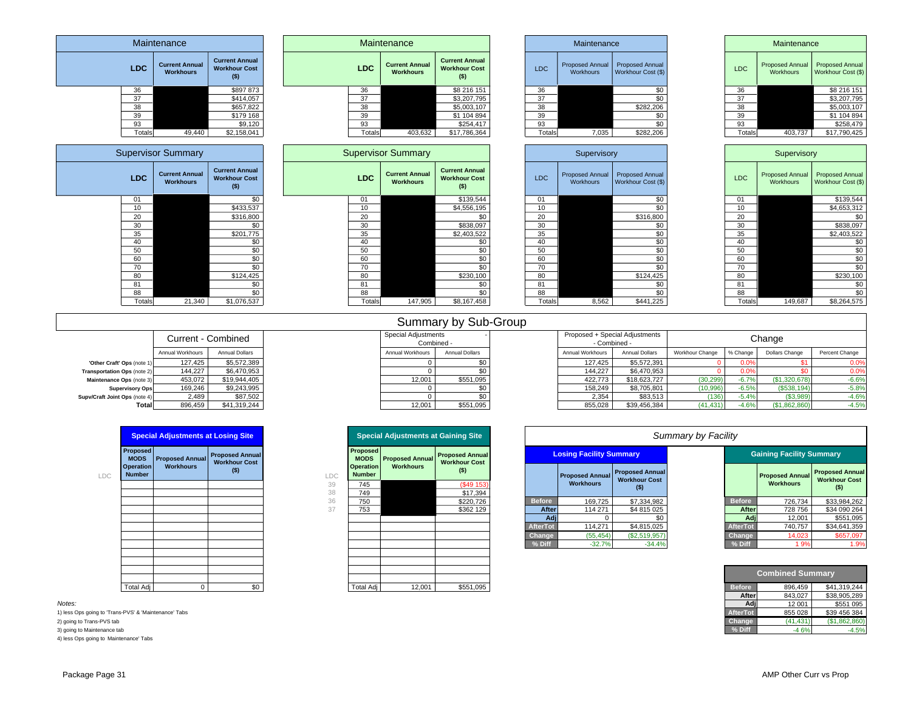| Maintenance                                                                                                                                          |                                                                                  |                                                                                                         | Maintenance                 |                                                                                          |                                                                                        |                                                                                                            |  | Maintenance                                                          |                                                                                                                                                    |                                                                                                                                            |                                                                            | Maintenance                                                          |                                                                                                                                                                          |                                                                                                                                     |  |
|------------------------------------------------------------------------------------------------------------------------------------------------------|----------------------------------------------------------------------------------|---------------------------------------------------------------------------------------------------------|-----------------------------|------------------------------------------------------------------------------------------|----------------------------------------------------------------------------------------|------------------------------------------------------------------------------------------------------------|--|----------------------------------------------------------------------|----------------------------------------------------------------------------------------------------------------------------------------------------|--------------------------------------------------------------------------------------------------------------------------------------------|----------------------------------------------------------------------------|----------------------------------------------------------------------|--------------------------------------------------------------------------------------------------------------------------------------------------------------------------|-------------------------------------------------------------------------------------------------------------------------------------|--|
| <b>LDC</b>                                                                                                                                           | <b>Current Annual</b><br><b>Workhours</b>                                        | <b>Current Annual</b><br><b>Workhour Cost</b><br>$($ \$)                                                |                             | <b>LDC</b>                                                                               | <b>Current Annual</b><br><b>Workhours</b>                                              | <b>Current Annual</b><br><b>Workhour Cost</b><br>$($ \$)                                                   |  | <b>LDC</b>                                                           | <b>Proposed Annual</b><br>Workhours                                                                                                                | <b>Proposed Annual</b><br>Workhour Cost (\$)                                                                                               |                                                                            | <b>LDC</b>                                                           | <b>Proposed Annual</b><br>Workhours                                                                                                                                      | <b>Proposed Annual</b><br>Workhour Cost (\$)                                                                                        |  |
| 36<br>37<br>38<br>39<br>93<br>Totals                                                                                                                 | 49,440                                                                           | \$897 873<br>\$414,057<br>\$657,822<br>\$179 168<br>\$9,120<br>\$2,158,041                              |                             | 36<br>37<br>38<br>39<br>93<br>Totals                                                     | 403,632                                                                                | \$8 216 151<br>\$3,207,795<br>\$5,003,107<br>\$1 104 894<br>\$254,417<br>\$17,786,364                      |  | 36<br>37<br>38<br>39<br>93<br>Totals                                 | 7,035                                                                                                                                              | \$0<br>\$0<br>\$282,206<br>\$0<br>\$0<br>\$282,206                                                                                         |                                                                            | 36<br>37<br>38<br>39<br>93<br>Totals                                 | 403,737                                                                                                                                                                  | \$8 216 151<br>\$3,207,795<br>\$5,003,107<br>\$1 104 894<br>\$258,479<br>\$17,790,425                                               |  |
|                                                                                                                                                      | <b>Supervisor Summary</b>                                                        |                                                                                                         |                             |                                                                                          | <b>Supervisor Summary</b>                                                              |                                                                                                            |  |                                                                      | Supervisory                                                                                                                                        |                                                                                                                                            |                                                                            |                                                                      | Supervisory                                                                                                                                                              |                                                                                                                                     |  |
| <b>LDC</b>                                                                                                                                           | <b>Current Annual</b><br>Workhours                                               | <b>Current Annual</b><br><b>Workhour Cost</b><br>$($ \$)                                                |                             | <b>LDC</b>                                                                               | <b>Current Annual</b><br>Workhours                                                     | <b>Current Annual</b><br><b>Workhour Cost</b><br>(5)                                                       |  | <b>LDC</b>                                                           | Proposed Annual<br>Workhours                                                                                                                       | <b>Proposed Annual</b><br>Workhour Cost (\$)                                                                                               |                                                                            | <b>LDC</b>                                                           | Proposed Annual<br>Workhours                                                                                                                                             | Proposed Annual<br>Workhour Cost (\$)                                                                                               |  |
| 01<br>10<br>20<br>30<br>35<br>40                                                                                                                     |                                                                                  | \$0<br>\$433,537<br>\$316,800<br>\$0<br>\$201,775<br>\$0                                                |                             | 01<br>10<br>20<br>30<br>35<br>40                                                         |                                                                                        | \$139,544<br>\$4,556,195<br>\$0<br>\$838,097<br>\$2,403,522<br>\$0                                         |  | 01<br>10<br>20<br>30<br>35<br>40                                     |                                                                                                                                                    | \$0<br>$\overline{50}$<br>\$316,800<br>\$0<br>\$0<br>\$0                                                                                   |                                                                            | 01<br>10<br>20<br>30<br>35<br>40                                     |                                                                                                                                                                          | \$139,544<br>\$4,653,312<br>\$0<br>\$838,097<br>\$2,403,522<br>\$0                                                                  |  |
| 50<br>60<br>70<br>80<br>81<br>88                                                                                                                     |                                                                                  | \$0<br>$\overline{50}$<br>\$0<br>\$124,425<br>\$0<br>\$0                                                |                             | 50<br>60<br>70<br>80<br>81<br>88                                                         |                                                                                        | \$0<br>$\overline{50}$<br>\$0<br>\$230,100<br>\$0<br>\$0                                                   |  | 50<br>60<br>70<br>80<br>81<br>88                                     |                                                                                                                                                    | \$0<br>$\overline{50}$<br>\$0<br>\$124,425<br>\$0<br>\$0                                                                                   |                                                                            | 50<br>60<br>70<br>80<br>81<br>88                                     |                                                                                                                                                                          | \$0<br>$\overline{50}$<br>\$0<br>\$230,100<br>\$0<br>\$0                                                                            |  |
| Totals                                                                                                                                               | 21,340                                                                           | \$1,076,537                                                                                             |                             | Totals                                                                                   | 147,905                                                                                | \$8,167,458                                                                                                |  | Totals                                                               | 8,562                                                                                                                                              | \$441,225                                                                                                                                  |                                                                            | Totals                                                               | 149,687                                                                                                                                                                  | \$8,264,575                                                                                                                         |  |
|                                                                                                                                                      |                                                                                  |                                                                                                         |                             |                                                                                          |                                                                                        | Summary by Sub-Group                                                                                       |  |                                                                      |                                                                                                                                                    |                                                                                                                                            |                                                                            |                                                                      |                                                                                                                                                                          |                                                                                                                                     |  |
|                                                                                                                                                      |                                                                                  | Current - Combined                                                                                      |                             |                                                                                          | <b>Special Adjustments</b><br>Combined -                                               |                                                                                                            |  |                                                                      | Proposed + Special Adjustments<br>- Combined -                                                                                                     |                                                                                                                                            |                                                                            |                                                                      | Change                                                                                                                                                                   |                                                                                                                                     |  |
| 'Other Craft' Ops (note<br>Transportation Ops (note 2)<br>Maintenance Ops (note 3<br><b>Supervisory Ops</b><br>Supv/Craft Joint Ops (note 4<br>Total | Annual Workhours<br>127,425<br>144,227<br>453,072<br>169,246<br>2,489<br>896.459 | Annual Dollars<br>\$5,572,389<br>\$6,470.953<br>\$19,944,405<br>\$9,243,995<br>\$87,502<br>\$41,319,244 |                             |                                                                                          | Annual Workhours<br>$\mathbf 0$<br>$\mathbf 0$<br>12.001<br>0<br>$\mathbf 0$<br>12,001 | <b>Annual Dollars</b><br>\$0<br>\$0<br>\$551,095<br>\$0<br>\$0<br>\$551,095                                |  |                                                                      | Annual Workhours<br>127.425<br>144,227<br>422,773<br>158,249<br>2,354<br>855.028                                                                   | Annual Dollars<br>\$5,572,391<br>\$6,470,953<br>\$18,623,727<br>\$8,705,801<br>\$83,513<br>\$39,456,384                                    | Workhour Change<br>$\Omega$<br>(30, 299)<br>(10.996)<br>(136)<br>(41, 431) | % Change<br>0.09<br>0.09<br>$-6.7%$<br>$-6.5%$<br>$-5.4%$<br>$-4.6%$ | Dollars Change<br>\$1<br>\$0<br>(\$1,320,678)<br>(S538, 194)<br>(\$3,989)<br>(\$1,862,860)                                                                               | Percent Change<br>0.0%<br>0.09<br>$-6.6%$<br>$-5.8%$<br>$-4.6%$<br>$-4.5%$                                                          |  |
|                                                                                                                                                      | <b>Special Adjustments at Losing Site</b>                                        |                                                                                                         |                             |                                                                                          | <b>Special Adjustments at Gaining Site</b>                                             |                                                                                                            |  |                                                                      |                                                                                                                                                    |                                                                                                                                            | Summary by Facility                                                        |                                                                      |                                                                                                                                                                          |                                                                                                                                     |  |
| Proposed<br><b>MODS</b><br><b>Operation</b><br><b>Number</b><br>LDC                                                                                  | <b>Proposed Annual</b><br><b>Workhours</b>                                       | <b>Proposed Annual</b><br><b>Workhour Cost</b><br>$($ \$)                                               | LDC<br>39<br>38<br>36<br>37 | Proposed<br><b>MODS</b><br><b>Operation</b><br><b>Number</b><br>745<br>749<br>750<br>753 | <b>Proposed Annual</b><br><b>Workhours</b>                                             | <b>Proposed Annual</b><br><b>Workhour Cost</b><br>( \$)<br>(\$49 153<br>\$17,394<br>\$220,726<br>\$362 129 |  | <b>Before</b><br>After<br>Adj<br><b>AfterTot</b><br>Change<br>% Diff | <b>Losing Facility Summary</b><br><b>Proposed Annual</b><br><b>Workhours</b><br>169,725<br>114 271<br>$\Omega$<br>114,271<br>(55, 454)<br>$-32.7%$ | <b>Proposed Annual</b><br><b>Workhour Cost</b><br>$($ \$)<br>\$7,334,982<br>\$4 815 025<br>\$0<br>\$4,815,025<br>(\$2,519,957)<br>$-34.4%$ |                                                                            | <b>Before</b><br>After<br>Ad<br>AfterTot<br>Change<br>% Diff         | <b>Gaining Facility Summary</b><br><b>Proposed Annual</b><br><b>Workhours</b><br>726,734<br>728 756<br>12,001<br>740,757<br>14.023<br>1.9%<br>$Q = 0.01$ and $Q = 0.001$ | <b>Proposed Annual</b><br><b>Workhour Cost</b><br>$($ \$)<br>\$33,984,262<br>\$34 090 264<br>\$551,095<br>\$34,641,359<br>\$657.097 |  |

|                 | Compined Summary |               |  |  |  |  |  |  |  |  |
|-----------------|------------------|---------------|--|--|--|--|--|--|--|--|
| <b>Before</b>   | 896.459          | \$41.319.244  |  |  |  |  |  |  |  |  |
| After           | 843.027          | \$38,905,289  |  |  |  |  |  |  |  |  |
| Adj             | 12 001           | \$551 095     |  |  |  |  |  |  |  |  |
| <b>AfterTot</b> | 855 028          | \$39 456 384  |  |  |  |  |  |  |  |  |
| Change          | (41.431)         | (\$1,862,860) |  |  |  |  |  |  |  |  |
| % Diff          |                  |               |  |  |  |  |  |  |  |  |

|                                   | <b>Special Adjustments at Losing Site</b> |                                                |          |                                | <b>Special Adjustments at Gaining Site</b> |                                                |  |
|-----------------------------------|-------------------------------------------|------------------------------------------------|----------|--------------------------------|--------------------------------------------|------------------------------------------------|--|
|                                   |                                           |                                                |          |                                |                                            |                                                |  |
| Proposed<br><b>MODS</b>           | <b>Proposed Annual</b>                    | <b>Proposed Annual</b><br><b>Workhour Cost</b> |          | <b>Proposed</b><br><b>MODS</b> | <b>Proposed Annual</b>                     | <b>Proposed Annual</b><br><b>Workhour Cost</b> |  |
| <b>Operation</b><br><b>Number</b> | <b>Workhours</b>                          | $($)$                                          | LDC      | Operation<br><b>Number</b>     | <b>Workhours</b>                           | $($ \$)                                        |  |
|                                   |                                           |                                                | 39<br>38 | 745<br>749                     |                                            | (S49 153)<br>\$17,394                          |  |
|                                   |                                           |                                                | 36       | 750                            |                                            | \$220,726                                      |  |
|                                   |                                           |                                                | 37       | 753                            |                                            | \$362 129                                      |  |
|                                   |                                           |                                                |          |                                |                                            |                                                |  |
|                                   |                                           |                                                |          |                                |                                            |                                                |  |
|                                   |                                           |                                                |          |                                |                                            |                                                |  |
|                                   |                                           |                                                |          |                                |                                            |                                                |  |
|                                   |                                           |                                                |          |                                |                                            |                                                |  |
|                                   |                                           |                                                |          |                                |                                            |                                                |  |
|                                   |                                           |                                                |          |                                |                                            |                                                |  |
|                                   |                                           |                                                |          |                                |                                            |                                                |  |
| Total Adj                         |                                           | \$0                                            |          | <b>Total Adj</b>               | 12,001                                     | \$551,095                                      |  |

| Package Page 3 |  |  |
|----------------|--|--|
|                |  |  |

2) going to Trans-PVS tab 3) going to Maintenance tab

*Notes:*

4) less Ops going to Maintenance' Tabs

1) less Ops going to 'Trans-PVS' & 'Maintenance' Tabs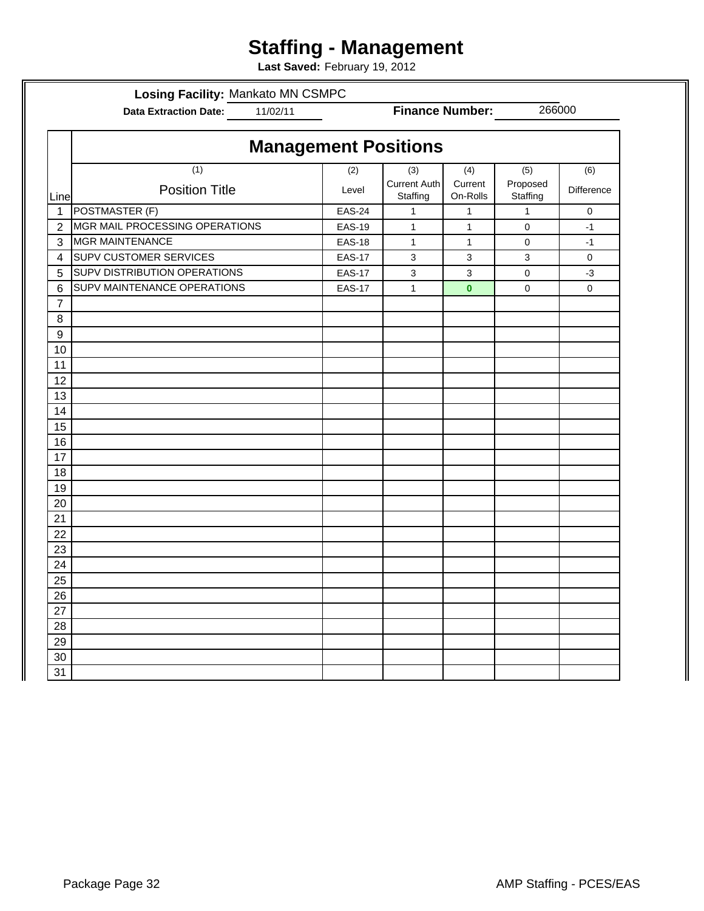# **Staffing - Management**

**Last Saved:** February 19, 2012

**Losing Facility:** Mankato MN CSMPC

**Data Extraction Date:** 11/02/11

**Finance Number:**

266000

|                  |                                | <b>Management Positions</b> |                                 |                     |                      |             |
|------------------|--------------------------------|-----------------------------|---------------------------------|---------------------|----------------------|-------------|
|                  | (1)                            | (2)                         | (3)                             | (4)                 | (5)                  | (6)         |
| Line             | <b>Position Title</b>          | Level                       | <b>Current Auth</b><br>Staffing | Current<br>On-Rolls | Proposed<br>Staffing | Difference  |
| $\mathbf{1}$     | POSTMASTER (F)                 | <b>EAS-24</b>               | $\mathbf{1}$                    | $\mathbf{1}$        | $\mathbf{1}$         | $\mathsf 0$ |
| $\overline{2}$   | MGR MAIL PROCESSING OPERATIONS | <b>EAS-19</b>               | $\mathbf{1}$                    | $\mathbf{1}$        | $\pmb{0}$            | $-1$        |
| 3                | <b>MGR MAINTENANCE</b>         | <b>EAS-18</b>               | $\mathbf{1}$                    | $\mathbf{1}$        | 0                    | $-1$        |
| 4                | <b>SUPV CUSTOMER SERVICES</b>  | <b>EAS-17</b>               | 3                               | $\mathbf{3}$        | 3                    | 0           |
| 5                | SUPV DISTRIBUTION OPERATIONS   | <b>EAS-17</b>               | 3                               | $\mathbf{3}$        | 0                    | -3          |
| $6\phantom{1}6$  | SUPV MAINTENANCE OPERATIONS    | <b>EAS-17</b>               | $\mathbf{1}$                    | $\mathbf{0}$        | 0                    | $\mathbf 0$ |
| 7                |                                |                             |                                 |                     |                      |             |
| 8                |                                |                             |                                 |                     |                      |             |
| $\boldsymbol{9}$ |                                |                             |                                 |                     |                      |             |
| 10               |                                |                             |                                 |                     |                      |             |
| 11               |                                |                             |                                 |                     |                      |             |
| 12               |                                |                             |                                 |                     |                      |             |
| 13               |                                |                             |                                 |                     |                      |             |
| 14               |                                |                             |                                 |                     |                      |             |
| 15               |                                |                             |                                 |                     |                      |             |
| 16               |                                |                             |                                 |                     |                      |             |
| 17               |                                |                             |                                 |                     |                      |             |
| 18               |                                |                             |                                 |                     |                      |             |
| 19               |                                |                             |                                 |                     |                      |             |
| 20               |                                |                             |                                 |                     |                      |             |
| 21               |                                |                             |                                 |                     |                      |             |
| 22               |                                |                             |                                 |                     |                      |             |
| 23               |                                |                             |                                 |                     |                      |             |
| 24               |                                |                             |                                 |                     |                      |             |
| 25               |                                |                             |                                 |                     |                      |             |
| 26               |                                |                             |                                 |                     |                      |             |
| 27               |                                |                             |                                 |                     |                      |             |
| 28               |                                |                             |                                 |                     |                      |             |
| 29               |                                |                             |                                 |                     |                      |             |
| 30               |                                |                             |                                 |                     |                      |             |
| 31               |                                |                             |                                 |                     |                      |             |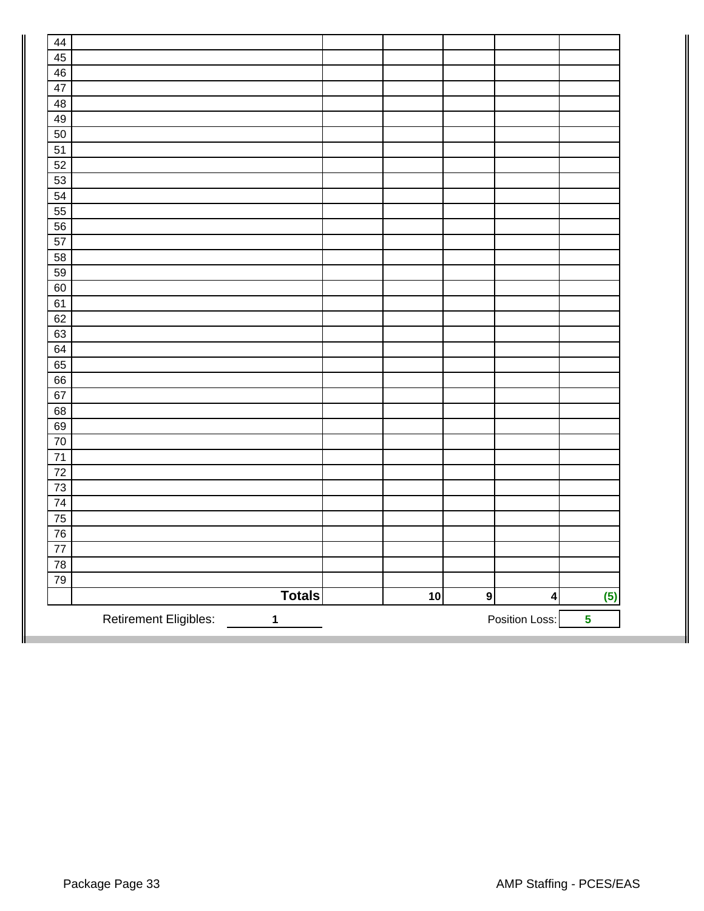| 44              |                                              |    |           |                         |                         |
|-----------------|----------------------------------------------|----|-----------|-------------------------|-------------------------|
| 45              |                                              |    |           |                         |                         |
| 46              |                                              |    |           |                         |                         |
| 47              |                                              |    |           |                         |                         |
| 48              |                                              |    |           |                         |                         |
| 49              |                                              |    |           |                         |                         |
| 50              |                                              |    |           |                         |                         |
| $\overline{51}$ |                                              |    |           |                         |                         |
| 52              |                                              |    |           |                         |                         |
| 53              |                                              |    |           |                         |                         |
| 54              |                                              |    |           |                         |                         |
| 55              |                                              |    |           |                         |                         |
| 56              |                                              |    |           |                         |                         |
| 57              |                                              |    |           |                         |                         |
| 58              |                                              |    |           |                         |                         |
| 59              |                                              |    |           |                         |                         |
| 60              |                                              |    |           |                         |                         |
| 61              |                                              |    |           |                         |                         |
| 62              |                                              |    |           |                         |                         |
| 63              |                                              |    |           |                         |                         |
| 64              |                                              |    |           |                         |                         |
| 65              |                                              |    |           |                         |                         |
| 66              |                                              |    |           |                         |                         |
| 67              |                                              |    |           |                         |                         |
| 68              |                                              |    |           |                         |                         |
| 69              |                                              |    |           |                         |                         |
| 70              |                                              |    |           |                         |                         |
| $\overline{71}$ |                                              |    |           |                         |                         |
| $\overline{72}$ |                                              |    |           |                         |                         |
| $\overline{73}$ |                                              |    |           |                         |                         |
| $\overline{74}$ |                                              |    |           |                         |                         |
| $\overline{75}$ |                                              |    |           |                         |                         |
| 76              |                                              |    |           |                         |                         |
| $\overline{77}$ |                                              |    |           |                         |                         |
| $\overline{78}$ |                                              |    |           |                         |                         |
| 79              |                                              |    |           |                         |                         |
|                 | <b>Totals</b>                                | 10 | $\bullet$ | $\overline{\mathbf{4}}$ | (5)                     |
|                 | <b>Retirement Eligibles:</b><br>$\mathbf{1}$ |    |           | Position Loss:          | $\overline{\mathbf{5}}$ |
|                 |                                              |    |           |                         |                         |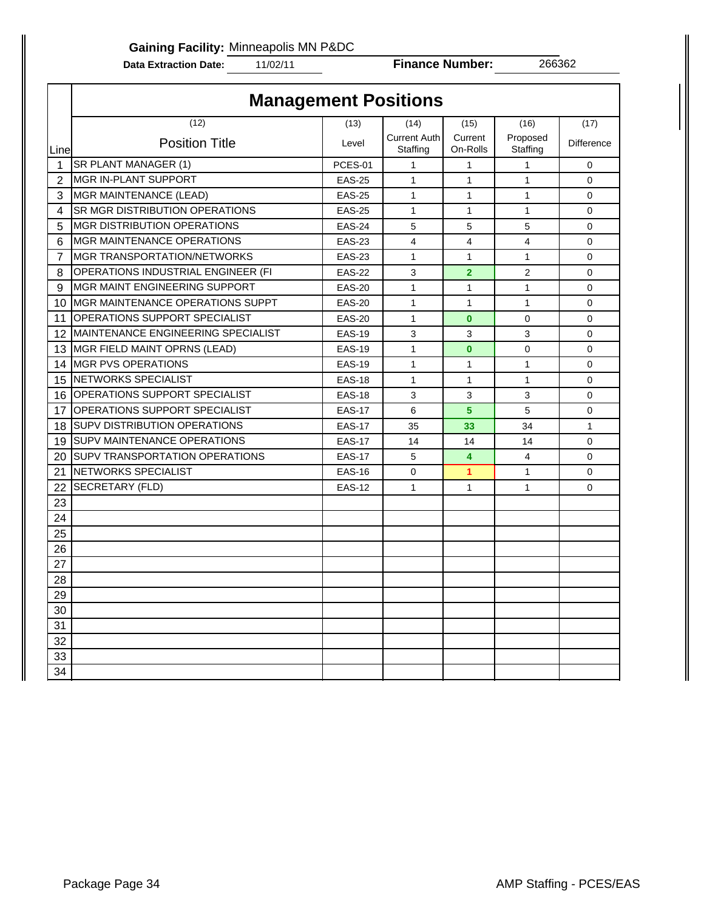**Gaining Facility:** Minneapolis MN P&DC

**Data Extraction Date:** 11/02/11

**Finance Number:** 266362

|                |                                          | <b>Management Positions</b> |                                 |                         |                      |                   |
|----------------|------------------------------------------|-----------------------------|---------------------------------|-------------------------|----------------------|-------------------|
|                | (12)                                     | (13)                        | (14)                            | (15)                    | (16)                 | (17)              |
| Linel          | <b>Position Title</b>                    | Level                       | <b>Current Auth</b><br>Staffing | Current<br>On-Rolls     | Proposed<br>Staffing | <b>Difference</b> |
| $\mathbf{1}$   | SR PLANT MANAGER (1)                     | PCES-01                     | $\mathbf{1}$                    | $\mathbf{1}$            | $\mathbf{1}$         | $\mathbf 0$       |
| $\overline{2}$ | <b>MGR IN-PLANT SUPPORT</b>              | <b>EAS-25</b>               | $\mathbf{1}$                    | $\mathbf{1}$            | $\mathbf{1}$         | $\mathbf 0$       |
| 3              | MGR MAINTENANCE (LEAD)                   | <b>EAS-25</b>               | $\mathbf{1}$                    | $\mathbf{1}$            | $\mathbf{1}$         | $\mathbf 0$       |
| 4              | <b>SR MGR DISTRIBUTION OPERATIONS</b>    | <b>EAS-25</b>               | $\mathbf{1}$                    | $\mathbf{1}$            | $\mathbf{1}$         | $\Omega$          |
| 5              | <b>MGR DISTRIBUTION OPERATIONS</b>       | <b>EAS-24</b>               | 5                               | 5                       | 5                    | $\mathbf 0$       |
| 6              | <b>MGR MAINTENANCE OPERATIONS</b>        | <b>EAS-23</b>               | 4                               | $\overline{\mathbf{4}}$ | 4                    | $\Omega$          |
| 7              | <b>MGR TRANSPORTATION/NETWORKS</b>       | <b>EAS-23</b>               | $\mathbf{1}$                    | 1                       | $\mathbf{1}$         | $\mathbf 0$       |
| 8              | OPERATIONS INDUSTRIAL ENGINEER (FI       | <b>EAS-22</b>               | 3                               | $\overline{2}$          | $\mathbf{2}$         | $\mathbf 0$       |
| 9              | IMGR MAINT ENGINEERING SUPPORT           | <b>EAS-20</b>               | $\mathbf{1}$                    | $\mathbf{1}$            | $\mathbf{1}$         | $\mathbf 0$       |
| 10             | <b>IMGR MAINTENANCE OPERATIONS SUPPT</b> | <b>EAS-20</b>               | $\mathbf{1}$                    | $\mathbf{1}$            | 1                    | $\mathbf 0$       |
| 11             | <b>IOPERATIONS SUPPORT SPECIALIST</b>    | <b>EAS-20</b>               | $\mathbf{1}$                    | $\bf{0}$                | 0                    | $\mathbf 0$       |
|                | 12 MAINTENANCE ENGINEERING SPECIALIST    | <b>EAS-19</b>               | 3                               | 3                       | 3                    | $\mathbf 0$       |
|                | 13 MGR FIELD MAINT OPRNS (LEAD)          | <b>EAS-19</b>               | $\mathbf{1}$                    | $\bf{0}$                | $\Omega$             | $\Omega$          |
|                | 14 MGR PVS OPERATIONS                    | <b>EAS-19</b>               | $\mathbf{1}$                    | $\mathbf{1}$            | $\mathbf{1}$         | $\Omega$          |
|                | 15 NETWORKS SPECIALIST                   | <b>EAS-18</b>               | $\mathbf{1}$                    | $\mathbf{1}$            | $\mathbf{1}$         | $\mathbf 0$       |
|                | 16 OPERATIONS SUPPORT SPECIALIST         | <b>EAS-18</b>               | 3                               | 3                       | 3                    | $\mathbf 0$       |
| 17             | <b>OPERATIONS SUPPORT SPECIALIST</b>     | <b>EAS-17</b>               | 6                               | 5                       | 5                    | $\mathbf 0$       |
| 18             | <b>I</b> SUPV DISTRIBUTION OPERATIONS    | <b>EAS-17</b>               | 35                              | 33                      | 34                   | $\mathbf{1}$      |
| 19             | <b>SUPV MAINTENANCE OPERATIONS</b>       | <b>EAS-17</b>               | 14                              | 14                      | 14                   | $\mathbf 0$       |
|                | 20 SUPV TRANSPORTATION OPERATIONS        | <b>EAS-17</b>               | 5                               | 4                       | $\overline{4}$       | $\mathbf 0$       |
| 21             | <b>INETWORKS SPECIALIST</b>              | <b>EAS-16</b>               | 0                               | $\mathbf{1}$            | 1                    | $\mathbf 0$       |
| 22             | SECRETARY (FLD)                          | <b>EAS-12</b>               | $\mathbf{1}$                    | 1                       | 1                    | $\mathbf 0$       |
| 23             |                                          |                             |                                 |                         |                      |                   |
| 24             |                                          |                             |                                 |                         |                      |                   |
| 25             |                                          |                             |                                 |                         |                      |                   |
| 26             |                                          |                             |                                 |                         |                      |                   |
| 27             |                                          |                             |                                 |                         |                      |                   |
| 28             |                                          |                             |                                 |                         |                      |                   |
| 29             |                                          |                             |                                 |                         |                      |                   |
| 30             |                                          |                             |                                 |                         |                      |                   |
| 31             |                                          |                             |                                 |                         |                      |                   |
| 32             |                                          |                             |                                 |                         |                      |                   |
| 33             |                                          |                             |                                 |                         |                      |                   |
| 34             |                                          |                             |                                 |                         |                      |                   |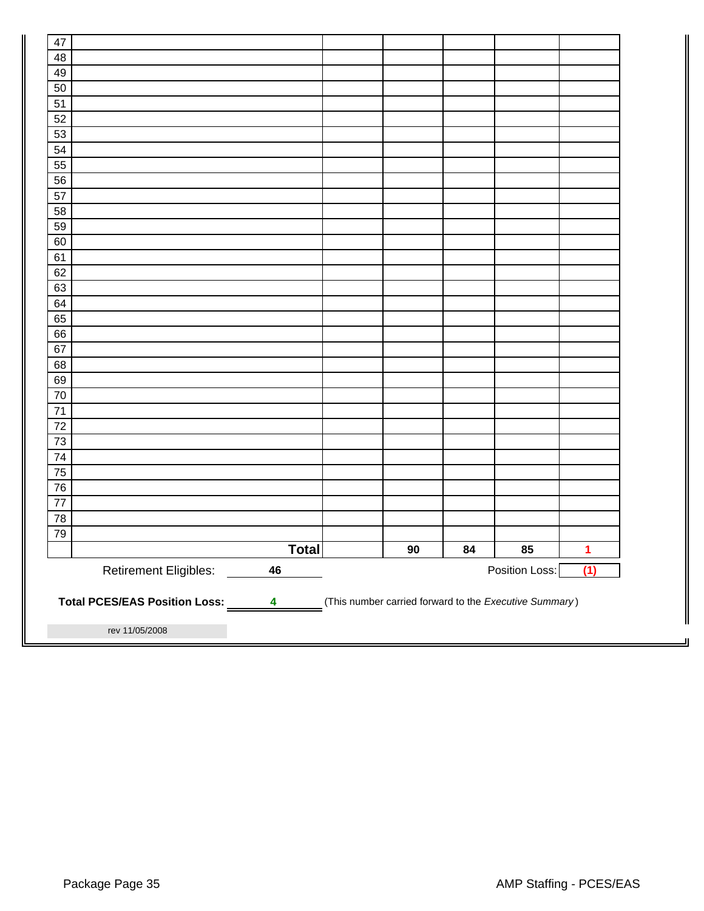| 47              |                                                               |              |        |    |                                                        |                      |
|-----------------|---------------------------------------------------------------|--------------|--------|----|--------------------------------------------------------|----------------------|
| 48              |                                                               |              |        |    |                                                        |                      |
| 49              |                                                               |              |        |    |                                                        |                      |
| 50              |                                                               |              |        |    |                                                        |                      |
| 51              |                                                               |              |        |    |                                                        |                      |
| 52              |                                                               |              |        |    |                                                        |                      |
| 53              |                                                               |              |        |    |                                                        |                      |
| 54              |                                                               |              |        |    |                                                        |                      |
| 55              |                                                               |              |        |    |                                                        |                      |
| 56              |                                                               |              |        |    |                                                        |                      |
| 57              |                                                               |              |        |    |                                                        |                      |
| 58              |                                                               |              |        |    |                                                        |                      |
| 59              |                                                               |              |        |    |                                                        |                      |
| 60              |                                                               |              |        |    |                                                        |                      |
| 61              |                                                               |              |        |    |                                                        |                      |
| 62              |                                                               |              |        |    |                                                        |                      |
| 63              |                                                               |              |        |    |                                                        |                      |
| 64              |                                                               |              |        |    |                                                        |                      |
| 65              |                                                               |              |        |    |                                                        |                      |
| 66              |                                                               |              |        |    |                                                        |                      |
| 67              |                                                               |              |        |    |                                                        |                      |
| 68              |                                                               |              |        |    |                                                        |                      |
| 69              |                                                               |              |        |    |                                                        |                      |
| $70\,$          |                                                               |              |        |    |                                                        |                      |
| $71$            |                                                               |              |        |    |                                                        |                      |
| $72\,$          |                                                               |              |        |    |                                                        |                      |
| $\overline{73}$ |                                                               |              |        |    |                                                        |                      |
| 74              |                                                               |              |        |    |                                                        |                      |
| 75              |                                                               |              |        |    |                                                        |                      |
| 76              |                                                               |              |        |    |                                                        |                      |
| $77$            |                                                               |              |        |    |                                                        |                      |
| 78              |                                                               |              |        |    |                                                        |                      |
| 79              |                                                               |              |        |    |                                                        |                      |
|                 |                                                               | <b>Total</b> | $90\,$ | 84 | 85                                                     | $\blacktriangleleft$ |
|                 |                                                               | 46           |        |    | Position Loss:                                         | (1)                  |
|                 | <b>Retirement Eligibles:</b><br>Total PCES/EAS Position Loss: | 4            |        |    | (This number carried forward to the Executive Summary) |                      |
|                 | rev 11/05/2008                                                |              |        |    |                                                        |                      |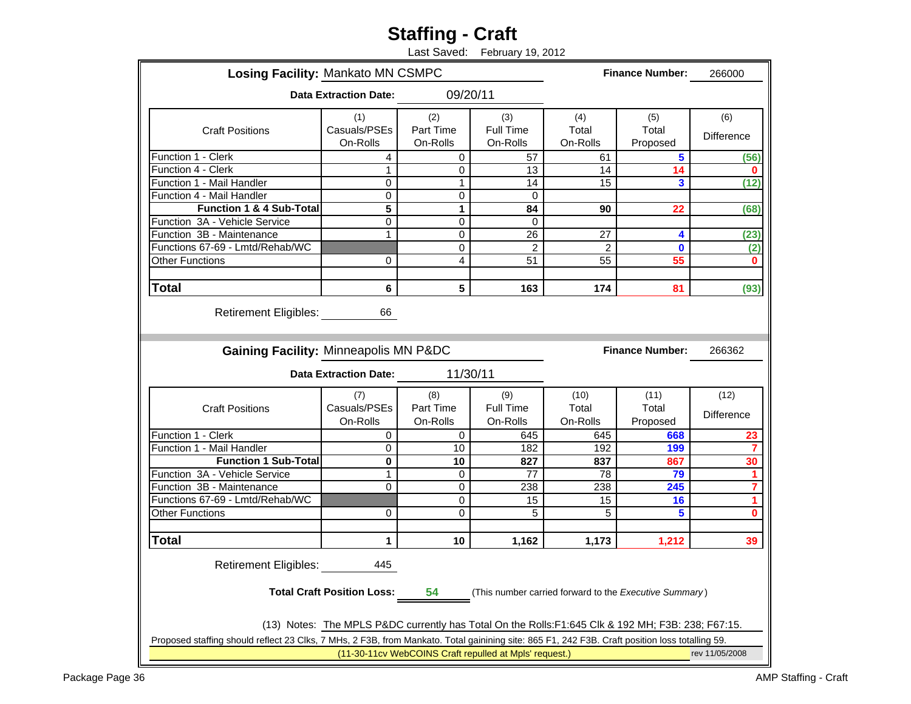# **Staffing - Craft**

Last Saved: February 19, 2012

| <b>Losing Facility: Mankato MN CSMPC</b>                                                                                                       |                                                                                                    |                              |                                                        |                           | <b>Finance Number:</b>                                 | 266000                    |  |  |  |  |
|------------------------------------------------------------------------------------------------------------------------------------------------|----------------------------------------------------------------------------------------------------|------------------------------|--------------------------------------------------------|---------------------------|--------------------------------------------------------|---------------------------|--|--|--|--|
|                                                                                                                                                | <b>Data Extraction Date:</b>                                                                       | 09/20/11                     |                                                        |                           |                                                        |                           |  |  |  |  |
| <b>Craft Positions</b>                                                                                                                         | (1)<br>Casuals/PSEs<br>On-Rolls                                                                    | (2)<br>Part Time<br>On-Rolls | (3)<br>Full Time<br>On-Rolls                           | (4)<br>Total<br>On-Rolls  | (5)<br>Total<br>Proposed                               | (6)<br>Difference         |  |  |  |  |
| Function 1 - Clerk                                                                                                                             | 4                                                                                                  | $\Omega$                     | 57                                                     | 61                        | 5                                                      | (56)                      |  |  |  |  |
| Function 4 - Clerk                                                                                                                             | 1                                                                                                  | 0                            | 13                                                     | 14                        | 14                                                     | 0                         |  |  |  |  |
| Function 1 - Mail Handler                                                                                                                      | 0                                                                                                  | 1                            | 14                                                     | 15                        | 3                                                      | (12)                      |  |  |  |  |
| Function 4 - Mail Handler                                                                                                                      | 0                                                                                                  | 0                            | $\Omega$                                               |                           |                                                        |                           |  |  |  |  |
| <b>Function 1 &amp; 4 Sub-Total</b>                                                                                                            | 5                                                                                                  | $\mathbf{1}$                 | 84                                                     | 90                        | 22                                                     | (68)                      |  |  |  |  |
| Function 3A - Vehicle Service                                                                                                                  | 0                                                                                                  | $\mathbf 0$                  | $\Omega$                                               |                           |                                                        |                           |  |  |  |  |
| Function 3B - Maintenance                                                                                                                      | 1                                                                                                  | 0                            | 26                                                     | 27                        | 4                                                      | (23)                      |  |  |  |  |
| Functions 67-69 - Lmtd/Rehab/WC                                                                                                                |                                                                                                    | 0                            | $\overline{c}$                                         | 2                         | $\bf{0}$                                               | (2)                       |  |  |  |  |
| <b>Other Functions</b>                                                                                                                         | 0                                                                                                  | 4                            | 51                                                     | 55                        | 55                                                     | $\bf{0}$                  |  |  |  |  |
|                                                                                                                                                |                                                                                                    |                              |                                                        |                           |                                                        |                           |  |  |  |  |
| <b>Total</b>                                                                                                                                   | 6                                                                                                  | 5                            | 163                                                    | 174                       | 81                                                     | (93)                      |  |  |  |  |
| Gaining Facility: Minneapolis MN P&DC<br><b>Finance Number:</b><br>266362                                                                      |                                                                                                    |                              |                                                        |                           |                                                        |                           |  |  |  |  |
|                                                                                                                                                | <b>Data Extraction Date:</b>                                                                       | 11/30/11                     |                                                        |                           |                                                        |                           |  |  |  |  |
| <b>Craft Positions</b>                                                                                                                         | (7)<br>Casuals/PSEs<br>On-Rolls                                                                    | (8)<br>Part Time<br>On-Rolls | (9)<br>Full Time<br>On-Rolls                           | (10)<br>Total<br>On-Rolls | (11)<br>Total<br>Proposed                              | (12)<br><b>Difference</b> |  |  |  |  |
| Function 1 - Clerk                                                                                                                             | $\Omega$                                                                                           | 0                            | 645                                                    | 645                       | 668                                                    | 23                        |  |  |  |  |
| Function 1 - Mail Handler                                                                                                                      | 0                                                                                                  | 10                           | 182                                                    | 192                       | 199                                                    | 7                         |  |  |  |  |
| <b>Function 1 Sub-Total</b>                                                                                                                    | 0                                                                                                  | 10                           | 827                                                    | 837                       | 867                                                    | 30                        |  |  |  |  |
| Function 3A - Vehicle Service                                                                                                                  | 1                                                                                                  | 0                            | 77                                                     | 78                        | 79                                                     | 1                         |  |  |  |  |
| Function 3B - Maintenance                                                                                                                      | $\Omega$                                                                                           | 0                            | 238                                                    | 238                       | 245                                                    | 7                         |  |  |  |  |
| Functions 67-69 - Lmtd/Rehab/WC                                                                                                                |                                                                                                    | 0                            | 15                                                     | 15                        | 16                                                     | 1                         |  |  |  |  |
| <b>Other Functions</b>                                                                                                                         | 0                                                                                                  | 0                            | 5                                                      | 5                         | 5                                                      | 0                         |  |  |  |  |
|                                                                                                                                                |                                                                                                    |                              |                                                        |                           |                                                        |                           |  |  |  |  |
|                                                                                                                                                |                                                                                                    |                              |                                                        |                           |                                                        |                           |  |  |  |  |
| <b>Total</b>                                                                                                                                   | 1                                                                                                  | 10                           | 1,162                                                  | 1,173                     | 1,212                                                  | 39                        |  |  |  |  |
| <b>Retirement Eligibles:</b>                                                                                                                   | 445<br><b>Total Craft Position Loss:</b>                                                           | 54                           |                                                        |                           | (This number carried forward to the Executive Summary) |                           |  |  |  |  |
|                                                                                                                                                |                                                                                                    |                              |                                                        |                           |                                                        |                           |  |  |  |  |
|                                                                                                                                                | (13) Notes: The MPLS P&DC currently has Total On the Rolls: F1:645 Clk & 192 MH; F3B: 238; F67:15. |                              |                                                        |                           |                                                        |                           |  |  |  |  |
| Proposed staffing should reflect 23 Clks, 7 MHs, 2 F3B, from Mankato. Total gainining site: 865 F1, 242 F3B. Craft position loss totalling 59. |                                                                                                    |                              | (11-30-11cv WebCOINS Craft repulled at Mpls' request.) |                           |                                                        | rev 11/05/2008            |  |  |  |  |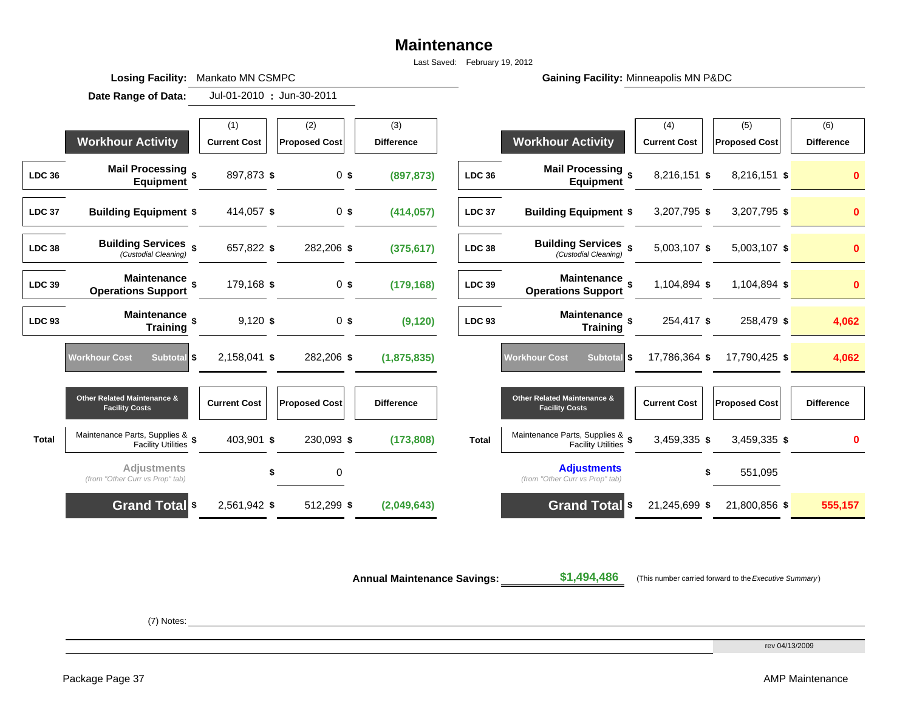# **Maintenance**

Last Saved: February 19, 2012

Gaining Facility: Minneapolis MN P&DC

**Date Range of Data: :** (1)  $\vert$  (2)  $\vert$  (3)  $\vert$  (2)  $\vert$  (3)  $\vert$  (5)  $\vert$  (6)  $\vert$  (6) (6) **Workhour Activity | Current Cost | Proposed Cost | Difference | Workhour Activity | Current Cost | Proposed Cost | Difference LDC 36 Mail Processing Equipment \$** 897,873 **\$** <sup>0</sup> **\$ (897,873) LDC 36 Mail Processing Equipment \$** 8,216,151 **\$** 8,216,151 **\$ <sup>0</sup> LDC 37 Building Equipment \$** 414,057 **\$** 0 **\$ (414,057) LDC 37 Building Equipment \$** 3,207,795 **\$** 3,207,795 **\$ 0 LDC 38Building Services**  $\oint$  *Custodial Cleaning (Custodial Cleaning)* **\$** 657,822 **\$** 282,206 **\$ (375,617) LDC 38 Building Services** *(Custodial Cleaning)* **\$** 5,003,107 **\$** 5,003,107 **\$ <sup>0</sup> LDC 39 Maintenance Operations Support \$** 179,168 **\$** <sup>0</sup> **\$ (179,168) LDC 39 Maintenance Operations Support \$** 1,104,894 **\$** 1,104,894 **\$ <sup>0</sup> LDC 93 Maintenance Training \$** 9,120 **\$** <sup>0</sup> **\$ (9,120) LDC 93 Maintenance Training \$** 254,417 **\$** 258,479 **\$ 4,062 Workhour Cost** Subtotal **\$** 2,158,041 **\$** 282,206 **\$ (1,875,835) Workhour Cost Subtotal \$** 17,786,364 **\$** 17,790,425 **\$ 4,062 Other Related Maintenance & Facility Costs Current Cost Proposed Cost Difference Other Related Maintenance & Facility Costs Current Cost Proposed Cost Difference Total**Maintenance Parts, Supplies & \$403,901 \$230,093 \$(173,808) Total Maintenance Parts, Supplies & \$3,459,335 \$3,459,335 \$403,901 \$ **Adjustments**  *(from "Other Curr vs Prop" tab)* **\$** <sup>0</sup> **Adjustments** *(from "Other Curr vs Prop" tab)* **\$** 551,095 **Grand Total \$** 2,561,942 **\$** 512,299 **\$ (2,049,643) Grand Total \$** 21,245,699 **\$** 21,800,856 **\$ 555,157** Jul-01-2010 : Jun-30-2011

**Annual Maintenance Savings:**

**\$1,494,486** (This number carried forward to the *Executive Summary* )

(7) Notes:

**Losing Facility: Mankato MN CSMPC** 

rev 04/13/2009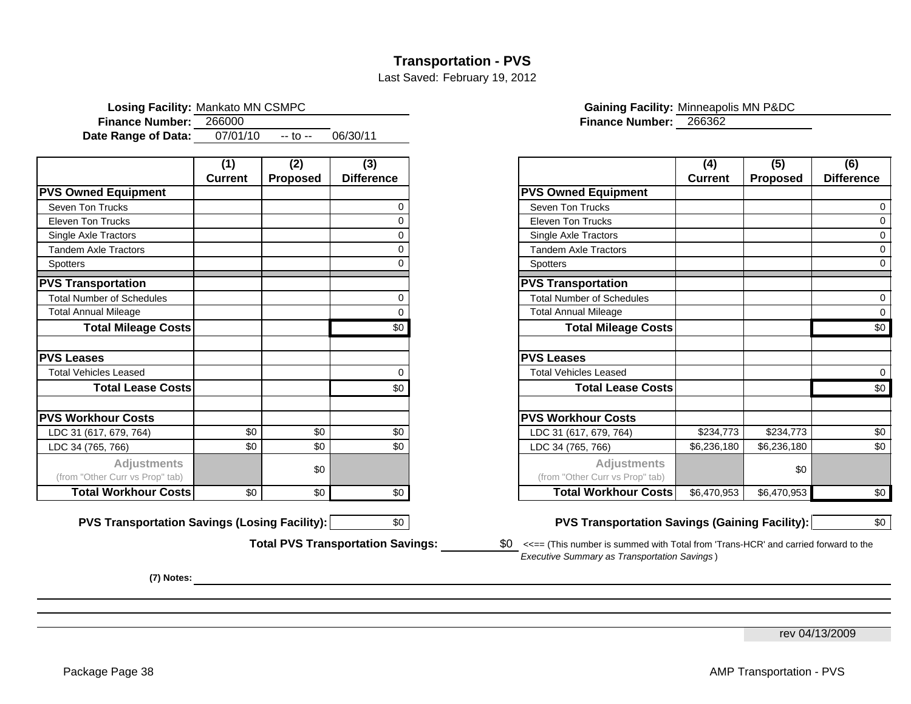# **Transportation - PVS**

Last Saved: February 19, 2012

| <b>Losing Facility: Mankato MN CSMPC</b> |          |            |          |                               | <b>Gaining Facility: Minneapolis MN P&amp;DC</b> |
|------------------------------------------|----------|------------|----------|-------------------------------|--------------------------------------------------|
| Finance Number: 266000                   |          |            |          | <b>Finance Number: 266362</b> |                                                  |
| Date Range of Data:                      | 07/01/10 | $-$ to $-$ | 06/30/11 |                               |                                                  |

|                                                       | (1)            | (2)             | (3)               |                                                       | (4)            | (5)             |
|-------------------------------------------------------|----------------|-----------------|-------------------|-------------------------------------------------------|----------------|-----------------|
|                                                       | <b>Current</b> | <b>Proposed</b> | <b>Difference</b> |                                                       | <b>Current</b> | <b>Proposed</b> |
| <b>PVS Owned Equipment</b>                            |                |                 |                   | <b>PVS Owned Equipment</b>                            |                |                 |
| Seven Ton Trucks                                      |                |                 | O                 | Seven Ton Trucks                                      |                |                 |
| <b>Eleven Ton Trucks</b>                              |                |                 |                   | <b>Eleven Ton Trucks</b>                              |                |                 |
| Single Axle Tractors                                  |                |                 | O                 | Single Axle Tractors                                  |                |                 |
| <b>Tandem Axle Tractors</b>                           |                |                 | O                 | <b>Tandem Axle Tractors</b>                           |                |                 |
| <b>Spotters</b>                                       |                |                 |                   | <b>Spotters</b>                                       |                |                 |
| <b>PVS Transportation</b>                             |                |                 |                   | <b>PVS Transportation</b>                             |                |                 |
| <b>Total Number of Schedules</b>                      |                |                 | 0                 | <b>Total Number of Schedules</b>                      |                |                 |
| <b>Total Annual Mileage</b>                           |                |                 | 0                 | <b>Total Annual Mileage</b>                           |                |                 |
| <b>Total Mileage Costs</b>                            |                |                 | \$0               | <b>Total Mileage Costs</b>                            |                |                 |
| <b>PVS Leases</b>                                     |                |                 |                   | <b>PVS Leases</b>                                     |                |                 |
| Total Vehicles Leased                                 |                |                 | 0                 | <b>Total Vehicles Leased</b>                          |                |                 |
| <b>Total Lease Costs</b>                              |                |                 | \$0               | <b>Total Lease Costs</b>                              |                |                 |
| <b>PVS Workhour Costs</b>                             |                |                 |                   | <b>PVS Workhour Costs</b>                             |                |                 |
| LDC 31 (617, 679, 764)                                | \$0            | \$0             | \$0               | LDC 31 (617, 679, 764)                                | \$234,773      | \$234,773       |
| LDC 34 (765, 766)                                     | \$0            | \$0             | \$0               | LDC 34 (765, 766)                                     | \$6,236,180    | \$6,236,180     |
| <b>Adjustments</b><br>(from "Other Curr vs Prop" tab) |                | \$0             |                   | <b>Adjustments</b><br>(from "Other Curr vs Prop" tab) |                | \$0             |
| <b>Total Workhour Costs</b>                           | \$0            | \$0             | \$0               | <b>Total Workhour Costs</b>                           | \$6,470.953    | \$6,470,953     |

**PVS Transportation Savings (Losing Facility):**  $\begin{array}{c|c} \hline \text{SO} & \text{PVS} \end{array}$  Transportation Savings (Gaining Facility):  $\begin{array}{|c|c|} \hline \text{SO} & \text{S} \end{array}$ 

**Total PVS Transportation Savings:**

**(7) Notes:**

|                                                       | (1)            | (2)             | (3)               |                                                       | (4)            | (5)             | (6)               |
|-------------------------------------------------------|----------------|-----------------|-------------------|-------------------------------------------------------|----------------|-----------------|-------------------|
|                                                       | <b>Current</b> | <b>Proposed</b> | <b>Difference</b> |                                                       | <b>Current</b> | <b>Proposed</b> | <b>Difference</b> |
| VS Owned Equipment                                    |                |                 |                   | <b>PVS Owned Equipment</b>                            |                |                 |                   |
| Seven Ton Trucks                                      |                |                 |                   | Seven Ton Trucks                                      |                |                 |                   |
| <b>Eleven Ton Trucks</b>                              |                |                 |                   | <b>Eleven Ton Trucks</b>                              |                |                 |                   |
| Single Axle Tractors                                  |                |                 |                   | Single Axle Tractors                                  |                |                 |                   |
| <b>Tandem Axle Tractors</b>                           |                |                 |                   | <b>Tandem Axle Tractors</b>                           |                |                 |                   |
| Spotters                                              |                |                 |                   | Spotters                                              |                |                 |                   |
| VS Transportation                                     |                |                 |                   | <b>PVS Transportation</b>                             |                |                 |                   |
| <b>Total Number of Schedules</b>                      |                |                 |                   | <b>Total Number of Schedules</b>                      |                |                 |                   |
| <b>Total Annual Mileage</b>                           |                |                 |                   | <b>Total Annual Mileage</b>                           |                |                 |                   |
| <b>Total Mileage Costs</b>                            |                |                 | \$0               | <b>Total Mileage Costs</b>                            |                |                 | \$0               |
| <b>VS Leases</b>                                      |                |                 |                   | <b>PVS Leases</b>                                     |                |                 |                   |
| <b>Total Vehicles Leased</b>                          |                |                 |                   | <b>Total Vehicles Leased</b>                          |                |                 |                   |
| <b>Total Lease Costs</b>                              |                |                 | \$0               | <b>Total Lease Costs</b>                              |                |                 | \$0 <sub>1</sub>  |
| VS Workhour Costs                                     |                |                 |                   | <b>PVS Workhour Costs</b>                             |                |                 |                   |
| LDC 31 (617, 679, 764)                                | \$0            | \$0             | \$0               | LDC 31 (617, 679, 764)                                | \$234,773      | \$234,773       | \$0               |
| LDC 34 (765, 766)                                     | \$0            | \$0             | \$0               | LDC 34 (765, 766)                                     | \$6,236,180    | \$6,236,180     | \$0               |
| <b>Adjustments</b><br>(from "Other Curr vs Prop" tab) |                | \$0             |                   | <b>Adjustments</b><br>(from "Other Curr vs Prop" tab) |                | \$0             |                   |
| <b>Total Workhour Costs</b>                           | \$0            | \$0             | \$0               | <b>Total Workhour Costs</b>                           | \$6,470,953    | \$6,470,953     | \$0               |

\$0 <<== (This number is summed with Total from 'Trans-HCR' and carried forward to the *Executive Summary as Transportation Savings* )

rev 04/13/2009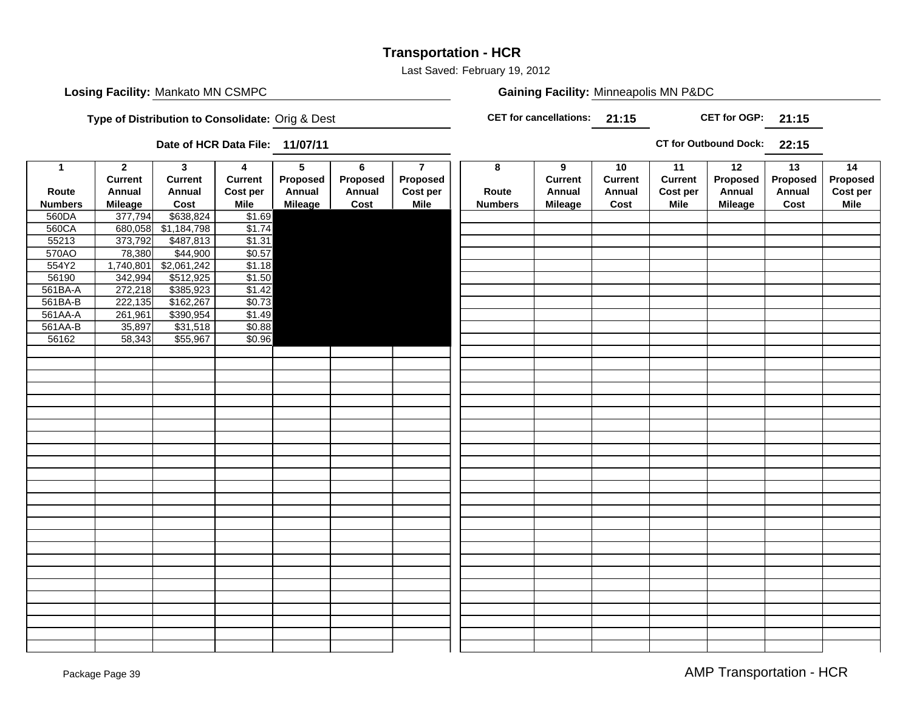### **Transportation - HCR**

Last Saved: February 19, 2012

### **Losing Facility:** Mankato MN CSMPC **Minneapolis MN PADC Gaining Facility:** Minneapolis MN P&DC

**Type of Distribution to Consolidate:** Orig & Dest

**21:15CET for cancellations:**

**21:15 CET for OGP:**

**Date of HCR Data File: 11/07/11**

**22:15CT for Outbound Dock:**

| $\mathbf{1}$   | $\overline{2}$ | $\overline{\mathbf{3}}$ | $\overline{4}$        | $\overline{5}$ | $\overline{6}$ | $\overline{7}$ | $\overline{\mathbf{8}}$ | $\overline{9}$ | 10             | 11             | 12             | 13       | 14       |
|----------------|----------------|-------------------------|-----------------------|----------------|----------------|----------------|-------------------------|----------------|----------------|----------------|----------------|----------|----------|
|                | <b>Current</b> | <b>Current</b>          | <b>Current</b>        | Proposed       | Proposed       | Proposed       |                         | <b>Current</b> | <b>Current</b> | <b>Current</b> | Proposed       | Proposed | Proposed |
| Route          | Annual         | Annual                  | Cost per              | Annual         | Annual         | Cost per       | Route                   | Annual         | Annual         | Cost per       | Annual         | Annual   | Cost per |
| <b>Numbers</b> | <b>Mileage</b> | Cost                    | <b>Mile</b>           | <b>Mileage</b> | Cost           | <b>Mile</b>    | <b>Numbers</b>          | <b>Mileage</b> | Cost           | <b>Mile</b>    | <b>Mileage</b> | Cost     | Mile     |
| 560DA          | 377,794        | \$638,824               | \$1.69                |                |                |                |                         |                |                |                |                |          |          |
| 560CA          | 680,058        | \$1,184,798             | \$1.74                |                |                |                |                         |                |                |                |                |          |          |
| 55213          | 373,792        | \$487,813               | \$1.31                |                |                |                |                         |                |                |                |                |          |          |
| 570AO          | 78,380         | \$44,900                | \$0.57                |                |                |                |                         |                |                |                |                |          |          |
| 554Y2          | 1,740,801      | \$2,061,242             | \$1.18                |                |                |                |                         |                |                |                |                |          |          |
| 56190          | 342,994        | \$512,925               | $\frac{$1.50}{$1.42}$ |                |                |                |                         |                |                |                |                |          |          |
| 561BA-A        | 272,218        | \$385,923               |                       |                |                |                |                         |                |                |                |                |          |          |
| 561BA-B        | 222,135        | \$162,267               | \$0.73                |                |                |                |                         |                |                |                |                |          |          |
| 561AA-A        | 261,961        | \$390,954               | \$1.49                |                |                |                |                         |                |                |                |                |          |          |
| 561AA-B        | 35,897         | \$31,518                | \$0.88                |                |                |                |                         |                |                |                |                |          |          |
| 56162          | 58,343         | \$55,967                | \$0.96                |                |                |                |                         |                |                |                |                |          |          |
|                |                |                         |                       |                |                |                |                         |                |                |                |                |          |          |
|                |                |                         |                       |                |                |                |                         |                |                |                |                |          |          |
|                |                |                         |                       |                |                |                |                         |                |                |                |                |          |          |
|                |                |                         |                       |                |                |                |                         |                |                |                |                |          |          |
|                |                |                         |                       |                |                |                |                         |                |                |                |                |          |          |
|                |                |                         |                       |                |                |                |                         |                |                |                |                |          |          |
|                |                |                         |                       |                |                |                |                         |                |                |                |                |          |          |
|                |                |                         |                       |                |                |                |                         |                |                |                |                |          |          |
|                |                |                         |                       |                |                |                |                         |                |                |                |                |          |          |
|                |                |                         |                       |                |                |                |                         |                |                |                |                |          |          |
|                |                |                         |                       |                |                |                |                         |                |                |                |                |          |          |
|                |                |                         |                       |                |                |                |                         |                |                |                |                |          |          |
|                |                |                         |                       |                |                |                |                         |                |                |                |                |          |          |
|                |                |                         |                       |                |                |                |                         |                |                |                |                |          |          |
|                |                |                         |                       |                |                |                |                         |                |                |                |                |          |          |
|                |                |                         |                       |                |                |                |                         |                |                |                |                |          |          |
|                |                |                         |                       |                |                |                |                         |                |                |                |                |          |          |
|                |                |                         |                       |                |                |                |                         |                |                |                |                |          |          |
|                |                |                         |                       |                |                |                |                         |                |                |                |                |          |          |
|                |                |                         |                       |                |                |                |                         |                |                |                |                |          |          |
|                |                |                         |                       |                |                |                |                         |                |                |                |                |          |          |
|                |                |                         |                       |                |                |                |                         |                |                |                |                |          |          |
|                |                |                         |                       |                |                |                |                         |                |                |                |                |          |          |
|                |                |                         |                       |                |                |                |                         |                |                |                |                |          |          |
|                |                |                         |                       |                |                |                |                         |                |                |                |                |          |          |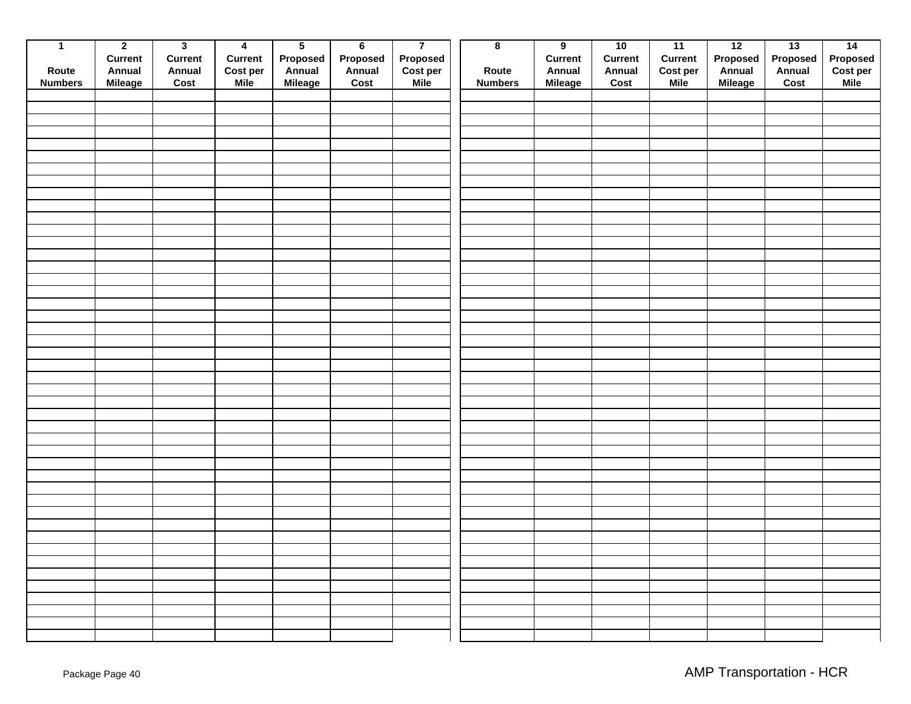| $\overline{1}$ | $\overline{2}$ | $\overline{\mathbf{3}}$ | $\overline{4}$ | $\overline{5}$ | $6\overline{6}$ | $\overline{7}$              | $\overline{\mathbf{8}}$ | $\overline{9}$ | 10             | 11          | 12       | 13       | $\overline{14}$      |
|----------------|----------------|-------------------------|----------------|----------------|-----------------|-----------------------------|-------------------------|----------------|----------------|-------------|----------|----------|----------------------|
|                | <b>Current</b> | <b>Current</b>          | Current        | Proposed       | Proposed        |                             |                         | <b>Current</b> | <b>Current</b> | Current     | Proposed | Proposed |                      |
| Route          | Annual         | Annual                  | Cost per       | Annual         | Annual          | <b>Proposed</b><br>Cost per | Route                   | Annual         | Annual         | Cost per    | Annual   | Annual   | Proposed<br>Cost per |
| <b>Numbers</b> | <b>Mileage</b> | Cost                    | <b>Mile</b>    | Mileage        | Cost            | <b>Mile</b>                 | <b>Numbers</b>          | Mileage        | Cost           | <b>Mile</b> | Mileage  | Cost     | <b>Mile</b>          |
|                |                |                         |                |                |                 |                             |                         |                |                |             |          |          |                      |
|                |                |                         |                |                |                 |                             |                         |                |                |             |          |          |                      |
|                |                |                         |                |                |                 |                             |                         |                |                |             |          |          |                      |
|                |                |                         |                |                |                 |                             |                         |                |                |             |          |          |                      |
|                |                |                         |                |                |                 |                             |                         |                |                |             |          |          |                      |
|                |                |                         |                |                |                 |                             |                         |                |                |             |          |          |                      |
|                |                |                         |                |                |                 |                             |                         |                |                |             |          |          |                      |
|                |                |                         |                |                |                 |                             |                         |                |                |             |          |          |                      |
|                |                |                         |                |                |                 |                             |                         |                |                |             |          |          |                      |
|                |                |                         |                |                |                 |                             |                         |                |                |             |          |          |                      |
|                |                |                         |                |                |                 |                             |                         |                |                |             |          |          |                      |
|                |                |                         |                |                |                 |                             |                         |                |                |             |          |          |                      |
|                |                |                         |                |                |                 |                             |                         |                |                |             |          |          |                      |
|                |                |                         |                |                |                 |                             |                         |                |                |             |          |          |                      |
|                |                |                         |                |                |                 |                             |                         |                |                |             |          |          |                      |
|                |                |                         |                |                |                 |                             |                         |                |                |             |          |          |                      |
|                |                |                         |                |                |                 |                             |                         |                |                |             |          |          |                      |
|                |                |                         |                |                |                 |                             |                         |                |                |             |          |          |                      |
|                |                |                         |                |                |                 |                             |                         |                |                |             |          |          |                      |
|                |                |                         |                |                |                 |                             |                         |                |                |             |          |          |                      |
|                |                |                         |                |                |                 |                             |                         |                |                |             |          |          |                      |
|                |                |                         |                |                |                 |                             |                         |                |                |             |          |          |                      |
|                |                |                         |                |                |                 |                             |                         |                |                |             |          |          |                      |
|                |                |                         |                |                |                 |                             |                         |                |                |             |          |          |                      |
|                |                |                         |                |                |                 |                             |                         |                |                |             |          |          |                      |
|                |                |                         |                |                |                 |                             |                         |                |                |             |          |          |                      |
|                |                |                         |                |                |                 |                             |                         |                |                |             |          |          |                      |
|                |                |                         |                |                |                 |                             |                         |                |                |             |          |          |                      |
|                |                |                         |                |                |                 |                             |                         |                |                |             |          |          |                      |
|                |                |                         |                |                |                 |                             |                         |                |                |             |          |          |                      |
|                |                |                         |                |                |                 |                             |                         |                |                |             |          |          |                      |
|                |                |                         |                |                |                 |                             |                         |                |                |             |          |          |                      |
|                |                |                         |                |                |                 |                             |                         |                |                |             |          |          |                      |
|                |                |                         |                |                |                 |                             |                         |                |                |             |          |          |                      |
|                |                |                         |                |                |                 |                             |                         |                |                |             |          |          |                      |
|                |                |                         |                |                |                 |                             |                         |                |                |             |          |          |                      |
|                |                |                         |                |                |                 |                             |                         |                |                |             |          |          |                      |
|                |                |                         |                |                |                 |                             |                         |                |                |             |          |          |                      |
|                |                |                         |                |                |                 |                             |                         |                |                |             |          |          |                      |
|                |                |                         |                |                |                 |                             |                         |                |                |             |          |          |                      |
|                |                |                         |                |                |                 |                             |                         |                |                |             |          |          |                      |
|                |                |                         |                |                |                 |                             |                         |                |                |             |          |          |                      |
|                |                |                         |                |                |                 |                             |                         |                |                |             |          |          |                      |
|                |                |                         |                |                |                 |                             |                         |                |                |             |          |          |                      |
|                |                |                         |                |                |                 |                             |                         |                |                |             |          |          |                      |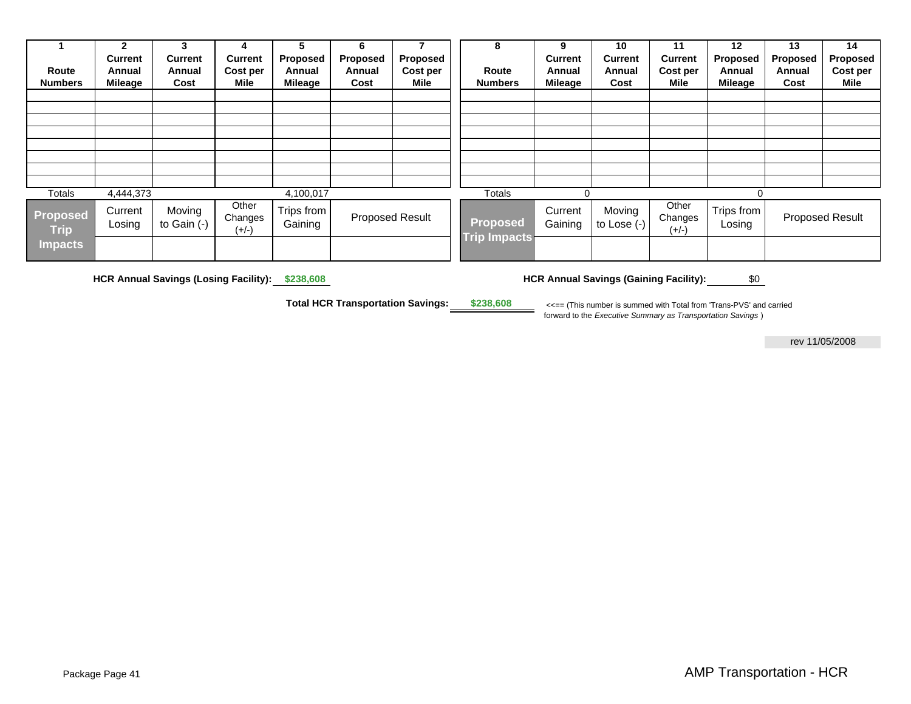|                                | $\mathbf{2}$      | 3                     | 4                           | 5                     | 6               | 7        | 8                   | 9                  | 10                      | 11                          | 12                   | 13       | 14              |
|--------------------------------|-------------------|-----------------------|-----------------------------|-----------------------|-----------------|----------|---------------------|--------------------|-------------------------|-----------------------------|----------------------|----------|-----------------|
|                                | <b>Current</b>    | <b>Current</b>        | <b>Current</b>              | Proposed              | Proposed        | Proposed |                     | <b>Current</b>     | <b>Current</b>          | <b>Current</b>              | <b>Proposed</b>      | Proposed | Proposed        |
| Route                          | Annual            | Annual                | Cost per                    | Annual                | Annual          | Cost per | Route               | Annual             | Annual                  | Cost per                    | Annual               | Annual   | Cost per        |
| <b>Numbers</b>                 | Milea <u>ge</u>   | Cost                  | Mile                        | Mileage               | Cost            | Mile     | <b>Numbers</b>      | <b>Mileage</b>     | Cost                    | Mile                        | Mileage              | Cost     | Mile            |
|                                |                   |                       |                             |                       |                 |          |                     |                    |                         |                             |                      |          |                 |
|                                |                   |                       |                             |                       |                 |          |                     |                    |                         |                             |                      |          |                 |
|                                |                   |                       |                             |                       |                 |          |                     |                    |                         |                             |                      |          |                 |
|                                |                   |                       |                             |                       |                 |          |                     |                    |                         |                             |                      |          |                 |
|                                |                   |                       |                             |                       |                 |          |                     |                    |                         |                             |                      |          |                 |
|                                |                   |                       |                             |                       |                 |          |                     |                    |                         |                             |                      |          |                 |
|                                |                   |                       |                             |                       |                 |          |                     |                    |                         |                             |                      |          |                 |
|                                |                   |                       |                             |                       |                 |          |                     |                    |                         |                             |                      |          |                 |
| Totals                         | 4,444,373         |                       |                             | 4,100,017             |                 |          | Totals              | 0                  |                         |                             | 0                    |          |                 |
| <b>Proposed</b><br><b>Trip</b> | Current<br>Losing | Moving<br>to Gain (-) | Other<br>Changes<br>$(+/-)$ | Trips from<br>Gaining | Proposed Result |          | <b>Proposed</b>     | Current<br>Gaining | Moving<br>to Lose $(-)$ | Other<br>Changes<br>$(+/-)$ | Trips from<br>Losing |          | Proposed Result |
| <b>Impacts</b>                 |                   |                       |                             |                       |                 |          | <b>Trip Impacts</b> |                    |                         |                             |                      |          |                 |

 **HCR Annual Savings (Losing Facility): \$238,608** 

**HCR Annual Savings (Gaining Facility):** \$0

**Total HCR Transportation Savings: \$238,608**

 <<== (This number is summed with Total from 'Trans-PVS' and carried forward to the *Executive Summary as Transportation Savings* )

rev 11/05/2008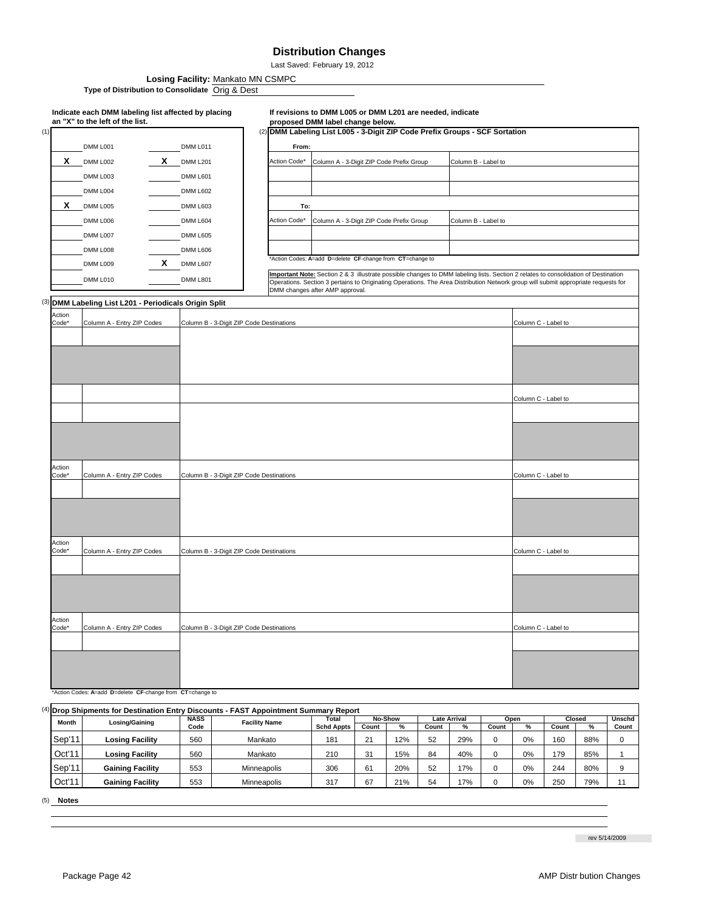#### **Distribution Changes**

Last Saved: February 19, 2012

**Losing Facility:** Mankato MN CSMPC

Type of Distribution to Consolidate Orig & Dest

#### (1)  $(2)$ DMM L011 **From: X** DMM L201 Action Code\* Column A - 3-Digit ZIP Code Prefix Group DMM L601 DMM L602 **X** DMM L005 **DMM L603 To:** DMM L604 Action Code\* Column A - 3-Digit ZIP Code Prefix Group DMM L605 DMM L606 **X** DMM L607 DMM L801  $(3)$ **Action** code<sup>\*</sup> ction eho: ction ode ction Code\* \*Action Codes: **A**=add **D**=delete **CF**-change from **CT**=change to Important Note: Section 2 & 3 illustrate possible changes to DMM labeling lists. Section 2 relates to consolidation of Destination<br>Operations. Section 3 pertains to Originating Operations. The Area Distribution Network gr DMM changes after AMP approval. Column A - Entry ZIP Codes Column B - 3-Digit ZIP Code Destinations Column C - Label to Column C - Label to Column C - Label to Column A - Entry ZIP Codes Column B - 3-Digit ZIP Code Destinations Column C - Label to Column C - Label to Column C - Label to DMM L009 DMM L010 DMM L006 DMM L007 DMM L008 DMM L003 DMM L004 DMM L001 DMM L002 **Indicate each DMM labeling list affected by placing an "X" to the left of the list. If revisions to DMM L005 or DMM L201 are needed, indicate proposed DMM label change below. DMM Labeling List L005 - 3-Digit ZIP Code Prefix Groups - SCF Sortation** Column B - Label to  $\mathbf{A}$ **D**=delete **CF**-change from **CT**=change to Column B - Label to **DMM Labeling List L201 - Periodicals Origin Split** Column A - Entry ZIP Codes Column B - 3-Digit ZIP Code Destinations Column C - Label to Column C - Label to Column C - Label to olumn A - Entry ZIP Codes Column B - 3-Digit ZIP Code Destinations Column C - Label to Column C - Label to Column C - Label to

(4) **Count % Count % Count % Count %** Sep'11 Losing Facility | 560 | Mankato | 181 | 21 | 12% | 52 | 29% | 0 | 0% | 160 | 88% | 0 Oct'11 560 210 31 15% 84 40% 0 0% 179 85% 1 Sep'11 | Gaining Facility | 553 | Minneapolis | 306 | 61 | 20% | 52 | 17% | 0 | 0% | 244 | 80% | 9 Oct'11 | Gaining Facility | 553 | Minneapolis | 317 | 67 | 21% | 54 | 17% | 0 | 0% | 250 | 79% | 11 **Drop Shipments for Destination Entry Discounts - FAST Appointment Summary Report**<br> **BASS LETTER LIGER LETTER Month Losing/Gaining NASS Facility Name Schd Appts Unschd Count Losing Facility** 560 Mankato **Losing Facility** 560 Mankato **No-Show Late Arrival Open Closed**<br> **Arrival Count 1 % Count 1 % Count 1** Gaining Facility | 553 | Minneapolis Gaining Facility | 553 | Minneapolis

(5) **Notes**

rev 5/14/2009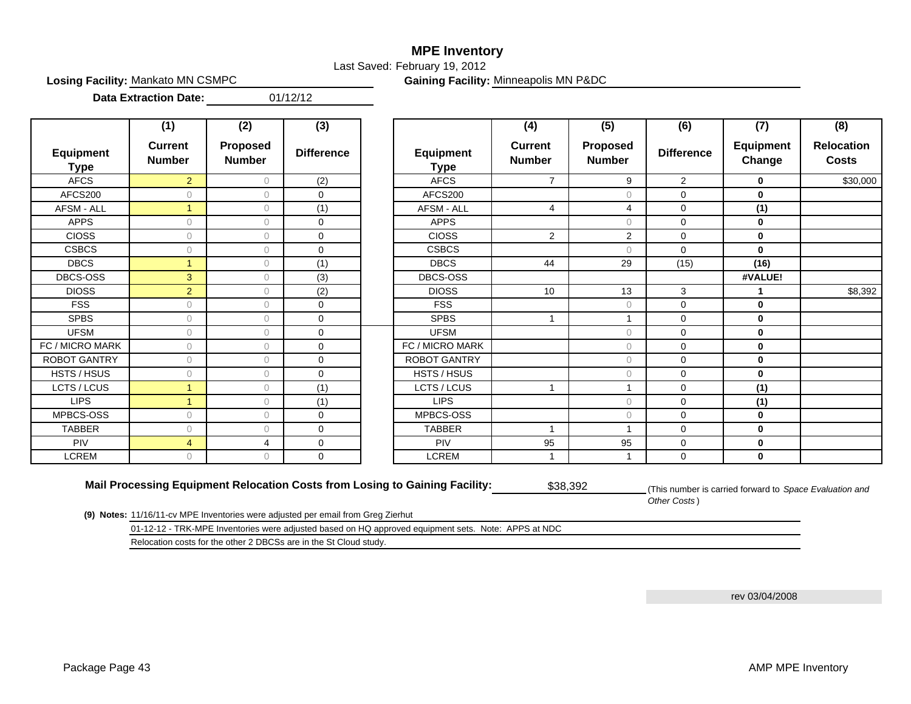### **MPE Inventory**

Last Saved: February 19, 2012

**Losing Facility: Mankato MN CSMPC** 

Gaining Facility: Minneapolis MN P&DC

01/12/12 **Data Extraction Date:**

|                                 | (1)                             | (2)                       | (3)               |                                 | (4)                             | (5)                       | (6)               | (7)                        | (8)                               |
|---------------------------------|---------------------------------|---------------------------|-------------------|---------------------------------|---------------------------------|---------------------------|-------------------|----------------------------|-----------------------------------|
| <b>Equipment</b><br><b>Type</b> | <b>Current</b><br><b>Number</b> | Proposed<br><b>Number</b> | <b>Difference</b> | <b>Equipment</b><br><b>Type</b> | <b>Current</b><br><b>Number</b> | Proposed<br><b>Number</b> | <b>Difference</b> | <b>Equipment</b><br>Change | <b>Relocation</b><br><b>Costs</b> |
| <b>AFCS</b>                     | $\overline{2}$                  | $\circ$                   | (2)               | <b>AFCS</b>                     | $\overline{7}$                  | 9                         | $\overline{2}$    | 0                          | \$30,000                          |
| AFCS200                         | $\circ$                         | 0                         | $\mathbf 0$       | AFCS200                         |                                 | $\bigcirc$                | 0                 | $\mathbf 0$                |                                   |
| AFSM - ALL                      | $\overline{1}$                  | $\circ$                   | (1)               | AFSM - ALL                      | 4                               | $\overline{4}$            | $\mathbf 0$       | (1)                        |                                   |
| <b>APPS</b>                     | $\circ$                         | 0                         | $\mathbf 0$       | <b>APPS</b>                     |                                 | $\circ$                   | $\mathbf 0$       | $\mathbf 0$                |                                   |
| <b>CIOSS</b>                    | $\circ$                         | $\Omega$                  | $\mathbf 0$       | <b>CIOSS</b>                    | $\overline{2}$                  | 2                         | $\mathbf 0$       | 0                          |                                   |
| <b>CSBCS</b>                    | $\circ$                         | $\circ$                   | $\Omega$          | <b>CSBCS</b>                    |                                 | $\bigcap$                 | $\Omega$          | $\mathbf{0}$               |                                   |
| <b>DBCS</b>                     | $\mathbf{1}$                    | 0                         | (1)               | <b>DBCS</b>                     | 44                              | 29                        | (15)              | (16)                       |                                   |
| DBCS-OSS                        | 3                               | $\bigcap$                 | (3)               | <b>DBCS-OSS</b>                 |                                 |                           |                   | #VALUE!                    |                                   |
| <b>DIOSS</b>                    | $\overline{2}$                  | $\Omega$                  | (2)               | <b>DIOSS</b>                    | 10                              | 13                        | 3                 |                            | \$8,392                           |
| <b>FSS</b>                      | 0                               | $\Omega$                  | $\Omega$          | <b>FSS</b>                      |                                 | $\Omega$                  | $\mathbf 0$       | 0                          |                                   |
| <b>SPBS</b>                     | 0                               | 0                         | $\mathbf 0$       | <b>SPBS</b>                     | $\overline{1}$                  | 1                         | $\mathbf 0$       | 0                          |                                   |
| <b>UFSM</b>                     | 0                               | $\bigcap$                 | $\mathbf 0$       | <b>UFSM</b>                     |                                 | $\bigcirc$                | $\mathbf 0$       | 0                          |                                   |
| FC / MICRO MARK                 | $\circ$                         | $\circ$                   | $\Omega$          | FC / MICRO MARK                 |                                 | $\bigcirc$                | $\mathbf 0$       | $\mathbf 0$                |                                   |
| <b>ROBOT GANTRY</b>             | $\circ$                         | $\Omega$                  | $\Omega$          | <b>ROBOT GANTRY</b>             |                                 | $\Omega$                  | $\mathbf 0$       | 0                          |                                   |
| HSTS / HSUS                     | $\circ$                         | 0                         | $\mathbf 0$       | HSTS / HSUS                     |                                 | $\circ$                   | $\mathbf 0$       | $\mathbf 0$                |                                   |
| LCTS / LCUS                     | $\mathbf{1}$                    | $\circ$                   | (1)               | LCTS / LCUS                     | 1                               | 1                         | $\mathbf 0$       | (1)                        |                                   |
| <b>LIPS</b>                     | $\mathbf{1}$                    | 0                         | (1)               | <b>LIPS</b>                     |                                 | $\circ$                   | $\mathbf 0$       | (1)                        |                                   |
| MPBCS-OSS                       | $\circ$                         | $\Omega$                  | $\mathbf 0$       | MPBCS-OSS                       |                                 | $\Omega$                  | $\mathbf 0$       | 0                          |                                   |
| <b>TABBER</b>                   | $\circ$                         | $\circ$                   | $\Omega$          | <b>TABBER</b>                   | $\overline{\mathbf{1}}$         | 1                         | $\mathbf 0$       | $\mathbf 0$                |                                   |
| <b>PIV</b>                      | $\overline{4}$                  | $\overline{4}$            | $\mathbf 0$       | <b>PIV</b>                      | 95                              | 95                        | $\mathbf 0$       | $\mathbf 0$                |                                   |
| <b>LCREM</b>                    | $\circ$                         | $\Omega$                  | $\mathbf 0$       | <b>LCREM</b>                    | 1                               | 1                         | $\mathbf 0$       | 0                          |                                   |

**Mail Processing Equipment Relocation Costs from Losing to Gaining Facility:** \$38,392

(This number is carried forward to *Space Evaluation and Other Costs* )

**(9) Notes:** 11/16/11-cv MPE Inventories were adjusted per email from Greg Zierhut

01-12-12 - TRK-MPE Inventories were adjusted based on HQ approved equipment sets. Note: APPS at NDC

Relocation costs for the other 2 DBCSs are in the St Cloud study.

rev 03/04/2008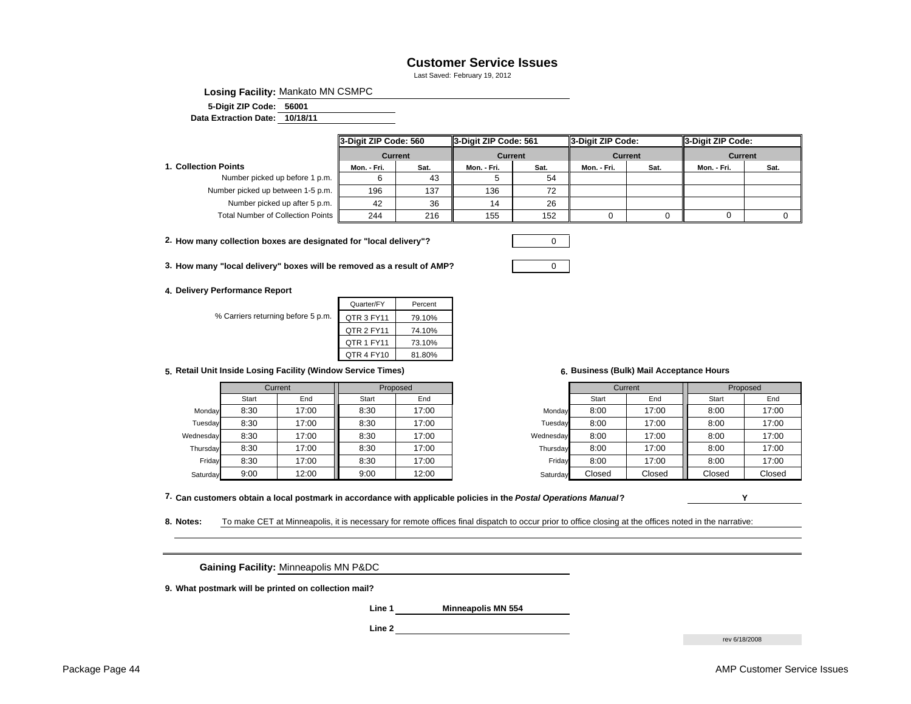#### **Customer Service Issues**

Last Saved: February 19, 2012

**Losing Facility:** Mankato MN CSMPC

**560015-Digit ZIP Code:**

**10/18/11 Data Extraction Date:**

|                                   | 3-Digit ZIP Code: 560 |                | 3-Digit ZIP Code: 561 |      | 3-Digit ZIP Code: |                | 3-Digit ZIP Code: |      |
|-----------------------------------|-----------------------|----------------|-----------------------|------|-------------------|----------------|-------------------|------|
|                                   |                       | <b>Current</b> | <b>Current</b>        |      |                   | <b>Current</b> | <b>Current</b>    |      |
| 1. Collection Points              | Sat.<br>Mon. - Fri.   |                | Mon. - Fri.           | Sat. | Mon. - Fri.       | Sat.           | Mon. - Fri.       | Sat. |
| Number picked up before 1 p.m.    |                       | 43             |                       | 54   |                   |                |                   |      |
| Number picked up between 1-5 p.m. | 196                   | 137            | 136                   | 72   |                   |                |                   |      |
| Number picked up after 5 p.m.     | 42                    | 36             | 14                    | 26   |                   |                |                   |      |
| Total Number of Collection Points | 216<br>244            |                | 155                   | 152  |                   |                |                   |      |

**2. How many collection boxes are designated for "local delivery"?** 0

**3. How many "local delivery" boxes will be removed as a result of AMP?** 0

**4. Delivery Performance Report** 

% Carriers returning before 5 p.

| Quarter/FY | Percent |
|------------|---------|
| QTR 3 FY11 | 79.10%  |
| QTR 2 FY11 | 74.10%  |
| QTR 1 FY11 | 73.10%  |
| QTR 4 FY10 | 81.80%  |
|            |         |

**5. 6. Retail Unit Inside Losing Facility (Window Service Times)**

|           |       | Current | Proposed |       |           | Current |        | Proposed |        |
|-----------|-------|---------|----------|-------|-----------|---------|--------|----------|--------|
|           | Start | End     | Start    | End   |           | Start   | End    | Start    | End    |
| Monday    | 8:30  | 17:00   | 8:30     | 17:00 | Monday    | 8:00    | 17:00  | 8:00     | 17:00  |
| Tuesday   | 8:30  | 17:00   | 8:30     | 17:00 | Tuesday   | 8:00    | 17:00  | 8:00     | 17:00  |
| Wednesday | 8:30  | 17:00   | 8:30     | 17:00 | Wednesday | 8:00    | 17:00  | 8:00     | 17:00  |
| Thursday  | 8:30  | 17:00   | 8:30     | 17:00 | Thursday  | 8:00    | 17:00  | 8:00     | 17:00  |
| Friday    | 8:30  | 17:00   | 8:30     | 17:00 | Fridav    | 8:00    | 17:00  | 8:00     | 17:00  |
| Saturday  | 9:00  | 12:00   | 9:00     | 12:00 | Saturday  | Closed  | Closed | Closed   | Closed |

**Business (Bulk) Mail Acceptance Hours** 

| Current |       | Proposed |       |           | Current |        | Proposed |        |
|---------|-------|----------|-------|-----------|---------|--------|----------|--------|
| Start   | End   | Start    | End   |           | Start   | End    | Start    | End    |
| 8:30    | 17:00 | 8:30     | 17:00 | Monday    | 8:00    | 17:00  | 8:00     | 17:00  |
| 8:30    | 17:00 | 8:30     | 17:00 | Tuesday   | 8:00    | 17:00  | 8:00     | 17:00  |
| 8:30    | 17:00 | 8:30     | 17:00 | Wednesday | 8:00    | 17:00  | 8:00     | 17:00  |
| 8:30    | 17:00 | 8:30     | 17:00 | Thursday  | 8:00    | 17:00  | 8:00     | 17:00  |
| 8:30    | 17:00 | 8:30     | 17:00 | Friday    | 8:00    | 17:00  | 8:00     | 17:00  |
| 9:00    | 12:00 | 9:00     | 12:00 | Saturday  | Closed  | Closed | Closed   | Closed |

**7. Can customers obtain a local postmark in accordance with applicable policies in the** *Postal Operations Manual***?**

**8. Notes:**To make CET at Minneapolis, it is necessary for remote offices final dispatch to occur prior to office closing at the offices noted in the narrative:

**Gaining Facility:** Minneapolis MN P&DC

**9. What postmark will be printed on collection mail?**

**Line 1 Minneapolis MN 554**

**Line 2**

rev 6/18/2008

**Y**